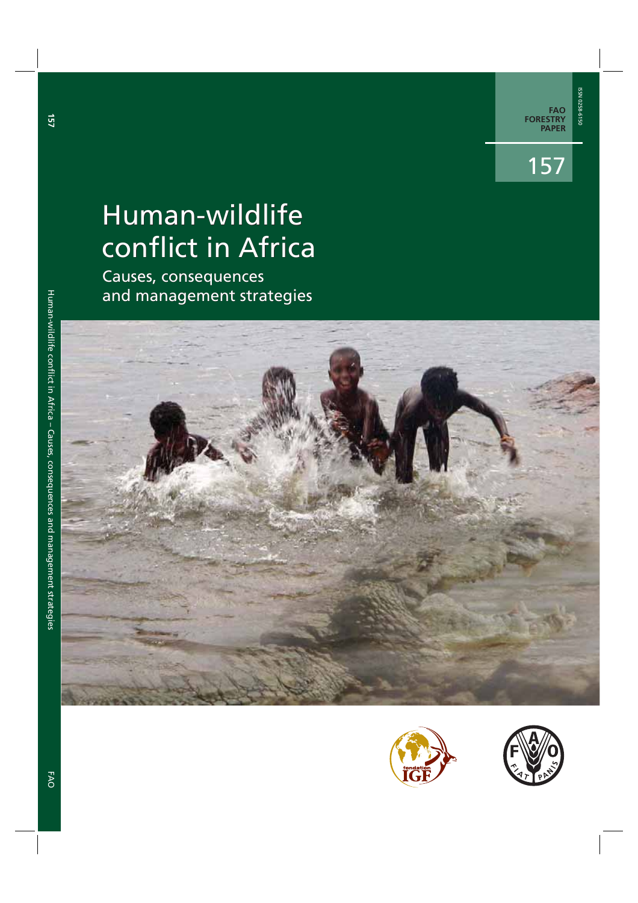**FAO FORESTRY PAPER** 

# Human-wildlife conflict in Africa

Causes, consequences and management strategies







**157**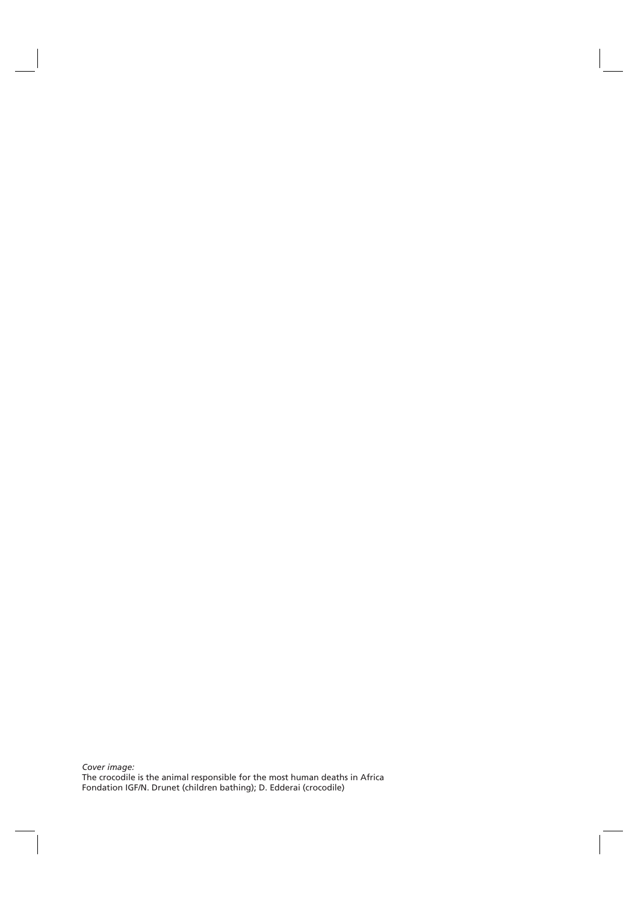*Cover image:* The crocodile is the animal responsible for the most human deaths in Africa Fondation IGF/N. Drunet (children bathing); D. Edderai (crocodile)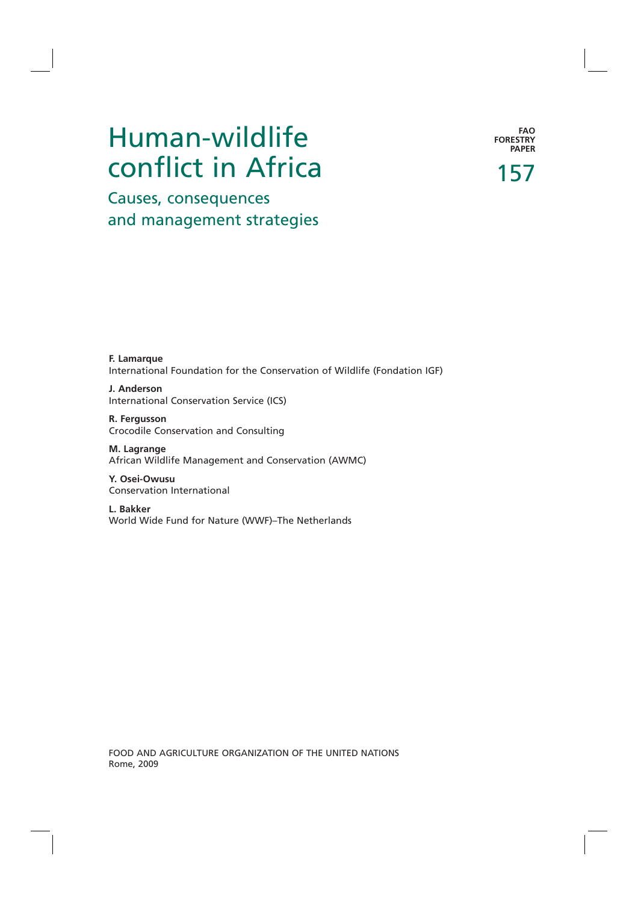# Human-wildlife conflict in Africa

**FAO FORESTRY PAPER**

157

Causes, consequences and management strategies

**F. Lamarque**  International Foundation for the Conservation of Wildlife (Fondation IGF)

**J. Anderson**  International Conservation Service (ICS)

**R. Fergusson** Crocodile Conservation and Consulting

**M. Lagrange** African Wildlife Management and Conservation (AWMC)

**Y. Osei-Owusu** Conservation International

**L. Bakker**  World Wide Fund for Nature (WWF)–The Netherlands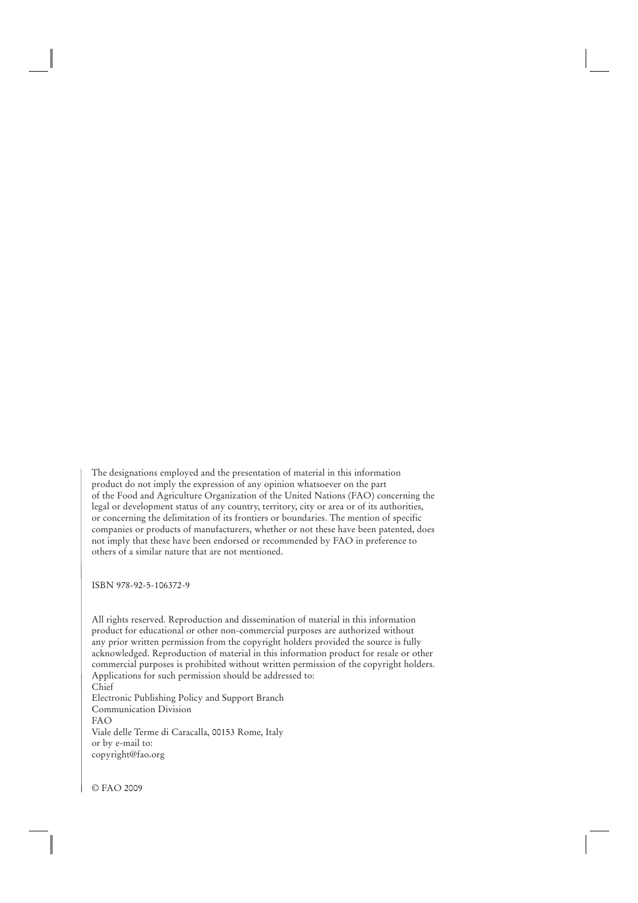The designations employed and the presentation of material in this information product do not imply the expression of any opinion whatsoever on the part of the Food and Agriculture Organization of the United Nations (FAO) concerning the legal or development status of any country, territory, city or area or of its authorities, or concerning the delimitation of its frontiers or boundaries. The mention of specific companies or products of manufacturers, whether or not these have been patented, does not imply that these have been endorsed or recommended by FAO in preference to others of a similar nature that are not mentioned.

ISBN 978-92-5-106372-9

All rights reserved. Reproduction and dissemination of material in this information product for educational or other non-commercial purposes are authorized without any prior written permission from the copyright holders provided the source is fully acknowledged. Reproduction of material in this information product for resale or other commercial purposes is prohibited without written permission of the copyright holders. Applications for such permission should be addressed to: Chief Electronic Publishing Policy and Support Branch Communication Division FAO Viale delle Terme di Caracalla, 00153 Rome, Italy or by e-mail to: copyright@fao.org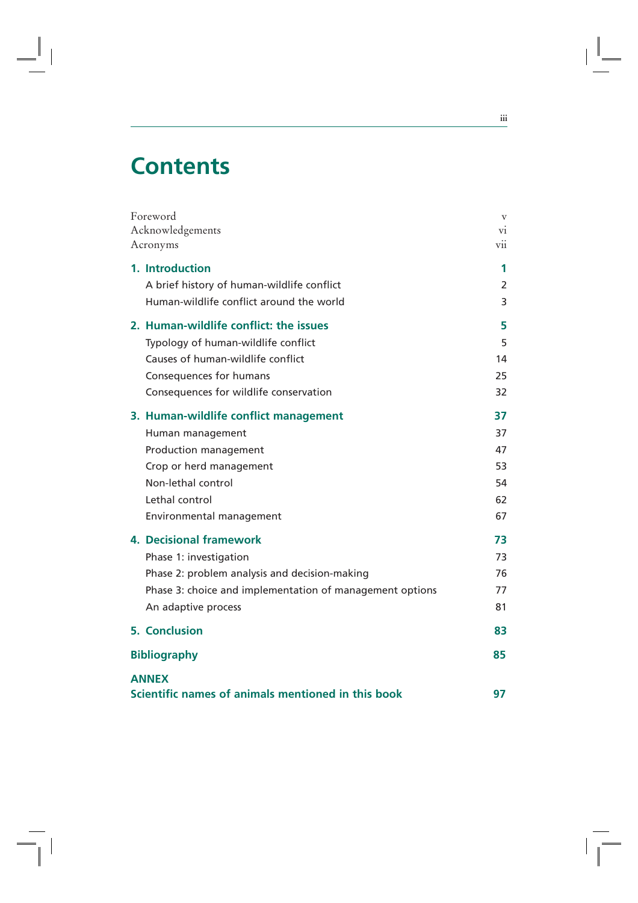## **Contents**

Ξ.

| Foreword                                                 | $\mathbf{V}$ |
|----------------------------------------------------------|--------------|
| Acknowledgements                                         | V1           |
| Acronyms                                                 | V11          |
| 1. Introduction                                          | 1            |
| A brief history of human-wildlife conflict               | 2            |
| Human-wildlife conflict around the world                 | 3            |
| 2. Human-wildlife conflict: the issues                   | 5            |
| Typology of human-wildlife conflict                      | 5            |
| Causes of human-wildlife conflict                        | 14           |
| Consequences for humans                                  | 25           |
| Consequences for wildlife conservation                   | 32           |
| 3. Human-wildlife conflict management                    | 37           |
| Human management                                         | 37           |
| Production management                                    | 47           |
| Crop or herd management                                  | 53           |
| Non-lethal control                                       | 54           |
| Lethal control                                           | 62           |
| Environmental management                                 | 67           |
| <b>4. Decisional framework</b>                           | 73           |
| Phase 1: investigation                                   | 73           |
| Phase 2: problem analysis and decision-making            | 76           |
| Phase 3: choice and implementation of management options | 77           |
| An adaptive process                                      | 81           |
| <b>5. Conclusion</b>                                     | 83           |
| <b>Bibliography</b>                                      | 85           |
| <b>ANNEX</b>                                             |              |
| Scientific names of animals mentioned in this book       | 97           |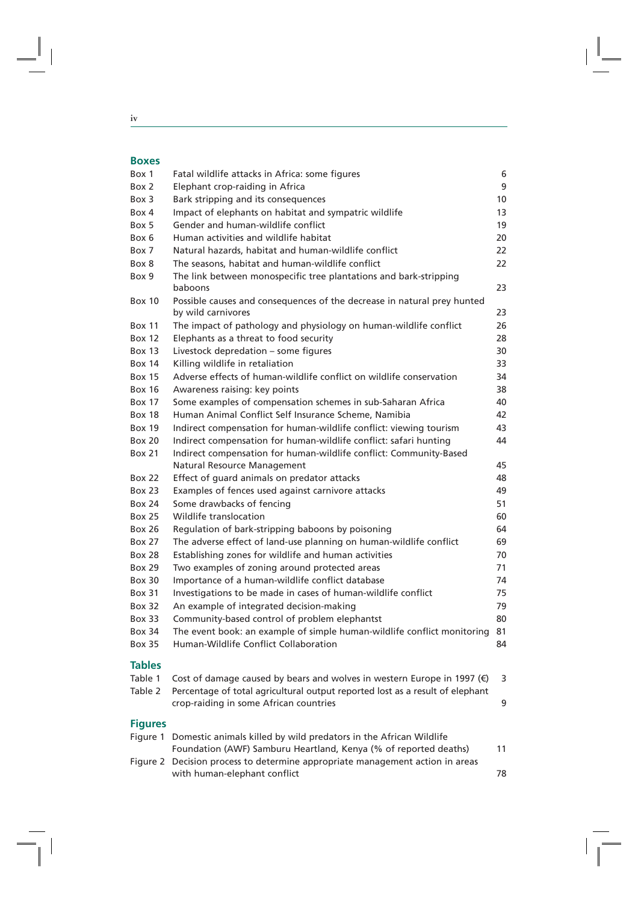$\overline{\phantom{a}}$ 

#### **Boxes**

| Box 1          | Fatal wildlife attacks in Africa: some figures                                                                                                                       | 6  |
|----------------|----------------------------------------------------------------------------------------------------------------------------------------------------------------------|----|
| Box 2          | Elephant crop-raiding in Africa                                                                                                                                      | 9  |
| Box 3          | Bark stripping and its consequences                                                                                                                                  | 10 |
| Box 4          | Impact of elephants on habitat and sympatric wildlife                                                                                                                | 13 |
| Box 5          | Gender and human-wildlife conflict                                                                                                                                   | 19 |
| Box 6          | Human activities and wildlife habitat                                                                                                                                | 20 |
| Box 7          | Natural hazards, habitat and human-wildlife conflict                                                                                                                 | 22 |
| Box 8          | The seasons, habitat and human-wildlife conflict                                                                                                                     | 22 |
| Box 9          | The link between monospecific tree plantations and bark-stripping                                                                                                    |    |
|                | baboons                                                                                                                                                              | 23 |
| <b>Box 10</b>  | Possible causes and consequences of the decrease in natural prey hunted                                                                                              |    |
|                | by wild carnivores                                                                                                                                                   | 23 |
| <b>Box 11</b>  | The impact of pathology and physiology on human-wildlife conflict                                                                                                    | 26 |
| <b>Box 12</b>  | Elephants as a threat to food security                                                                                                                               | 28 |
| <b>Box 13</b>  | Livestock depredation – some figures                                                                                                                                 | 30 |
| <b>Box 14</b>  | Killing wildlife in retaliation                                                                                                                                      | 33 |
| <b>Box 15</b>  | Adverse effects of human-wildlife conflict on wildlife conservation                                                                                                  | 34 |
| <b>Box 16</b>  | Awareness raising: key points                                                                                                                                        | 38 |
| <b>Box 17</b>  | Some examples of compensation schemes in sub-Saharan Africa                                                                                                          | 40 |
| <b>Box 18</b>  | Human Animal Conflict Self Insurance Scheme, Namibia                                                                                                                 | 42 |
| <b>Box 19</b>  | Indirect compensation for human-wildlife conflict: viewing tourism                                                                                                   | 43 |
| <b>Box 20</b>  | Indirect compensation for human-wildlife conflict: safari hunting                                                                                                    | 44 |
| <b>Box 21</b>  | Indirect compensation for human-wildlife conflict: Community-Based                                                                                                   |    |
|                | Natural Resource Management                                                                                                                                          | 45 |
| <b>Box 22</b>  | Effect of guard animals on predator attacks                                                                                                                          | 48 |
| <b>Box 23</b>  | Examples of fences used against carnivore attacks                                                                                                                    | 49 |
| <b>Box 24</b>  | Some drawbacks of fencing                                                                                                                                            | 51 |
| <b>Box 25</b>  | Wildlife translocation                                                                                                                                               | 60 |
| <b>Box 26</b>  | Regulation of bark-stripping baboons by poisoning                                                                                                                    | 64 |
| Box 27         | The adverse effect of land-use planning on human-wildlife conflict                                                                                                   | 69 |
| Box 28         | Establishing zones for wildlife and human activities                                                                                                                 | 70 |
| <b>Box 29</b>  | Two examples of zoning around protected areas                                                                                                                        | 71 |
| Box 30         | Importance of a human-wildlife conflict database                                                                                                                     | 74 |
| <b>Box 31</b>  | Investigations to be made in cases of human-wildlife conflict                                                                                                        | 75 |
| <b>Box 32</b>  | An example of integrated decision-making                                                                                                                             | 79 |
| Box 33         | Community-based control of problem elephantst                                                                                                                        | 80 |
| Box 34         | The event book: an example of simple human-wildlife conflict monitoring                                                                                              | 81 |
| <b>Box 35</b>  | Human-Wildlife Conflict Collaboration                                                                                                                                | 84 |
| <b>Tables</b>  |                                                                                                                                                                      |    |
| Table 1        |                                                                                                                                                                      |    |
| Table 2        | Cost of damage caused by bears and wolves in western Europe in 1997 $($ $\epsilon)$<br>Percentage of total agricultural output reported lost as a result of elephant | 3  |
|                | crop-raiding in some African countries                                                                                                                               | 9  |
|                |                                                                                                                                                                      |    |
| <b>Figures</b> |                                                                                                                                                                      |    |
| Figure 1       | Domestic animals killed by wild predators in the African Wildlife                                                                                                    |    |
|                | Foundation (AWF) Samburu Heartland, Kenya (% of reported deaths)                                                                                                     | 11 |
|                | Figure 2 Decision process to determine appropriate management action in areas                                                                                        |    |
|                | with human-elephant conflict                                                                                                                                         | 78 |

|  | ۰. |
|--|----|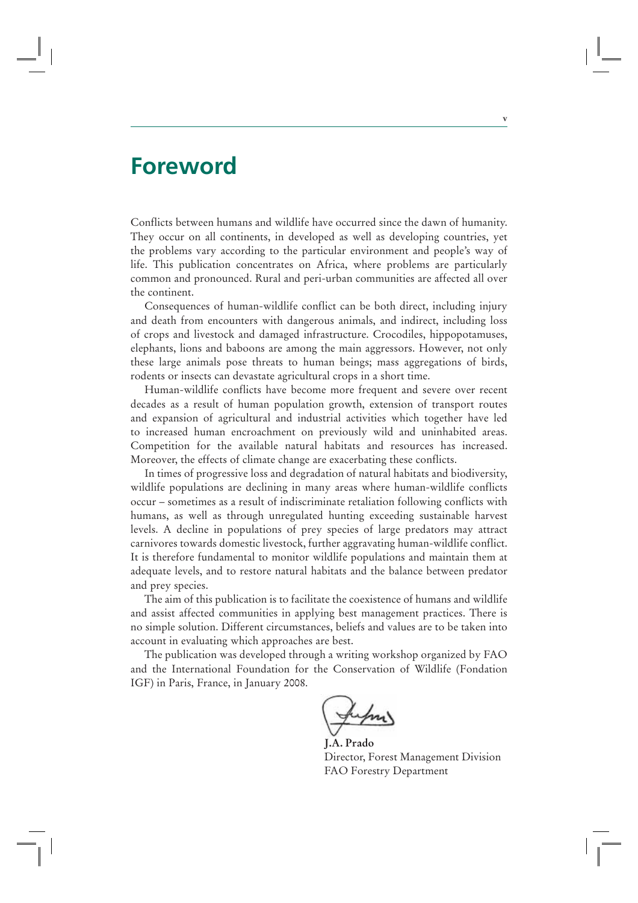### **Foreword**

Conflicts between humans and wildlife have occurred since the dawn of humanity. They occur on all continents, in developed as well as developing countries, yet the problems vary according to the particular environment and people's way of life. This publication concentrates on Africa, where problems are particularly common and pronounced. Rural and peri-urban communities are affected all over the continent.

**v**

Consequences of human-wildlife conflict can be both direct, including injury and death from encounters with dangerous animals, and indirect, including loss of crops and livestock and damaged infrastructure. Crocodiles, hippopotamuses, elephants, lions and baboons are among the main aggressors. However, not only these large animals pose threats to human beings; mass aggregations of birds, rodents or insects can devastate agricultural crops in a short time.

Human-wildlife conflicts have become more frequent and severe over recent decades as a result of human population growth, extension of transport routes and expansion of agricultural and industrial activities which together have led to increased human encroachment on previously wild and uninhabited areas. Competition for the available natural habitats and resources has increased. Moreover, the effects of climate change are exacerbating these conflicts.

In times of progressive loss and degradation of natural habitats and biodiversity, wildlife populations are declining in many areas where human-wildlife conflicts occur – sometimes as a result of indiscriminate retaliation following conflicts with humans, as well as through unregulated hunting exceeding sustainable harvest levels. A decline in populations of prey species of large predators may attract carnivores towards domestic livestock, further aggravating human-wildlife conflict. It is therefore fundamental to monitor wildlife populations and maintain them at adequate levels, and to restore natural habitats and the balance between predator and prey species.

The aim of this publication is to facilitate the coexistence of humans and wildlife and assist affected communities in applying best management practices. There is no simple solution. Different circumstances, beliefs and values are to be taken into account in evaluating which approaches are best.

The publication was developed through a writing workshop organized by FAO and the International Foundation for the Conservation of Wildlife (Fondation IGF) in Paris, France, in January 2008.

**J.A. Prado** Director, Forest Management Division FAO Forestry Department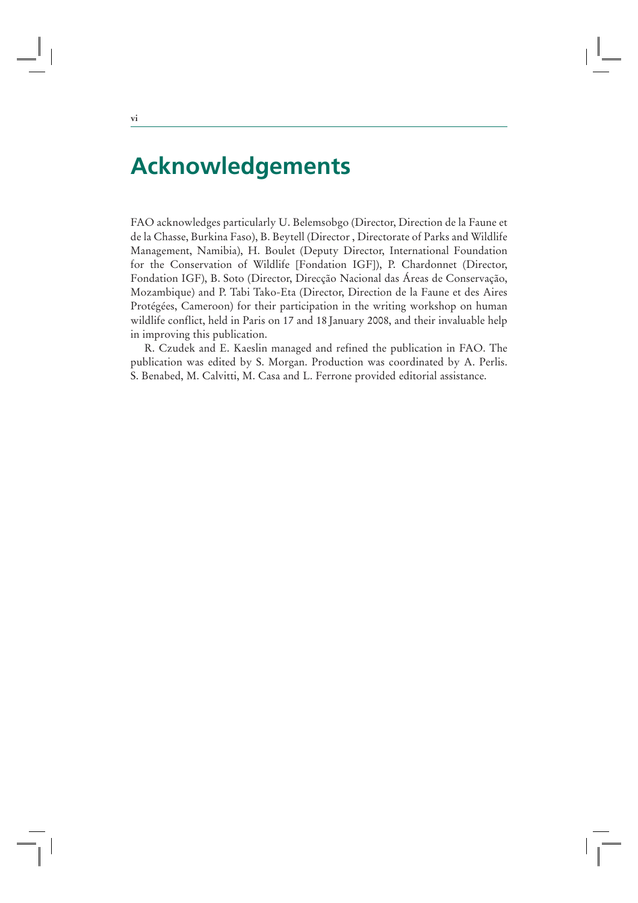### **Acknowledgements**

FAO acknowledges particularly U. Belemsobgo (Director, Direction de la Faune et de la Chasse, Burkina Faso), B. Beytell (Director , Directorate of Parks and Wildlife Management, Namibia), H. Boulet (Deputy Director, International Foundation for the Conservation of Wildlife [Fondation IGF]), P. Chardonnet (Director, Fondation IGF), B. Soto (Director, Direcção Nacional das Áreas de Conservação, Mozambique) and P. Tabi Tako-Eta (Director, Direction de la Faune et des Aires Protégées, Cameroon) for their participation in the writing workshop on human wildlife conflict, held in Paris on 17 and 18 January 2008, and their invaluable help in improving this publication.

R. Czudek and E. Kaeslin managed and refined the publication in FAO. The publication was edited by S. Morgan. Production was coordinated by A. Perlis. S. Benabed, M. Calvitti, M. Casa and L. Ferrone provided editorial assistance.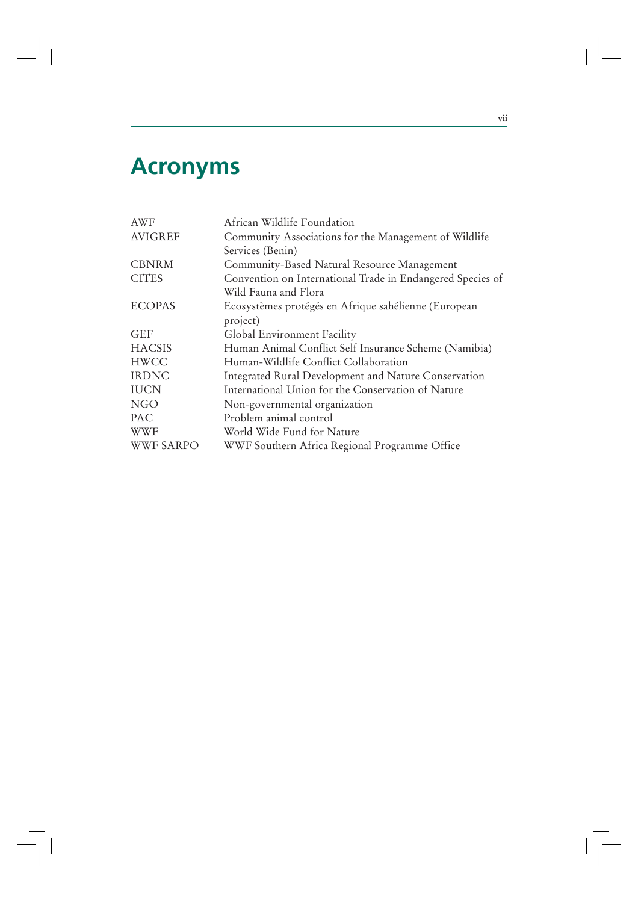## **Acronyms**

Ξ.

| <b>AWF</b>       | African Wildlife Foundation                                |
|------------------|------------------------------------------------------------|
| <b>AVIGREF</b>   | Community Associations for the Management of Wildlife      |
|                  | Services (Benin)                                           |
| <b>CBNRM</b>     | Community-Based Natural Resource Management                |
| <b>CITES</b>     | Convention on International Trade in Endangered Species of |
|                  | Wild Fauna and Flora                                       |
| <b>ECOPAS</b>    | Ecosystèmes protégés en Afrique sahélienne (European       |
|                  | project)                                                   |
| <b>GEF</b>       | Global Environment Facility                                |
| <b>HACSIS</b>    | Human Animal Conflict Self Insurance Scheme (Namibia)      |
| <b>HWCC</b>      | Human-Wildlife Conflict Collaboration                      |
| <b>IRDNC</b>     | Integrated Rural Development and Nature Conservation       |
| <b>IUCN</b>      | International Union for the Conservation of Nature         |
| <b>NGO</b>       | Non-governmental organization                              |
| PAC              | Problem animal control                                     |
| <b>WWF</b>       | World Wide Fund for Nature                                 |
| <b>WWF SARPO</b> | WWF Southern Africa Regional Programme Office              |
|                  |                                                            |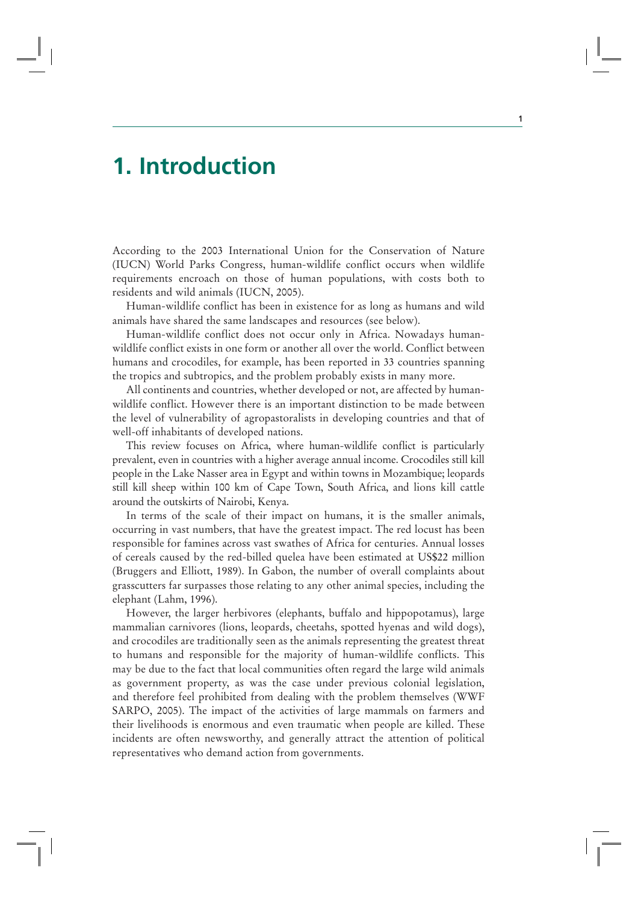### **1. Introduction**

According to the 2003 International Union for the Conservation of Nature (IUCN) World Parks Congress, human-wildlife conflict occurs when wildlife requirements encroach on those of human populations, with costs both to residents and wild animals (IUCN, 2005).

Human-wildlife conflict has been in existence for as long as humans and wild animals have shared the same landscapes and resources (see below).

Human-wildlife conflict does not occur only in Africa. Nowadays humanwildlife conflict exists in one form or another all over the world. Conflict between humans and crocodiles, for example, has been reported in 33 countries spanning the tropics and subtropics, and the problem probably exists in many more.

All continents and countries, whether developed or not, are affected by humanwildlife conflict. However there is an important distinction to be made between the level of vulnerability of agropastoralists in developing countries and that of well-off inhabitants of developed nations.

This review focuses on Africa, where human-wildlife conflict is particularly prevalent, even in countries with a higher average annual income. Crocodiles still kill people in the Lake Nasser area in Egypt and within towns in Mozambique; leopards still kill sheep within 100 km of Cape Town, South Africa, and lions kill cattle around the outskirts of Nairobi, Kenya.

In terms of the scale of their impact on humans, it is the smaller animals, occurring in vast numbers, that have the greatest impact. The red locust has been responsible for famines across vast swathes of Africa for centuries. Annual losses of cereals caused by the red-billed quelea have been estimated at US\$22 million (Bruggers and Elliott, 1989). In Gabon, the number of overall complaints about grasscutters far surpasses those relating to any other animal species, including the elephant (Lahm, 1996).

However, the larger herbivores (elephants, buffalo and hippopotamus), large mammalian carnivores (lions, leopards, cheetahs, spotted hyenas and wild dogs), and crocodiles are traditionally seen as the animals representing the greatest threat to humans and responsible for the majority of human-wildlife conflicts. This may be due to the fact that local communities often regard the large wild animals as government property, as was the case under previous colonial legislation, and therefore feel prohibited from dealing with the problem themselves (WWF SARPO, 2005). The impact of the activities of large mammals on farmers and their livelihoods is enormous and even traumatic when people are killed. These incidents are often newsworthy, and generally attract the attention of political representatives who demand action from governments.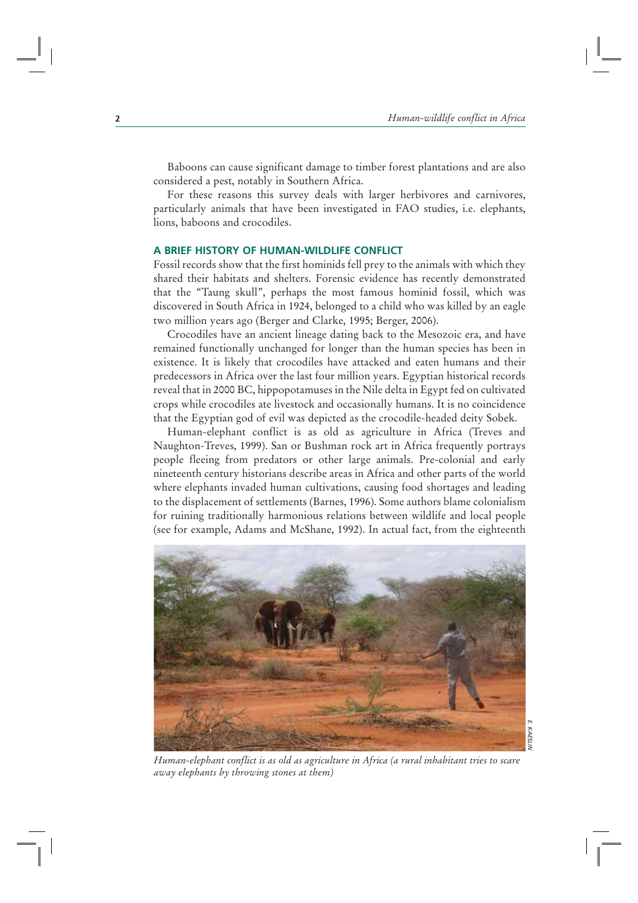Baboons can cause significant damage to timber forest plantations and are also considered a pest, notably in Southern Africa.

For these reasons this survey deals with larger herbivores and carnivores, particularly animals that have been investigated in FAO studies, i.e. elephants, lions, baboons and crocodiles.

#### **A BRIEF HISTORY OF HUMAN-WILDLIFE CONFLICT**

Fossil records show that the first hominids fell prey to the animals with which they shared their habitats and shelters. Forensic evidence has recently demonstrated that the "Taung skull", perhaps the most famous hominid fossil, which was discovered in South Africa in 1924, belonged to a child who was killed by an eagle two million years ago (Berger and Clarke, 1995; Berger, 2006).

Crocodiles have an ancient lineage dating back to the Mesozoic era, and have remained functionally unchanged for longer than the human species has been in existence. It is likely that crocodiles have attacked and eaten humans and their predecessors in Africa over the last four million years. Egyptian historical records reveal that in 2000 BC, hippopotamuses in the Nile delta in Egypt fed on cultivated crops while crocodiles ate livestock and occasionally humans. It is no coincidence that the Egyptian god of evil was depicted as the crocodile-headed deity Sobek.

Human-elephant conflict is as old as agriculture in Africa (Treves and Naughton-Treves, 1999). San or Bushman rock art in Africa frequently portrays people fleeing from predators or other large animals. Pre-colonial and early nineteenth century historians describe areas in Africa and other parts of the world where elephants invaded human cultivations, causing food shortages and leading to the displacement of settlements (Barnes, 1996). Some authors blame colonialism for ruining traditionally harmonious relations between wildlife and local people (see for example, Adams and McShane, 1992). In actual fact, from the eighteenth



*E. KAESLIN***KAESLIN** 

*Human-elephant conflict is as old as agriculture in Africa (a rural inhabitant tries to scare away elephants by throwing stones at them)*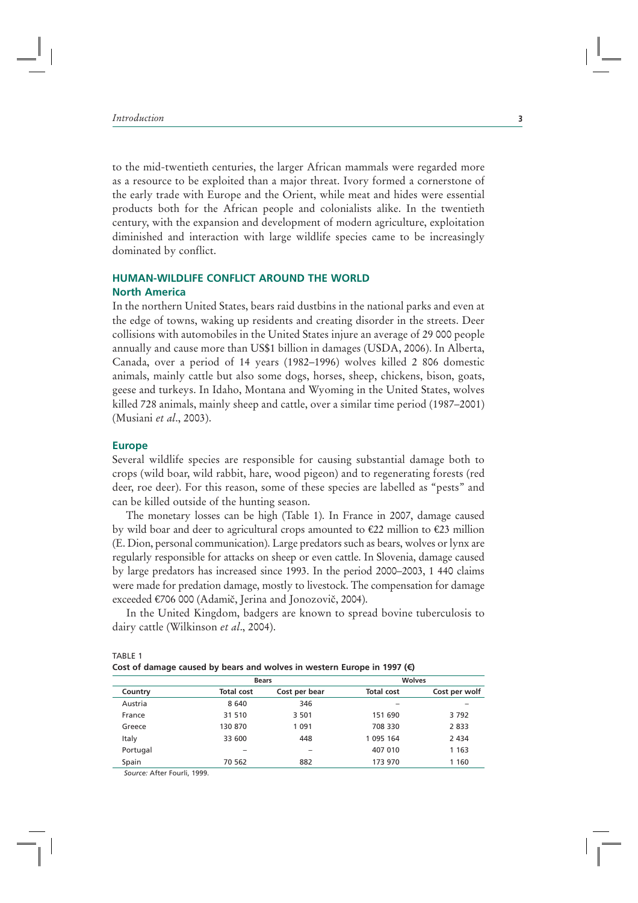to the mid-twentieth centuries, the larger African mammals were regarded more as a resource to be exploited than a major threat. Ivory formed a cornerstone of the early trade with Europe and the Orient, while meat and hides were essential products both for the African people and colonialists alike. In the twentieth century, with the expansion and development of modern agriculture, exploitation diminished and interaction with large wildlife species came to be increasingly dominated by conflict.

#### **HUMAN-WILDLIFE CONFLICT AROUND THE WORLD**

#### **North America**

In the northern United States, bears raid dustbins in the national parks and even at the edge of towns, waking up residents and creating disorder in the streets. Deer collisions with automobiles in the United States injure an average of 29 000 people annually and cause more than US\$1 billion in damages (USDA, 2006). In Alberta, Canada, over a period of 14 years (1982–1996) wolves killed 2 806 domestic animals, mainly cattle but also some dogs, horses, sheep, chickens, bison, goats, geese and turkeys. In Idaho, Montana and Wyoming in the United States, wolves killed 728 animals, mainly sheep and cattle, over a similar time period (1987–2001) (Musiani *et al*., 2003).

#### **Europe**

Several wildlife species are responsible for causing substantial damage both to crops (wild boar, wild rabbit, hare, wood pigeon) and to regenerating forests (red deer, roe deer). For this reason, some of these species are labelled as "pests" and can be killed outside of the hunting season.

The monetary losses can be high (Table 1). In France in 2007, damage caused by wild boar and deer to agricultural crops amounted to €22 million to €23 million (E. Dion, personal communication). Large predators such as bears, wolves or lynx are regularly responsible for attacks on sheep or even cattle. In Slovenia, damage caused by large predators has increased since 1993. In the period 2000–2003, 1 440 claims were made for predation damage, mostly to livestock. The compensation for damage exceeded €706 000 (Adamič, Jerina and Jonozovič, 2004).

In the United Kingdom, badgers are known to spread bovine tuberculosis to dairy cattle (Wilkinson *et al*., 2004).

| TABLE 1                                                                            |  |
|------------------------------------------------------------------------------------|--|
| Cost of damage caused by bears and wolves in western Europe in 1997 ( $\epsilon$ ) |  |

|          | <b>Bears</b>      |               | <b>Wolves</b>     |               |
|----------|-------------------|---------------|-------------------|---------------|
| Country  | <b>Total cost</b> | Cost per bear | <b>Total cost</b> | Cost per wolf |
| Austria  | 8 6 4 0           | 346           |                   |               |
| France   | 31 510            | 3 5 0 1       | 151 690           | 3792          |
| Greece   | 130 870           | 1 0 9 1       | 708 330           | 2833          |
| Italy    | 33 600            | 448           | 1 095 164         | 2 4 3 4       |
| Portugal |                   | -             | 407 010           | 1 1 6 3       |
| Spain    | 70 562            | 882           | 173 970           | 1 1 6 0       |
| $\sim$   |                   |               |                   |               |

 *Source:* After Fourli, 1999.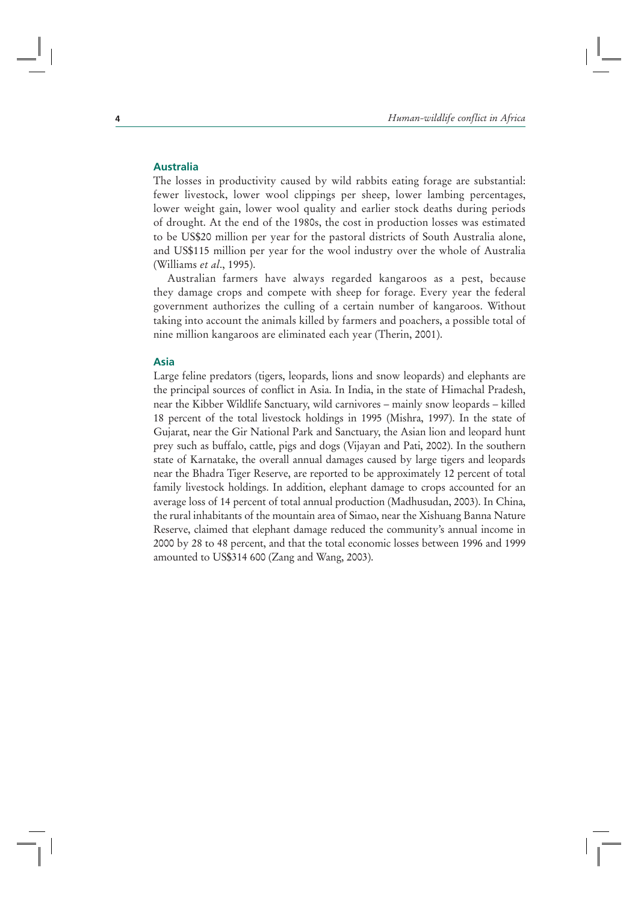#### **Australia**

The losses in productivity caused by wild rabbits eating forage are substantial: fewer livestock, lower wool clippings per sheep, lower lambing percentages, lower weight gain, lower wool quality and earlier stock deaths during periods of drought. At the end of the 1980s, the cost in production losses was estimated to be US\$20 million per year for the pastoral districts of South Australia alone, and US\$115 million per year for the wool industry over the whole of Australia (Williams *et al*., 1995).

Australian farmers have always regarded kangaroos as a pest, because they damage crops and compete with sheep for forage. Every year the federal government authorizes the culling of a certain number of kangaroos. Without taking into account the animals killed by farmers and poachers, a possible total of nine million kangaroos are eliminated each year (Therin, 2001).

#### **Asia**

Large feline predators (tigers, leopards, lions and snow leopards) and elephants are the principal sources of conflict in Asia. In India, in the state of Himachal Pradesh, near the Kibber Wildlife Sanctuary, wild carnivores – mainly snow leopards – killed 18 percent of the total livestock holdings in 1995 (Mishra, 1997). In the state of Gujarat, near the Gir National Park and Sanctuary, the Asian lion and leopard hunt prey such as buffalo, cattle, pigs and dogs (Vijayan and Pati, 2002). In the southern state of Karnatake, the overall annual damages caused by large tigers and leopards near the Bhadra Tiger Reserve, are reported to be approximately 12 percent of total family livestock holdings. In addition, elephant damage to crops accounted for an average loss of 14 percent of total annual production (Madhusudan, 2003). In China, the rural inhabitants of the mountain area of Simao, near the Xishuang Banna Nature Reserve, claimed that elephant damage reduced the community's annual income in 2000 by 28 to 48 percent, and that the total economic losses between 1996 and 1999 amounted to US\$314 600 (Zang and Wang, 2003).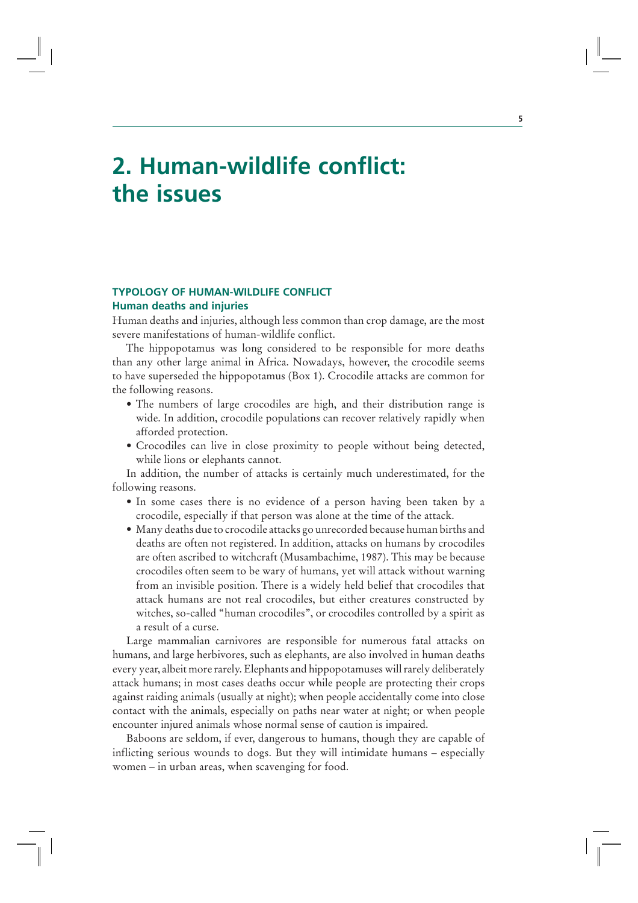## **2. Human-wildlife conflict: the issues**

#### **TYPOLOGY OF HUMAN-WILDLIFE CONFLICT Human deaths and injuries**

Human deaths and injuries, although less common than crop damage, are the most severe manifestations of human-wildlife conflict.

The hippopotamus was long considered to be responsible for more deaths than any other large animal in Africa. Nowadays, however, the crocodile seems to have superseded the hippopotamus (Box 1). Crocodile attacks are common for the following reasons.

- The numbers of large crocodiles are high, and their distribution range is wide. In addition, crocodile populations can recover relatively rapidly when afforded protection.
- Crocodiles can live in close proximity to people without being detected, while lions or elephants cannot.

In addition, the number of attacks is certainly much underestimated, for the following reasons.

- In some cases there is no evidence of a person having been taken by a crocodile, especially if that person was alone at the time of the attack.
- Many deaths due to crocodile attacks go unrecorded because human births and deaths are often not registered. In addition, attacks on humans by crocodiles are often ascribed to witchcraft (Musambachime, 1987). This may be because crocodiles often seem to be wary of humans, yet will attack without warning from an invisible position. There is a widely held belief that crocodiles that attack humans are not real crocodiles, but either creatures constructed by witches, so-called "human crocodiles", or crocodiles controlled by a spirit as a result of a curse.

Large mammalian carnivores are responsible for numerous fatal attacks on humans, and large herbivores, such as elephants, are also involved in human deaths every year, albeit more rarely. Elephants and hippopotamuses will rarely deliberately attack humans; in most cases deaths occur while people are protecting their crops against raiding animals (usually at night); when people accidentally come into close contact with the animals, especially on paths near water at night; or when people encounter injured animals whose normal sense of caution is impaired.

Baboons are seldom, if ever, dangerous to humans, though they are capable of inflicting serious wounds to dogs. But they will intimidate humans – especially women – in urban areas, when scavenging for food.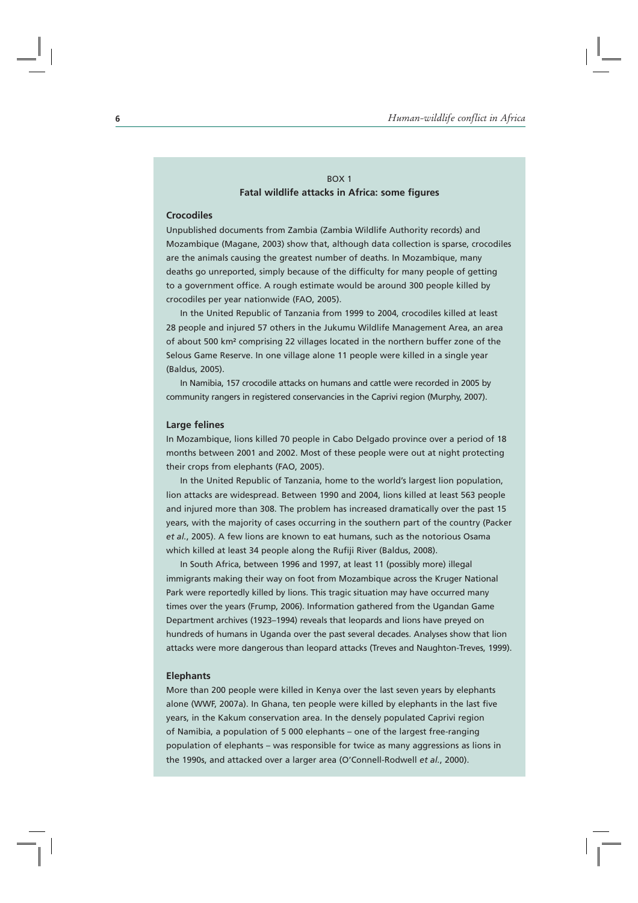#### BOX 1 **Fatal wildlife attacks in Africa: some figures**

#### **Crocodiles**

Unpublished documents from Zambia (Zambia Wildlife Authority records) and Mozambique (Magane, 2003) show that, although data collection is sparse, crocodiles are the animals causing the greatest number of deaths. In Mozambique, many deaths go unreported, simply because of the difficulty for many people of getting to a government office. A rough estimate would be around 300 people killed by crocodiles per year nationwide (FAO, 2005).

In the United Republic of Tanzania from 1999 to 2004, crocodiles killed at least 28 people and injured 57 others in the Jukumu Wildlife Management Area, an area of about 500 km² comprising 22 villages located in the northern buffer zone of the Selous Game Reserve. In one village alone 11 people were killed in a single year (Baldus, 2005).

In Namibia, 157 crocodile attacks on humans and cattle were recorded in 2005 by community rangers in registered conservancies in the Caprivi region (Murphy, 2007).

#### **Large felines**

In Mozambique, lions killed 70 people in Cabo Delgado province over a period of 18 months between 2001 and 2002. Most of these people were out at night protecting their crops from elephants (FAO, 2005).

In the United Republic of Tanzania, home to the world's largest lion population, lion attacks are widespread. Between 1990 and 2004, lions killed at least 563 people and injured more than 308. The problem has increased dramatically over the past 15 years, with the majority of cases occurring in the southern part of the country (Packer *et al.*, 2005). A few lions are known to eat humans, such as the notorious Osama which killed at least 34 people along the Rufiji River (Baldus, 2008).

In South Africa, between 1996 and 1997, at least 11 (possibly more) illegal immigrants making their way on foot from Mozambique across the Kruger National Park were reportedly killed by lions. This tragic situation may have occurred many times over the years (Frump, 2006). Information gathered from the Ugandan Game Department archives (1923–1994) reveals that leopards and lions have preyed on hundreds of humans in Uganda over the past several decades. Analyses show that lion attacks were more dangerous than leopard attacks (Treves and Naughton-Treves, 1999).

#### **Elephants**

More than 200 people were killed in Kenya over the last seven years by elephants alone (WWF, 2007a). In Ghana, ten people were killed by elephants in the last five years, in the Kakum conservation area. In the densely populated Caprivi region of Namibia, a population of 5 000 elephants – one of the largest free-ranging population of elephants – was responsible for twice as many aggressions as lions in the 1990s, and attacked over a larger area (O'Connell-Rodwell *et al.*, 2000).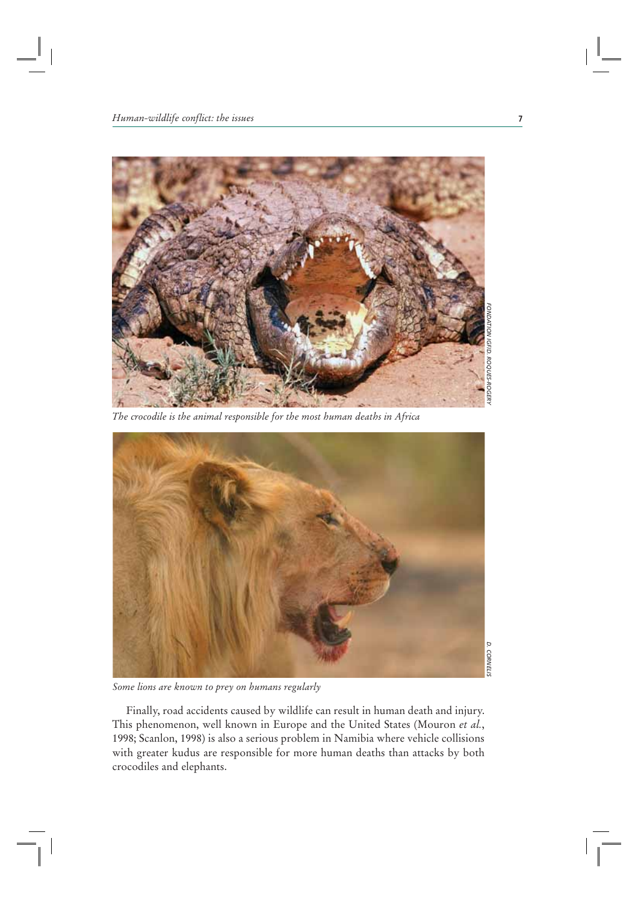

*The crocodile is the animal responsible for the most human deaths in Africa*



*Some lions are known to prey on humans regularly*

Finally, road accidents caused by wildlife can result in human death and injury. This phenomenon, well known in Europe and the United States (Mouron *et al.*, 1998; Scanlon, 1998) is also a serious problem in Namibia where vehicle collisions with greater kudus are responsible for more human deaths than attacks by both crocodiles and elephants.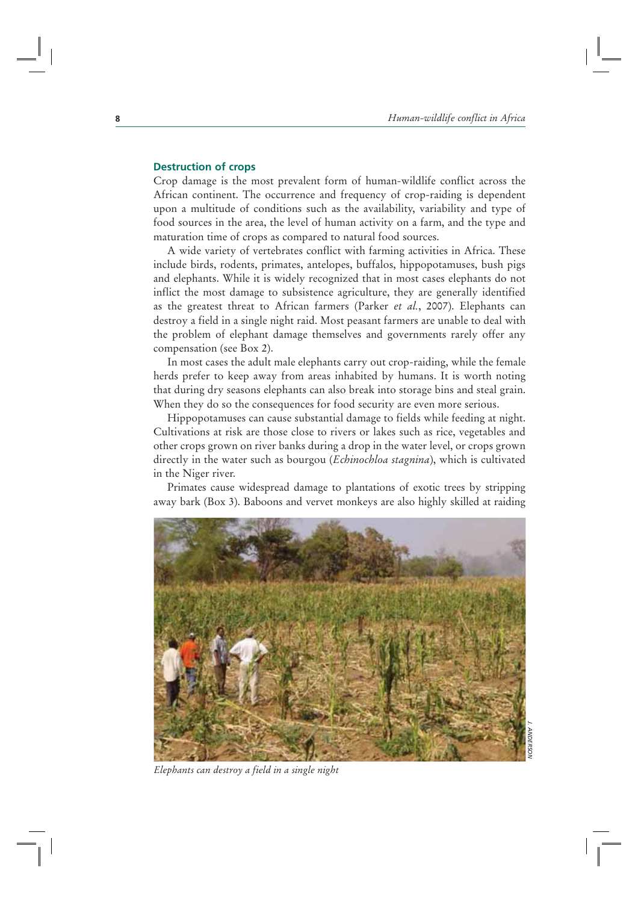#### **Destruction of crops**

Crop damage is the most prevalent form of human-wildlife conflict across the African continent. The occurrence and frequency of crop-raiding is dependent upon a multitude of conditions such as the availability, variability and type of food sources in the area, the level of human activity on a farm, and the type and maturation time of crops as compared to natural food sources.

A wide variety of vertebrates conflict with farming activities in Africa. These include birds, rodents, primates, antelopes, buffalos, hippopotamuses, bush pigs and elephants. While it is widely recognized that in most cases elephants do not inflict the most damage to subsistence agriculture, they are generally identified as the greatest threat to African farmers (Parker *et al.*, 2007). Elephants can destroy a field in a single night raid. Most peasant farmers are unable to deal with the problem of elephant damage themselves and governments rarely offer any compensation (see Box 2).

In most cases the adult male elephants carry out crop-raiding, while the female herds prefer to keep away from areas inhabited by humans. It is worth noting that during dry seasons elephants can also break into storage bins and steal grain. When they do so the consequences for food security are even more serious.

Hippopotamuses can cause substantial damage to fields while feeding at night. Cultivations at risk are those close to rivers or lakes such as rice, vegetables and other crops grown on river banks during a drop in the water level, or crops grown directly in the water such as bourgou (*Echinochloa stagnina*), which is cultivated in the Niger river.

Primates cause widespread damage to plantations of exotic trees by stripping away bark (Box 3). Baboons and vervet monkeys are also highly skilled at raiding

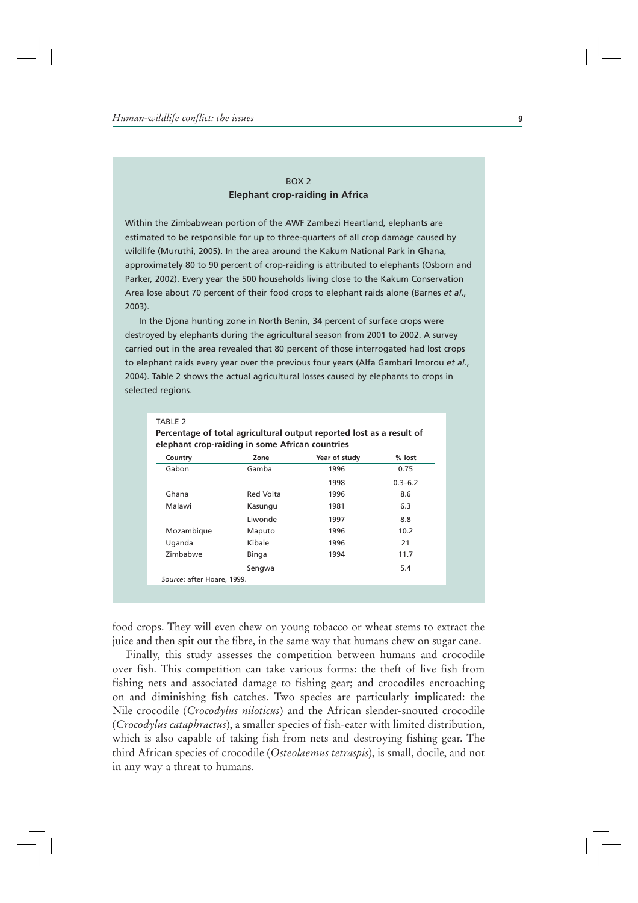#### BOX 2 **Elephant crop-raiding in Africa**

Within the Zimbabwean portion of the AWF Zambezi Heartland, elephants are estimated to be responsible for up to three-quarters of all crop damage caused by wildlife (Muruthi, 2005). In the area around the Kakum National Park in Ghana, approximately 80 to 90 percent of crop-raiding is attributed to elephants (Osborn and Parker, 2002). Every year the 500 households living close to the Kakum Conservation Area lose about 70 percent of their food crops to elephant raids alone (Barnes *et al*., 2003).

In the Djona hunting zone in North Benin, 34 percent of surface crops were destroyed by elephants during the agricultural season from 2001 to 2002. A survey carried out in the area revealed that 80 percent of those interrogated had lost crops to elephant raids every year over the previous four years (Alfa Gambari Imorou *et al.*, 2004). Table 2 shows the actual agricultural losses caused by elephants to crops in selected regions.

| Country         | Zone      | Year of study | $%$ lost    |
|-----------------|-----------|---------------|-------------|
| Gabon           | Gamba     | 1996          | 0.75        |
|                 |           | 1998          | $0.3 - 6.2$ |
| Ghana           | Red Volta | 1996          | 8.6         |
| Malawi          | Kasungu   | 1981          | 6.3         |
|                 | Liwonde   | 1997          | 8.8         |
| Mozambique      | Maputo    | 1996          | 10.2        |
| Uganda          | Kibale    | 1996          | 21          |
| <b>Zimbabwe</b> | Binga     | 1994          | 11.7        |
|                 | Sengwa    |               | 5.4         |

food crops. They will even chew on young tobacco or wheat stems to extract the juice and then spit out the fibre, in the same way that humans chew on sugar cane.

Finally, this study assesses the competition between humans and crocodile over fish. This competition can take various forms: the theft of live fish from fishing nets and associated damage to fishing gear; and crocodiles encroaching on and diminishing fish catches. Two species are particularly implicated: the Nile crocodile (*Crocodylus niloticus*) and the African slender-snouted crocodile (*Crocodylus cataphractus*), a smaller species of fish-eater with limited distribution, which is also capable of taking fish from nets and destroying fishing gear. The third African species of crocodile (*Osteolaemus tetraspis*), is small, docile, and not in any way a threat to humans.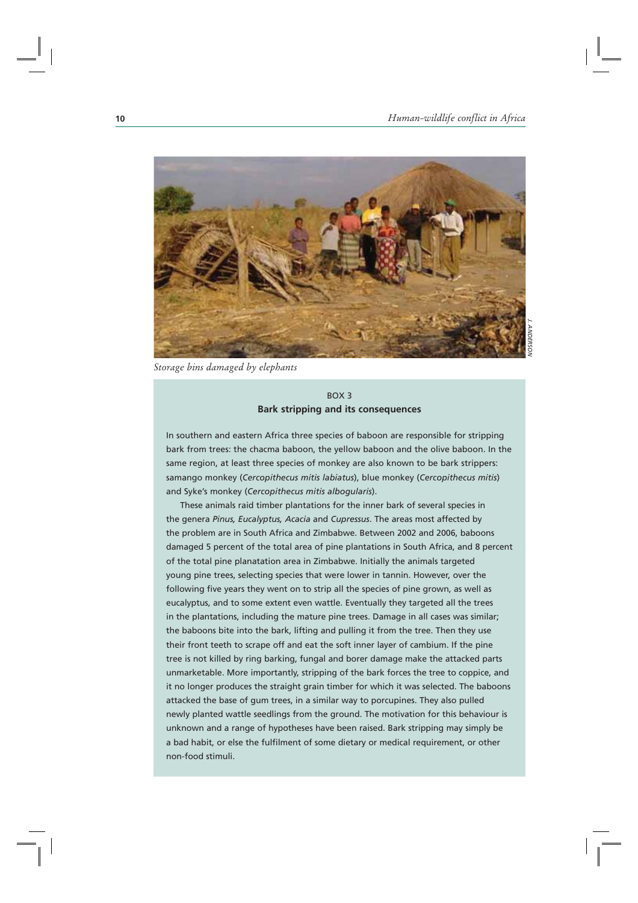

*Storage bins damaged by elephants*

#### BOX 3 **Bark stripping and its consequences**

In southern and eastern Africa three species of baboon are responsible for stripping bark from trees: the chacma baboon, the yellow baboon and the olive baboon. In the same region, at least three species of monkey are also known to be bark strippers: samango monkey (*Cercopithecus mitis labiatus*), blue monkey (*Cercopithecus mitis*) and Syke's monkey (*Cercopithecus mitis albogularis*).

These animals raid timber plantations for the inner bark of several species in the genera *Pinus, Eucalyptus, Acacia* and *Cupressus*. The areas most affected by the problem are in South Africa and Zimbabwe. Between 2002 and 2006, baboons damaged 5 percent of the total area of pine plantations in South Africa, and 8 percent of the total pine planatation area in Zimbabwe. Initially the animals targeted young pine trees, selecting species that were lower in tannin. However, over the following five years they went on to strip all the species of pine grown, as well as eucalyptus, and to some extent even wattle. Eventually they targeted all the trees in the plantations, including the mature pine trees. Damage in all cases was similar; the baboons bite into the bark, lifting and pulling it from the tree. Then they use their front teeth to scrape off and eat the soft inner layer of cambium. If the pine tree is not killed by ring barking, fungal and borer damage make the attacked parts unmarketable. More importantly, stripping of the bark forces the tree to coppice, and it no longer produces the straight grain timber for which it was selected. The baboons attacked the base of gum trees, in a similar way to porcupines. They also pulled newly planted wattle seedlings from the ground. The motivation for this behaviour is unknown and a range of hypotheses have been raised. Bark stripping may simply be a bad habit, or else the fulfilment of some dietary or medical requirement, or other non-food stimuli.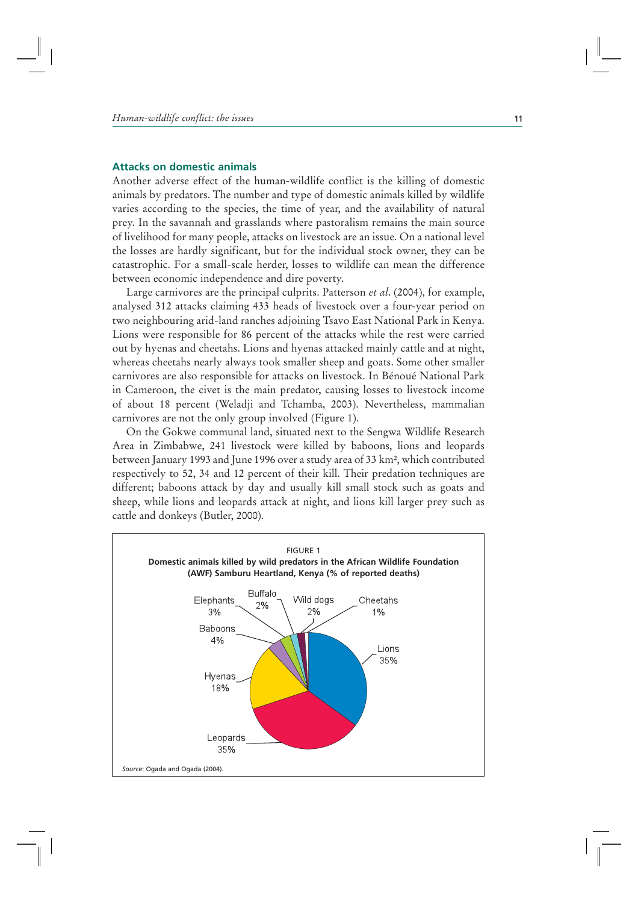#### **Attacks on domestic animals**

Another adverse effect of the human-wildlife conflict is the killing of domestic animals by predators. The number and type of domestic animals killed by wildlife varies according to the species, the time of year, and the availability of natural prey. In the savannah and grasslands where pastoralism remains the main source of livelihood for many people, attacks on livestock are an issue. On a national level the losses are hardly significant, but for the individual stock owner, they can be catastrophic. For a small-scale herder, losses to wildlife can mean the difference between economic independence and dire poverty.

Large carnivores are the principal culprits. Patterson *et al*. (2004), for example, analysed 312 attacks claiming 433 heads of livestock over a four-year period on two neighbouring arid-land ranches adjoining Tsavo East National Park in Kenya. Lions were responsible for 86 percent of the attacks while the rest were carried out by hyenas and cheetahs. Lions and hyenas attacked mainly cattle and at night, whereas cheetahs nearly always took smaller sheep and goats. Some other smaller carnivores are also responsible for attacks on livestock. In Bénoué National Park in Cameroon, the civet is the main predator, causing losses to livestock income of about 18 percent (Weladji and Tchamba, 2003). Nevertheless, mammalian carnivores are not the only group involved (Figure 1).

On the Gokwe communal land, situated next to the Sengwa Wildlife Research Area in Zimbabwe, 241 livestock were killed by baboons, lions and leopards between January 1993 and June 1996 over a study area of 33 km2, which contributed respectively to 52, 34 and 12 percent of their kill. Their predation techniques are different; baboons attack by day and usually kill small stock such as goats and sheep, while lions and leopards attack at night, and lions kill larger prey such as cattle and donkeys (Butler, 2000).

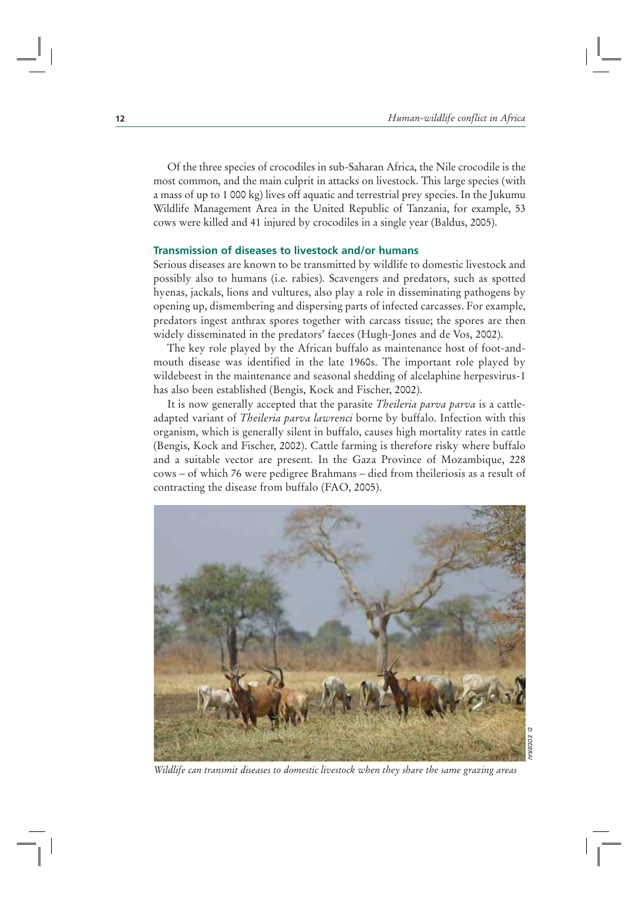Of the three species of crocodiles in sub-Saharan Africa, the Nile crocodile is the most common, and the main culprit in attacks on livestock. This large species (with a mass of up to 1 000 kg) lives off aquatic and terrestrial prey species. In the Jukumu Wildlife Management Area in the United Republic of Tanzania, for example, 53 cows were killed and 41 injured by crocodiles in a single year (Baldus, 2005).

#### **Transmission of diseases to livestock and/or humans**

Serious diseases are known to be transmitted by wildlife to domestic livestock and possibly also to humans (i.e. rabies). Scavengers and predators, such as spotted hyenas, jackals, lions and vultures, also play a role in disseminating pathogens by opening up, dismembering and dispersing parts of infected carcasses. For example, predators ingest anthrax spores together with carcass tissue; the spores are then widely disseminated in the predators' faeces (Hugh-Jones and de Vos, 2002).

The key role played by the African buffalo as maintenance host of foot-andmouth disease was identified in the late 1960s. The important role played by wildebeest in the maintenance and seasonal shedding of alcelaphine herpesvirus-1 has also been established (Bengis, Kock and Fischer, 2002).

It is now generally accepted that the parasite *Theileria parva parva* is a cattleadapted variant of *Theileria parva lawrenci* borne by buffalo. Infection with this organism, which is generally silent in buffalo, causes high mortality rates in cattle (Bengis, Kock and Fischer, 2002). Cattle farming is therefore risky where buffalo and a suitable vector are present. In the Gaza Province of Mozambique, 228 cows – of which 76 were pedigree Brahmans – died from theileriosis as a result of contracting the disease from buffalo (FAO, 2005).



*Wildlife can transmit diseases to domestic livestock when they share the same grazing areas*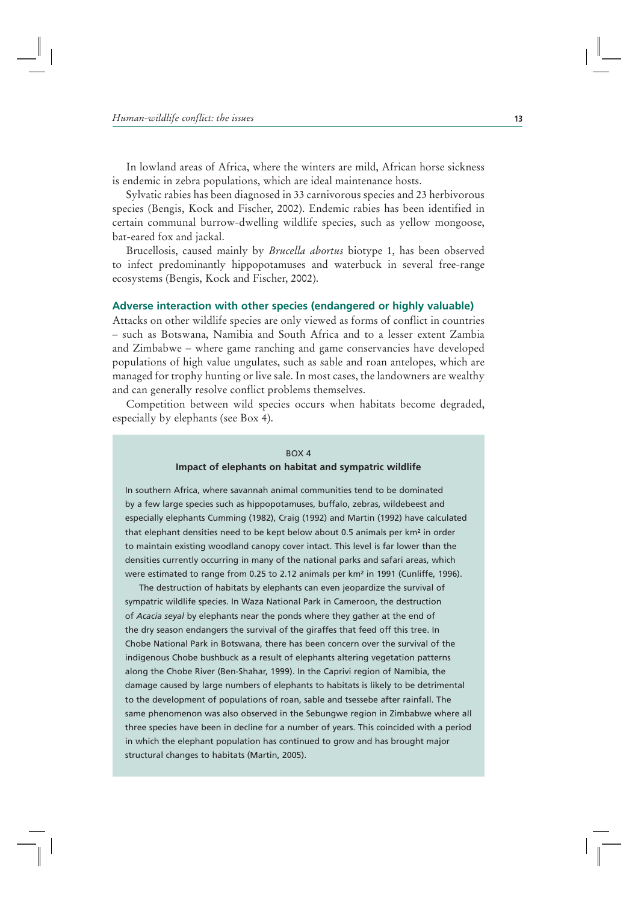In lowland areas of Africa, where the winters are mild, African horse sickness is endemic in zebra populations, which are ideal maintenance hosts.

Sylvatic rabies has been diagnosed in 33 carnivorous species and 23 herbivorous species (Bengis, Kock and Fischer, 2002). Endemic rabies has been identified in certain communal burrow-dwelling wildlife species, such as yellow mongoose, bat-eared fox and jackal.

Brucellosis, caused mainly by *Brucella abortus* biotype 1, has been observed to infect predominantly hippopotamuses and waterbuck in several free-range ecosystems (Bengis, Kock and Fischer, 2002).

#### **Adverse interaction with other species (endangered or highly valuable)**

Attacks on other wildlife species are only viewed as forms of conflict in countries – such as Botswana, Namibia and South Africa and to a lesser extent Zambia and Zimbabwe – where game ranching and game conservancies have developed populations of high value ungulates, such as sable and roan antelopes, which are managed for trophy hunting or live sale. In most cases, the landowners are wealthy and can generally resolve conflict problems themselves.

Competition between wild species occurs when habitats become degraded, especially by elephants (see Box 4).

#### BOX 4 **Impact of elephants on habitat and sympatric wildlife**

In southern Africa, where savannah animal communities tend to be dominated by a few large species such as hippopotamuses, buffalo, zebras, wildebeest and especially elephants Cumming (1982), Craig (1992) and Martin (1992) have calculated that elephant densities need to be kept below about 0.5 animals per km² in order to maintain existing woodland canopy cover intact. This level is far lower than the densities currently occurring in many of the national parks and safari areas, which were estimated to range from 0.25 to 2.12 animals per km² in 1991 (Cunliffe, 1996).

The destruction of habitats by elephants can even jeopardize the survival of sympatric wildlife species. In Waza National Park in Cameroon, the destruction of *Acacia seyal* by elephants near the ponds where they gather at the end of the dry season endangers the survival of the giraffes that feed off this tree. In Chobe National Park in Botswana, there has been concern over the survival of the indigenous Chobe bushbuck as a result of elephants altering vegetation patterns along the Chobe River (Ben-Shahar, 1999). In the Caprivi region of Namibia, the damage caused by large numbers of elephants to habitats is likely to be detrimental to the development of populations of roan, sable and tsessebe after rainfall. The same phenomenon was also observed in the Sebungwe region in Zimbabwe where all three species have been in decline for a number of years. This coincided with a period in which the elephant population has continued to grow and has brought major structural changes to habitats (Martin, 2005).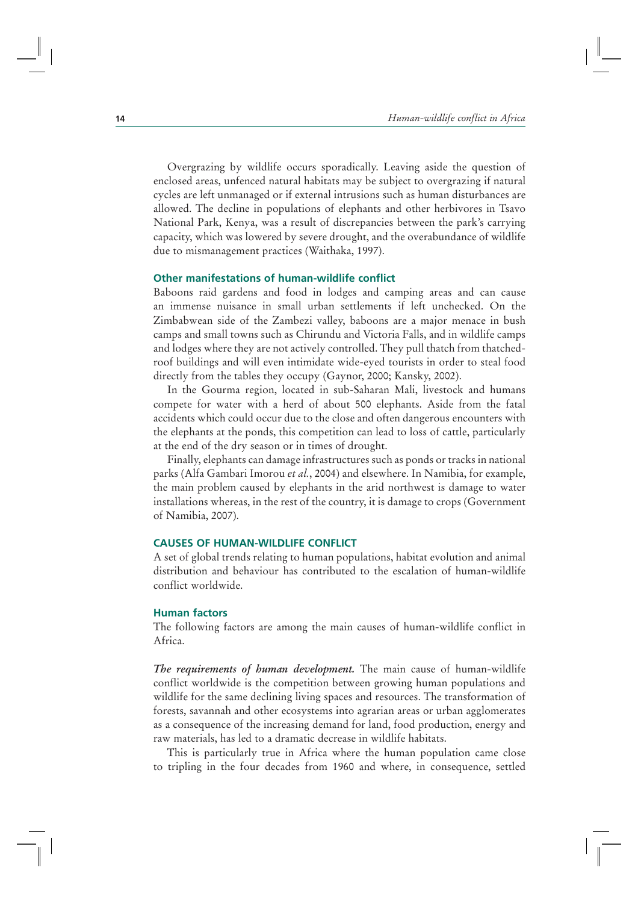Overgrazing by wildlife occurs sporadically. Leaving aside the question of enclosed areas, unfenced natural habitats may be subject to overgrazing if natural cycles are left unmanaged or if external intrusions such as human disturbances are allowed. The decline in populations of elephants and other herbivores in Tsavo National Park, Kenya, was a result of discrepancies between the park's carrying capacity, which was lowered by severe drought, and the overabundance of wildlife due to mismanagement practices (Waithaka, 1997).

#### **Other manifestations of human-wildlife conflict**

Baboons raid gardens and food in lodges and camping areas and can cause an immense nuisance in small urban settlements if left unchecked. On the Zimbabwean side of the Zambezi valley, baboons are a major menace in bush camps and small towns such as Chirundu and Victoria Falls, and in wildlife camps and lodges where they are not actively controlled. They pull thatch from thatchedroof buildings and will even intimidate wide-eyed tourists in order to steal food directly from the tables they occupy (Gaynor, 2000; Kansky, 2002).

In the Gourma region, located in sub-Saharan Mali, livestock and humans compete for water with a herd of about 500 elephants. Aside from the fatal accidents which could occur due to the close and often dangerous encounters with the elephants at the ponds, this competition can lead to loss of cattle, particularly at the end of the dry season or in times of drought.

Finally, elephants can damage infrastructures such as ponds or tracks in national parks (Alfa Gambari Imorou *et al.*, 2004) and elsewhere. In Namibia, for example, the main problem caused by elephants in the arid northwest is damage to water installations whereas, in the rest of the country, it is damage to crops (Government of Namibia, 2007).

#### **CAUSES OF HUMAN-WILDLIFE CONFLICT**

A set of global trends relating to human populations, habitat evolution and animal distribution and behaviour has contributed to the escalation of human-wildlife conflict worldwide.

#### **Human factors**

The following factors are among the main causes of human-wildlife conflict in Africa.

*The requirements of human development.* The main cause of human-wildlife conflict worldwide is the competition between growing human populations and wildlife for the same declining living spaces and resources. The transformation of forests, savannah and other ecosystems into agrarian areas or urban agglomerates as a consequence of the increasing demand for land, food production, energy and raw materials, has led to a dramatic decrease in wildlife habitats.

This is particularly true in Africa where the human population came close to tripling in the four decades from 1960 and where, in consequence, settled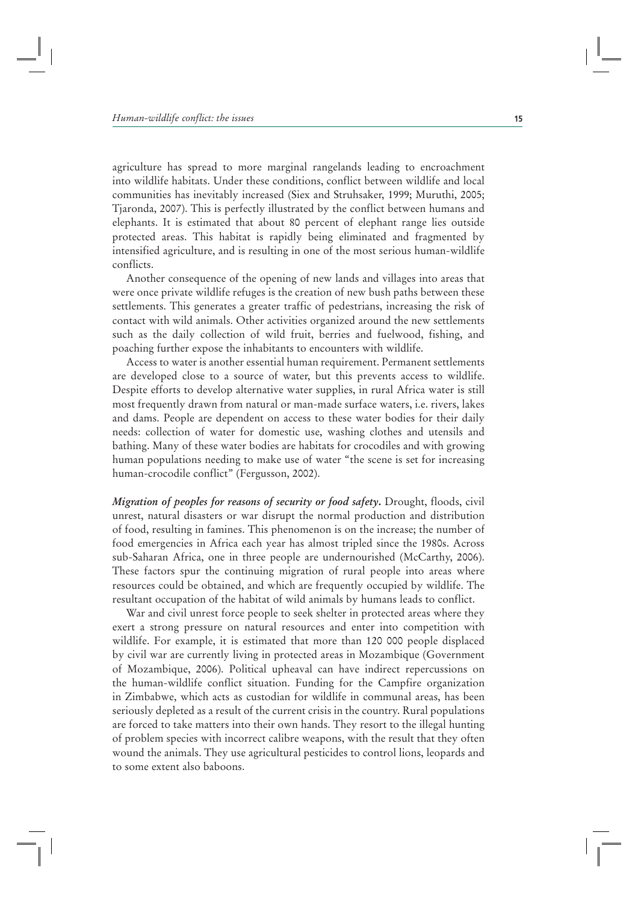agriculture has spread to more marginal rangelands leading to encroachment into wildlife habitats. Under these conditions, conflict between wildlife and local communities has inevitably increased (Siex and Struhsaker, 1999; Muruthi, 2005; Tjaronda, 2007). This is perfectly illustrated by the conflict between humans and elephants. It is estimated that about 80 percent of elephant range lies outside protected areas. This habitat is rapidly being eliminated and fragmented by intensified agriculture, and is resulting in one of the most serious human-wildlife conflicts.

Another consequence of the opening of new lands and villages into areas that were once private wildlife refuges is the creation of new bush paths between these settlements. This generates a greater traffic of pedestrians, increasing the risk of contact with wild animals. Other activities organized around the new settlements such as the daily collection of wild fruit, berries and fuelwood, fishing, and poaching further expose the inhabitants to encounters with wildlife.

Access to water is another essential human requirement. Permanent settlements are developed close to a source of water, but this prevents access to wildlife. Despite efforts to develop alternative water supplies, in rural Africa water is still most frequently drawn from natural or man-made surface waters, i.e. rivers, lakes and dams. People are dependent on access to these water bodies for their daily needs: collection of water for domestic use, washing clothes and utensils and bathing. Many of these water bodies are habitats for crocodiles and with growing human populations needing to make use of water "the scene is set for increasing human-crocodile conflict" (Fergusson, 2002).

*Migration of peoples for reasons of security or food safety***.** Drought, floods, civil unrest, natural disasters or war disrupt the normal production and distribution of food, resulting in famines. This phenomenon is on the increase; the number of food emergencies in Africa each year has almost tripled since the 1980s. Across sub-Saharan Africa, one in three people are undernourished (McCarthy, 2006). These factors spur the continuing migration of rural people into areas where resources could be obtained, and which are frequently occupied by wildlife. The resultant occupation of the habitat of wild animals by humans leads to conflict.

War and civil unrest force people to seek shelter in protected areas where they exert a strong pressure on natural resources and enter into competition with wildlife. For example, it is estimated that more than 120 000 people displaced by civil war are currently living in protected areas in Mozambique (Government of Mozambique, 2006). Political upheaval can have indirect repercussions on the human-wildlife conflict situation. Funding for the Campfire organization in Zimbabwe, which acts as custodian for wildlife in communal areas, has been seriously depleted as a result of the current crisis in the country. Rural populations are forced to take matters into their own hands. They resort to the illegal hunting of problem species with incorrect calibre weapons, with the result that they often wound the animals. They use agricultural pesticides to control lions, leopards and to some extent also baboons.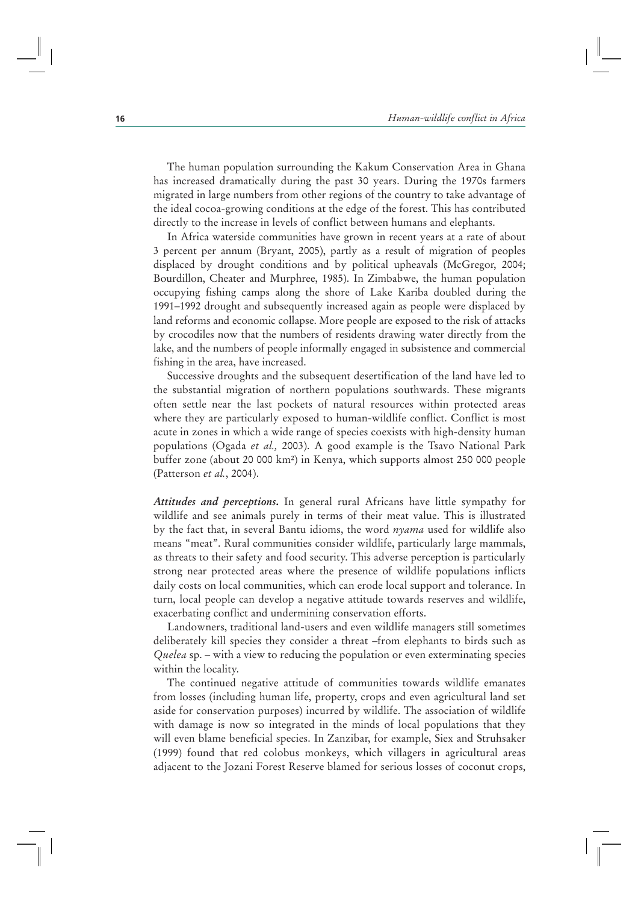The human population surrounding the Kakum Conservation Area in Ghana has increased dramatically during the past 30 years. During the 1970s farmers migrated in large numbers from other regions of the country to take advantage of the ideal cocoa-growing conditions at the edge of the forest. This has contributed directly to the increase in levels of conflict between humans and elephants.

In Africa waterside communities have grown in recent years at a rate of about 3 percent per annum (Bryant, 2005), partly as a result of migration of peoples displaced by drought conditions and by political upheavals (McGregor, 2004; Bourdillon, Cheater and Murphree, 1985). In Zimbabwe, the human population occupying fishing camps along the shore of Lake Kariba doubled during the 1991–1992 drought and subsequently increased again as people were displaced by land reforms and economic collapse. More people are exposed to the risk of attacks by crocodiles now that the numbers of residents drawing water directly from the lake, and the numbers of people informally engaged in subsistence and commercial fishing in the area, have increased.

Successive droughts and the subsequent desertification of the land have led to the substantial migration of northern populations southwards. These migrants often settle near the last pockets of natural resources within protected areas where they are particularly exposed to human-wildlife conflict. Conflict is most acute in zones in which a wide range of species coexists with high-density human populations (Ogada *et al.,* 2003). A good example is the Tsavo National Park buffer zone (about 20 000 km2) in Kenya, which supports almost 250 000 people (Patterson *et al.*, 2004).

*Attitudes and perceptions***.** In general rural Africans have little sympathy for wildlife and see animals purely in terms of their meat value. This is illustrated by the fact that, in several Bantu idioms, the word *nyama* used for wildlife also means "meat". Rural communities consider wildlife, particularly large mammals, as threats to their safety and food security. This adverse perception is particularly strong near protected areas where the presence of wildlife populations inflicts daily costs on local communities, which can erode local support and tolerance. In turn, local people can develop a negative attitude towards reserves and wildlife, exacerbating conflict and undermining conservation efforts.

Landowners, traditional land-users and even wildlife managers still sometimes deliberately kill species they consider a threat –from elephants to birds such as *Quelea* sp. – with a view to reducing the population or even exterminating species within the locality.

The continued negative attitude of communities towards wildlife emanates from losses (including human life, property, crops and even agricultural land set aside for conservation purposes) incurred by wildlife. The association of wildlife with damage is now so integrated in the minds of local populations that they will even blame beneficial species. In Zanzibar, for example, Siex and Struhsaker (1999) found that red colobus monkeys, which villagers in agricultural areas adjacent to the Jozani Forest Reserve blamed for serious losses of coconut crops,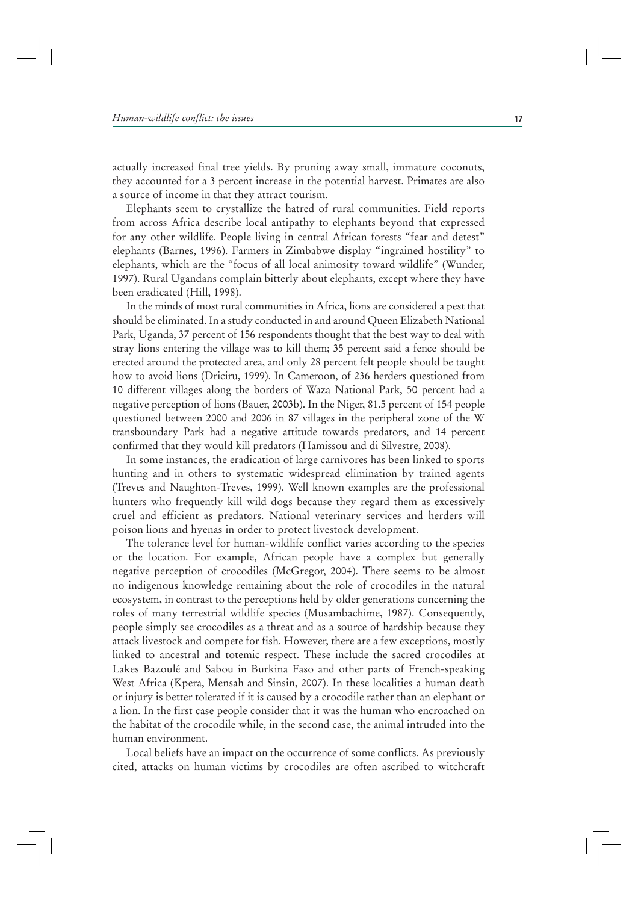actually increased final tree yields. By pruning away small, immature coconuts, they accounted for a 3 percent increase in the potential harvest. Primates are also a source of income in that they attract tourism.

Elephants seem to crystallize the hatred of rural communities. Field reports from across Africa describe local antipathy to elephants beyond that expressed for any other wildlife. People living in central African forests "fear and detest" elephants (Barnes, 1996). Farmers in Zimbabwe display "ingrained hostility" to elephants, which are the "focus of all local animosity toward wildlife" (Wunder, 1997). Rural Ugandans complain bitterly about elephants, except where they have been eradicated (Hill, 1998).

In the minds of most rural communities in Africa, lions are considered a pest that should be eliminated. In a study conducted in and around Queen Elizabeth National Park, Uganda, 37 percent of 156 respondents thought that the best way to deal with stray lions entering the village was to kill them; 35 percent said a fence should be erected around the protected area, and only 28 percent felt people should be taught how to avoid lions (Driciru, 1999). In Cameroon, of 236 herders questioned from 10 different villages along the borders of Waza National Park, 50 percent had a negative perception of lions (Bauer, 2003b). In the Niger, 81.5 percent of 154 people questioned between 2000 and 2006 in 87 villages in the peripheral zone of the W transboundary Park had a negative attitude towards predators, and 14 percent confirmed that they would kill predators (Hamissou and di Silvestre, 2008).

In some instances, the eradication of large carnivores has been linked to sports hunting and in others to systematic widespread elimination by trained agents (Treves and Naughton-Treves, 1999). Well known examples are the professional hunters who frequently kill wild dogs because they regard them as excessively cruel and efficient as predators. National veterinary services and herders will poison lions and hyenas in order to protect livestock development.

The tolerance level for human-wildlife conflict varies according to the species or the location. For example, African people have a complex but generally negative perception of crocodiles (McGregor, 2004). There seems to be almost no indigenous knowledge remaining about the role of crocodiles in the natural ecosystem, in contrast to the perceptions held by older generations concerning the roles of many terrestrial wildlife species (Musambachime, 1987). Consequently, people simply see crocodiles as a threat and as a source of hardship because they attack livestock and compete for fish. However, there are a few exceptions, mostly linked to ancestral and totemic respect. These include the sacred crocodiles at Lakes Bazoulé and Sabou in Burkina Faso and other parts of French-speaking West Africa (Kpera, Mensah and Sinsin, 2007). In these localities a human death or injury is better tolerated if it is caused by a crocodile rather than an elephant or a lion. In the first case people consider that it was the human who encroached on the habitat of the crocodile while, in the second case, the animal intruded into the human environment.

Local beliefs have an impact on the occurrence of some conflicts. As previously cited, attacks on human victims by crocodiles are often ascribed to witchcraft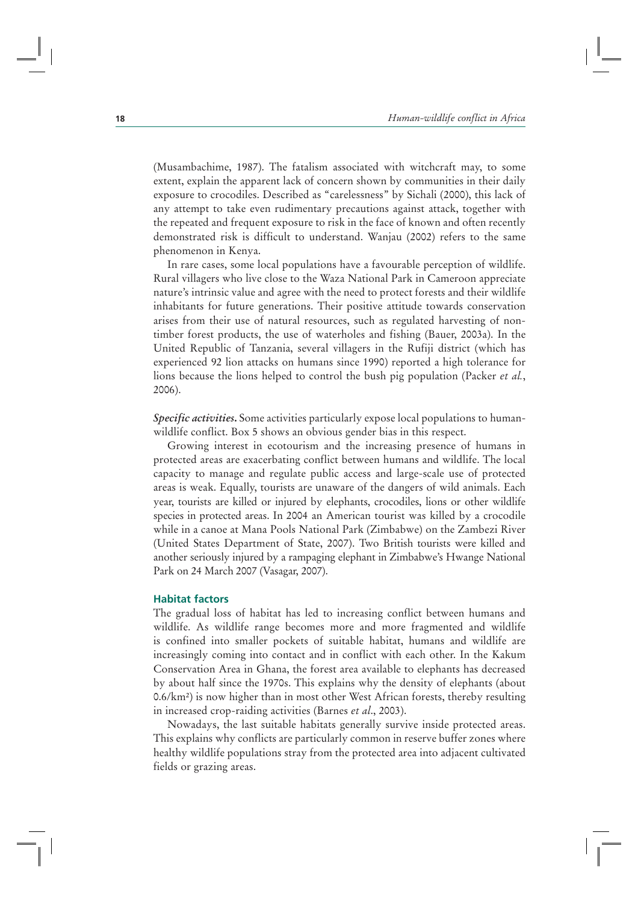(Musambachime, 1987). The fatalism associated with witchcraft may, to some extent, explain the apparent lack of concern shown by communities in their daily exposure to crocodiles. Described as "carelessness" by Sichali (2000), this lack of any attempt to take even rudimentary precautions against attack, together with the repeated and frequent exposure to risk in the face of known and often recently demonstrated risk is difficult to understand. Wanjau (2002) refers to the same phenomenon in Kenya.

In rare cases, some local populations have a favourable perception of wildlife. Rural villagers who live close to the Waza National Park in Cameroon appreciate nature's intrinsic value and agree with the need to protect forests and their wildlife inhabitants for future generations. Their positive attitude towards conservation arises from their use of natural resources, such as regulated harvesting of nontimber forest products, the use of waterholes and fishing (Bauer, 2003a). In the United Republic of Tanzania, several villagers in the Rufiji district (which has experienced 92 lion attacks on humans since 1990) reported a high tolerance for lions because the lions helped to control the bush pig population (Packer *et al.*, 2006).

*Specific activities***.** Some activities particularly expose local populations to humanwildlife conflict. Box 5 shows an obvious gender bias in this respect.

Growing interest in ecotourism and the increasing presence of humans in protected areas are exacerbating conflict between humans and wildlife. The local capacity to manage and regulate public access and large-scale use of protected areas is weak. Equally, tourists are unaware of the dangers of wild animals. Each year, tourists are killed or injured by elephants, crocodiles, lions or other wildlife species in protected areas. In 2004 an American tourist was killed by a crocodile while in a canoe at Mana Pools National Park (Zimbabwe) on the Zambezi River (United States Department of State, 2007). Two British tourists were killed and another seriously injured by a rampaging elephant in Zimbabwe's Hwange National Park on 24 March 2007 (Vasagar, 2007).

#### **Habitat factors**

The gradual loss of habitat has led to increasing conflict between humans and wildlife. As wildlife range becomes more and more fragmented and wildlife is confined into smaller pockets of suitable habitat, humans and wildlife are increasingly coming into contact and in conflict with each other. In the Kakum Conservation Area in Ghana, the forest area available to elephants has decreased by about half since the 1970s. This explains why the density of elephants (about 0.6/km2) is now higher than in most other West African forests, thereby resulting in increased crop-raiding activities (Barnes *et al*., 2003).

Nowadays, the last suitable habitats generally survive inside protected areas. This explains why conflicts are particularly common in reserve buffer zones where healthy wildlife populations stray from the protected area into adjacent cultivated fields or grazing areas.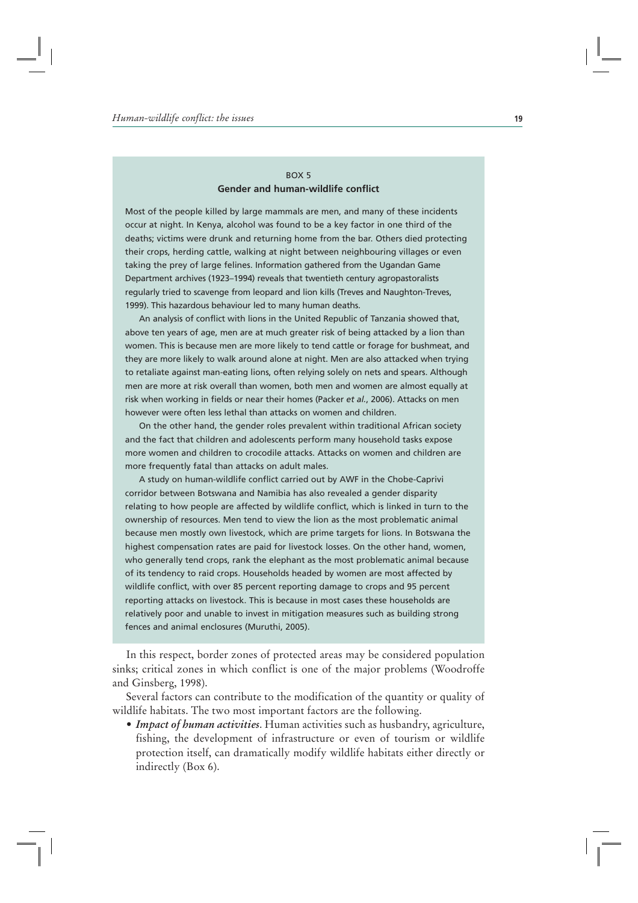#### BOX 5 **Gender and human-wildlife conflict**

Most of the people killed by large mammals are men, and many of these incidents occur at night. In Kenya, alcohol was found to be a key factor in one third of the deaths; victims were drunk and returning home from the bar. Others died protecting their crops, herding cattle, walking at night between neighbouring villages or even taking the prey of large felines. Information gathered from the Ugandan Game Department archives (1923–1994) reveals that twentieth century agropastoralists regularly tried to scavenge from leopard and lion kills (Treves and Naughton-Treves, 1999). This hazardous behaviour led to many human deaths.

An analysis of conflict with lions in the United Republic of Tanzania showed that, above ten years of age, men are at much greater risk of being attacked by a lion than women. This is because men are more likely to tend cattle or forage for bushmeat, and they are more likely to walk around alone at night. Men are also attacked when trying to retaliate against man-eating lions, often relying solely on nets and spears. Although men are more at risk overall than women, both men and women are almost equally at risk when working in fields or near their homes (Packer *et al.*, 2006). Attacks on men however were often less lethal than attacks on women and children.

On the other hand, the gender roles prevalent within traditional African society and the fact that children and adolescents perform many household tasks expose more women and children to crocodile attacks. Attacks on women and children are more frequently fatal than attacks on adult males.

A study on human-wildlife conflict carried out by AWF in the Chobe-Caprivi corridor between Botswana and Namibia has also revealed a gender disparity relating to how people are affected by wildlife conflict, which is linked in turn to the ownership of resources. Men tend to view the lion as the most problematic animal because men mostly own livestock, which are prime targets for lions. In Botswana the highest compensation rates are paid for livestock losses. On the other hand, women, who generally tend crops, rank the elephant as the most problematic animal because of its tendency to raid crops. Households headed by women are most affected by wildlife conflict, with over 85 percent reporting damage to crops and 95 percent reporting attacks on livestock. This is because in most cases these households are relatively poor and unable to invest in mitigation measures such as building strong fences and animal enclosures (Muruthi, 2005).

In this respect, border zones of protected areas may be considered population sinks; critical zones in which conflict is one of the major problems (Woodroffe and Ginsberg, 1998).

Several factors can contribute to the modification of the quantity or quality of wildlife habitats. The two most important factors are the following.

r*Impact of human activities*. Human activities such as husbandry, agriculture, fishing, the development of infrastructure or even of tourism or wildlife protection itself, can dramatically modify wildlife habitats either directly or indirectly (Box 6).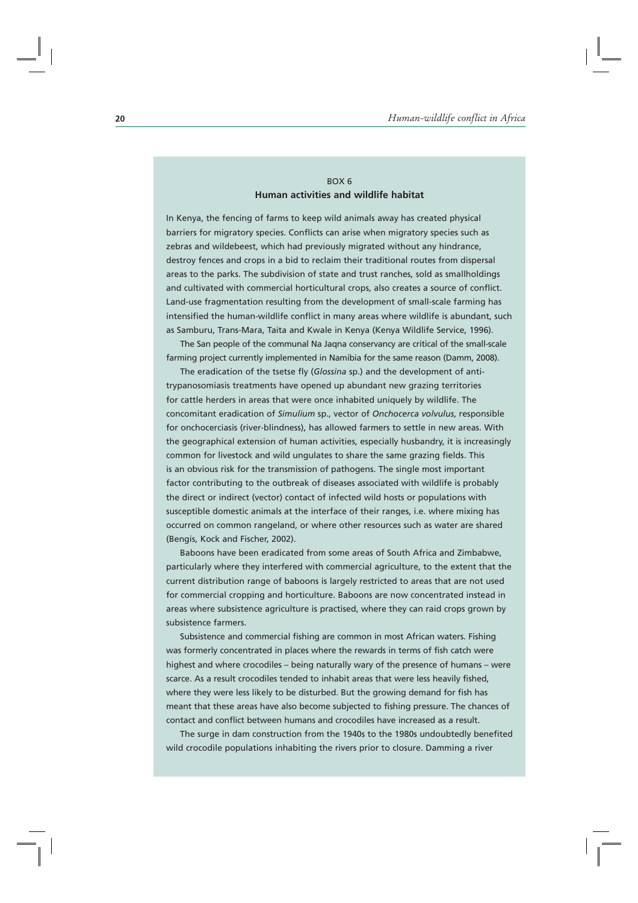#### BOX 6 **Human activities and wildlife habitat**

In Kenya, the fencing of farms to keep wild animals away has created physical barriers for migratory species. Conflicts can arise when migratory species such as zebras and wildebeest, which had previously migrated without any hindrance, destroy fences and crops in a bid to reclaim their traditional routes from dispersal areas to the parks. The subdivision of state and trust ranches, sold as smallholdings and cultivated with commercial horticultural crops, also creates a source of conflict. Land-use fragmentation resulting from the development of small-scale farming has intensified the human-wildlife conflict in many areas where wildlife is abundant, such as Samburu, Trans-Mara, Taita and Kwale in Kenya (Kenya Wildlife Service, 1996).

The San people of the communal Na Jaqna conservancy are critical of the small-scale farming project currently implemented in Namibia for the same reason (Damm, 2008).

The eradication of the tsetse fly (*Glossina* sp.) and the development of antitrypanosomiasis treatments have opened up abundant new grazing territories for cattle herders in areas that were once inhabited uniquely by wildlife. The concomitant eradication of *Simulium* sp., vector of *Onchocerca volvulus*, responsible for onchocerciasis (river-blindness), has allowed farmers to settle in new areas. With the geographical extension of human activities, especially husbandry, it is increasingly common for livestock and wild ungulates to share the same grazing fields. This is an obvious risk for the transmission of pathogens. The single most important factor contributing to the outbreak of diseases associated with wildlife is probably the direct or indirect (vector) contact of infected wild hosts or populations with susceptible domestic animals at the interface of their ranges, i.e. where mixing has occurred on common rangeland, or where other resources such as water are shared (Bengis, Kock and Fischer, 2002).

Baboons have been eradicated from some areas of South Africa and Zimbabwe, particularly where they interfered with commercial agriculture, to the extent that the current distribution range of baboons is largely restricted to areas that are not used for commercial cropping and horticulture. Baboons are now concentrated instead in areas where subsistence agriculture is practised, where they can raid crops grown by subsistence farmers.

Subsistence and commercial fishing are common in most African waters. Fishing was formerly concentrated in places where the rewards in terms of fish catch were highest and where crocodiles – being naturally wary of the presence of humans – were scarce. As a result crocodiles tended to inhabit areas that were less heavily fished, where they were less likely to be disturbed. But the growing demand for fish has meant that these areas have also become subjected to fishing pressure. The chances of contact and conflict between humans and crocodiles have increased as a result.

The surge in dam construction from the 1940s to the 1980s undoubtedly benefited wild crocodile populations inhabiting the rivers prior to closure. Damming a river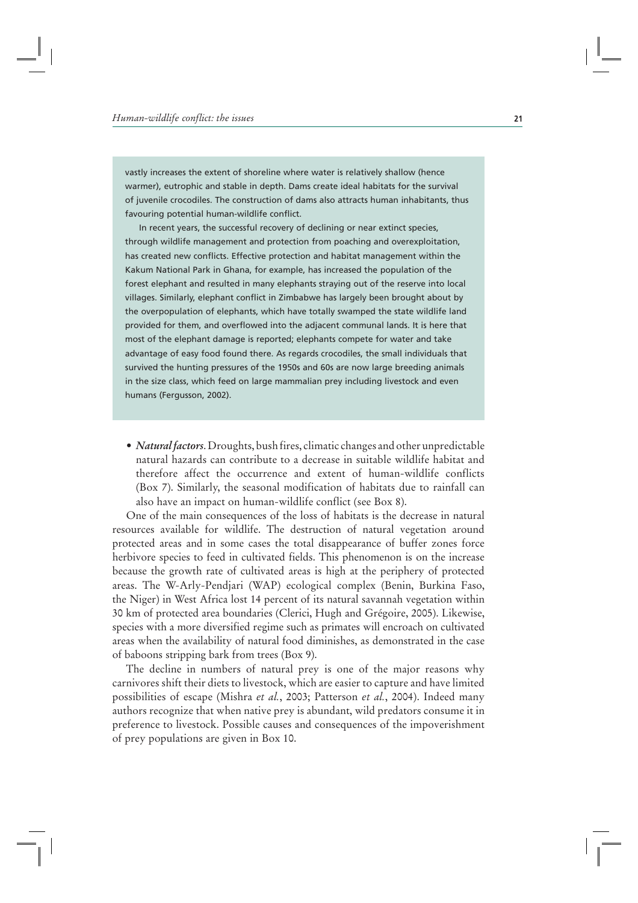vastly increases the extent of shoreline where water is relatively shallow (hence warmer), eutrophic and stable in depth. Dams create ideal habitats for the survival of juvenile crocodiles. The construction of dams also attracts human inhabitants, thus favouring potential human-wildlife conflict.

In recent years, the successful recovery of declining or near extinct species, through wildlife management and protection from poaching and overexploitation, has created new conflicts. Effective protection and habitat management within the Kakum National Park in Ghana, for example, has increased the population of the forest elephant and resulted in many elephants straying out of the reserve into local villages. Similarly, elephant conflict in Zimbabwe has largely been brought about by the overpopulation of elephants, which have totally swamped the state wildlife land provided for them, and overflowed into the adjacent communal lands. It is here that most of the elephant damage is reported; elephants compete for water and take advantage of easy food found there. As regards crocodiles, the small individuals that survived the hunting pressures of the 1950s and 60s are now large breeding animals in the size class, which feed on large mammalian prey including livestock and even humans (Fergusson, 2002).

• *Natural factors*. Droughts, bush fires, climatic changes and other unpredictable natural hazards can contribute to a decrease in suitable wildlife habitat and therefore affect the occurrence and extent of human-wildlife conflicts (Box 7). Similarly, the seasonal modification of habitats due to rainfall can also have an impact on human-wildlife conflict (see Box 8).

One of the main consequences of the loss of habitats is the decrease in natural resources available for wildlife. The destruction of natural vegetation around protected areas and in some cases the total disappearance of buffer zones force herbivore species to feed in cultivated fields. This phenomenon is on the increase because the growth rate of cultivated areas is high at the periphery of protected areas. The W-Arly-Pendjari (WAP) ecological complex (Benin, Burkina Faso, the Niger) in West Africa lost 14 percent of its natural savannah vegetation within 30 km of protected area boundaries (Clerici, Hugh and Grégoire, 2005). Likewise, species with a more diversified regime such as primates will encroach on cultivated areas when the availability of natural food diminishes, as demonstrated in the case of baboons stripping bark from trees (Box 9).

The decline in numbers of natural prey is one of the major reasons why carnivores shift their diets to livestock, which are easier to capture and have limited possibilities of escape (Mishra *et al.*, 2003; Patterson *et al.*, 2004). Indeed many authors recognize that when native prey is abundant, wild predators consume it in preference to livestock. Possible causes and consequences of the impoverishment of prey populations are given in Box 10.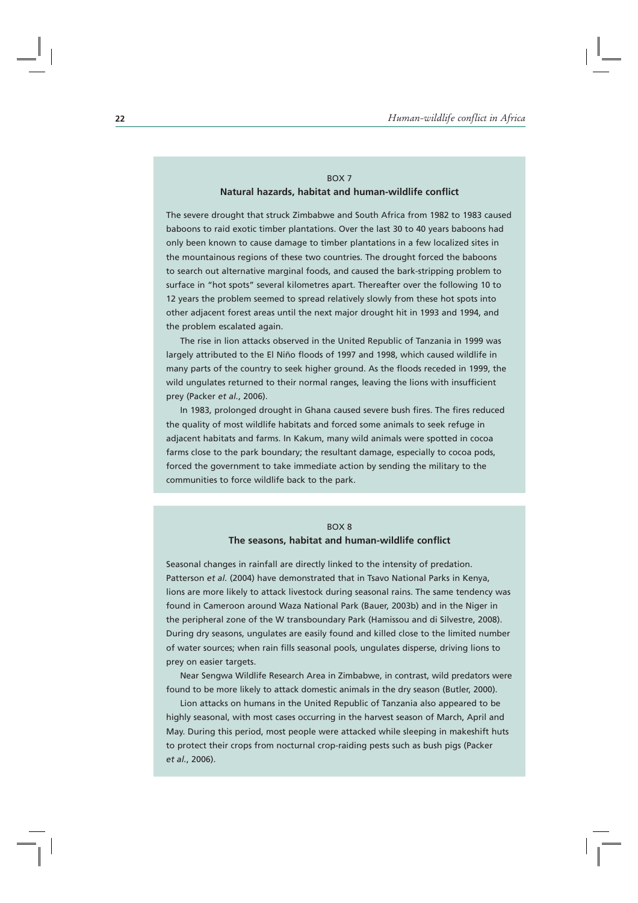#### BOX 7 **Natural hazards, habitat and human-wildlife conflict**

The severe drought that struck Zimbabwe and South Africa from 1982 to 1983 caused baboons to raid exotic timber plantations. Over the last 30 to 40 years baboons had only been known to cause damage to timber plantations in a few localized sites in the mountainous regions of these two countries. The drought forced the baboons to search out alternative marginal foods, and caused the bark-stripping problem to surface in "hot spots" several kilometres apart. Thereafter over the following 10 to 12 years the problem seemed to spread relatively slowly from these hot spots into other adjacent forest areas until the next major drought hit in 1993 and 1994, and the problem escalated again.

The rise in lion attacks observed in the United Republic of Tanzania in 1999 was largely attributed to the El Niño floods of 1997 and 1998, which caused wildlife in many parts of the country to seek higher ground. As the floods receded in 1999, the wild ungulates returned to their normal ranges, leaving the lions with insufficient prey (Packer *et al.*, 2006).

In 1983, prolonged drought in Ghana caused severe bush fires. The fires reduced the quality of most wildlife habitats and forced some animals to seek refuge in adjacent habitats and farms. In Kakum, many wild animals were spotted in cocoa farms close to the park boundary; the resultant damage, especially to cocoa pods, forced the government to take immediate action by sending the military to the communities to force wildlife back to the park.

#### BOX 8 **The seasons, habitat and human-wildlife conflict**

Seasonal changes in rainfall are directly linked to the intensity of predation. Patterson *et al.* (2004) have demonstrated that in Tsavo National Parks in Kenya, lions are more likely to attack livestock during seasonal rains. The same tendency was found in Cameroon around Waza National Park (Bauer, 2003b) and in the Niger in the peripheral zone of the W transboundary Park (Hamissou and di Silvestre, 2008). During dry seasons, ungulates are easily found and killed close to the limited number of water sources; when rain fills seasonal pools, ungulates disperse, driving lions to prey on easier targets.

Near Sengwa Wildlife Research Area in Zimbabwe, in contrast, wild predators were found to be more likely to attack domestic animals in the dry season (Butler, 2000).

Lion attacks on humans in the United Republic of Tanzania also appeared to be highly seasonal, with most cases occurring in the harvest season of March, April and May. During this period, most people were attacked while sleeping in makeshift huts to protect their crops from nocturnal crop-raiding pests such as bush pigs (Packer *et al.*, 2006).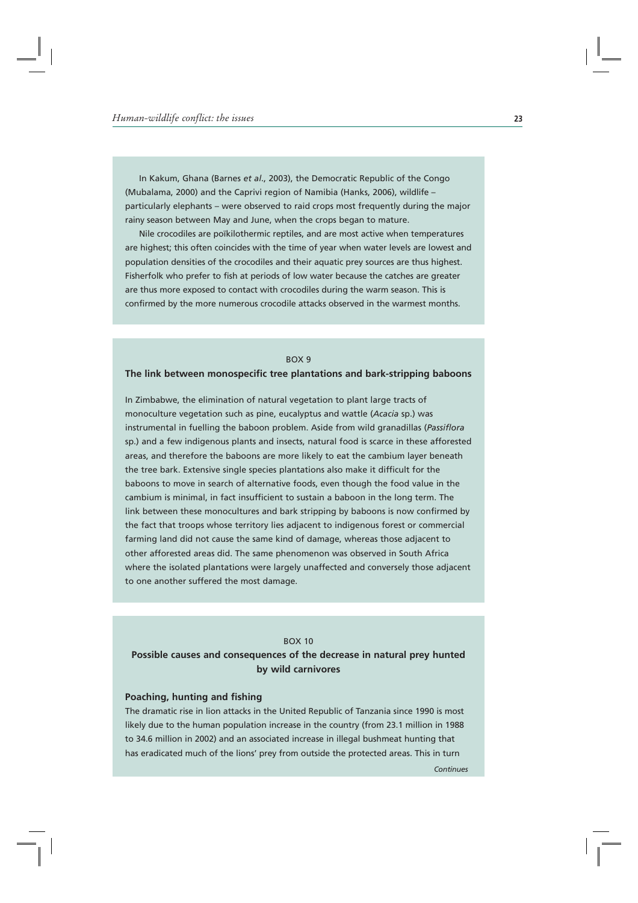In Kakum, Ghana (Barnes *et al*., 2003), the Democratic Republic of the Congo (Mubalama, 2000) and the Caprivi region of Namibia (Hanks, 2006), wildlife – particularly elephants – were observed to raid crops most frequently during the major rainy season between May and June, when the crops began to mature.

Nile crocodiles are poïkilothermic reptiles, and are most active when temperatures are highest; this often coincides with the time of year when water levels are lowest and population densities of the crocodiles and their aquatic prey sources are thus highest. Fisherfolk who prefer to fish at periods of low water because the catches are greater are thus more exposed to contact with crocodiles during the warm season. This is confirmed by the more numerous crocodile attacks observed in the warmest months.

#### BOX 9

#### **The link between monospecific tree plantations and bark-stripping baboons**

In Zimbabwe, the elimination of natural vegetation to plant large tracts of monoculture vegetation such as pine, eucalyptus and wattle (*Acacia* sp.) was instrumental in fuelling the baboon problem. Aside from wild granadillas (*Passiflora* sp.) and a few indigenous plants and insects, natural food is scarce in these afforested areas, and therefore the baboons are more likely to eat the cambium layer beneath the tree bark. Extensive single species plantations also make it difficult for the baboons to move in search of alternative foods, even though the food value in the cambium is minimal, in fact insufficient to sustain a baboon in the long term. The link between these monocultures and bark stripping by baboons is now confirmed by the fact that troops whose territory lies adjacent to indigenous forest or commercial farming land did not cause the same kind of damage, whereas those adjacent to other afforested areas did. The same phenomenon was observed in South Africa where the isolated plantations were largely unaffected and conversely those adjacent to one another suffered the most damage.

#### BOX 10

**Possible causes and consequences of the decrease in natural prey hunted by wild carnivores**

#### **Poaching, hunting and fishing**

The dramatic rise in lion attacks in the United Republic of Tanzania since 1990 is most likely due to the human population increase in the country (from 23.1 million in 1988 to 34.6 million in 2002) and an associated increase in illegal bushmeat hunting that has eradicated much of the lions' prey from outside the protected areas. This in turn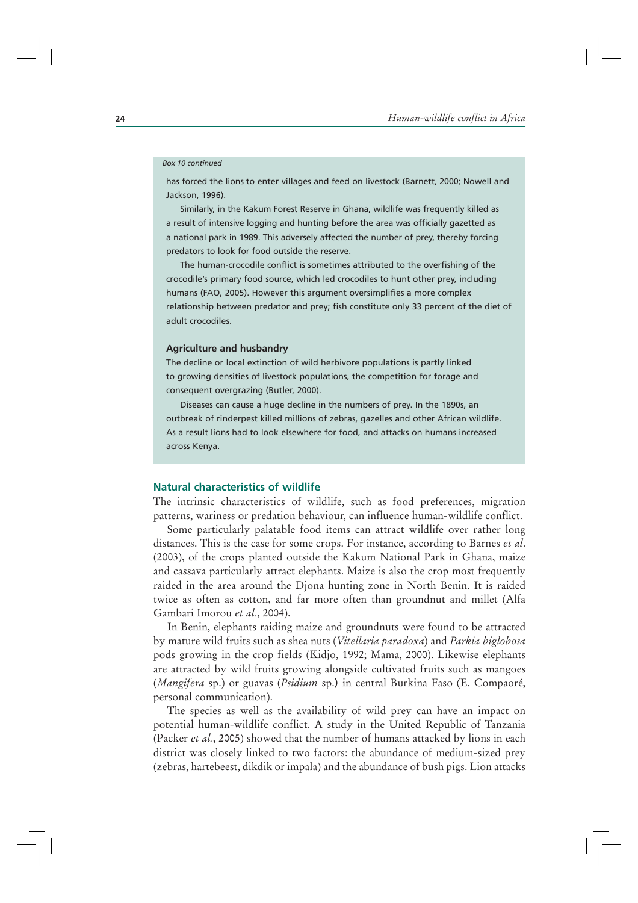#### *Box 10 continued*

has forced the lions to enter villages and feed on livestock (Barnett, 2000; Nowell and Jackson, 1996).

Similarly, in the Kakum Forest Reserve in Ghana, wildlife was frequently killed as a result of intensive logging and hunting before the area was officially gazetted as a national park in 1989. This adversely affected the number of prey, thereby forcing predators to look for food outside the reserve.

The human-crocodile conflict is sometimes attributed to the overfishing of the crocodile's primary food source, which led crocodiles to hunt other prey, including humans (FAO, 2005). However this argument oversimplifies a more complex relationship between predator and prey; fish constitute only 33 percent of the diet of adult crocodiles.

#### **Agriculture and husbandry**

The decline or local extinction of wild herbivore populations is partly linked to growing densities of livestock populations, the competition for forage and consequent overgrazing (Butler, 2000).

Diseases can cause a huge decline in the numbers of prey. In the 1890s, an outbreak of rinderpest killed millions of zebras, gazelles and other African wildlife. As a result lions had to look elsewhere for food, and attacks on humans increased across Kenya.

#### **Natural characteristics of wildlife**

The intrinsic characteristics of wildlife, such as food preferences, migration patterns, wariness or predation behaviour, can influence human-wildlife conflict.

Some particularly palatable food items can attract wildlife over rather long distances. This is the case for some crops. For instance, according to Barnes *et al*. (2003), of the crops planted outside the Kakum National Park in Ghana, maize and cassava particularly attract elephants. Maize is also the crop most frequently raided in the area around the Djona hunting zone in North Benin. It is raided twice as often as cotton, and far more often than groundnut and millet (Alfa Gambari Imorou *et al.*, 2004).

In Benin, elephants raiding maize and groundnuts were found to be attracted by mature wild fruits such as shea nuts (*Vitellaria paradoxa*) and *Parkia biglobosa* pods growing in the crop fields (Kidjo, 1992; Mama, 2000). Likewise elephants are attracted by wild fruits growing alongside cultivated fruits such as mangoes (*Mangifera* sp.) or guavas (*Psidium* sp.) in central Burkina Faso (E. Compaoré, personal communication).

The species as well as the availability of wild prey can have an impact on potential human-wildlife conflict. A study in the United Republic of Tanzania (Packer *et al.*, 2005) showed that the number of humans attacked by lions in each district was closely linked to two factors: the abundance of medium-sized prey (zebras, hartebeest, dikdik or impala) and the abundance of bush pigs. Lion attacks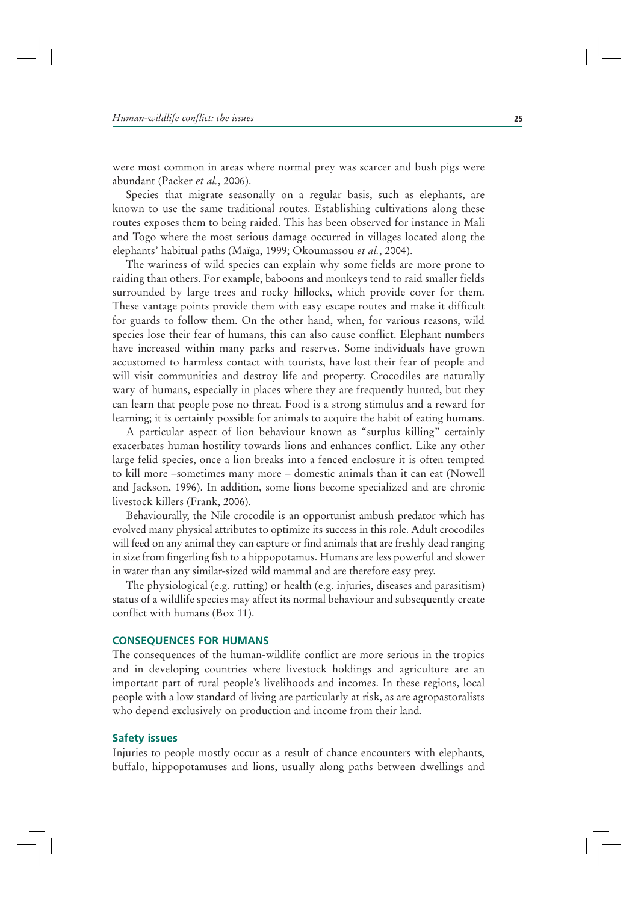were most common in areas where normal prey was scarcer and bush pigs were abundant (Packer *et al.*, 2006).

Species that migrate seasonally on a regular basis, such as elephants, are known to use the same traditional routes. Establishing cultivations along these routes exposes them to being raided. This has been observed for instance in Mali and Togo where the most serious damage occurred in villages located along the elephants' habitual paths (Maïga, 1999; Okoumassou *et al.*, 2004).

The wariness of wild species can explain why some fields are more prone to raiding than others. For example, baboons and monkeys tend to raid smaller fields surrounded by large trees and rocky hillocks, which provide cover for them. These vantage points provide them with easy escape routes and make it difficult for guards to follow them. On the other hand, when, for various reasons, wild species lose their fear of humans, this can also cause conflict. Elephant numbers have increased within many parks and reserves. Some individuals have grown accustomed to harmless contact with tourists, have lost their fear of people and will visit communities and destroy life and property. Crocodiles are naturally wary of humans, especially in places where they are frequently hunted, but they can learn that people pose no threat. Food is a strong stimulus and a reward for learning; it is certainly possible for animals to acquire the habit of eating humans.

A particular aspect of lion behaviour known as "surplus killing" certainly exacerbates human hostility towards lions and enhances conflict. Like any other large felid species, once a lion breaks into a fenced enclosure it is often tempted to kill more –sometimes many more – domestic animals than it can eat (Nowell and Jackson, 1996). In addition, some lions become specialized and are chronic livestock killers (Frank, 2006).

Behaviourally, the Nile crocodile is an opportunist ambush predator which has evolved many physical attributes to optimize its success in this role. Adult crocodiles will feed on any animal they can capture or find animals that are freshly dead ranging in size from fingerling fish to a hippopotamus. Humans are less powerful and slower in water than any similar-sized wild mammal and are therefore easy prey.

The physiological (e.g. rutting) or health (e.g. injuries, diseases and parasitism) status of a wildlife species may affect its normal behaviour and subsequently create conflict with humans (Box 11).

#### **CONSEQUENCES FOR HUMANS**

The consequences of the human-wildlife conflict are more serious in the tropics and in developing countries where livestock holdings and agriculture are an important part of rural people's livelihoods and incomes. In these regions, local people with a low standard of living are particularly at risk, as are agropastoralists who depend exclusively on production and income from their land.

#### **Safety issues**

Injuries to people mostly occur as a result of chance encounters with elephants, buffalo, hippopotamuses and lions, usually along paths between dwellings and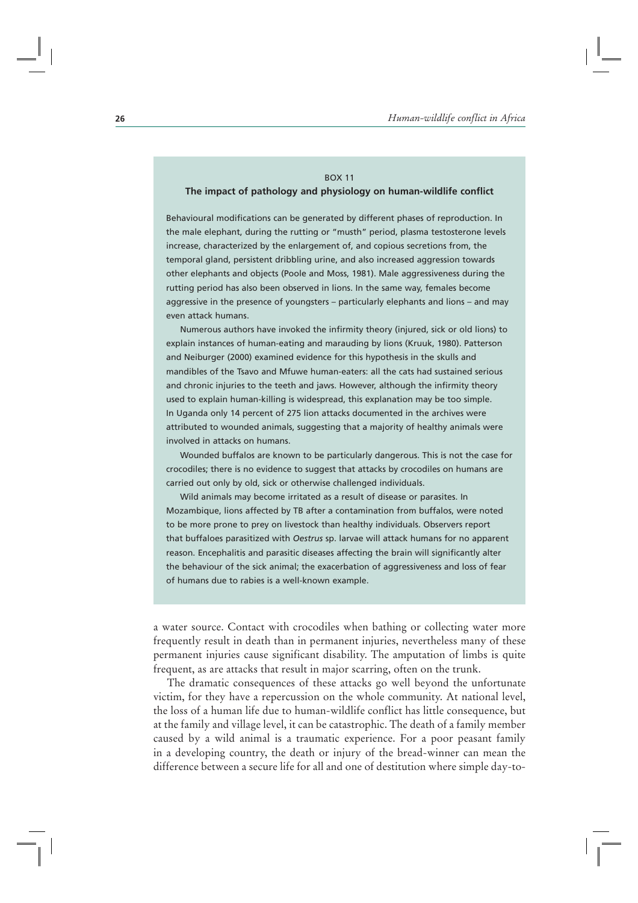#### BOX 11

#### **The impact of pathology and physiology on human-wildlife conflict**

Behavioural modifications can be generated by different phases of reproduction. In the male elephant, during the rutting or "musth" period, plasma testosterone levels increase, characterized by the enlargement of, and copious secretions from, the temporal gland, persistent dribbling urine, and also increased aggression towards other elephants and objects (Poole and Moss, 1981). Male aggressiveness during the rutting period has also been observed in lions. In the same way, females become aggressive in the presence of youngsters – particularly elephants and lions – and may even attack humans.

Numerous authors have invoked the infirmity theory (injured, sick or old lions) to explain instances of human-eating and marauding by lions (Kruuk, 1980). Patterson and Neiburger (2000) examined evidence for this hypothesis in the skulls and mandibles of the Tsavo and Mfuwe human-eaters: all the cats had sustained serious and chronic injuries to the teeth and jaws. However, although the infirmity theory used to explain human-killing is widespread, this explanation may be too simple. In Uganda only 14 percent of 275 lion attacks documented in the archives were attributed to wounded animals, suggesting that a majority of healthy animals were involved in attacks on humans.

Wounded buffalos are known to be particularly dangerous. This is not the case for crocodiles; there is no evidence to suggest that attacks by crocodiles on humans are carried out only by old, sick or otherwise challenged individuals.

Wild animals may become irritated as a result of disease or parasites. In Mozambique, lions affected by TB after a contamination from buffalos, were noted to be more prone to prey on livestock than healthy individuals. Observers report that buffaloes parasitized with *Oestrus* sp. larvae will attack humans for no apparent reason. Encephalitis and parasitic diseases affecting the brain will significantly alter the behaviour of the sick animal; the exacerbation of aggressiveness and loss of fear of humans due to rabies is a well-known example.

a water source. Contact with crocodiles when bathing or collecting water more frequently result in death than in permanent injuries, nevertheless many of these permanent injuries cause significant disability. The amputation of limbs is quite frequent, as are attacks that result in major scarring, often on the trunk.

The dramatic consequences of these attacks go well beyond the unfortunate victim, for they have a repercussion on the whole community. At national level, the loss of a human life due to human-wildlife conflict has little consequence, but at the family and village level, it can be catastrophic. The death of a family member caused by a wild animal is a traumatic experience. For a poor peasant family in a developing country, the death or injury of the bread-winner can mean the difference between a secure life for all and one of destitution where simple day-to-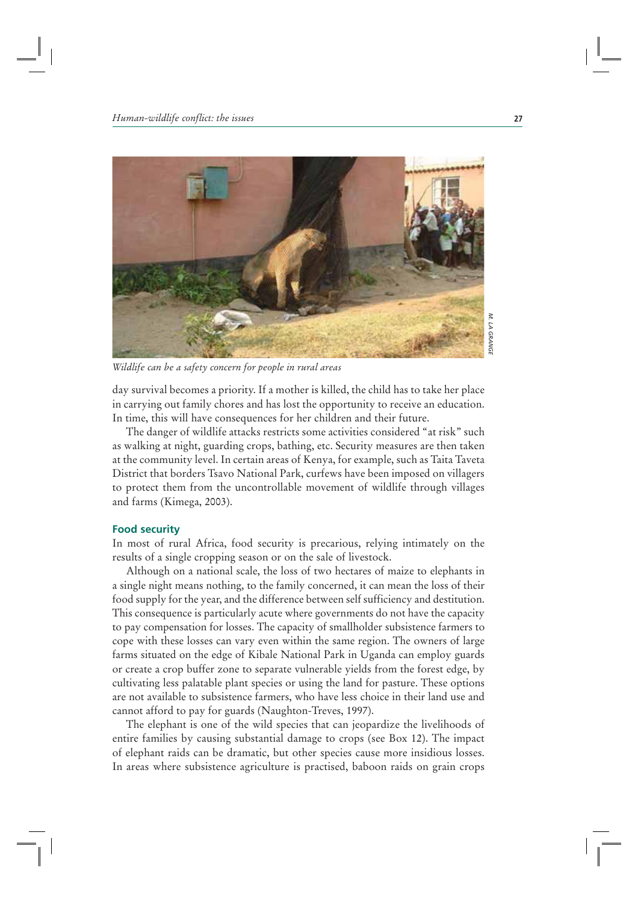

M. LA GRANGE  *LA GRANGE*

*Wildlife can be a safety concern for people in rural areas* 

day survival becomes a priority. If a mother is killed, the child has to take her place in carrying out family chores and has lost the opportunity to receive an education. In time, this will have consequences for her children and their future.

The danger of wildlife attacks restricts some activities considered "at risk" such as walking at night, guarding crops, bathing, etc. Security measures are then taken at the community level. In certain areas of Kenya, for example, such as Taita Taveta District that borders Tsavo National Park, curfews have been imposed on villagers to protect them from the uncontrollable movement of wildlife through villages and farms (Kimega, 2003).

#### **Food security**

In most of rural Africa, food security is precarious, relying intimately on the results of a single cropping season or on the sale of livestock.

Although on a national scale, the loss of two hectares of maize to elephants in a single night means nothing, to the family concerned, it can mean the loss of their food supply for the year, and the difference between self sufficiency and destitution. This consequence is particularly acute where governments do not have the capacity to pay compensation for losses. The capacity of smallholder subsistence farmers to cope with these losses can vary even within the same region. The owners of large farms situated on the edge of Kibale National Park in Uganda can employ guards or create a crop buffer zone to separate vulnerable yields from the forest edge, by cultivating less palatable plant species or using the land for pasture. These options are not available to subsistence farmers, who have less choice in their land use and cannot afford to pay for guards (Naughton-Treves, 1997).

The elephant is one of the wild species that can jeopardize the livelihoods of entire families by causing substantial damage to crops (see Box 12). The impact of elephant raids can be dramatic, but other species cause more insidious losses. In areas where subsistence agriculture is practised, baboon raids on grain crops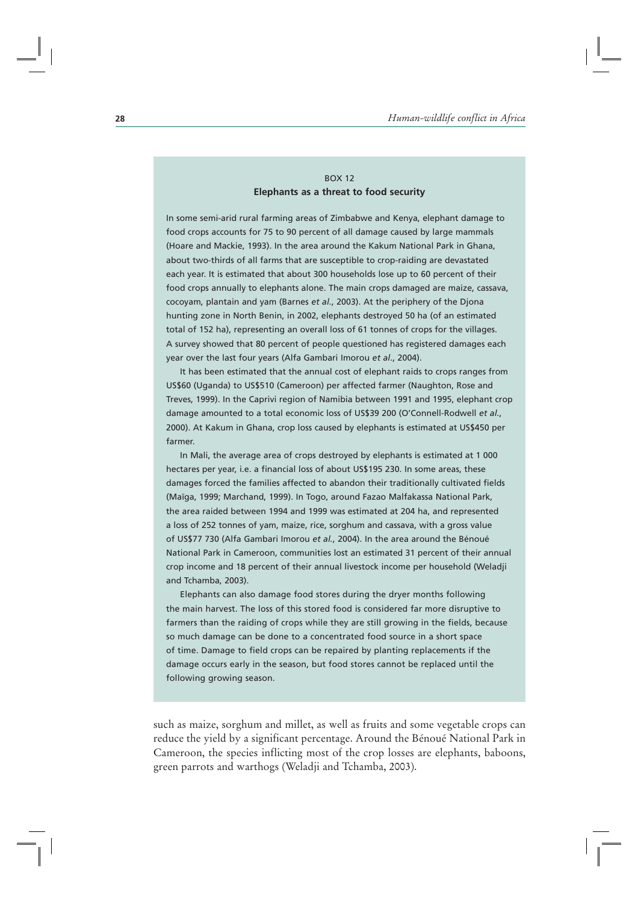# BOX 12 **Elephants as a threat to food security**

In some semi-arid rural farming areas of Zimbabwe and Kenya, elephant damage to food crops accounts for 75 to 90 percent of all damage caused by large mammals (Hoare and Mackie, 1993). In the area around the Kakum National Park in Ghana, about two-thirds of all farms that are susceptible to crop-raiding are devastated each year. It is estimated that about 300 households lose up to 60 percent of their food crops annually to elephants alone. The main crops damaged are maize, cassava, cocoyam, plantain and yam (Barnes *et al.*, 2003). At the periphery of the Djona hunting zone in North Benin, in 2002, elephants destroyed 50 ha (of an estimated total of 152 ha), representing an overall loss of 61 tonnes of crops for the villages. A survey showed that 80 percent of people questioned has registered damages each year over the last four years (Alfa Gambari Imorou *et al*., 2004).

It has been estimated that the annual cost of elephant raids to crops ranges from US\$60 (Uganda) to US\$510 (Cameroon) per affected farmer (Naughton, Rose and Treves, 1999). In the Caprivi region of Namibia between 1991 and 1995, elephant crop damage amounted to a total economic loss of US\$39 200 (O'Connell-Rodwell *et al.*, 2000). At Kakum in Ghana, crop loss caused by elephants is estimated at US\$450 per farmer.

In Mali, the average area of crops destroyed by elephants is estimated at 1 000 hectares per year, i.e. a financial loss of about US\$195 230. In some areas, these damages forced the families affected to abandon their traditionally cultivated fields (Maïga, 1999; Marchand, 1999). In Togo, around Fazao Malfakassa National Park, the area raided between 1994 and 1999 was estimated at 204 ha, and represented a loss of 252 tonnes of yam, maize, rice, sorghum and cassava, with a gross value of US\$77 730 (Alfa Gambari Imorou *et al.*, 2004). In the area around the Bénoué National Park in Cameroon, communities lost an estimated 31 percent of their annual crop income and 18 percent of their annual livestock income per household (Weladji and Tchamba, 2003).

Elephants can also damage food stores during the dryer months following the main harvest. The loss of this stored food is considered far more disruptive to farmers than the raiding of crops while they are still growing in the fields, because so much damage can be done to a concentrated food source in a short space of time. Damage to field crops can be repaired by planting replacements if the damage occurs early in the season, but food stores cannot be replaced until the following growing season.

such as maize, sorghum and millet, as well as fruits and some vegetable crops can reduce the yield by a significant percentage. Around the Bénoué National Park in Cameroon, the species inflicting most of the crop losses are elephants, baboons, green parrots and warthogs (Weladji and Tchamba, 2003).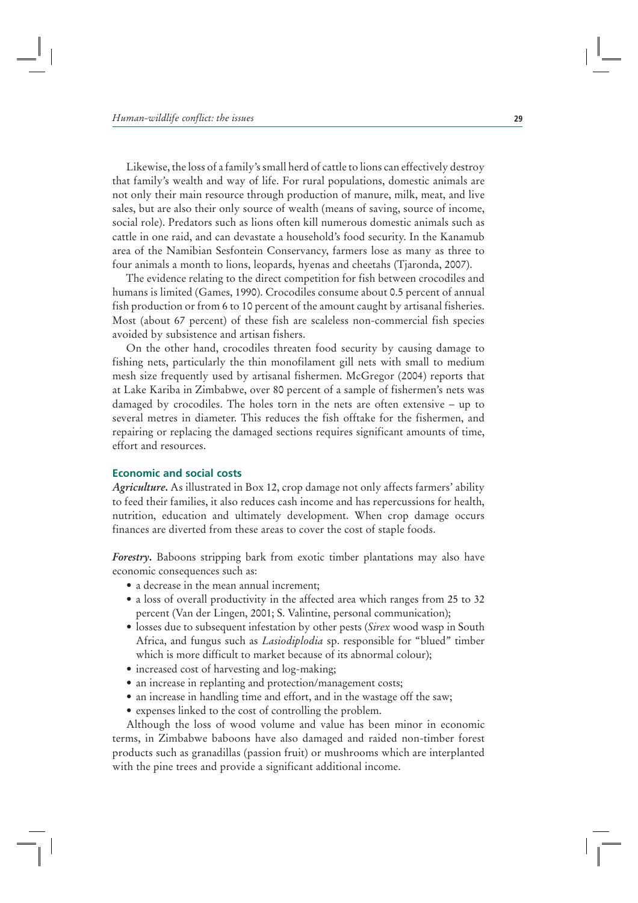Likewise, the loss of a family's small herd of cattle to lions can effectively destroy that family's wealth and way of life. For rural populations, domestic animals are not only their main resource through production of manure, milk, meat, and live sales, but are also their only source of wealth (means of saving, source of income, social role). Predators such as lions often kill numerous domestic animals such as cattle in one raid, and can devastate a household's food security. In the Kanamub area of the Namibian Sesfontein Conservancy, farmers lose as many as three to four animals a month to lions, leopards, hyenas and cheetahs (Tjaronda, 2007).

The evidence relating to the direct competition for fish between crocodiles and humans is limited (Games, 1990). Crocodiles consume about 0.5 percent of annual fish production or from 6 to 10 percent of the amount caught by artisanal fisheries. Most (about 67 percent) of these fish are scaleless non-commercial fish species avoided by subsistence and artisan fishers.

On the other hand, crocodiles threaten food security by causing damage to fishing nets, particularly the thin monofilament gill nets with small to medium mesh size frequently used by artisanal fishermen. McGregor (2004) reports that at Lake Kariba in Zimbabwe, over 80 percent of a sample of fishermen's nets was damaged by crocodiles. The holes torn in the nets are often extensive – up to several metres in diameter. This reduces the fish offtake for the fishermen, and repairing or replacing the damaged sections requires significant amounts of time, effort and resources.

## **Economic and social costs**

*Agriculture***.** As illustrated in Box 12, crop damage not only affects farmers' ability to feed their families, it also reduces cash income and has repercussions for health, nutrition, education and ultimately development. When crop damage occurs finances are diverted from these areas to cover the cost of staple foods.

*Forestry***.** Baboons stripping bark from exotic timber plantations may also have economic consequences such as:

- a decrease in the mean annual increment;
- a loss of overall productivity in the affected area which ranges from 25 to 32 percent (Van der Lingen, 2001; S. Valintine, personal communication);
- losses due to subsequent infestation by other pests (Sirex wood wasp in South Africa, and fungus such as *Lasiodiplodia* sp. responsible for "blued" timber which is more difficult to market because of its abnormal colour);
- increased cost of harvesting and log-making;
- an increase in replanting and protection/management costs;
- an increase in handling time and effort, and in the wastage off the saw;
- expenses linked to the cost of controlling the problem.

Although the loss of wood volume and value has been minor in economic terms, in Zimbabwe baboons have also damaged and raided non-timber forest products such as granadillas (passion fruit) or mushrooms which are interplanted with the pine trees and provide a significant additional income.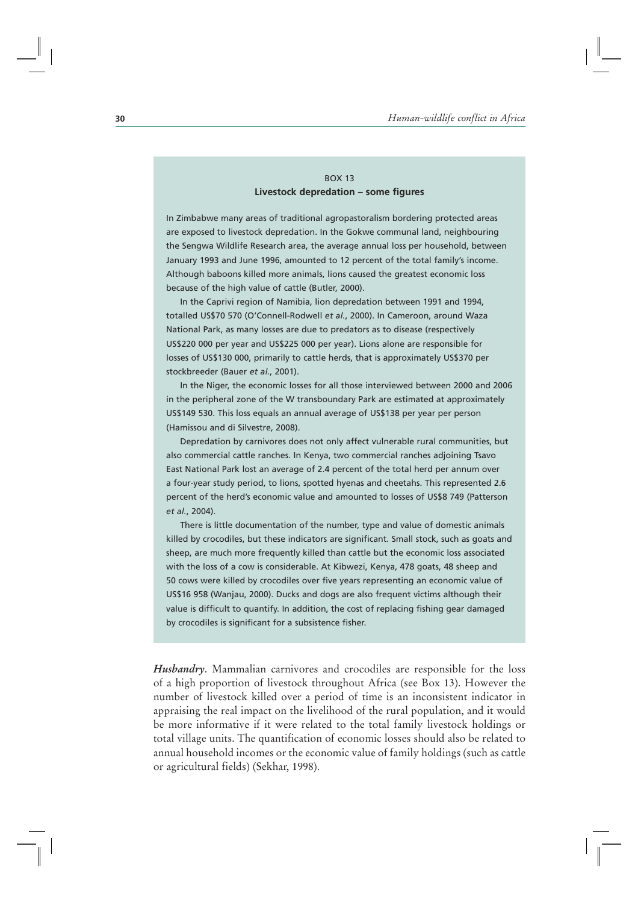## BOX 13 **Livestock depredation – some figures**

In Zimbabwe many areas of traditional agropastoralism bordering protected areas are exposed to livestock depredation. In the Gokwe communal land, neighbouring the Sengwa Wildlife Research area, the average annual loss per household, between January 1993 and June 1996, amounted to 12 percent of the total family's income. Although baboons killed more animals, lions caused the greatest economic loss because of the high value of cattle (Butler, 2000).

In the Caprivi region of Namibia, lion depredation between 1991 and 1994, totalled US\$70 570 (O'Connell-Rodwell *et al.*, 2000). In Cameroon, around Waza National Park, as many losses are due to predators as to disease (respectively US\$220 000 per year and US\$225 000 per year). Lions alone are responsible for losses of US\$130 000, primarily to cattle herds, that is approximately US\$370 per stockbreeder (Bauer *et al.*, 2001).

In the Niger, the economic losses for all those interviewed between 2000 and 2006 in the peripheral zone of the W transboundary Park are estimated at approximately US\$149 530. This loss equals an annual average of US\$138 per year per person (Hamissou and di Silvestre, 2008).

Depredation by carnivores does not only affect vulnerable rural communities, but also commercial cattle ranches. In Kenya, two commercial ranches adjoining Tsavo East National Park lost an average of 2.4 percent of the total herd per annum over a four-year study period, to lions, spotted hyenas and cheetahs. This represented 2.6 percent of the herd's economic value and amounted to losses of US\$8 749 (Patterson *et al.*, 2004).

There is little documentation of the number, type and value of domestic animals killed by crocodiles, but these indicators are significant. Small stock, such as goats and sheep, are much more frequently killed than cattle but the economic loss associated with the loss of a cow is considerable. At Kibwezi, Kenya, 478 goats, 48 sheep and 50 cows were killed by crocodiles over five years representing an economic value of US\$16 958 (Wanjau, 2000). Ducks and dogs are also frequent victims although their value is difficult to quantify. In addition, the cost of replacing fishing gear damaged by crocodiles is significant for a subsistence fisher.

*Husbandry*. Mammalian carnivores and crocodiles are responsible for the loss of a high proportion of livestock throughout Africa (see Box 13). However the number of livestock killed over a period of time is an inconsistent indicator in appraising the real impact on the livelihood of the rural population, and it would be more informative if it were related to the total family livestock holdings or total village units. The quantification of economic losses should also be related to annual household incomes or the economic value of family holdings (such as cattle or agricultural fields) (Sekhar, 1998).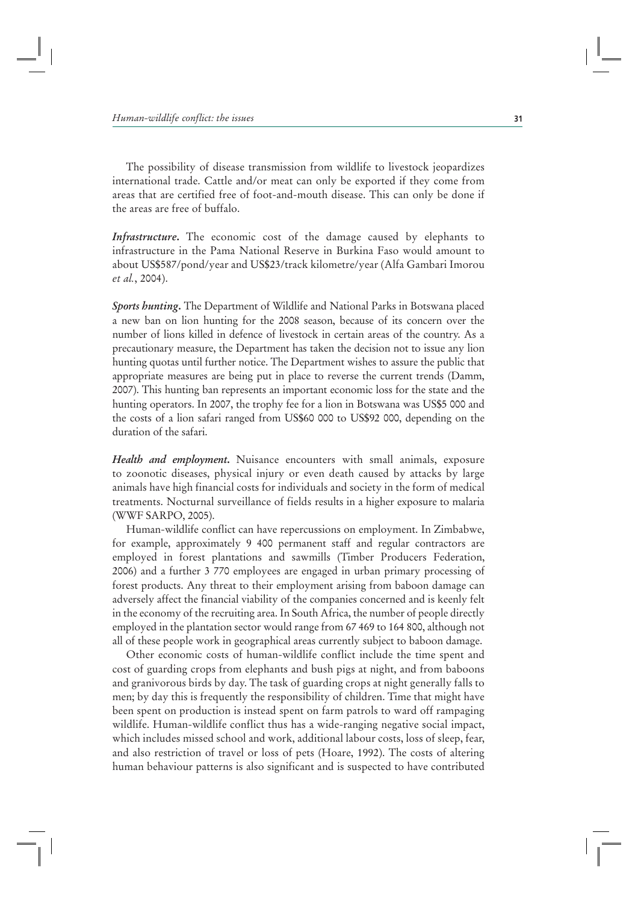The possibility of disease transmission from wildlife to livestock jeopardizes international trade. Cattle and/or meat can only be exported if they come from areas that are certified free of foot-and-mouth disease. This can only be done if the areas are free of buffalo.

*Infrastructure***.** The economic cost of the damage caused by elephants to infrastructure in the Pama National Reserve in Burkina Faso would amount to about US\$587/pond/year and US\$23/track kilometre/year (Alfa Gambari Imorou *et al.*, 2004).

*Sports hunting***.** The Department of Wildlife and National Parks in Botswana placed a new ban on lion hunting for the 2008 season, because of its concern over the number of lions killed in defence of livestock in certain areas of the country. As a precautionary measure, the Department has taken the decision not to issue any lion hunting quotas until further notice. The Department wishes to assure the public that appropriate measures are being put in place to reverse the current trends (Damm, 2007). This hunting ban represents an important economic loss for the state and the hunting operators. In 2007, the trophy fee for a lion in Botswana was US\$5 000 and the costs of a lion safari ranged from US\$60 000 to US\$92 000, depending on the duration of the safari.

*Health and employment***.** Nuisance encounters with small animals, exposure to zoonotic diseases, physical injury or even death caused by attacks by large animals have high financial costs for individuals and society in the form of medical treatments. Nocturnal surveillance of fields results in a higher exposure to malaria (WWF SARPO, 2005).

Human-wildlife conflict can have repercussions on employment. In Zimbabwe, for example, approximately 9 400 permanent staff and regular contractors are employed in forest plantations and sawmills (Timber Producers Federation, 2006) and a further 3 770 employees are engaged in urban primary processing of forest products. Any threat to their employment arising from baboon damage can adversely affect the financial viability of the companies concerned and is keenly felt in the economy of the recruiting area. In South Africa, the number of people directly employed in the plantation sector would range from 67 469 to 164 800, although not all of these people work in geographical areas currently subject to baboon damage.

Other economic costs of human-wildlife conflict include the time spent and cost of guarding crops from elephants and bush pigs at night, and from baboons and granivorous birds by day. The task of guarding crops at night generally falls to men; by day this is frequently the responsibility of children. Time that might have been spent on production is instead spent on farm patrols to ward off rampaging wildlife. Human-wildlife conflict thus has a wide-ranging negative social impact, which includes missed school and work, additional labour costs, loss of sleep, fear, and also restriction of travel or loss of pets (Hoare, 1992). The costs of altering human behaviour patterns is also significant and is suspected to have contributed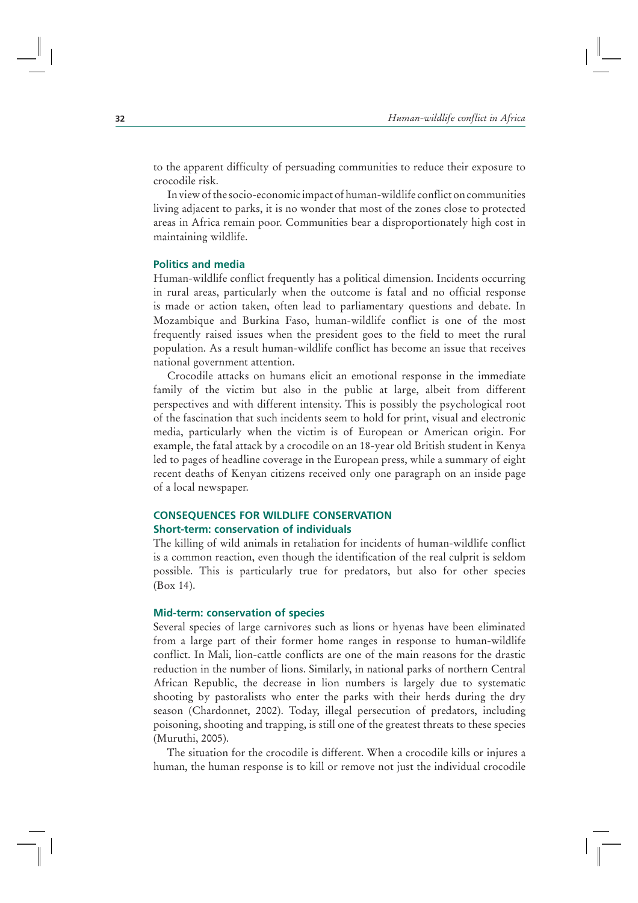to the apparent difficulty of persuading communities to reduce their exposure to crocodile risk.

In view of the socio-economic impact of human-wildlife conflict on communities living adjacent to parks, it is no wonder that most of the zones close to protected areas in Africa remain poor. Communities bear a disproportionately high cost in maintaining wildlife.

#### **Politics and media**

Human-wildlife conflict frequently has a political dimension. Incidents occurring in rural areas, particularly when the outcome is fatal and no official response is made or action taken, often lead to parliamentary questions and debate. In Mozambique and Burkina Faso, human-wildlife conflict is one of the most frequently raised issues when the president goes to the field to meet the rural population. As a result human-wildlife conflict has become an issue that receives national government attention.

Crocodile attacks on humans elicit an emotional response in the immediate family of the victim but also in the public at large, albeit from different perspectives and with different intensity. This is possibly the psychological root of the fascination that such incidents seem to hold for print, visual and electronic media, particularly when the victim is of European or American origin. For example, the fatal attack by a crocodile on an 18-year old British student in Kenya led to pages of headline coverage in the European press, while a summary of eight recent deaths of Kenyan citizens received only one paragraph on an inside page of a local newspaper.

# **CONSEQUENCES FOR WILDLIFE CONSERVATION Short-term: conservation of individuals**

The killing of wild animals in retaliation for incidents of human-wildlife conflict is a common reaction, even though the identification of the real culprit is seldom possible. This is particularly true for predators, but also for other species (Box 14).

#### **Mid-term: conservation of species**

Several species of large carnivores such as lions or hyenas have been eliminated from a large part of their former home ranges in response to human-wildlife conflict. In Mali, lion-cattle conflicts are one of the main reasons for the drastic reduction in the number of lions. Similarly, in national parks of northern Central African Republic, the decrease in lion numbers is largely due to systematic shooting by pastoralists who enter the parks with their herds during the dry season (Chardonnet, 2002). Today, illegal persecution of predators, including poisoning, shooting and trapping, is still one of the greatest threats to these species (Muruthi, 2005).

The situation for the crocodile is different. When a crocodile kills or injures a human, the human response is to kill or remove not just the individual crocodile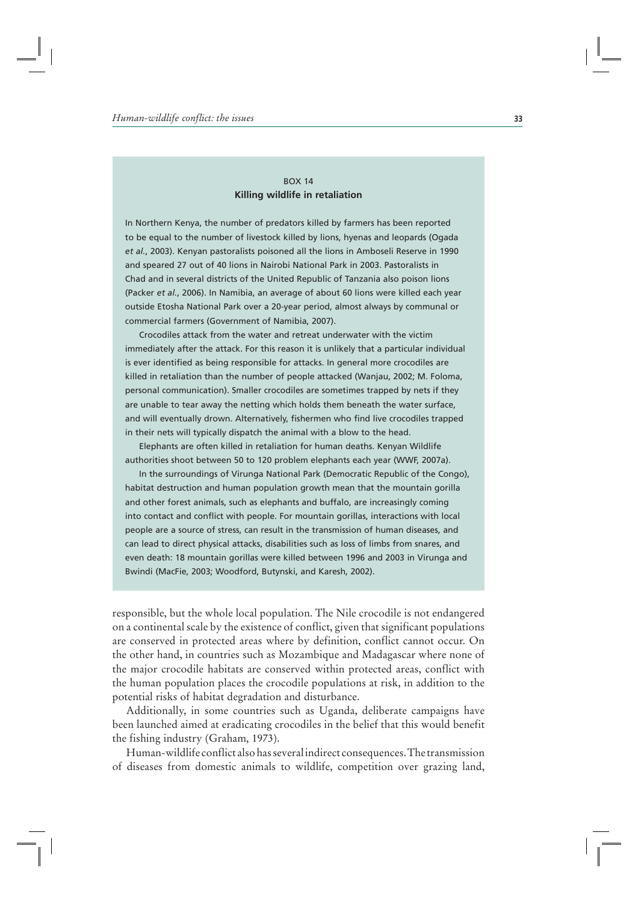## BOX 14 **Killing wildlife in retaliation**

In Northern Kenya, the number of predators killed by farmers has been reported to be equal to the number of livestock killed by lions, hyenas and leopards (Ogada *et al.*, 2003). Kenyan pastoralists poisoned all the lions in Amboseli Reserve in 1990 and speared 27 out of 40 lions in Nairobi National Park in 2003. Pastoralists in Chad and in several districts of the United Republic of Tanzania also poison lions (Packer *et al.*, 2006). In Namibia, an average of about 60 lions were killed each year outside Etosha National Park over a 20-year period, almost always by communal or commercial farmers (Government of Namibia, 2007).

Crocodiles attack from the water and retreat underwater with the victim immediately after the attack. For this reason it is unlikely that a particular individual is ever identified as being responsible for attacks. In general more crocodiles are killed in retaliation than the number of people attacked (Wanjau, 2002; M. Foloma, personal communication). Smaller crocodiles are sometimes trapped by nets if they are unable to tear away the netting which holds them beneath the water surface, and will eventually drown. Alternatively, fishermen who find live crocodiles trapped in their nets will typically dispatch the animal with a blow to the head.

Elephants are often killed in retaliation for human deaths. Kenyan Wildlife authorities shoot between 50 to 120 problem elephants each year (WWF, 2007a).

In the surroundings of Virunga National Park (Democratic Republic of the Congo), habitat destruction and human population growth mean that the mountain gorilla and other forest animals, such as elephants and buffalo, are increasingly coming into contact and conflict with people. For mountain gorillas, interactions with local people are a source of stress, can result in the transmission of human diseases, and can lead to direct physical attacks, disabilities such as loss of limbs from snares, and even death: 18 mountain gorillas were killed between 1996 and 2003 in Virunga and Bwindi (MacFie, 2003; Woodford, Butynski, and Karesh, 2002).

responsible, but the whole local population. The Nile crocodile is not endangered on a continental scale by the existence of conflict, given that significant populations are conserved in protected areas where by definition, conflict cannot occur. On the other hand, in countries such as Mozambique and Madagascar where none of the major crocodile habitats are conserved within protected areas, conflict with the human population places the crocodile populations at risk, in addition to the potential risks of habitat degradation and disturbance.

Additionally, in some countries such as Uganda, deliberate campaigns have been launched aimed at eradicating crocodiles in the belief that this would benefit the fishing industry (Graham, 1973).

Human-wildlife conflict also has several indirect consequences. The transmission of diseases from domestic animals to wildlife, competition over grazing land,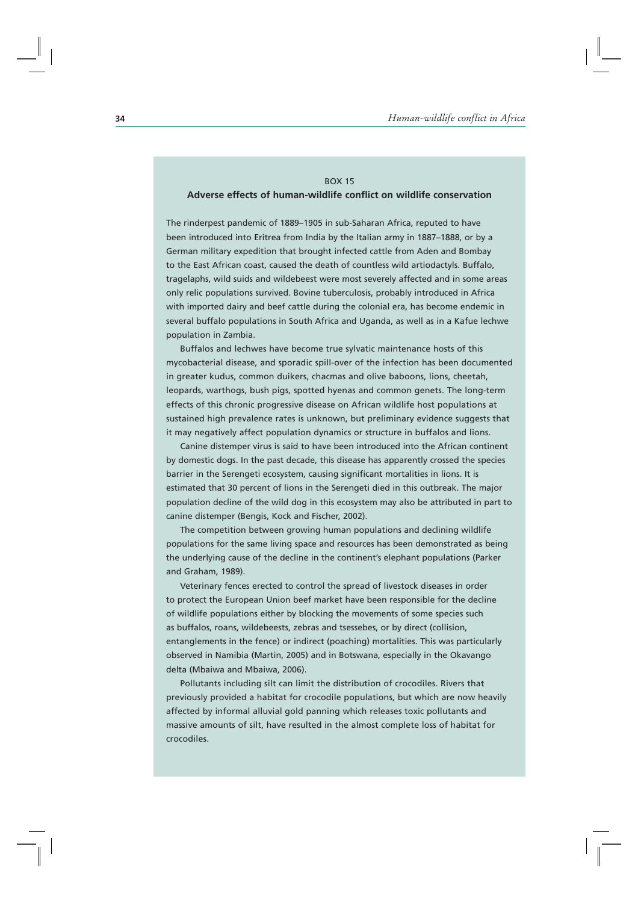# BOX 15 **Adverse effects of human-wildlife conflict on wildlife conservation**

The rinderpest pandemic of 1889–1905 in sub-Saharan Africa, reputed to have been introduced into Eritrea from India by the Italian army in 1887–1888, or by a German military expedition that brought infected cattle from Aden and Bombay to the East African coast, caused the death of countless wild artiodactyls. Buffalo, tragelaphs, wild suids and wildebeest were most severely affected and in some areas only relic populations survived. Bovine tuberculosis, probably introduced in Africa with imported dairy and beef cattle during the colonial era, has become endemic in several buffalo populations in South Africa and Uganda, as well as in a Kafue lechwe population in Zambia.

Buffalos and lechwes have become true sylvatic maintenance hosts of this mycobacterial disease, and sporadic spill-over of the infection has been documented in greater kudus, common duikers, chacmas and olive baboons, lions, cheetah, leopards, warthogs, bush pigs, spotted hyenas and common genets. The long-term effects of this chronic progressive disease on African wildlife host populations at sustained high prevalence rates is unknown, but preliminary evidence suggests that it may negatively affect population dynamics or structure in buffalos and lions.

Canine distemper virus is said to have been introduced into the African continent by domestic dogs. In the past decade, this disease has apparently crossed the species barrier in the Serengeti ecosystem, causing significant mortalities in lions. It is estimated that 30 percent of lions in the Serengeti died in this outbreak. The major population decline of the wild dog in this ecosystem may also be attributed in part to canine distemper (Bengis, Kock and Fischer, 2002).

The competition between growing human populations and declining wildlife populations for the same living space and resources has been demonstrated as being the underlying cause of the decline in the continent's elephant populations (Parker and Graham, 1989).

Veterinary fences erected to control the spread of livestock diseases in order to protect the European Union beef market have been responsible for the decline of wildlife populations either by blocking the movements of some species such as buffalos, roans, wildebeests, zebras and tsessebes, or by direct (collision, entanglements in the fence) or indirect (poaching) mortalities. This was particularly observed in Namibia (Martin, 2005) and in Botswana, especially in the Okavango delta (Mbaiwa and Mbaiwa, 2006).

Pollutants including silt can limit the distribution of crocodiles. Rivers that previously provided a habitat for crocodile populations, but which are now heavily affected by informal alluvial gold panning which releases toxic pollutants and massive amounts of silt, have resulted in the almost complete loss of habitat for crocodiles.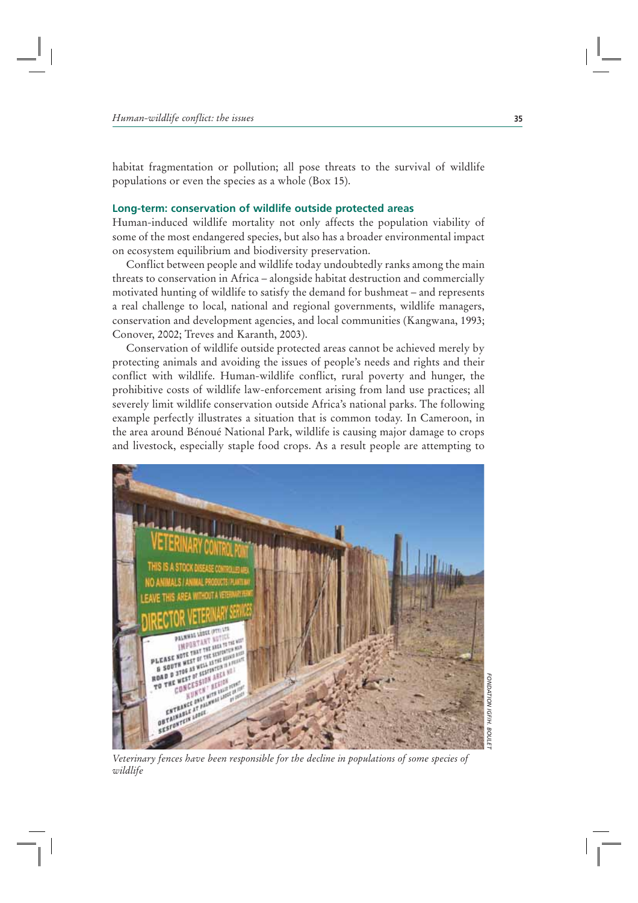habitat fragmentation or pollution; all pose threats to the survival of wildlife populations or even the species as a whole (Box 15).

## **Long-term: conservation of wildlife outside protected areas**

Human-induced wildlife mortality not only affects the population viability of some of the most endangered species, but also has a broader environmental impact on ecosystem equilibrium and biodiversity preservation.

Conflict between people and wildlife today undoubtedly ranks among the main threats to conservation in Africa – alongside habitat destruction and commercially motivated hunting of wildlife to satisfy the demand for bushmeat – and represents a real challenge to local, national and regional governments, wildlife managers, conservation and development agencies, and local communities (Kangwana, 1993; Conover, 2002; Treves and Karanth, 2003).

Conservation of wildlife outside protected areas cannot be achieved merely by protecting animals and avoiding the issues of people's needs and rights and their conflict with wildlife. Human-wildlife conflict, rural poverty and hunger, the prohibitive costs of wildlife law-enforcement arising from land use practices; all severely limit wildlife conservation outside Africa's national parks. The following example perfectly illustrates a situation that is common today. In Cameroon, in the area around Bénoué National Park, wildlife is causing major damage to crops and livestock, especially staple food crops. As a result people are attempting to



*Veterinary fences have been responsible for the decline in populations of some species of wildlife*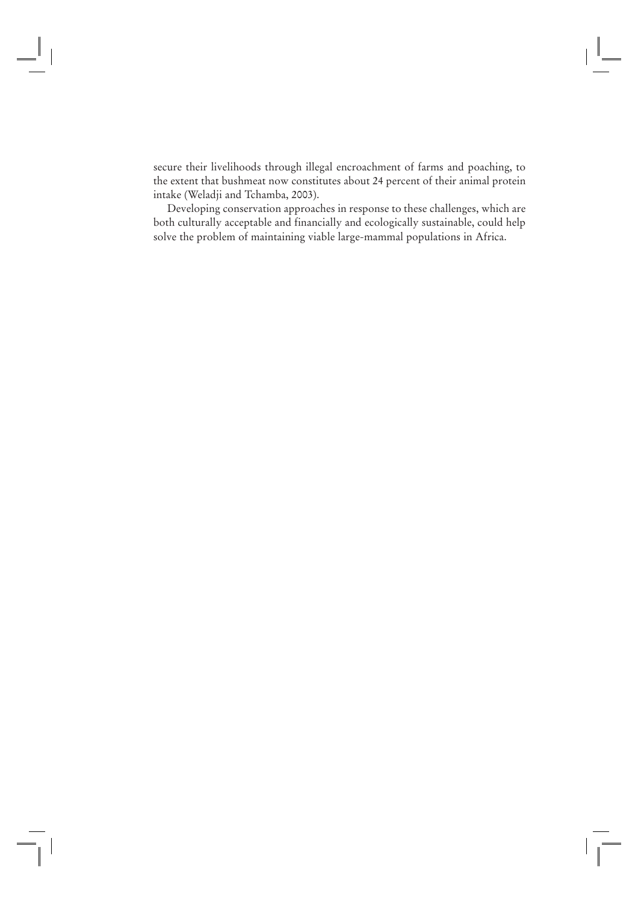secure their livelihoods through illegal encroachment of farms and poaching, to the extent that bushmeat now constitutes about 24 percent of their animal protein intake (Weladji and Tchamba, 2003).

Developing conservation approaches in response to these challenges, which are both culturally acceptable and financially and ecologically sustainable, could help solve the problem of maintaining viable large-mammal populations in Africa.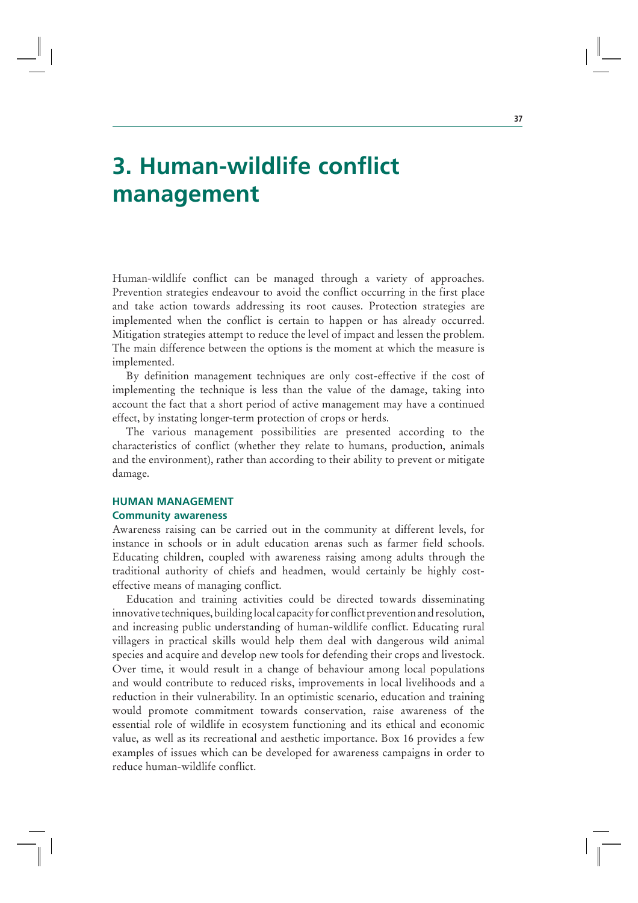# **3. Human-wildlife conflict management**

Human-wildlife conflict can be managed through a variety of approaches. Prevention strategies endeavour to avoid the conflict occurring in the first place and take action towards addressing its root causes. Protection strategies are implemented when the conflict is certain to happen or has already occurred. Mitigation strategies attempt to reduce the level of impact and lessen the problem. The main difference between the options is the moment at which the measure is implemented.

By definition management techniques are only cost-effective if the cost of implementing the technique is less than the value of the damage, taking into account the fact that a short period of active management may have a continued effect, by instating longer-term protection of crops or herds.

The various management possibilities are presented according to the characteristics of conflict (whether they relate to humans, production, animals and the environment), rather than according to their ability to prevent or mitigate damage.

## **HUMAN MANAGEMENT Community awareness**

Awareness raising can be carried out in the community at different levels, for instance in schools or in adult education arenas such as farmer field schools. Educating children, coupled with awareness raising among adults through the traditional authority of chiefs and headmen, would certainly be highly costeffective means of managing conflict.

Education and training activities could be directed towards disseminating innovative techniques, building local capacity for conflict prevention and resolution, and increasing public understanding of human-wildlife conflict. Educating rural villagers in practical skills would help them deal with dangerous wild animal species and acquire and develop new tools for defending their crops and livestock. Over time, it would result in a change of behaviour among local populations and would contribute to reduced risks, improvements in local livelihoods and a reduction in their vulnerability. In an optimistic scenario, education and training would promote commitment towards conservation, raise awareness of the essential role of wildlife in ecosystem functioning and its ethical and economic value, as well as its recreational and aesthetic importance. Box 16 provides a few examples of issues which can be developed for awareness campaigns in order to reduce human-wildlife conflict.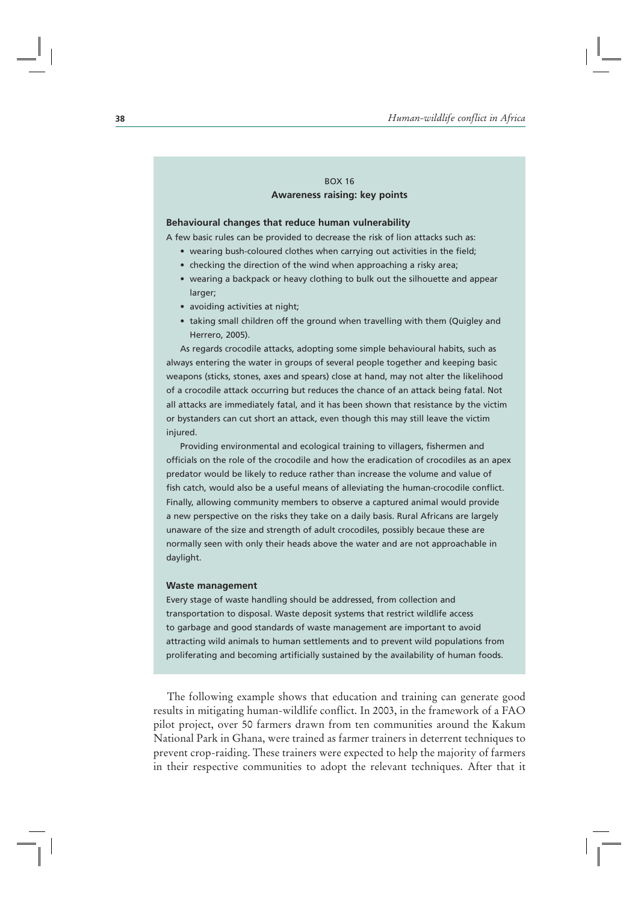## BOX 16 **Awareness raising: key points**

#### **Behavioural changes that reduce human vulnerability**

A few basic rules can be provided to decrease the risk of lion attacks such as:

- wearing bush-coloured clothes when carrying out activities in the field;
- checking the direction of the wind when approaching a risky area;
- wearing a backpack or heavy clothing to bulk out the silhouette and appear larger;
- avoiding activities at night;
- taking small children off the ground when travelling with them (Quigley and Herrero, 2005).

As regards crocodile attacks, adopting some simple behavioural habits, such as always entering the water in groups of several people together and keeping basic weapons (sticks, stones, axes and spears) close at hand, may not alter the likelihood of a crocodile attack occurring but reduces the chance of an attack being fatal. Not all attacks are immediately fatal, and it has been shown that resistance by the victim or bystanders can cut short an attack, even though this may still leave the victim injured.

Providing environmental and ecological training to villagers, fishermen and officials on the role of the crocodile and how the eradication of crocodiles as an apex predator would be likely to reduce rather than increase the volume and value of fish catch, would also be a useful means of alleviating the human-crocodile conflict. Finally, allowing community members to observe a captured animal would provide a new perspective on the risks they take on a daily basis. Rural Africans are largely unaware of the size and strength of adult crocodiles, possibly becaue these are normally seen with only their heads above the water and are not approachable in daylight.

#### **Waste management**

Every stage of waste handling should be addressed, from collection and transportation to disposal. Waste deposit systems that restrict wildlife access to garbage and good standards of waste management are important to avoid attracting wild animals to human settlements and to prevent wild populations from proliferating and becoming artificially sustained by the availability of human foods.

The following example shows that education and training can generate good results in mitigating human-wildlife conflict. In 2003, in the framework of a FAO pilot project, over 50 farmers drawn from ten communities around the Kakum National Park in Ghana, were trained as farmer trainers in deterrent techniques to prevent crop-raiding. These trainers were expected to help the majority of farmers in their respective communities to adopt the relevant techniques. After that it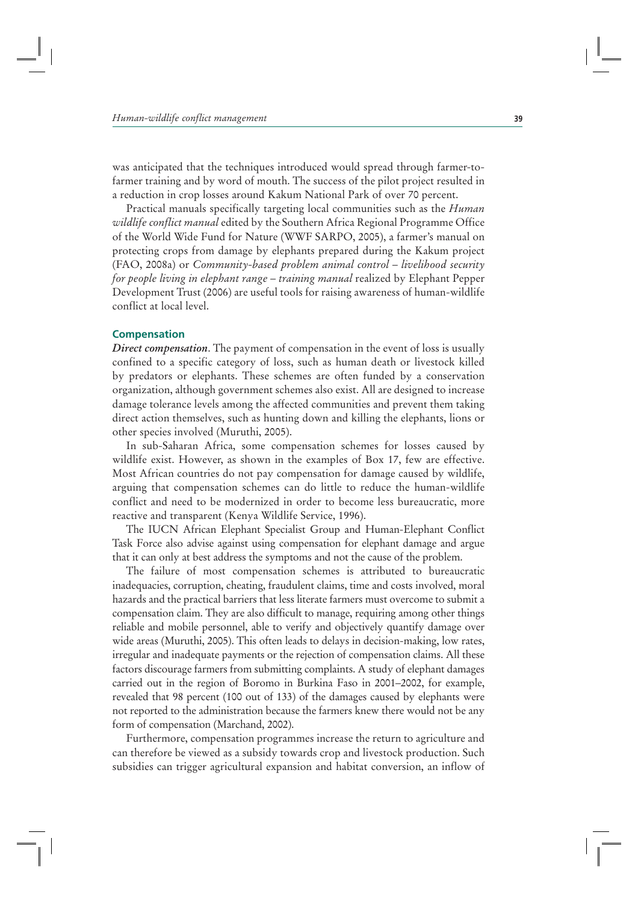was anticipated that the techniques introduced would spread through farmer-tofarmer training and by word of mouth. The success of the pilot project resulted in a reduction in crop losses around Kakum National Park of over 70 percent.

Practical manuals specifically targeting local communities such as the *Human wildlife conflict manual* edited by the Southern Africa Regional Programme Office of the World Wide Fund for Nature (WWF SARPO, 2005), a farmer's manual on protecting crops from damage by elephants prepared during the Kakum project (FAO, 2008a) or *Community-based problem animal control – livelihood security for people living in elephant range – training manual* realized by Elephant Pepper Development Trust (2006) are useful tools for raising awareness of human-wildlife conflict at local level.

## **Compensation**

*Direct compensation*. The payment of compensation in the event of loss is usually confined to a specific category of loss, such as human death or livestock killed by predators or elephants. These schemes are often funded by a conservation organization, although government schemes also exist. All are designed to increase damage tolerance levels among the affected communities and prevent them taking direct action themselves, such as hunting down and killing the elephants, lions or other species involved (Muruthi, 2005).

In sub-Saharan Africa, some compensation schemes for losses caused by wildlife exist. However, as shown in the examples of Box 17, few are effective. Most African countries do not pay compensation for damage caused by wildlife, arguing that compensation schemes can do little to reduce the human-wildlife conflict and need to be modernized in order to become less bureaucratic, more reactive and transparent (Kenya Wildlife Service, 1996).

The IUCN African Elephant Specialist Group and Human-Elephant Conflict Task Force also advise against using compensation for elephant damage and argue that it can only at best address the symptoms and not the cause of the problem.

The failure of most compensation schemes is attributed to bureaucratic inadequacies, corruption, cheating, fraudulent claims, time and costs involved, moral hazards and the practical barriers that less literate farmers must overcome to submit a compensation claim. They are also difficult to manage, requiring among other things reliable and mobile personnel, able to verify and objectively quantify damage over wide areas (Muruthi, 2005). This often leads to delays in decision-making, low rates, irregular and inadequate payments or the rejection of compensation claims. All these factors discourage farmers from submitting complaints. A study of elephant damages carried out in the region of Boromo in Burkina Faso in 2001–2002, for example, revealed that 98 percent (100 out of 133) of the damages caused by elephants were not reported to the administration because the farmers knew there would not be any form of compensation (Marchand, 2002).

Furthermore, compensation programmes increase the return to agriculture and can therefore be viewed as a subsidy towards crop and livestock production. Such subsidies can trigger agricultural expansion and habitat conversion, an inflow of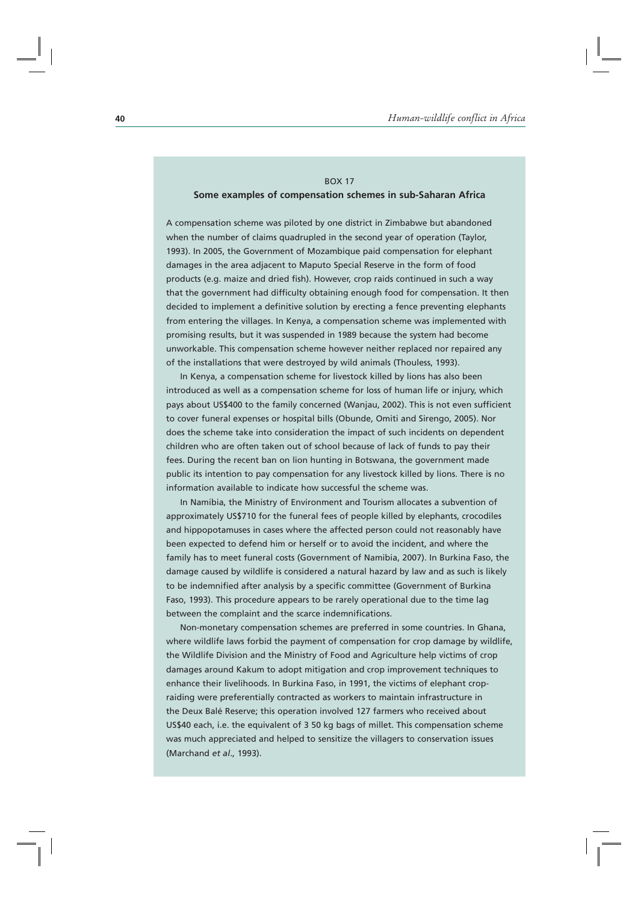## BOX 17 **Some examples of compensation schemes in sub-Saharan Africa**

A compensation scheme was piloted by one district in Zimbabwe but abandoned when the number of claims quadrupled in the second year of operation (Taylor, 1993). In 2005, the Government of Mozambique paid compensation for elephant damages in the area adjacent to Maputo Special Reserve in the form of food products (e.g. maize and dried fish). However, crop raids continued in such a way that the government had difficulty obtaining enough food for compensation. It then decided to implement a definitive solution by erecting a fence preventing elephants from entering the villages. In Kenya, a compensation scheme was implemented with promising results, but it was suspended in 1989 because the system had become unworkable. This compensation scheme however neither replaced nor repaired any of the installations that were destroyed by wild animals (Thouless, 1993).

In Kenya, a compensation scheme for livestock killed by lions has also been introduced as well as a compensation scheme for loss of human life or injury, which pays about US\$400 to the family concerned (Wanjau, 2002). This is not even sufficient to cover funeral expenses or hospital bills (Obunde, Omiti and Sirengo, 2005). Nor does the scheme take into consideration the impact of such incidents on dependent children who are often taken out of school because of lack of funds to pay their fees. During the recent ban on lion hunting in Botswana, the government made public its intention to pay compensation for any livestock killed by lions. There is no information available to indicate how successful the scheme was.

In Namibia, the Ministry of Environment and Tourism allocates a subvention of approximately US\$710 for the funeral fees of people killed by elephants, crocodiles and hippopotamuses in cases where the affected person could not reasonably have been expected to defend him or herself or to avoid the incident, and where the family has to meet funeral costs (Government of Namibia, 2007). In Burkina Faso, the damage caused by wildlife is considered a natural hazard by law and as such is likely to be indemnified after analysis by a specific committee (Government of Burkina Faso, 1993). This procedure appears to be rarely operational due to the time lag between the complaint and the scarce indemnifications.

Non-monetary compensation schemes are preferred in some countries. In Ghana, where wildlife laws forbid the payment of compensation for crop damage by wildlife, the Wildlife Division and the Ministry of Food and Agriculture help victims of crop damages around Kakum to adopt mitigation and crop improvement techniques to enhance their livelihoods. In Burkina Faso, in 1991, the victims of elephant cropraiding were preferentially contracted as workers to maintain infrastructure in the Deux Balé Reserve; this operation involved 127 farmers who received about US\$40 each, i.e. the equivalent of 3 50 kg bags of millet. This compensation scheme was much appreciated and helped to sensitize the villagers to conservation issues (Marchand *et al*., 1993).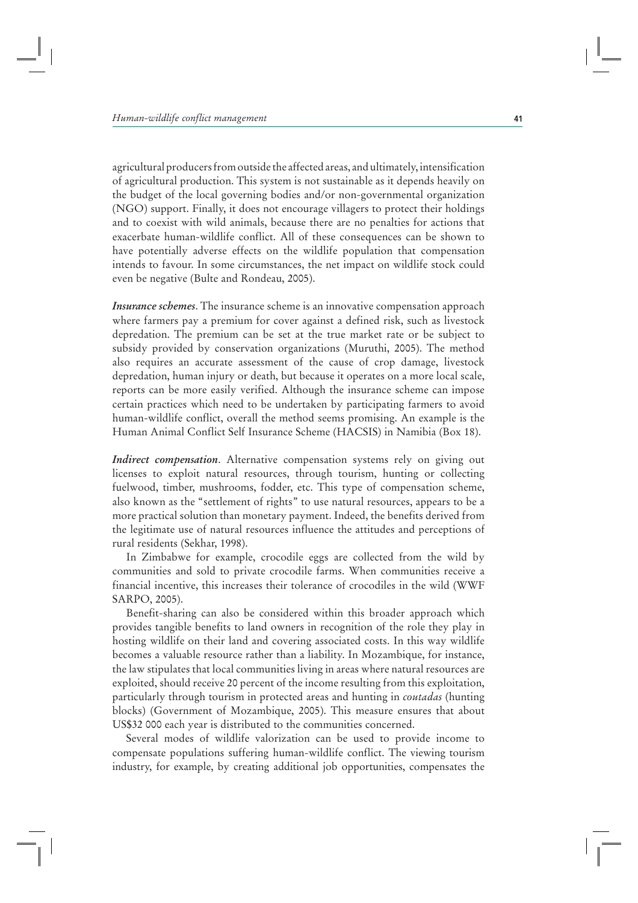agricultural producers from outside the affected areas, and ultimately, intensification of agricultural production. This system is not sustainable as it depends heavily on the budget of the local governing bodies and/or non-governmental organization (NGO) support. Finally, it does not encourage villagers to protect their holdings and to coexist with wild animals, because there are no penalties for actions that exacerbate human-wildlife conflict. All of these consequences can be shown to have potentially adverse effects on the wildlife population that compensation intends to favour. In some circumstances, the net impact on wildlife stock could even be negative (Bulte and Rondeau, 2005).

*Insurance schemes*. The insurance scheme is an innovative compensation approach where farmers pay a premium for cover against a defined risk, such as livestock depredation. The premium can be set at the true market rate or be subject to subsidy provided by conservation organizations (Muruthi, 2005). The method also requires an accurate assessment of the cause of crop damage, livestock depredation, human injury or death, but because it operates on a more local scale, reports can be more easily verified. Although the insurance scheme can impose certain practices which need to be undertaken by participating farmers to avoid human-wildlife conflict, overall the method seems promising. An example is the Human Animal Conflict Self Insurance Scheme (HACSIS) in Namibia (Box 18).

*Indirect compensation*. Alternative compensation systems rely on giving out licenses to exploit natural resources, through tourism, hunting or collecting fuelwood, timber, mushrooms, fodder, etc. This type of compensation scheme, also known as the "settlement of rights" to use natural resources, appears to be a more practical solution than monetary payment. Indeed, the benefits derived from the legitimate use of natural resources influence the attitudes and perceptions of rural residents (Sekhar, 1998).

In Zimbabwe for example, crocodile eggs are collected from the wild by communities and sold to private crocodile farms. When communities receive a financial incentive, this increases their tolerance of crocodiles in the wild (WWF SARPO, 2005).

Benefit-sharing can also be considered within this broader approach which provides tangible benefits to land owners in recognition of the role they play in hosting wildlife on their land and covering associated costs. In this way wildlife becomes a valuable resource rather than a liability. In Mozambique, for instance, the law stipulates that local communities living in areas where natural resources are exploited, should receive 20 percent of the income resulting from this exploitation, particularly through tourism in protected areas and hunting in *coutadas* (hunting blocks) (Government of Mozambique, 2005). This measure ensures that about US\$32 000 each year is distributed to the communities concerned.

Several modes of wildlife valorization can be used to provide income to compensate populations suffering human-wildlife conflict. The viewing tourism industry, for example, by creating additional job opportunities, compensates the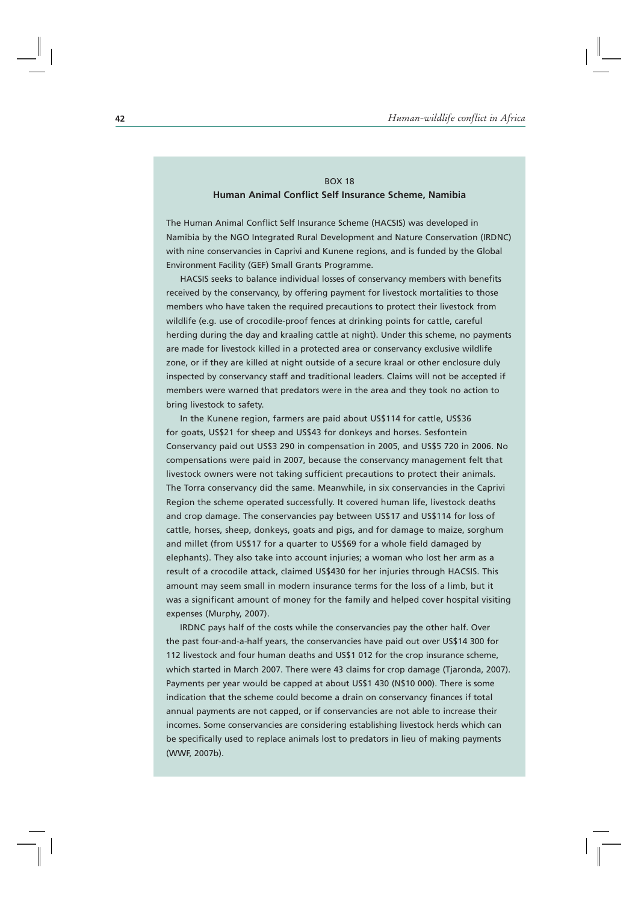## BOX 18 **Human Animal Conflict Self Insurance Scheme, Namibia**

The Human Animal Conflict Self Insurance Scheme (HACSIS) was developed in Namibia by the NGO Integrated Rural Development and Nature Conservation (IRDNC) with nine conservancies in Caprivi and Kunene regions, and is funded by the Global Environment Facility (GEF) Small Grants Programme.

HACSIS seeks to balance individual losses of conservancy members with benefits received by the conservancy, by offering payment for livestock mortalities to those members who have taken the required precautions to protect their livestock from wildlife (e.g. use of crocodile-proof fences at drinking points for cattle, careful herding during the day and kraaling cattle at night). Under this scheme, no payments are made for livestock killed in a protected area or conservancy exclusive wildlife zone, or if they are killed at night outside of a secure kraal or other enclosure duly inspected by conservancy staff and traditional leaders. Claims will not be accepted if members were warned that predators were in the area and they took no action to bring livestock to safety.

In the Kunene region, farmers are paid about US\$114 for cattle, US\$36 for goats, US\$21 for sheep and US\$43 for donkeys and horses. Sesfontein Conservancy paid out US\$3 290 in compensation in 2005, and US\$5 720 in 2006. No compensations were paid in 2007, because the conservancy management felt that livestock owners were not taking sufficient precautions to protect their animals. The Torra conservancy did the same. Meanwhile, in six conservancies in the Caprivi Region the scheme operated successfully. It covered human life, livestock deaths and crop damage. The conservancies pay between US\$17 and US\$114 for loss of cattle, horses, sheep, donkeys, goats and pigs, and for damage to maize, sorghum and millet (from US\$17 for a quarter to US\$69 for a whole field damaged by elephants). They also take into account injuries; a woman who lost her arm as a result of a crocodile attack, claimed US\$430 for her injuries through HACSIS. This amount may seem small in modern insurance terms for the loss of a limb, but it was a significant amount of money for the family and helped cover hospital visiting expenses (Murphy, 2007).

IRDNC pays half of the costs while the conservancies pay the other half. Over the past four-and-a-half years, the conservancies have paid out over US\$14 300 for 112 livestock and four human deaths and US\$1 012 for the crop insurance scheme, which started in March 2007. There were 43 claims for crop damage (Tjaronda, 2007). Payments per year would be capped at about US\$1 430 (N\$10 000). There is some indication that the scheme could become a drain on conservancy finances if total annual payments are not capped, or if conservancies are not able to increase their incomes. Some conservancies are considering establishing livestock herds which can be specifically used to replace animals lost to predators in lieu of making payments (WWF, 2007b).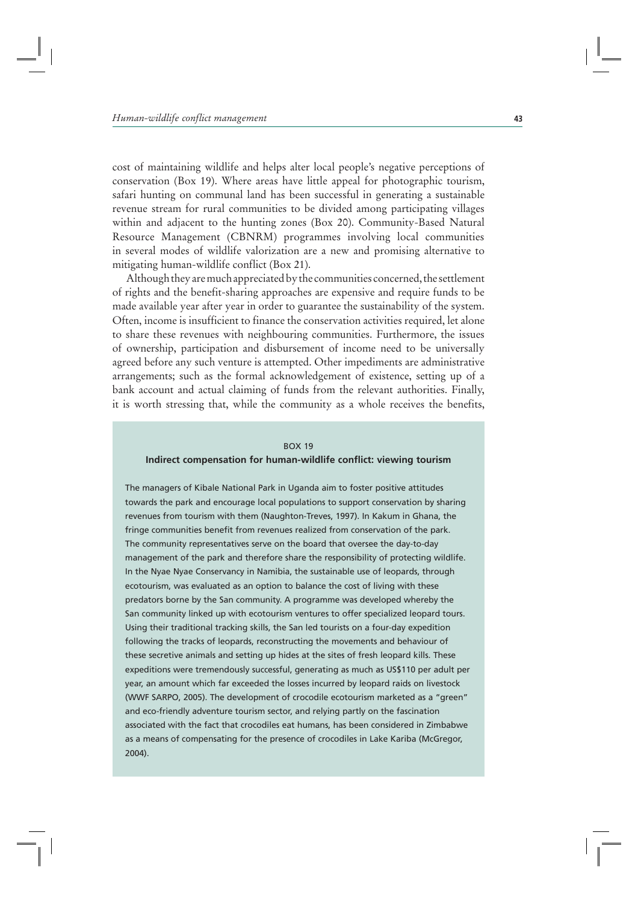cost of maintaining wildlife and helps alter local people's negative perceptions of conservation (Box 19). Where areas have little appeal for photographic tourism, safari hunting on communal land has been successful in generating a sustainable revenue stream for rural communities to be divided among participating villages within and adjacent to the hunting zones (Box 20). Community-Based Natural Resource Management (CBNRM) programmes involving local communities in several modes of wildlife valorization are a new and promising alternative to mitigating human-wildlife conflict (Box 21).

Although they are much appreciated by the communities concerned, the settlement of rights and the benefit-sharing approaches are expensive and require funds to be made available year after year in order to guarantee the sustainability of the system. Often, income is insufficient to finance the conservation activities required, let alone to share these revenues with neighbouring communities. Furthermore, the issues of ownership, participation and disbursement of income need to be universally agreed before any such venture is attempted. Other impediments are administrative arrangements; such as the formal acknowledgement of existence, setting up of a bank account and actual claiming of funds from the relevant authorities. Finally, it is worth stressing that, while the community as a whole receives the benefits,

#### BOX 19

#### **Indirect compensation for human-wildlife conflict: viewing tourism**

The managers of Kibale National Park in Uganda aim to foster positive attitudes towards the park and encourage local populations to support conservation by sharing revenues from tourism with them (Naughton-Treves, 1997). In Kakum in Ghana, the fringe communities benefit from revenues realized from conservation of the park. The community representatives serve on the board that oversee the day-to-day management of the park and therefore share the responsibility of protecting wildlife. In the Nyae Nyae Conservancy in Namibia, the sustainable use of leopards, through ecotourism, was evaluated as an option to balance the cost of living with these predators borne by the San community. A programme was developed whereby the San community linked up with ecotourism ventures to offer specialized leopard tours. Using their traditional tracking skills, the San led tourists on a four-day expedition following the tracks of leopards, reconstructing the movements and behaviour of these secretive animals and setting up hides at the sites of fresh leopard kills. These expeditions were tremendously successful, generating as much as US\$110 per adult per year, an amount which far exceeded the losses incurred by leopard raids on livestock (WWF SARPO, 2005). The development of crocodile ecotourism marketed as a "green" and eco-friendly adventure tourism sector, and relying partly on the fascination associated with the fact that crocodiles eat humans, has been considered in Zimbabwe as a means of compensating for the presence of crocodiles in Lake Kariba (McGregor, 2004).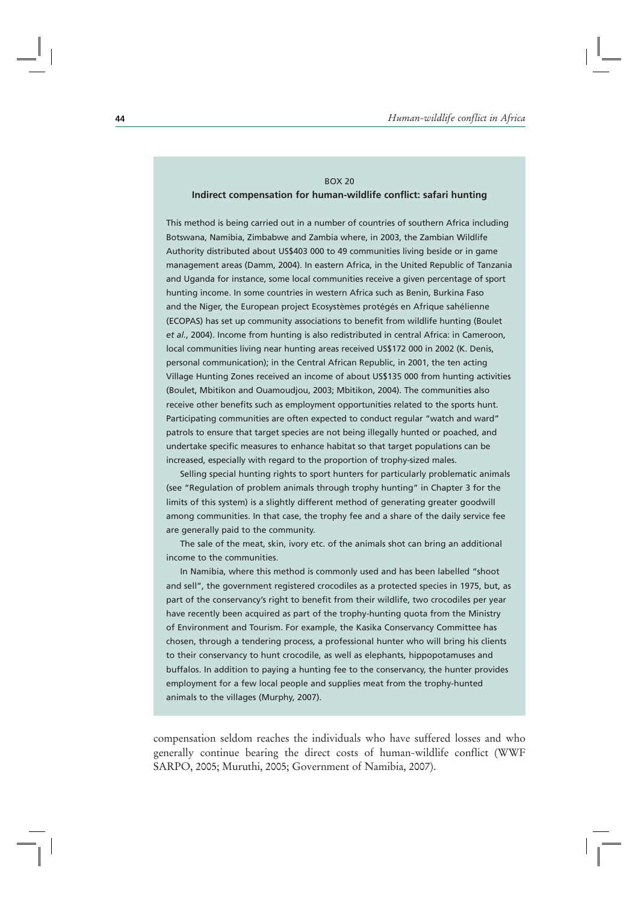## BOX 20 **Indirect compensation for human-wildlife conflict: safari hunting**

This method is being carried out in a number of countries of southern Africa including Botswana, Namibia, Zimbabwe and Zambia where, in 2003, the Zambian Wildlife Authority distributed about US\$403 000 to 49 communities living beside or in game management areas (Damm, 2004). In eastern Africa, in the United Republic of Tanzania and Uganda for instance, some local communities receive a given percentage of sport hunting income. In some countries in western Africa such as Benin, Burkina Faso and the Niger, the European project Ecosystèmes protégés en Afrique sahélienne (ECOPAS) has set up community associations to benefit from wildlife hunting (Boulet *et al.*, 2004). Income from hunting is also redistributed in central Africa: in Cameroon, local communities living near hunting areas received US\$172 000 in 2002 (K. Denis, personal communication); in the Central African Republic, in 2001, the ten acting Village Hunting Zones received an income of about US\$135 000 from hunting activities (Boulet, Mbitikon and Ouamoudjou, 2003; Mbitikon, 2004). The communities also receive other benefits such as employment opportunities related to the sports hunt. Participating communities are often expected to conduct regular "watch and ward" patrols to ensure that target species are not being illegally hunted or poached, and undertake specific measures to enhance habitat so that target populations can be increased, especially with regard to the proportion of trophy-sized males.

Selling special hunting rights to sport hunters for particularly problematic animals (see "Regulation of problem animals through trophy hunting" in Chapter 3 for the limits of this system) is a slightly different method of generating greater goodwill among communities. In that case, the trophy fee and a share of the daily service fee are generally paid to the community.

The sale of the meat, skin, ivory etc. of the animals shot can bring an additional income to the communities.

In Namibia, where this method is commonly used and has been labelled "shoot and sell", the government registered crocodiles as a protected species in 1975, but, as part of the conservancy's right to benefit from their wildlife, two crocodiles per year have recently been acquired as part of the trophy-hunting quota from the Ministry of Environment and Tourism. For example, the Kasika Conservancy Committee has chosen, through a tendering process, a professional hunter who will bring his clients to their conservancy to hunt crocodile, as well as elephants, hippopotamuses and buffalos. In addition to paying a hunting fee to the conservancy, the hunter provides employment for a few local people and supplies meat from the trophy-hunted animals to the villages (Murphy, 2007).

compensation seldom reaches the individuals who have suffered losses and who generally continue bearing the direct costs of human-wildlife conflict (WWF SARPO, 2005; Muruthi, 2005; Government of Namibia, 2007).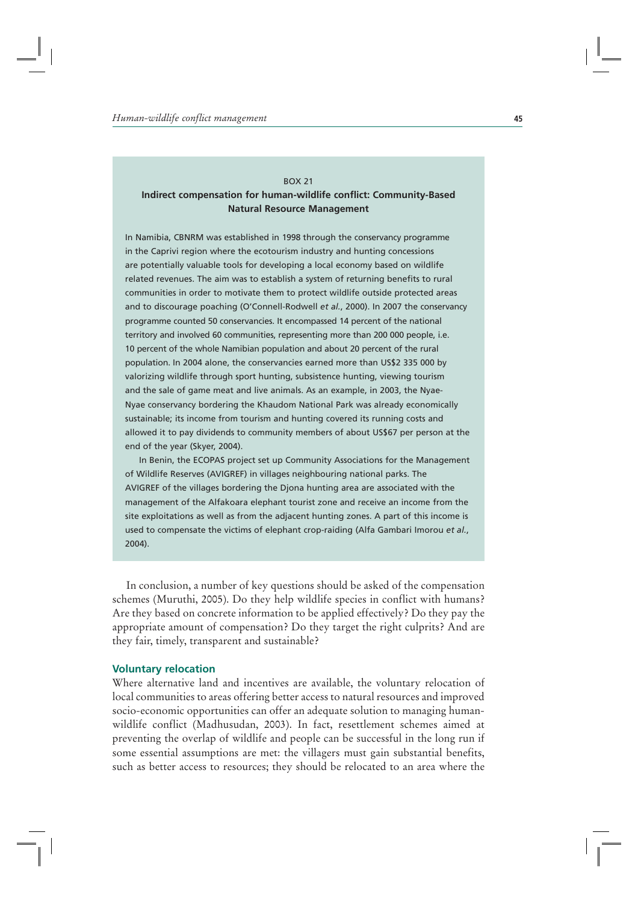#### BOX 21

# **Indirect compensation for human-wildlife conflict: Community-Based Natural Resource Management**

In Namibia, CBNRM was established in 1998 through the conservancy programme in the Caprivi region where the ecotourism industry and hunting concessions are potentially valuable tools for developing a local economy based on wildlife related revenues. The aim was to establish a system of returning benefits to rural communities in order to motivate them to protect wildlife outside protected areas and to discourage poaching (O'Connell-Rodwell *et al.*, 2000). In 2007 the conservancy programme counted 50 conservancies. It encompassed 14 percent of the national territory and involved 60 communities, representing more than 200 000 people, i.e. 10 percent of the whole Namibian population and about 20 percent of the rural population. In 2004 alone, the conservancies earned more than US\$2 335 000 by valorizing wildlife through sport hunting, subsistence hunting, viewing tourism and the sale of game meat and live animals. As an example, in 2003, the Nyae-Nyae conservancy bordering the Khaudom National Park was already economically sustainable; its income from tourism and hunting covered its running costs and allowed it to pay dividends to community members of about US\$67 per person at the end of the year (Skyer, 2004).

In Benin, the ECOPAS project set up Community Associations for the Management of Wildlife Reserves (AVIGREF) in villages neighbouring national parks. The AVIGREF of the villages bordering the Djona hunting area are associated with the management of the Alfakoara elephant tourist zone and receive an income from the site exploitations as well as from the adjacent hunting zones. A part of this income is used to compensate the victims of elephant crop-raiding (Alfa Gambari Imorou *et al.*, 2004).

In conclusion, a number of key questions should be asked of the compensation schemes (Muruthi, 2005). Do they help wildlife species in conflict with humans? Are they based on concrete information to be applied effectively? Do they pay the appropriate amount of compensation? Do they target the right culprits? And are they fair, timely, transparent and sustainable?

## **Voluntary relocation**

Where alternative land and incentives are available, the voluntary relocation of local communities to areas offering better access to natural resources and improved socio-economic opportunities can offer an adequate solution to managing humanwildlife conflict (Madhusudan, 2003). In fact, resettlement schemes aimed at preventing the overlap of wildlife and people can be successful in the long run if some essential assumptions are met: the villagers must gain substantial benefits, such as better access to resources; they should be relocated to an area where the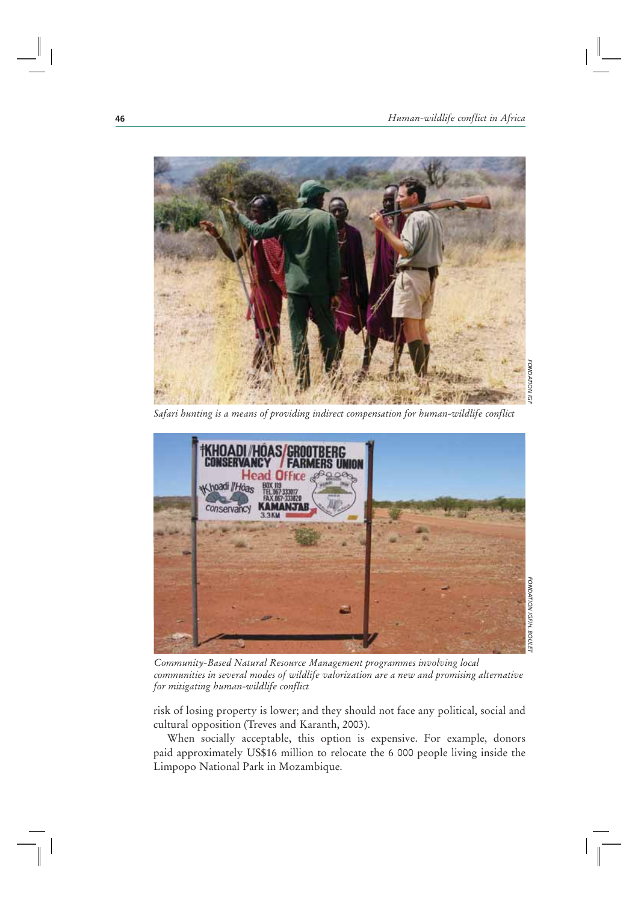

*FONDATION IGF***FONDATION IGF** 

*Safari hunting is a means of providing indirect compensation for human-wildlife conflict* 



*Community-Based Natural Resource Management programmes involving local communities in several modes of wildlife valorization are a new and promising alternative for mitigating human-wildlife conflict* 

risk of losing property is lower; and they should not face any political, social and cultural opposition (Treves and Karanth, 2003).

When socially acceptable, this option is expensive. For example, donors paid approximately US\$16 million to relocate the 6 000 people living inside the Limpopo National Park in Mozambique.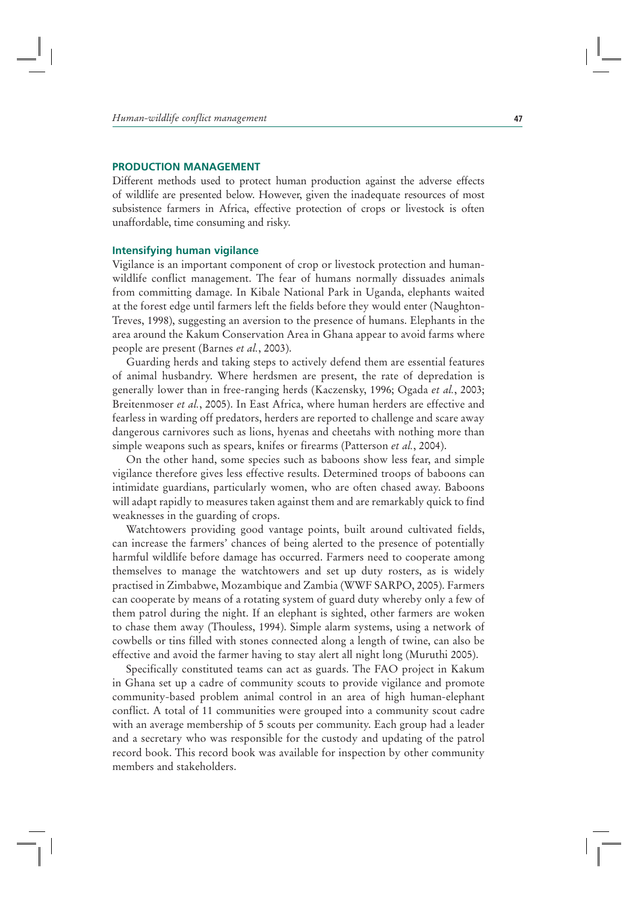## **PRODUCTION MANAGEMENT**

Different methods used to protect human production against the adverse effects of wildlife are presented below. However, given the inadequate resources of most subsistence farmers in Africa, effective protection of crops or livestock is often unaffordable, time consuming and risky.

## **Intensifying human vigilance**

Vigilance is an important component of crop or livestock protection and humanwildlife conflict management. The fear of humans normally dissuades animals from committing damage. In Kibale National Park in Uganda, elephants waited at the forest edge until farmers left the fields before they would enter (Naughton-Treves, 1998), suggesting an aversion to the presence of humans. Elephants in the area around the Kakum Conservation Area in Ghana appear to avoid farms where people are present (Barnes *et al.*, 2003).

Guarding herds and taking steps to actively defend them are essential features of animal husbandry. Where herdsmen are present, the rate of depredation is generally lower than in free-ranging herds (Kaczensky, 1996; Ogada *et al.*, 2003; Breitenmoser *et al.*, 2005). In East Africa, where human herders are effective and fearless in warding off predators, herders are reported to challenge and scare away dangerous carnivores such as lions, hyenas and cheetahs with nothing more than simple weapons such as spears, knifes or firearms (Patterson *et al.*, 2004).

On the other hand, some species such as baboons show less fear, and simple vigilance therefore gives less effective results. Determined troops of baboons can intimidate guardians, particularly women, who are often chased away. Baboons will adapt rapidly to measures taken against them and are remarkably quick to find weaknesses in the guarding of crops.

Watchtowers providing good vantage points, built around cultivated fields, can increase the farmers' chances of being alerted to the presence of potentially harmful wildlife before damage has occurred. Farmers need to cooperate among themselves to manage the watchtowers and set up duty rosters, as is widely practised in Zimbabwe, Mozambique and Zambia (WWF SARPO, 2005). Farmers can cooperate by means of a rotating system of guard duty whereby only a few of them patrol during the night. If an elephant is sighted, other farmers are woken to chase them away (Thouless, 1994). Simple alarm systems, using a network of cowbells or tins filled with stones connected along a length of twine, can also be effective and avoid the farmer having to stay alert all night long (Muruthi 2005).

Specifically constituted teams can act as guards. The FAO project in Kakum in Ghana set up a cadre of community scouts to provide vigilance and promote community-based problem animal control in an area of high human-elephant conflict. A total of 11 communities were grouped into a community scout cadre with an average membership of 5 scouts per community. Each group had a leader and a secretary who was responsible for the custody and updating of the patrol record book. This record book was available for inspection by other community members and stakeholders.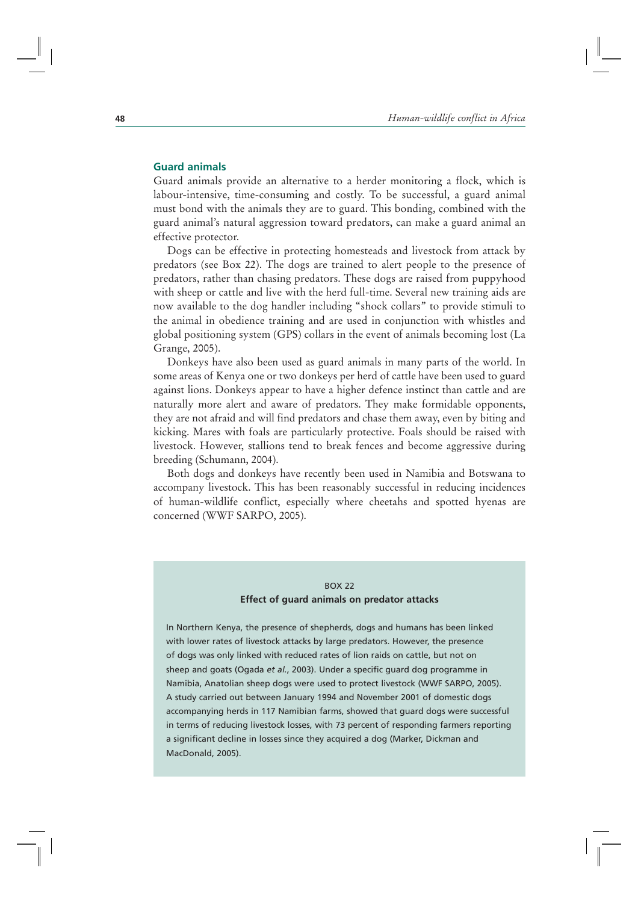## **Guard animals**

Guard animals provide an alternative to a herder monitoring a flock, which is labour-intensive, time-consuming and costly. To be successful, a guard animal must bond with the animals they are to guard. This bonding, combined with the guard animal's natural aggression toward predators, can make a guard animal an effective protector.

Dogs can be effective in protecting homesteads and livestock from attack by predators (see Box 22). The dogs are trained to alert people to the presence of predators, rather than chasing predators. These dogs are raised from puppyhood with sheep or cattle and live with the herd full-time. Several new training aids are now available to the dog handler including "shock collars" to provide stimuli to the animal in obedience training and are used in conjunction with whistles and global positioning system (GPS) collars in the event of animals becoming lost (La Grange, 2005).

Donkeys have also been used as guard animals in many parts of the world. In some areas of Kenya one or two donkeys per herd of cattle have been used to guard against lions. Donkeys appear to have a higher defence instinct than cattle and are naturally more alert and aware of predators. They make formidable opponents, they are not afraid and will find predators and chase them away, even by biting and kicking. Mares with foals are particularly protective. Foals should be raised with livestock. However, stallions tend to break fences and become aggressive during breeding (Schumann, 2004).

Both dogs and donkeys have recently been used in Namibia and Botswana to accompany livestock. This has been reasonably successful in reducing incidences of human-wildlife conflict, especially where cheetahs and spotted hyenas are concerned (WWF SARPO, 2005).

## BOX 22

#### **Effect of guard animals on predator attacks**

In Northern Kenya, the presence of shepherds, dogs and humans has been linked with lower rates of livestock attacks by large predators. However, the presence of dogs was only linked with reduced rates of lion raids on cattle, but not on sheep and goats (Ogada *et al.*, 2003). Under a specific guard dog programme in Namibia, Anatolian sheep dogs were used to protect livestock (WWF SARPO, 2005). A study carried out between January 1994 and November 2001 of domestic dogs accompanying herds in 117 Namibian farms, showed that guard dogs were successful in terms of reducing livestock losses, with 73 percent of responding farmers reporting a significant decline in losses since they acquired a dog (Marker, Dickman and MacDonald, 2005).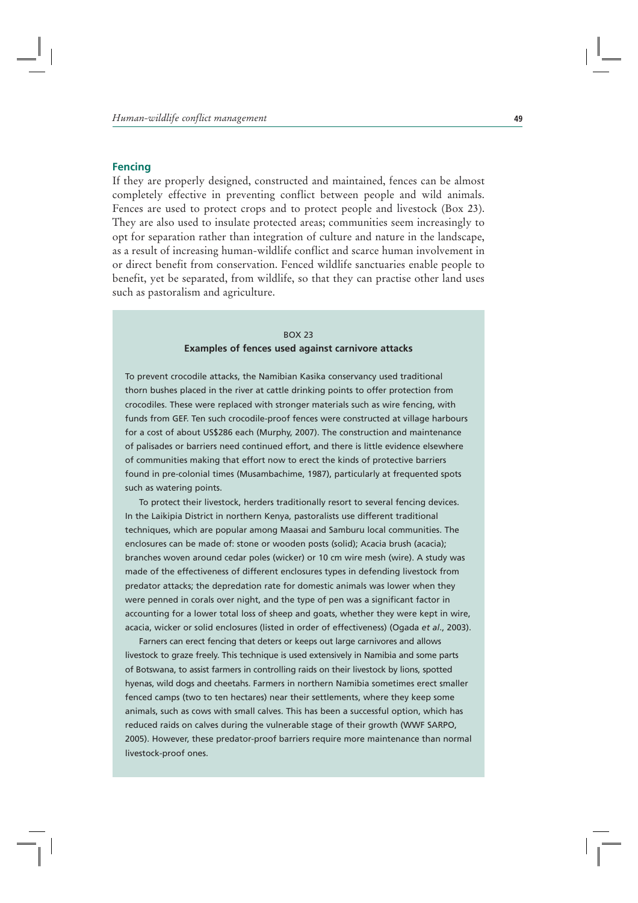## **Fencing**

If they are properly designed, constructed and maintained, fences can be almost completely effective in preventing conflict between people and wild animals. Fences are used to protect crops and to protect people and livestock (Box 23). They are also used to insulate protected areas; communities seem increasingly to opt for separation rather than integration of culture and nature in the landscape, as a result of increasing human-wildlife conflict and scarce human involvement in or direct benefit from conservation. Fenced wildlife sanctuaries enable people to benefit, yet be separated, from wildlife, so that they can practise other land uses such as pastoralism and agriculture.

#### BOX 23

## **Examples of fences used against carnivore attacks**

To prevent crocodile attacks, the Namibian Kasika conservancy used traditional thorn bushes placed in the river at cattle drinking points to offer protection from crocodiles. These were replaced with stronger materials such as wire fencing, with funds from GEF. Ten such crocodile-proof fences were constructed at village harbours for a cost of about US\$286 each (Murphy, 2007). The construction and maintenance of palisades or barriers need continued effort, and there is little evidence elsewhere of communities making that effort now to erect the kinds of protective barriers found in pre-colonial times (Musambachime, 1987), particularly at frequented spots such as watering points.

To protect their livestock, herders traditionally resort to several fencing devices. In the Laikipia District in northern Kenya, pastoralists use different traditional techniques, which are popular among Maasai and Samburu local communities. The enclosures can be made of: stone or wooden posts (solid); Acacia brush (acacia); branches woven around cedar poles (wicker) or 10 cm wire mesh (wire). A study was made of the effectiveness of different enclosures types in defending livestock from predator attacks; the depredation rate for domestic animals was lower when they were penned in corals over night, and the type of pen was a significant factor in accounting for a lower total loss of sheep and goats, whether they were kept in wire, acacia, wicker or solid enclosures (listed in order of effectiveness) (Ogada *et al*., 2003).

Farners can erect fencing that deters or keeps out large carnivores and allows livestock to graze freely. This technique is used extensively in Namibia and some parts of Botswana, to assist farmers in controlling raids on their livestock by lions, spotted hyenas, wild dogs and cheetahs. Farmers in northern Namibia sometimes erect smaller fenced camps (two to ten hectares) near their settlements, where they keep some animals, such as cows with small calves. This has been a successful option, which has reduced raids on calves during the vulnerable stage of their growth (WWF SARPO, 2005). However, these predator-proof barriers require more maintenance than normal livestock-proof ones.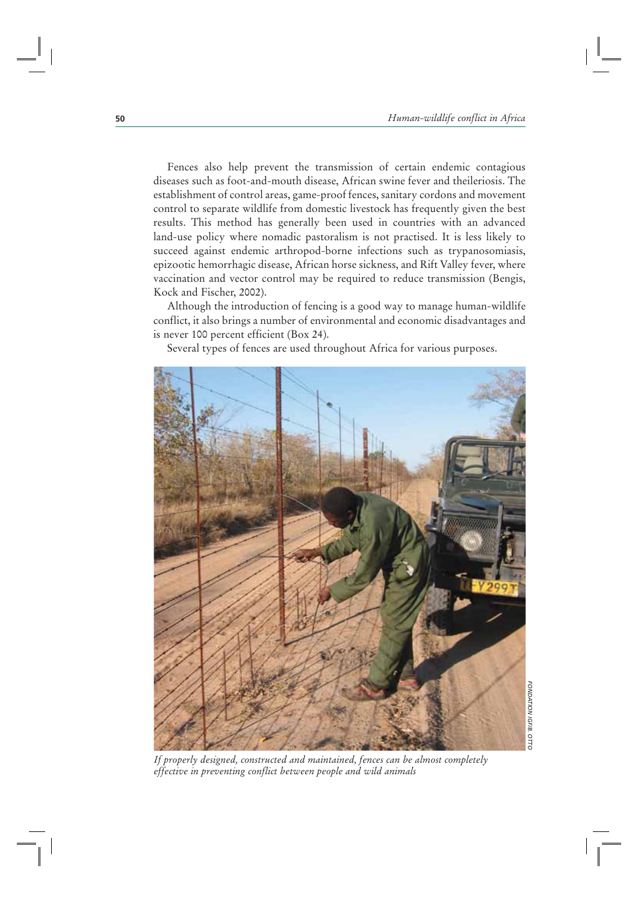Fences also help prevent the transmission of certain endemic contagious diseases such as foot-and-mouth disease, African swine fever and theileriosis. The establishment of control areas, game-proof fences, sanitary cordons and movement control to separate wildlife from domestic livestock has frequently given the best results. This method has generally been used in countries with an advanced land-use policy where nomadic pastoralism is not practised. It is less likely to succeed against endemic arthropod-borne infections such as trypanosomiasis, epizootic hemorrhagic disease, African horse sickness, and Rift Valley fever, where vaccination and vector control may be required to reduce transmission (Bengis, Kock and Fischer, 2002).

Although the introduction of fencing is a good way to manage human-wildlife conflict, it also brings a number of environmental and economic disadvantages and is never 100 percent efficient (Box 24).

Several types of fences are used throughout Africa for various purposes.



*If properly designed, constructed and maintained, fences can be almost completely effective in preventing conflict between people and wild animals*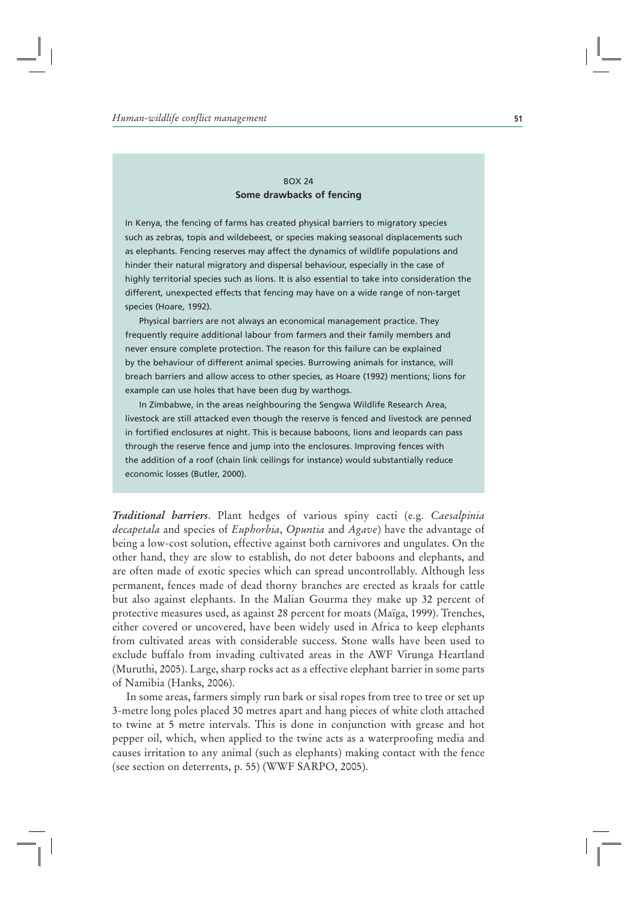## BOX 24 **Some drawbacks of fencing**

In Kenya, the fencing of farms has created physical barriers to migratory species such as zebras, topis and wildebeest, or species making seasonal displacements such as elephants. Fencing reserves may affect the dynamics of wildlife populations and hinder their natural migratory and dispersal behaviour, especially in the case of highly territorial species such as lions. It is also essential to take into consideration the different, unexpected effects that fencing may have on a wide range of non-target species (Hoare, 1992).

Physical barriers are not always an economical management practice. They frequently require additional labour from farmers and their family members and never ensure complete protection. The reason for this failure can be explained by the behaviour of different animal species. Burrowing animals for instance, will breach barriers and allow access to other species, as Hoare (1992) mentions; lions for example can use holes that have been dug by warthogs.

In Zimbabwe, in the areas neighbouring the Sengwa Wildlife Research Area, livestock are still attacked even though the reserve is fenced and livestock are penned in fortified enclosures at night. This is because baboons, lions and leopards can pass through the reserve fence and jump into the enclosures. Improving fences with the addition of a roof (chain link ceilings for instance) would substantially reduce economic losses (Butler, 2000).

*Traditional barriers*. Plant hedges of various spiny cacti (e.g. *Caesalpinia decapetala* and species of *Euphorbia*, *Opuntia* and *Agave*) have the advantage of being a low-cost solution, effective against both carnivores and ungulates. On the other hand, they are slow to establish, do not deter baboons and elephants, and are often made of exotic species which can spread uncontrollably. Although less permanent, fences made of dead thorny branches are erected as kraals for cattle but also against elephants. In the Malian Gourma they make up 32 percent of protective measures used, as against 28 percent for moats (Maïga, 1999). Trenches, either covered or uncovered, have been widely used in Africa to keep elephants from cultivated areas with considerable success. Stone walls have been used to exclude buffalo from invading cultivated areas in the AWF Virunga Heartland (Muruthi, 2005). Large, sharp rocks act as a effective elephant barrier in some parts of Namibia (Hanks, 2006).

In some areas, farmers simply run bark or sisal ropes from tree to tree or set up 3-metre long poles placed 30 metres apart and hang pieces of white cloth attached to twine at 5 metre intervals. This is done in conjunction with grease and hot pepper oil, which, when applied to the twine acts as a waterproofing media and causes irritation to any animal (such as elephants) making contact with the fence (see section on deterrents, p. 55) (WWF SARPO, 2005).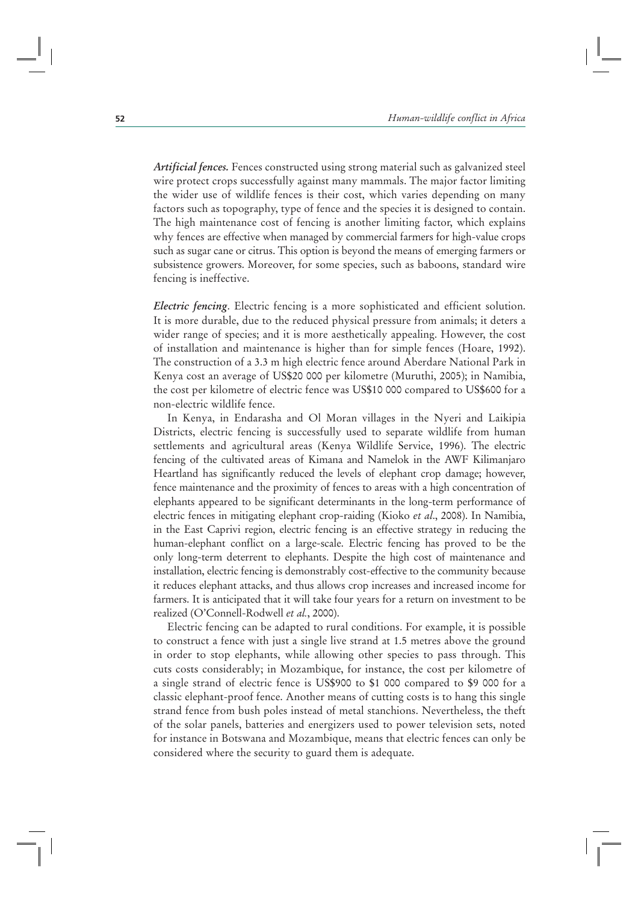*Artificial fences.* Fences constructed using strong material such as galvanized steel wire protect crops successfully against many mammals. The major factor limiting the wider use of wildlife fences is their cost, which varies depending on many factors such as topography, type of fence and the species it is designed to contain. The high maintenance cost of fencing is another limiting factor, which explains why fences are effective when managed by commercial farmers for high-value crops such as sugar cane or citrus. This option is beyond the means of emerging farmers or subsistence growers. Moreover, for some species, such as baboons, standard wire fencing is ineffective.

*Electric fencing*. Electric fencing is a more sophisticated and efficient solution. It is more durable, due to the reduced physical pressure from animals; it deters a wider range of species; and it is more aesthetically appealing. However, the cost of installation and maintenance is higher than for simple fences (Hoare, 1992). The construction of a 3.3 m high electric fence around Aberdare National Park in Kenya cost an average of US\$20 000 per kilometre (Muruthi, 2005); in Namibia, the cost per kilometre of electric fence was US\$10 000 compared to US\$600 for a non-electric wildlife fence.

In Kenya, in Endarasha and Ol Moran villages in the Nyeri and Laikipia Districts, electric fencing is successfully used to separate wildlife from human settlements and agricultural areas (Kenya Wildlife Service, 1996). The electric fencing of the cultivated areas of Kimana and Namelok in the AWF Kilimanjaro Heartland has significantly reduced the levels of elephant crop damage; however, fence maintenance and the proximity of fences to areas with a high concentration of elephants appeared to be significant determinants in the long-term performance of electric fences in mitigating elephant crop-raiding (Kioko *et al*., 2008). In Namibia, in the East Caprivi region, electric fencing is an effective strategy in reducing the human-elephant conflict on a large-scale. Electric fencing has proved to be the only long-term deterrent to elephants. Despite the high cost of maintenance and installation, electric fencing is demonstrably cost-effective to the community because it reduces elephant attacks, and thus allows crop increases and increased income for farmers. It is anticipated that it will take four years for a return on investment to be realized (O'Connell-Rodwell *et al.*, 2000).

Electric fencing can be adapted to rural conditions. For example, it is possible to construct a fence with just a single live strand at 1.5 metres above the ground in order to stop elephants, while allowing other species to pass through. This cuts costs considerably; in Mozambique, for instance, the cost per kilometre of a single strand of electric fence is US\$900 to \$1 000 compared to \$9 000 for a classic elephant-proof fence. Another means of cutting costs is to hang this single strand fence from bush poles instead of metal stanchions. Nevertheless, the theft of the solar panels, batteries and energizers used to power television sets, noted for instance in Botswana and Mozambique, means that electric fences can only be considered where the security to guard them is adequate.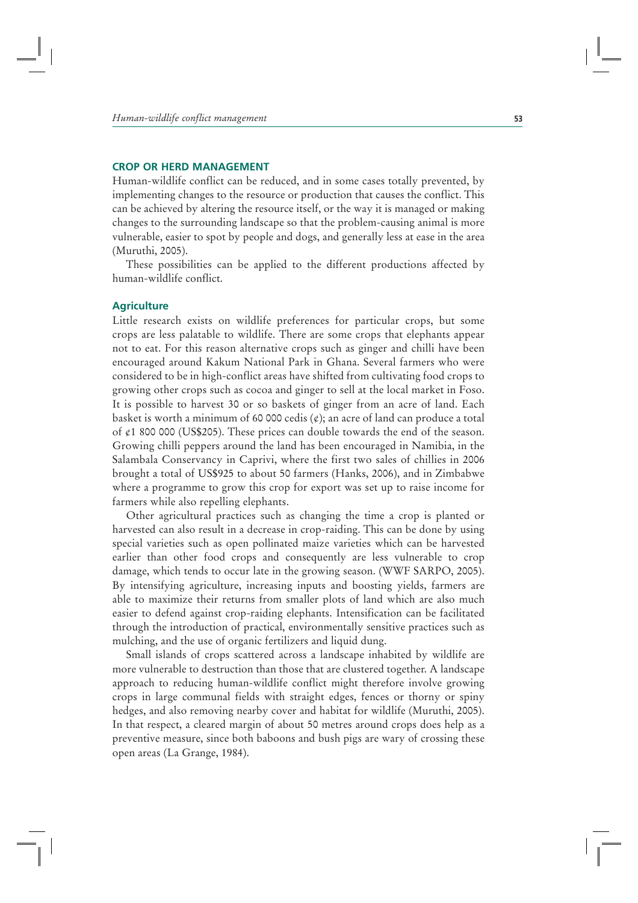## **CROP OR HERD MANAGEMENT**

Human-wildlife conflict can be reduced, and in some cases totally prevented, by implementing changes to the resource or production that causes the conflict. This can be achieved by altering the resource itself, or the way it is managed or making changes to the surrounding landscape so that the problem-causing animal is more vulnerable, easier to spot by people and dogs, and generally less at ease in the area (Muruthi, 2005).

These possibilities can be applied to the different productions affected by human-wildlife conflict.

#### **Agriculture**

Little research exists on wildlife preferences for particular crops, but some crops are less palatable to wildlife. There are some crops that elephants appear not to eat. For this reason alternative crops such as ginger and chilli have been encouraged around Kakum National Park in Ghana. Several farmers who were considered to be in high-conflict areas have shifted from cultivating food crops to growing other crops such as cocoa and ginger to sell at the local market in Foso. It is possible to harvest 30 or so baskets of ginger from an acre of land. Each basket is worth a minimum of 60 000 cedis  $(\phi)$ ; an acre of land can produce a total of ¢1 800 000 (US\$205). These prices can double towards the end of the season. Growing chilli peppers around the land has been encouraged in Namibia, in the Salambala Conservancy in Caprivi, where the first two sales of chillies in 2006 brought a total of US\$925 to about 50 farmers (Hanks, 2006), and in Zimbabwe where a programme to grow this crop for export was set up to raise income for farmers while also repelling elephants.

Other agricultural practices such as changing the time a crop is planted or harvested can also result in a decrease in crop-raiding. This can be done by using special varieties such as open pollinated maize varieties which can be harvested earlier than other food crops and consequently are less vulnerable to crop damage, which tends to occur late in the growing season. (WWF SARPO, 2005). By intensifying agriculture, increasing inputs and boosting yields, farmers are able to maximize their returns from smaller plots of land which are also much easier to defend against crop-raiding elephants. Intensification can be facilitated through the introduction of practical, environmentally sensitive practices such as mulching, and the use of organic fertilizers and liquid dung.

Small islands of crops scattered across a landscape inhabited by wildlife are more vulnerable to destruction than those that are clustered together. A landscape approach to reducing human-wildlife conflict might therefore involve growing crops in large communal fields with straight edges, fences or thorny or spiny hedges, and also removing nearby cover and habitat for wildlife (Muruthi, 2005). In that respect, a cleared margin of about 50 metres around crops does help as a preventive measure, since both baboons and bush pigs are wary of crossing these open areas (La Grange, 1984).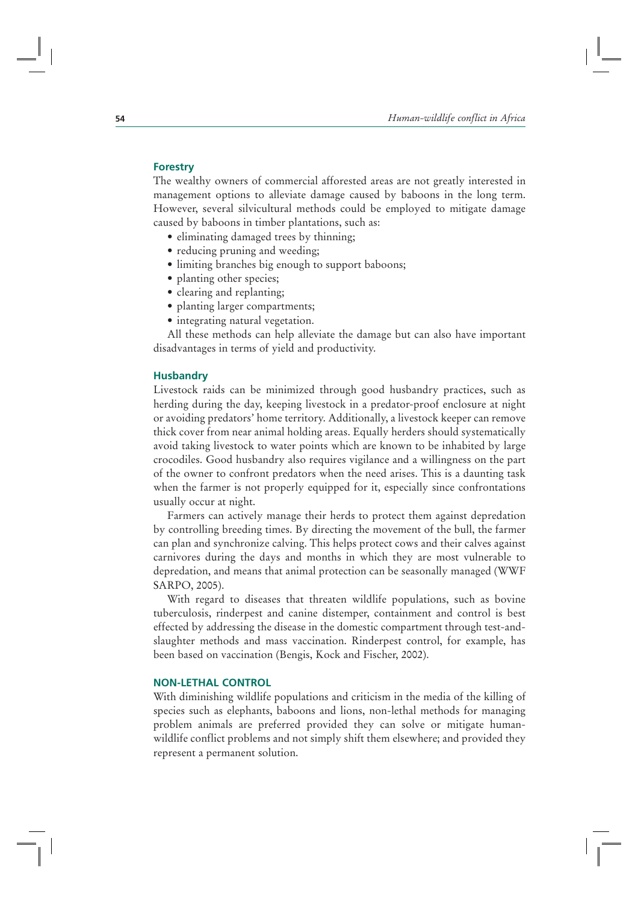## **Forestry**

The wealthy owners of commercial afforested areas are not greatly interested in management options to alleviate damage caused by baboons in the long term. However, several silvicultural methods could be employed to mitigate damage caused by baboons in timber plantations, such as:

- eliminating damaged trees by thinning;
- reducing pruning and weeding;
- limiting branches big enough to support baboons;
- planting other species;
- clearing and replanting;
- planting larger compartments;
- integrating natural vegetation.

All these methods can help alleviate the damage but can also have important disadvantages in terms of yield and productivity.

#### **Husbandry**

Livestock raids can be minimized through good husbandry practices, such as herding during the day, keeping livestock in a predator-proof enclosure at night or avoiding predators' home territory. Additionally, a livestock keeper can remove thick cover from near animal holding areas. Equally herders should systematically avoid taking livestock to water points which are known to be inhabited by large crocodiles. Good husbandry also requires vigilance and a willingness on the part of the owner to confront predators when the need arises. This is a daunting task when the farmer is not properly equipped for it, especially since confrontations usually occur at night.

Farmers can actively manage their herds to protect them against depredation by controlling breeding times. By directing the movement of the bull, the farmer can plan and synchronize calving. This helps protect cows and their calves against carnivores during the days and months in which they are most vulnerable to depredation, and means that animal protection can be seasonally managed (WWF SARPO, 2005).

With regard to diseases that threaten wildlife populations, such as bovine tuberculosis, rinderpest and canine distemper, containment and control is best effected by addressing the disease in the domestic compartment through test-andslaughter methods and mass vaccination. Rinderpest control, for example, has been based on vaccination (Bengis, Kock and Fischer, 2002).

## **NON-LETHAL CONTROL**

With diminishing wildlife populations and criticism in the media of the killing of species such as elephants, baboons and lions, non-lethal methods for managing problem animals are preferred provided they can solve or mitigate humanwildlife conflict problems and not simply shift them elsewhere; and provided they represent a permanent solution.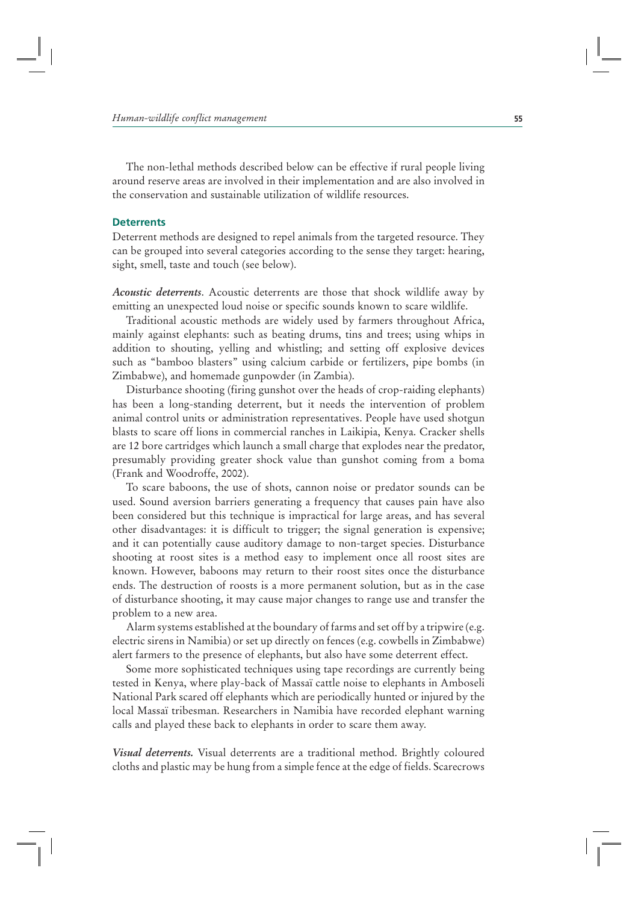The non-lethal methods described below can be effective if rural people living around reserve areas are involved in their implementation and are also involved in the conservation and sustainable utilization of wildlife resources.

#### **Deterrents**

Deterrent methods are designed to repel animals from the targeted resource. They can be grouped into several categories according to the sense they target: hearing, sight, smell, taste and touch (see below).

*Acoustic deterrents*. Acoustic deterrents are those that shock wildlife away by emitting an unexpected loud noise or specific sounds known to scare wildlife.

Traditional acoustic methods are widely used by farmers throughout Africa, mainly against elephants: such as beating drums, tins and trees; using whips in addition to shouting, yelling and whistling; and setting off explosive devices such as "bamboo blasters" using calcium carbide or fertilizers, pipe bombs (in Zimbabwe), and homemade gunpowder (in Zambia).

Disturbance shooting (firing gunshot over the heads of crop-raiding elephants) has been a long-standing deterrent, but it needs the intervention of problem animal control units or administration representatives. People have used shotgun blasts to scare off lions in commercial ranches in Laikipia, Kenya. Cracker shells are 12 bore cartridges which launch a small charge that explodes near the predator, presumably providing greater shock value than gunshot coming from a boma (Frank and Woodroffe, 2002).

To scare baboons, the use of shots, cannon noise or predator sounds can be used. Sound aversion barriers generating a frequency that causes pain have also been considered but this technique is impractical for large areas, and has several other disadvantages: it is difficult to trigger; the signal generation is expensive; and it can potentially cause auditory damage to non-target species. Disturbance shooting at roost sites is a method easy to implement once all roost sites are known. However, baboons may return to their roost sites once the disturbance ends. The destruction of roosts is a more permanent solution, but as in the case of disturbance shooting, it may cause major changes to range use and transfer the problem to a new area.

Alarm systems established at the boundary of farms and set off by a tripwire (e.g. electric sirens in Namibia) or set up directly on fences (e.g. cowbells in Zimbabwe) alert farmers to the presence of elephants, but also have some deterrent effect.

Some more sophisticated techniques using tape recordings are currently being tested in Kenya, where play-back of Massaï cattle noise to elephants in Amboseli National Park scared off elephants which are periodically hunted or injured by the local Massaï tribesman. Researchers in Namibia have recorded elephant warning calls and played these back to elephants in order to scare them away.

*Visual deterrents.* Visual deterrents are a traditional method. Brightly coloured cloths and plastic may be hung from a simple fence at the edge of fields. Scarecrows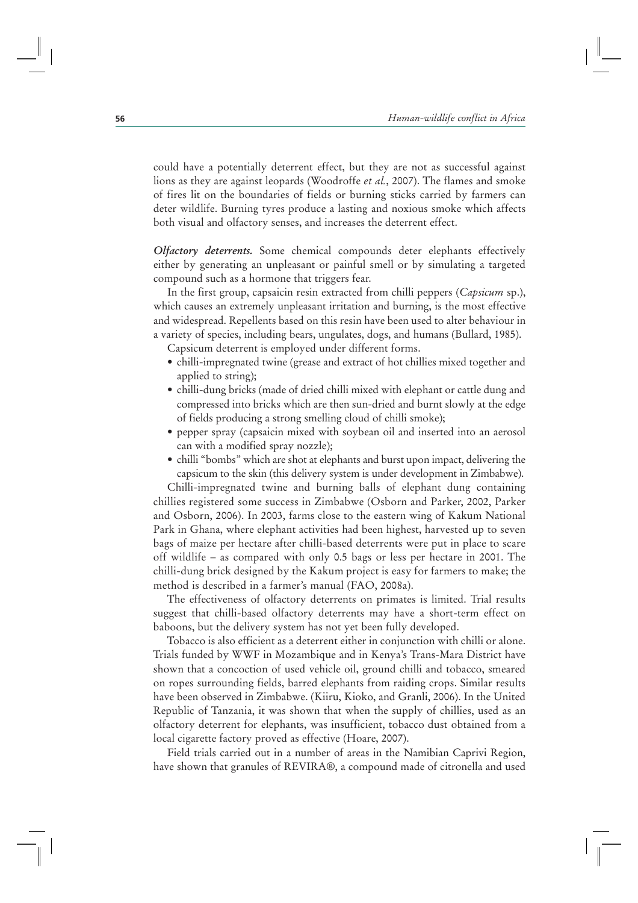could have a potentially deterrent effect, but they are not as successful against lions as they are against leopards (Woodroffe *et al.*, 2007). The flames and smoke of fires lit on the boundaries of fields or burning sticks carried by farmers can deter wildlife. Burning tyres produce a lasting and noxious smoke which affects both visual and olfactory senses, and increases the deterrent effect.

*Olfactory deterrents.* Some chemical compounds deter elephants effectively either by generating an unpleasant or painful smell or by simulating a targeted compound such as a hormone that triggers fear.

In the first group, capsaicin resin extracted from chilli peppers (*Capsicum* sp.), which causes an extremely unpleasant irritation and burning, is the most effective and widespread. Repellents based on this resin have been used to alter behaviour in a variety of species, including bears, ungulates, dogs, and humans (Bullard, 1985).

Capsicum deterrent is employed under different forms.

- chilli-impregnated twine (grease and extract of hot chillies mixed together and applied to string);
- chilli-dung bricks (made of dried chilli mixed with elephant or cattle dung and compressed into bricks which are then sun-dried and burnt slowly at the edge of fields producing a strong smelling cloud of chilli smoke);
- pepper spray (capsaicin mixed with soybean oil and inserted into an aerosol can with a modified spray nozzle);
- chilli "bombs" which are shot at elephants and burst upon impact, delivering the capsicum to the skin (this delivery system is under development in Zimbabwe).

Chilli-impregnated twine and burning balls of elephant dung containing chillies registered some success in Zimbabwe (Osborn and Parker, 2002, Parker and Osborn, 2006). In 2003, farms close to the eastern wing of Kakum National Park in Ghana, where elephant activities had been highest, harvested up to seven bags of maize per hectare after chilli-based deterrents were put in place to scare off wildlife – as compared with only 0.5 bags or less per hectare in 2001. The chilli-dung brick designed by the Kakum project is easy for farmers to make; the method is described in a farmer's manual (FAO, 2008a).

The effectiveness of olfactory deterrents on primates is limited. Trial results suggest that chilli-based olfactory deterrents may have a short-term effect on baboons, but the delivery system has not yet been fully developed.

Tobacco is also efficient as a deterrent either in conjunction with chilli or alone. Trials funded by WWF in Mozambique and in Kenya's Trans-Mara District have shown that a concoction of used vehicle oil, ground chilli and tobacco, smeared on ropes surrounding fields, barred elephants from raiding crops. Similar results have been observed in Zimbabwe. (Kiiru, Kioko, and Granli, 2006). In the United Republic of Tanzania, it was shown that when the supply of chillies, used as an olfactory deterrent for elephants, was insufficient, tobacco dust obtained from a local cigarette factory proved as effective (Hoare, 2007).

Field trials carried out in a number of areas in the Namibian Caprivi Region, have shown that granules of REVIRA®, a compound made of citronella and used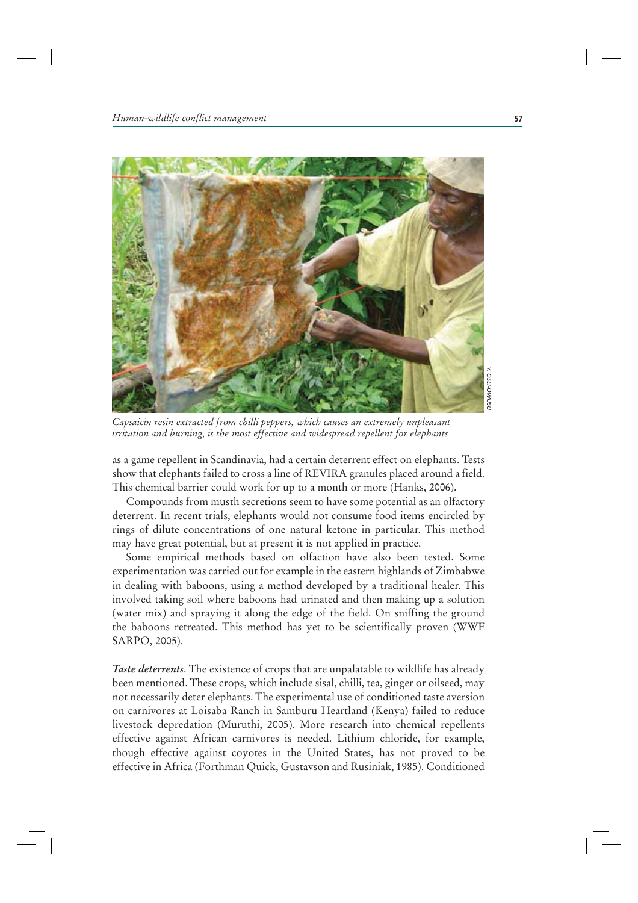

*Y. OSEI-OWUSU*

*Capsaicin resin extracted from chilli peppers, which causes an extremely unpleasant irritation and burning, is the most effective and widespread repellent for elephants*

as a game repellent in Scandinavia, had a certain deterrent effect on elephants. Tests show that elephants failed to cross a line of REVIRA granules placed around a field. This chemical barrier could work for up to a month or more (Hanks, 2006).

Compounds from musth secretions seem to have some potential as an olfactory deterrent. In recent trials, elephants would not consume food items encircled by rings of dilute concentrations of one natural ketone in particular. This method may have great potential, but at present it is not applied in practice.

Some empirical methods based on olfaction have also been tested. Some experimentation was carried out for example in the eastern highlands of Zimbabwe in dealing with baboons, using a method developed by a traditional healer. This involved taking soil where baboons had urinated and then making up a solution (water mix) and spraying it along the edge of the field. On sniffing the ground the baboons retreated. This method has yet to be scientifically proven (WWF SARPO, 2005).

*Taste deterrents*. The existence of crops that are unpalatable to wildlife has already been mentioned. These crops, which include sisal, chilli, tea, ginger or oilseed, may not necessarily deter elephants. The experimental use of conditioned taste aversion on carnivores at Loisaba Ranch in Samburu Heartland (Kenya) failed to reduce livestock depredation (Muruthi, 2005). More research into chemical repellents effective against African carnivores is needed. Lithium chloride, for example, though effective against coyotes in the United States, has not proved to be effective in Africa (Forthman Quick, Gustavson and Rusiniak, 1985). Conditioned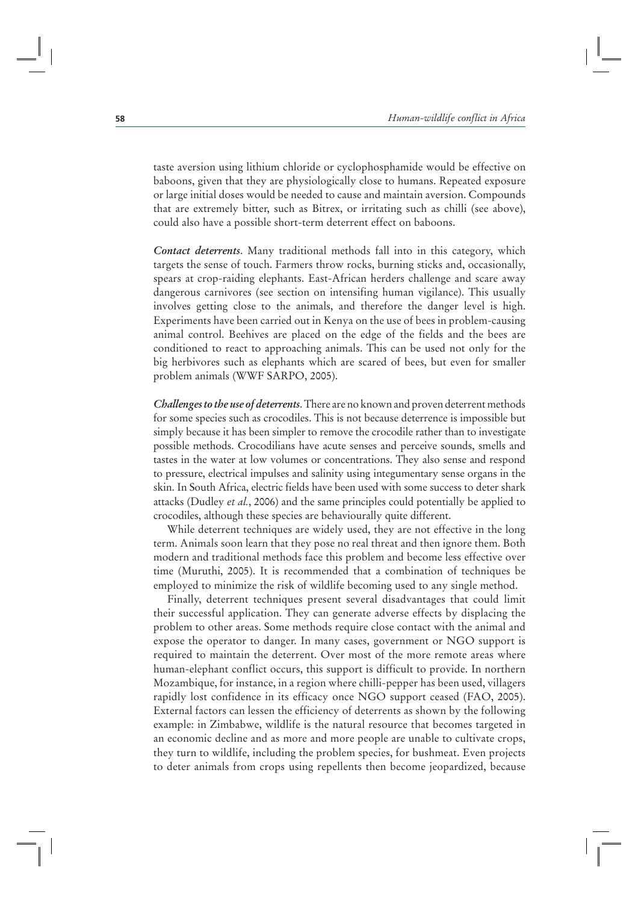taste aversion using lithium chloride or cyclophosphamide would be effective on baboons, given that they are physiologically close to humans. Repeated exposure or large initial doses would be needed to cause and maintain aversion. Compounds that are extremely bitter, such as Bitrex, or irritating such as chilli (see above), could also have a possible short-term deterrent effect on baboons.

*Contact deterrents*. Many traditional methods fall into in this category, which targets the sense of touch. Farmers throw rocks, burning sticks and, occasionally, spears at crop-raiding elephants. East-African herders challenge and scare away dangerous carnivores (see section on intensifing human vigilance). This usually involves getting close to the animals, and therefore the danger level is high. Experiments have been carried out in Kenya on the use of bees in problem-causing animal control. Beehives are placed on the edge of the fields and the bees are conditioned to react to approaching animals. This can be used not only for the big herbivores such as elephants which are scared of bees, but even for smaller problem animals (WWF SARPO, 2005).

*Challenges to the use of deterrents*. There are no known and proven deterrent methods for some species such as crocodiles. This is not because deterrence is impossible but simply because it has been simpler to remove the crocodile rather than to investigate possible methods. Crocodilians have acute senses and perceive sounds, smells and tastes in the water at low volumes or concentrations. They also sense and respond to pressure, electrical impulses and salinity using integumentary sense organs in the skin. In South Africa, electric fields have been used with some success to deter shark attacks (Dudley *et al.*, 2006) and the same principles could potentially be applied to crocodiles, although these species are behaviourally quite different.

While deterrent techniques are widely used, they are not effective in the long term. Animals soon learn that they pose no real threat and then ignore them. Both modern and traditional methods face this problem and become less effective over time (Muruthi, 2005). It is recommended that a combination of techniques be employed to minimize the risk of wildlife becoming used to any single method.

Finally, deterrent techniques present several disadvantages that could limit their successful application. They can generate adverse effects by displacing the problem to other areas. Some methods require close contact with the animal and expose the operator to danger. In many cases, government or NGO support is required to maintain the deterrent. Over most of the more remote areas where human-elephant conflict occurs, this support is difficult to provide. In northern Mozambique, for instance, in a region where chilli-pepper has been used, villagers rapidly lost confidence in its efficacy once NGO support ceased (FAO, 2005). External factors can lessen the efficiency of deterrents as shown by the following example: in Zimbabwe, wildlife is the natural resource that becomes targeted in an economic decline and as more and more people are unable to cultivate crops, they turn to wildlife, including the problem species, for bushmeat. Even projects to deter animals from crops using repellents then become jeopardized, because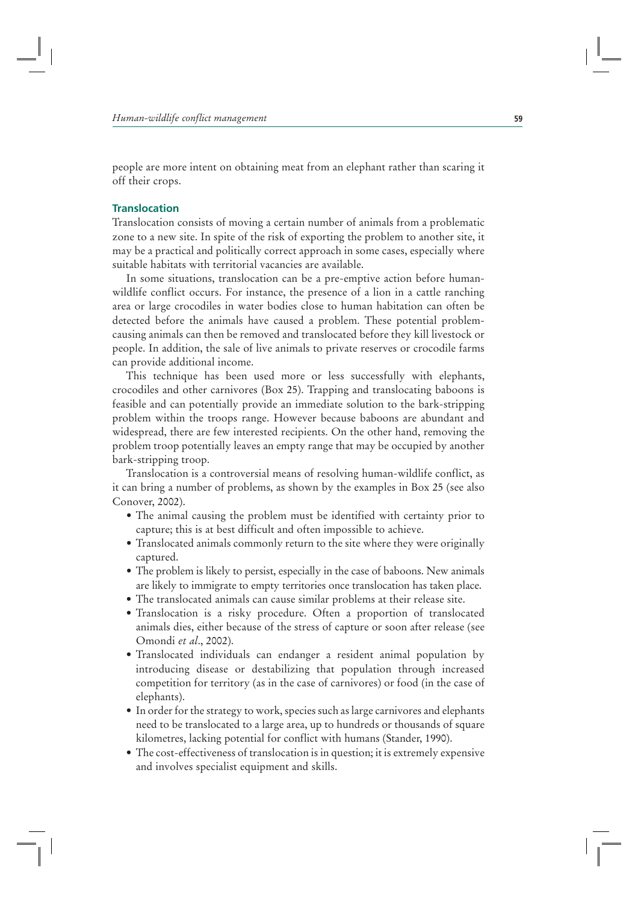people are more intent on obtaining meat from an elephant rather than scaring it off their crops.

## **Translocation**

Translocation consists of moving a certain number of animals from a problematic zone to a new site. In spite of the risk of exporting the problem to another site, it may be a practical and politically correct approach in some cases, especially where suitable habitats with territorial vacancies are available.

In some situations, translocation can be a pre-emptive action before humanwildlife conflict occurs. For instance, the presence of a lion in a cattle ranching area or large crocodiles in water bodies close to human habitation can often be detected before the animals have caused a problem. These potential problemcausing animals can then be removed and translocated before they kill livestock or people. In addition, the sale of live animals to private reserves or crocodile farms can provide additional income.

This technique has been used more or less successfully with elephants, crocodiles and other carnivores (Box 25). Trapping and translocating baboons is feasible and can potentially provide an immediate solution to the bark-stripping problem within the troops range. However because baboons are abundant and widespread, there are few interested recipients. On the other hand, removing the problem troop potentially leaves an empty range that may be occupied by another bark-stripping troop.

Translocation is a controversial means of resolving human-wildlife conflict, as it can bring a number of problems, as shown by the examples in Box 25 (see also Conover, 2002).

- The animal causing the problem must be identified with certainty prior to capture; this is at best difficult and often impossible to achieve.
- Translocated animals commonly return to the site where they were originally captured.
- The problem is likely to persist, especially in the case of baboons. New animals are likely to immigrate to empty territories once translocation has taken place.
- The translocated animals can cause similar problems at their release site.
- Translocation is a risky procedure. Often a proportion of translocated animals dies, either because of the stress of capture or soon after release (see Omondi *et al*., 2002).
- Translocated individuals can endanger a resident animal population by introducing disease or destabilizing that population through increased competition for territory (as in the case of carnivores) or food (in the case of elephants).
- In order for the strategy to work, species such as large carnivores and elephants need to be translocated to a large area, up to hundreds or thousands of square kilometres, lacking potential for conflict with humans (Stander, 1990).
- The cost-effectiveness of translocation is in question; it is extremely expensive and involves specialist equipment and skills.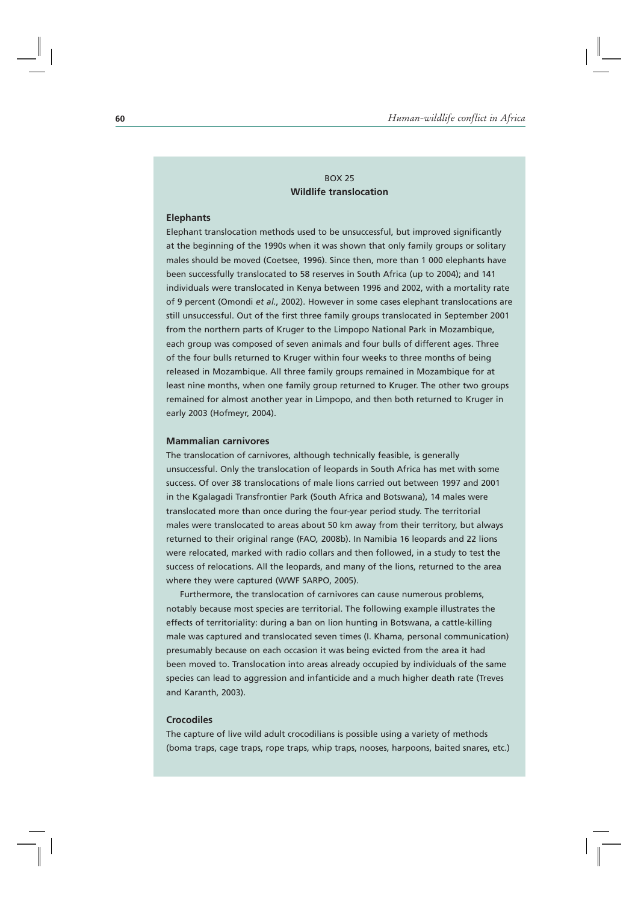## $ROX 25$ **Wildlife translocation**

## **Elephants**

Elephant translocation methods used to be unsuccessful, but improved significantly at the beginning of the 1990s when it was shown that only family groups or solitary males should be moved (Coetsee, 1996). Since then, more than 1 000 elephants have been successfully translocated to 58 reserves in South Africa (up to 2004); and 141 individuals were translocated in Kenya between 1996 and 2002, with a mortality rate of 9 percent (Omondi *et al.*, 2002). However in some cases elephant translocations are still unsuccessful. Out of the first three family groups translocated in September 2001 from the northern parts of Kruger to the Limpopo National Park in Mozambique, each group was composed of seven animals and four bulls of different ages. Three of the four bulls returned to Kruger within four weeks to three months of being released in Mozambique. All three family groups remained in Mozambique for at least nine months, when one family group returned to Kruger. The other two groups remained for almost another year in Limpopo, and then both returned to Kruger in early 2003 (Hofmeyr, 2004).

#### **Mammalian carnivores**

The translocation of carnivores, although technically feasible, is generally unsuccessful. Only the translocation of leopards in South Africa has met with some success. Of over 38 translocations of male lions carried out between 1997 and 2001 in the Kgalagadi Transfrontier Park (South Africa and Botswana), 14 males were translocated more than once during the four-year period study. The territorial males were translocated to areas about 50 km away from their territory, but always returned to their original range (FAO*,* 2008b). In Namibia 16 leopards and 22 lions were relocated, marked with radio collars and then followed, in a study to test the success of relocations. All the leopards, and many of the lions, returned to the area where they were captured (WWF SARPO, 2005).

Furthermore, the translocation of carnivores can cause numerous problems, notably because most species are territorial. The following example illustrates the effects of territoriality: during a ban on lion hunting in Botswana, a cattle-killing male was captured and translocated seven times (I. Khama, personal communication) presumably because on each occasion it was being evicted from the area it had been moved to. Translocation into areas already occupied by individuals of the same species can lead to aggression and infanticide and a much higher death rate (Treves and Karanth, 2003).

#### **Crocodiles**

The capture of live wild adult crocodilians is possible using a variety of methods (boma traps, cage traps, rope traps, whip traps, nooses, harpoons, baited snares, etc.)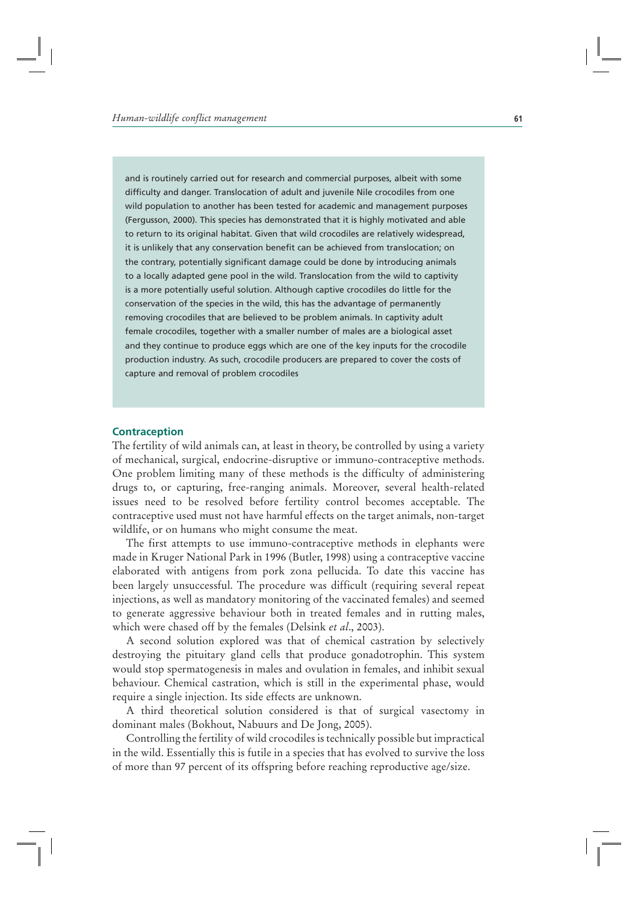and is routinely carried out for research and commercial purposes, albeit with some difficulty and danger. Translocation of adult and juvenile Nile crocodiles from one wild population to another has been tested for academic and management purposes (Fergusson, 2000). This species has demonstrated that it is highly motivated and able to return to its original habitat. Given that wild crocodiles are relatively widespread, it is unlikely that any conservation benefit can be achieved from translocation; on the contrary, potentially significant damage could be done by introducing animals to a locally adapted gene pool in the wild. Translocation from the wild to captivity is a more potentially useful solution. Although captive crocodiles do little for the conservation of the species in the wild, this has the advantage of permanently removing crocodiles that are believed to be problem animals. In captivity adult female crocodiles, together with a smaller number of males are a biological asset and they continue to produce eggs which are one of the key inputs for the crocodile production industry. As such, crocodile producers are prepared to cover the costs of capture and removal of problem crocodiles

#### **Contraception**

The fertility of wild animals can, at least in theory, be controlled by using a variety of mechanical, surgical, endocrine-disruptive or immuno-contraceptive methods. One problem limiting many of these methods is the difficulty of administering drugs to, or capturing, free-ranging animals. Moreover, several health-related issues need to be resolved before fertility control becomes acceptable. The contraceptive used must not have harmful effects on the target animals, non-target wildlife, or on humans who might consume the meat.

The first attempts to use immuno-contraceptive methods in elephants were made in Kruger National Park in 1996 (Butler, 1998) using a contraceptive vaccine elaborated with antigens from pork zona pellucida. To date this vaccine has been largely unsuccessful. The procedure was difficult (requiring several repeat injections, as well as mandatory monitoring of the vaccinated females) and seemed to generate aggressive behaviour both in treated females and in rutting males, which were chased off by the females (Delsink *et al*., 2003).

A second solution explored was that of chemical castration by selectively destroying the pituitary gland cells that produce gonadotrophin. This system would stop spermatogenesis in males and ovulation in females, and inhibit sexual behaviour. Chemical castration, which is still in the experimental phase, would require a single injection. Its side effects are unknown.

A third theoretical solution considered is that of surgical vasectomy in dominant males (Bokhout, Nabuurs and De Jong, 2005).

Controlling the fertility of wild crocodiles is technically possible but impractical in the wild. Essentially this is futile in a species that has evolved to survive the loss of more than 97 percent of its offspring before reaching reproductive age/size.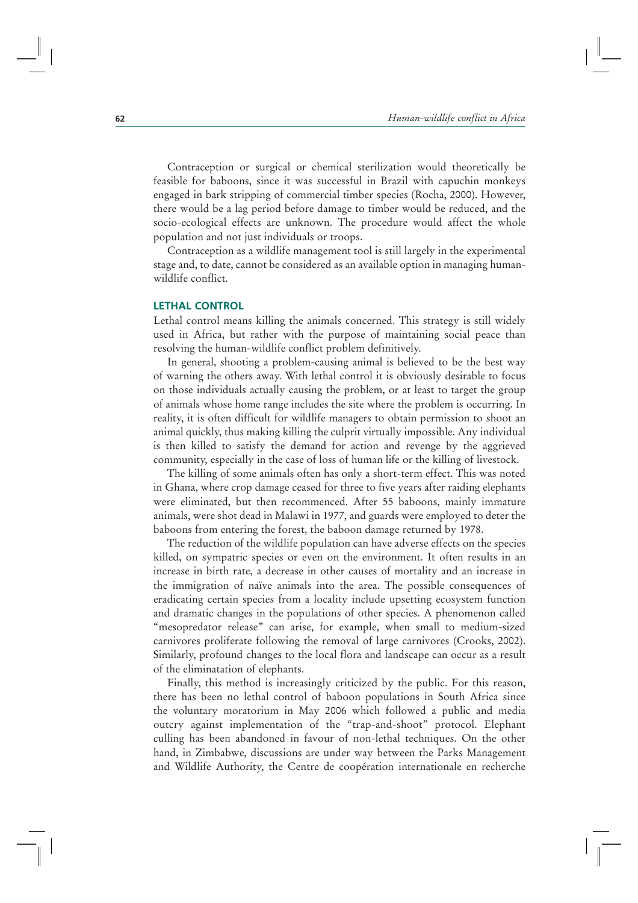Contraception or surgical or chemical sterilization would theoretically be feasible for baboons, since it was successful in Brazil with capuchin monkeys engaged in bark stripping of commercial timber species (Rocha, 2000). However, there would be a lag period before damage to timber would be reduced, and the socio-ecological effects are unknown. The procedure would affect the whole population and not just individuals or troops.

Contraception as a wildlife management tool is still largely in the experimental stage and, to date, cannot be considered as an available option in managing humanwildlife conflict.

#### **LETHAL CONTROL**

Lethal control means killing the animals concerned. This strategy is still widely used in Africa, but rather with the purpose of maintaining social peace than resolving the human-wildlife conflict problem definitively.

In general, shooting a problem-causing animal is believed to be the best way of warning the others away. With lethal control it is obviously desirable to focus on those individuals actually causing the problem, or at least to target the group of animals whose home range includes the site where the problem is occurring. In reality, it is often difficult for wildlife managers to obtain permission to shoot an animal quickly, thus making killing the culprit virtually impossible. Any individual is then killed to satisfy the demand for action and revenge by the aggrieved community, especially in the case of loss of human life or the killing of livestock.

The killing of some animals often has only a short-term effect. This was noted in Ghana, where crop damage ceased for three to five years after raiding elephants were eliminated, but then recommenced. After 55 baboons, mainly immature animals, were shot dead in Malawi in 1977, and guards were employed to deter the baboons from entering the forest, the baboon damage returned by 1978.

The reduction of the wildlife population can have adverse effects on the species killed, on sympatric species or even on the environment. It often results in an increase in birth rate, a decrease in other causes of mortality and an increase in the immigration of naïve animals into the area. The possible consequences of eradicating certain species from a locality include upsetting ecosystem function and dramatic changes in the populations of other species. A phenomenon called "mesopredator release" can arise, for example, when small to medium-sized carnivores proliferate following the removal of large carnivores (Crooks, 2002). Similarly, profound changes to the local flora and landscape can occur as a result of the eliminatation of elephants.

Finally, this method is increasingly criticized by the public. For this reason, there has been no lethal control of baboon populations in South Africa since the voluntary moratorium in May 2006 which followed a public and media outcry against implementation of the "trap-and-shoot" protocol. Elephant culling has been abandoned in favour of non-lethal techniques. On the other hand, in Zimbabwe, discussions are under way between the Parks Management and Wildlife Authority, the Centre de coopération internationale en recherche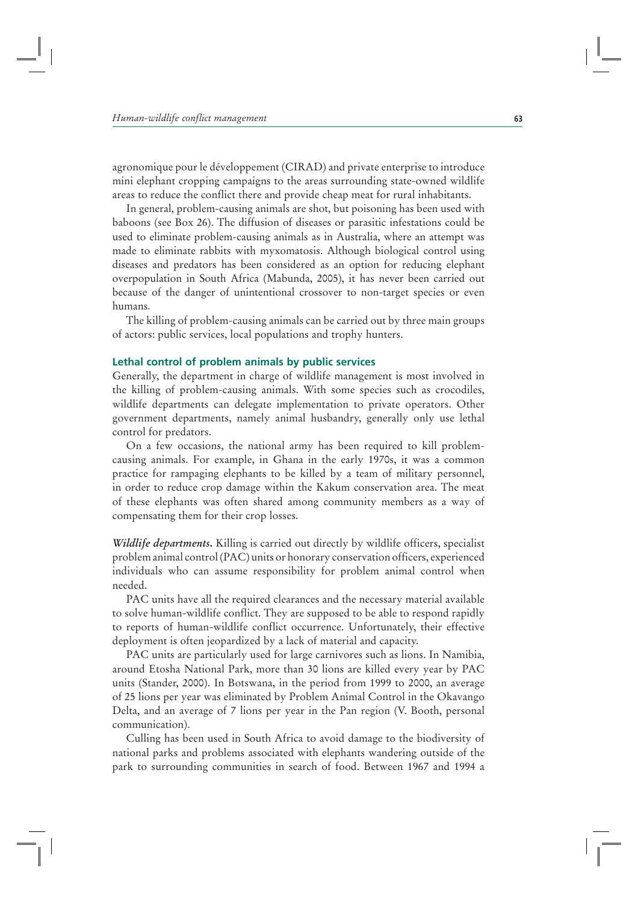agronomique pour le développement (CIRAD) and private enterprise to introduce mini elephant cropping campaigns to the areas surrounding state-owned wildlife areas to reduce the conflict there and provide cheap meat for rural inhabitants.

In general, problem-causing animals are shot, but poisoning has been used with baboons (see Box 26). The diffusion of diseases or parasitic infestations could be used to eliminate problem-causing animals as in Australia, where an attempt was made to eliminate rabbits with myxomatosis. Although biological control using diseases and predators has been considered as an option for reducing elephant overpopulation in South Africa (Mabunda, 2005), it has never been carried out because of the danger of unintentional crossover to non-target species or even humans.

The killing of problem-causing animals can be carried out by three main groups of actors: public services, local populations and trophy hunters.

## **Lethal control of problem animals by public services**

Generally, the department in charge of wildlife management is most involved in the killing of problem-causing animals. With some species such as crocodiles, wildlife departments can delegate implementation to private operators. Other government departments, namely animal husbandry, generally only use lethal control for predators.

On a few occasions, the national army has been required to kill problemcausing animals. For example, in Ghana in the early 1970s, it was a common practice for rampaging elephants to be killed by a team of military personnel, in order to reduce crop damage within the Kakum conservation area. The meat of these elephants was often shared among community members as a way of compensating them for their crop losses.

*Wildlife departments***.** Killing is carried out directly by wildlife officers, specialist problem animal control (PAC) units or honorary conservation officers, experienced individuals who can assume responsibility for problem animal control when needed.

PAC units have all the required clearances and the necessary material available to solve human-wildlife conflict. They are supposed to be able to respond rapidly to reports of human-wildlife conflict occurrence. Unfortunately, their effective deployment is often jeopardized by a lack of material and capacity.

PAC units are particularly used for large carnivores such as lions. In Namibia, around Etosha National Park, more than 30 lions are killed every year by PAC units (Stander, 2000). In Botswana, in the period from 1999 to 2000, an average of 25 lions per year was eliminated by Problem Animal Control in the Okavango Delta, and an average of 7 lions per year in the Pan region (V. Booth, personal communication).

Culling has been used in South Africa to avoid damage to the biodiversity of national parks and problems associated with elephants wandering outside of the park to surrounding communities in search of food. Between 1967 and 1994 a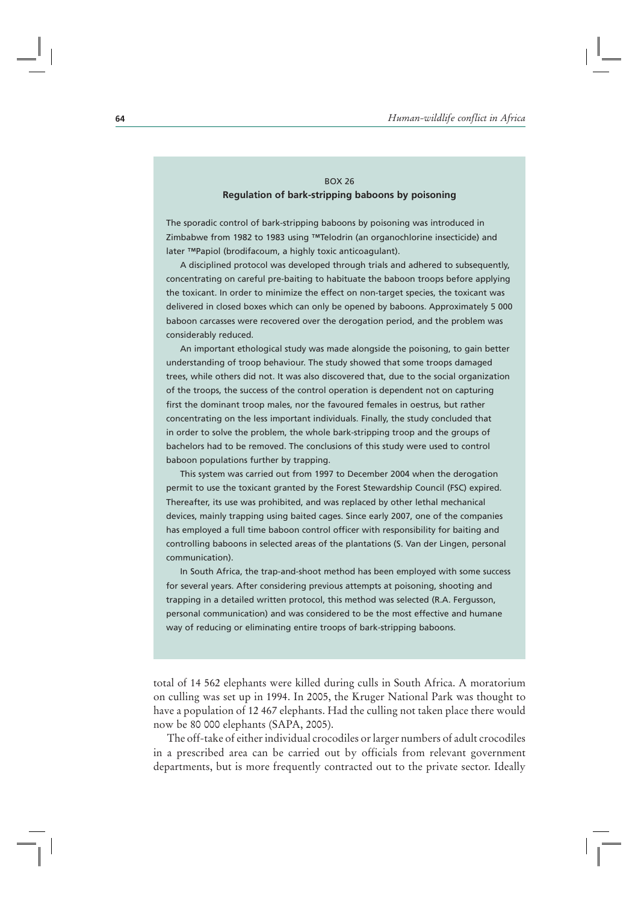# BOX 26 **Regulation of bark-stripping baboons by poisoning**

The sporadic control of bark-stripping baboons by poisoning was introduced in Zimbabwe from 1982 to 1983 using ™Telodrin (an organochlorine insecticide) and later ™Papiol (brodifacoum, a highly toxic anticoagulant).

A disciplined protocol was developed through trials and adhered to subsequently, concentrating on careful pre-baiting to habituate the baboon troops before applying the toxicant. In order to minimize the effect on non-target species, the toxicant was delivered in closed boxes which can only be opened by baboons. Approximately 5 000 baboon carcasses were recovered over the derogation period, and the problem was considerably reduced.

An important ethological study was made alongside the poisoning, to gain better understanding of troop behaviour. The study showed that some troops damaged trees, while others did not. It was also discovered that, due to the social organization of the troops, the success of the control operation is dependent not on capturing first the dominant troop males, nor the favoured females in oestrus, but rather concentrating on the less important individuals. Finally, the study concluded that in order to solve the problem, the whole bark-stripping troop and the groups of bachelors had to be removed. The conclusions of this study were used to control baboon populations further by trapping.

This system was carried out from 1997 to December 2004 when the derogation permit to use the toxicant granted by the Forest Stewardship Council (FSC) expired. Thereafter, its use was prohibited, and was replaced by other lethal mechanical devices, mainly trapping using baited cages. Since early 2007, one of the companies has employed a full time baboon control officer with responsibility for baiting and controlling baboons in selected areas of the plantations (S. Van der Lingen, personal communication).

In South Africa, the trap-and-shoot method has been employed with some success for several years. After considering previous attempts at poisoning, shooting and trapping in a detailed written protocol, this method was selected (R.A. Fergusson, personal communication) and was considered to be the most effective and humane way of reducing or eliminating entire troops of bark-stripping baboons.

total of 14 562 elephants were killed during culls in South Africa. A moratorium on culling was set up in 1994. In 2005, the Kruger National Park was thought to have a population of 12 467 elephants. Had the culling not taken place there would now be 80 000 elephants (SAPA, 2005).

The off-take of either individual crocodiles or larger numbers of adult crocodiles in a prescribed area can be carried out by officials from relevant government departments, but is more frequently contracted out to the private sector. Ideally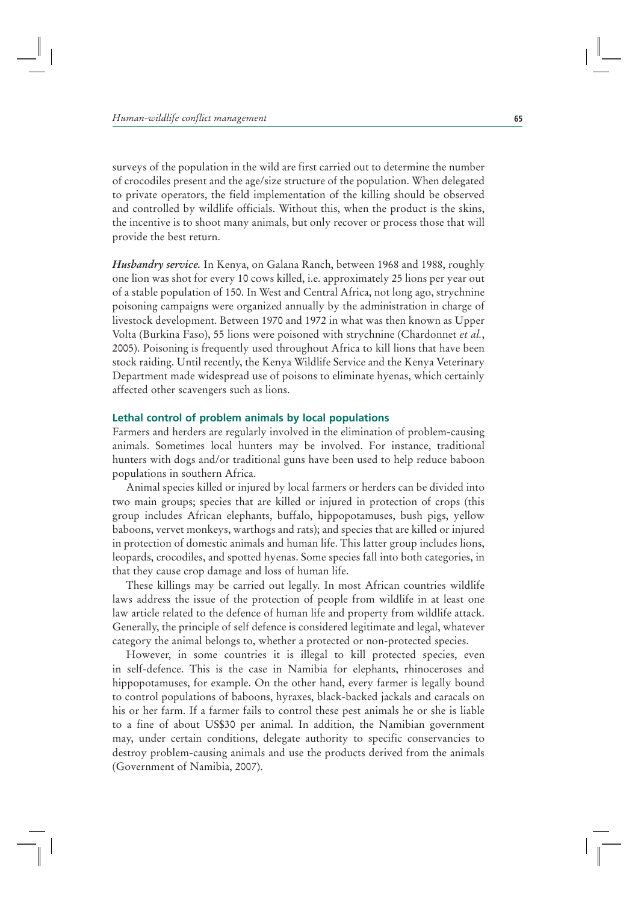surveys of the population in the wild are first carried out to determine the number of crocodiles present and the age/size structure of the population. When delegated to private operators, the field implementation of the killing should be observed and controlled by wildlife officials. Without this, when the product is the skins, the incentive is to shoot many animals, but only recover or process those that will provide the best return.

*Husbandry service.* In Kenya, on Galana Ranch, between 1968 and 1988, roughly one lion was shot for every 10 cows killed, i.e. approximately 25 lions per year out of a stable population of 150. In West and Central Africa, not long ago, strychnine poisoning campaigns were organized annually by the administration in charge of livestock development. Between 1970 and 1972 in what was then known as Upper Volta (Burkina Faso), 55 lions were poisoned with strychnine (Chardonnet *et al.*, 2005). Poisoning is frequently used throughout Africa to kill lions that have been stock raiding. Until recently, the Kenya Wildlife Service and the Kenya Veterinary Department made widespread use of poisons to eliminate hyenas, which certainly affected other scavengers such as lions.

## **Lethal control of problem animals by local populations**

Farmers and herders are regularly involved in the elimination of problem-causing animals. Sometimes local hunters may be involved. For instance, traditional hunters with dogs and/or traditional guns have been used to help reduce baboon populations in southern Africa.

Animal species killed or injured by local farmers or herders can be divided into two main groups; species that are killed or injured in protection of crops (this group includes African elephants, buffalo, hippopotamuses, bush pigs, yellow baboons, vervet monkeys, warthogs and rats); and species that are killed or injured in protection of domestic animals and human life. This latter group includes lions, leopards, crocodiles, and spotted hyenas. Some species fall into both categories, in that they cause crop damage and loss of human life.

These killings may be carried out legally. In most African countries wildlife laws address the issue of the protection of people from wildlife in at least one law article related to the defence of human life and property from wildlife attack. Generally, the principle of self defence is considered legitimate and legal, whatever category the animal belongs to, whether a protected or non-protected species.

However, in some countries it is illegal to kill protected species, even in self-defence. This is the case in Namibia for elephants, rhinoceroses and hippopotamuses, for example. On the other hand, every farmer is legally bound to control populations of baboons, hyraxes, black-backed jackals and caracals on his or her farm. If a farmer fails to control these pest animals he or she is liable to a fine of about US\$30 per animal. In addition, the Namibian government may, under certain conditions, delegate authority to specific conservancies to destroy problem-causing animals and use the products derived from the animals (Government of Namibia, 2007).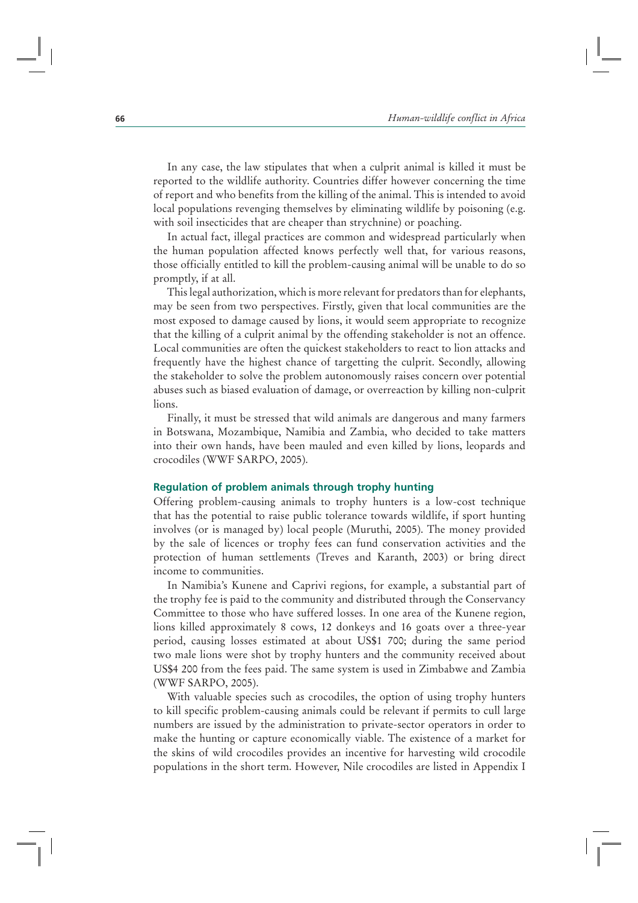In any case, the law stipulates that when a culprit animal is killed it must be reported to the wildlife authority. Countries differ however concerning the time of report and who benefits from the killing of the animal. This is intended to avoid local populations revenging themselves by eliminating wildlife by poisoning (e.g. with soil insecticides that are cheaper than strychnine) or poaching.

In actual fact, illegal practices are common and widespread particularly when the human population affected knows perfectly well that, for various reasons, those officially entitled to kill the problem-causing animal will be unable to do so promptly, if at all.

This legal authorization, which is more relevant for predators than for elephants, may be seen from two perspectives. Firstly, given that local communities are the most exposed to damage caused by lions, it would seem appropriate to recognize that the killing of a culprit animal by the offending stakeholder is not an offence. Local communities are often the quickest stakeholders to react to lion attacks and frequently have the highest chance of targetting the culprit. Secondly, allowing the stakeholder to solve the problem autonomously raises concern over potential abuses such as biased evaluation of damage, or overreaction by killing non-culprit lions.

Finally, it must be stressed that wild animals are dangerous and many farmers in Botswana, Mozambique, Namibia and Zambia, who decided to take matters into their own hands, have been mauled and even killed by lions, leopards and crocodiles (WWF SARPO, 2005).

#### **Regulation of problem animals through trophy hunting**

Offering problem-causing animals to trophy hunters is a low-cost technique that has the potential to raise public tolerance towards wildlife, if sport hunting involves (or is managed by) local people (Muruthi, 2005). The money provided by the sale of licences or trophy fees can fund conservation activities and the protection of human settlements (Treves and Karanth, 2003) or bring direct income to communities.

In Namibia's Kunene and Caprivi regions, for example, a substantial part of the trophy fee is paid to the community and distributed through the Conservancy Committee to those who have suffered losses. In one area of the Kunene region, lions killed approximately 8 cows, 12 donkeys and 16 goats over a three-year period, causing losses estimated at about US\$1 700; during the same period two male lions were shot by trophy hunters and the community received about US\$4 200 from the fees paid. The same system is used in Zimbabwe and Zambia (WWF SARPO, 2005).

With valuable species such as crocodiles, the option of using trophy hunters to kill specific problem-causing animals could be relevant if permits to cull large numbers are issued by the administration to private-sector operators in order to make the hunting or capture economically viable. The existence of a market for the skins of wild crocodiles provides an incentive for harvesting wild crocodile populations in the short term. However, Nile crocodiles are listed in Appendix I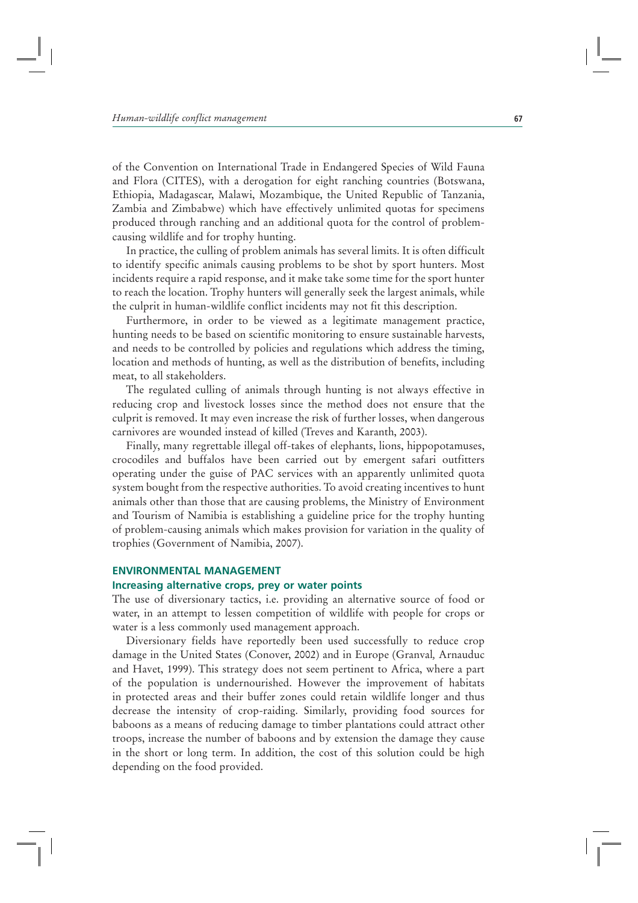of the Convention on International Trade in Endangered Species of Wild Fauna and Flora (CITES), with a derogation for eight ranching countries (Botswana, Ethiopia, Madagascar, Malawi, Mozambique, the United Republic of Tanzania, Zambia and Zimbabwe) which have effectively unlimited quotas for specimens produced through ranching and an additional quota for the control of problemcausing wildlife and for trophy hunting.

In practice, the culling of problem animals has several limits. It is often difficult to identify specific animals causing problems to be shot by sport hunters. Most incidents require a rapid response, and it make take some time for the sport hunter to reach the location. Trophy hunters will generally seek the largest animals, while the culprit in human-wildlife conflict incidents may not fit this description.

Furthermore, in order to be viewed as a legitimate management practice, hunting needs to be based on scientific monitoring to ensure sustainable harvests, and needs to be controlled by policies and regulations which address the timing, location and methods of hunting, as well as the distribution of benefits, including meat, to all stakeholders.

The regulated culling of animals through hunting is not always effective in reducing crop and livestock losses since the method does not ensure that the culprit is removed. It may even increase the risk of further losses, when dangerous carnivores are wounded instead of killed (Treves and Karanth, 2003).

Finally, many regrettable illegal off-takes of elephants, lions, hippopotamuses, crocodiles and buffalos have been carried out by emergent safari outfitters operating under the guise of PAC services with an apparently unlimited quota system bought from the respective authorities. To avoid creating incentives to hunt animals other than those that are causing problems, the Ministry of Environment and Tourism of Namibia is establishing a guideline price for the trophy hunting of problem-causing animals which makes provision for variation in the quality of trophies (Government of Namibia, 2007).

# **ENVIRONMENTAL MANAGEMENT**

# **Increasing alternative crops, prey or water points**

The use of diversionary tactics, i.e. providing an alternative source of food or water, in an attempt to lessen competition of wildlife with people for crops or water is a less commonly used management approach.

Diversionary fields have reportedly been used successfully to reduce crop damage in the United States (Conover, 2002) and in Europe (Granval*,* Arnauduc and Havet, 1999). This strategy does not seem pertinent to Africa, where a part of the population is undernourished. However the improvement of habitats in protected areas and their buffer zones could retain wildlife longer and thus decrease the intensity of crop-raiding. Similarly, providing food sources for baboons as a means of reducing damage to timber plantations could attract other troops, increase the number of baboons and by extension the damage they cause in the short or long term. In addition, the cost of this solution could be high depending on the food provided.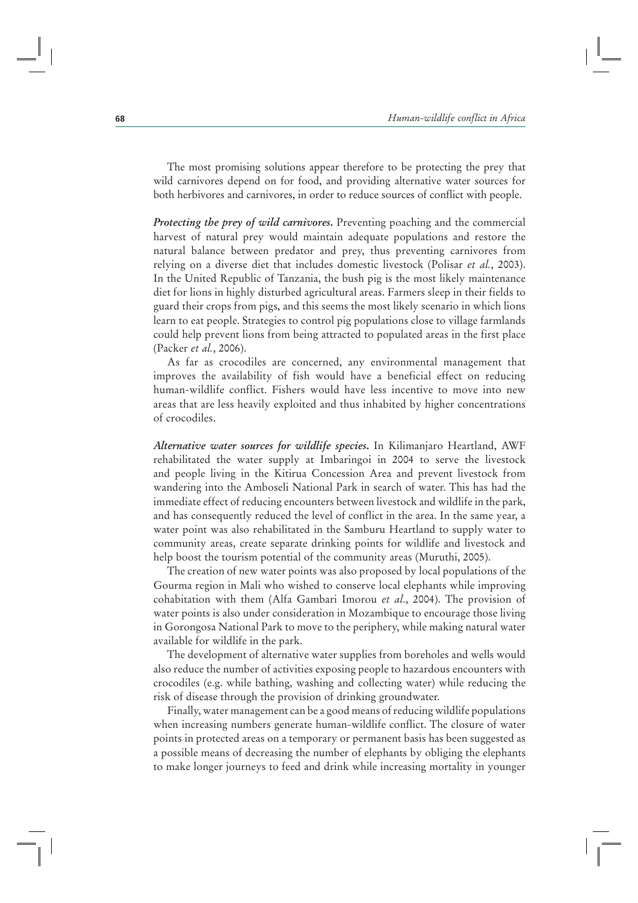The most promising solutions appear therefore to be protecting the prey that wild carnivores depend on for food, and providing alternative water sources for both herbivores and carnivores, in order to reduce sources of conflict with people.

*Protecting the prey of wild carnivores***.** Preventing poaching and the commercial harvest of natural prey would maintain adequate populations and restore the natural balance between predator and prey, thus preventing carnivores from relying on a diverse diet that includes domestic livestock (Polisar *et al.*, 2003). In the United Republic of Tanzania, the bush pig is the most likely maintenance diet for lions in highly disturbed agricultural areas. Farmers sleep in their fields to guard their crops from pigs, and this seems the most likely scenario in which lions learn to eat people. Strategies to control pig populations close to village farmlands could help prevent lions from being attracted to populated areas in the first place (Packer *et al.*, 2006).

As far as crocodiles are concerned, any environmental management that improves the availability of fish would have a beneficial effect on reducing human-wildlife conflict. Fishers would have less incentive to move into new areas that are less heavily exploited and thus inhabited by higher concentrations of crocodiles.

*Alternative water sources for wildlife species***.** In Kilimanjaro Heartland, AWF rehabilitated the water supply at Imbaringoi in 2004 to serve the livestock and people living in the Kitirua Concession Area and prevent livestock from wandering into the Amboseli National Park in search of water. This has had the immediate effect of reducing encounters between livestock and wildlife in the park, and has consequently reduced the level of conflict in the area. In the same year, a water point was also rehabilitated in the Samburu Heartland to supply water to community areas, create separate drinking points for wildlife and livestock and help boost the tourism potential of the community areas (Muruthi, 2005).

The creation of new water points was also proposed by local populations of the Gourma region in Mali who wished to conserve local elephants while improving cohabitation with them (Alfa Gambari Imorou *et al*., 2004). The provision of water points is also under consideration in Mozambique to encourage those living in Gorongosa National Park to move to the periphery, while making natural water available for wildlife in the park.

The development of alternative water supplies from boreholes and wells would also reduce the number of activities exposing people to hazardous encounters with crocodiles (e.g. while bathing, washing and collecting water) while reducing the risk of disease through the provision of drinking groundwater.

Finally, water management can be a good means of reducing wildlife populations when increasing numbers generate human-wildlife conflict. The closure of water points in protected areas on a temporary or permanent basis has been suggested as a possible means of decreasing the number of elephants by obliging the elephants to make longer journeys to feed and drink while increasing mortality in younger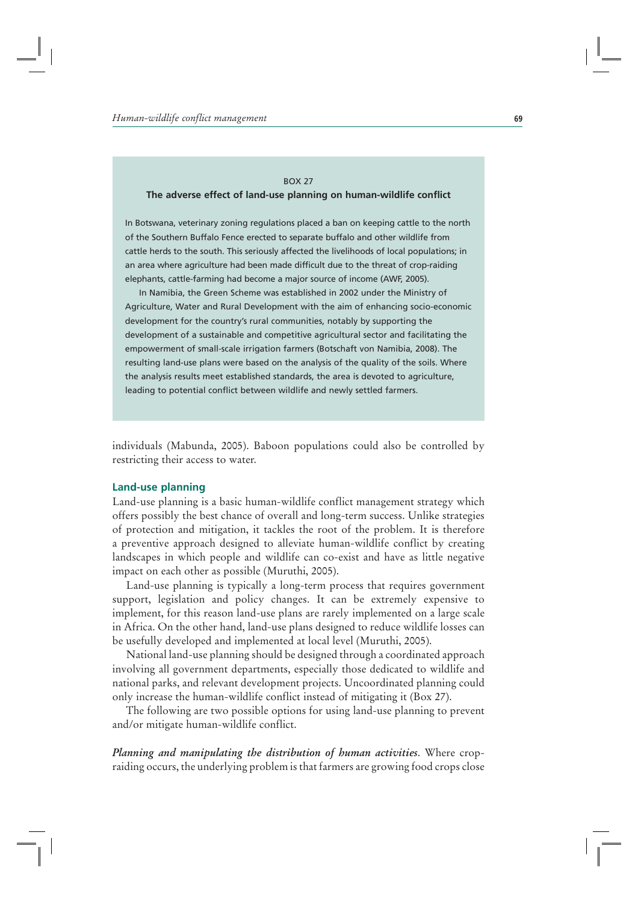# BOX 27 **The adverse effect of land-use planning on human-wildlife conflict**

In Botswana, veterinary zoning regulations placed a ban on keeping cattle to the north of the Southern Buffalo Fence erected to separate buffalo and other wildlife from cattle herds to the south. This seriously affected the livelihoods of local populations; in an area where agriculture had been made difficult due to the threat of crop-raiding elephants, cattle-farming had become a major source of income (AWF, 2005).

In Namibia, the Green Scheme was established in 2002 under the Ministry of Agriculture, Water and Rural Development with the aim of enhancing socio-economic development for the country's rural communities, notably by supporting the development of a sustainable and competitive agricultural sector and facilitating the empowerment of small-scale irrigation farmers (Botschaft von Namibia, 2008). The resulting land-use plans were based on the analysis of the quality of the soils. Where the analysis results meet established standards, the area is devoted to agriculture, leading to potential conflict between wildlife and newly settled farmers.

individuals (Mabunda, 2005). Baboon populations could also be controlled by restricting their access to water.

#### **Land-use planning**

Land-use planning is a basic human-wildlife conflict management strategy which offers possibly the best chance of overall and long-term success. Unlike strategies of protection and mitigation, it tackles the root of the problem. It is therefore a preventive approach designed to alleviate human-wildlife conflict by creating landscapes in which people and wildlife can co-exist and have as little negative impact on each other as possible (Muruthi, 2005).

Land-use planning is typically a long-term process that requires government support, legislation and policy changes. It can be extremely expensive to implement, for this reason land-use plans are rarely implemented on a large scale in Africa. On the other hand, land-use plans designed to reduce wildlife losses can be usefully developed and implemented at local level (Muruthi, 2005).

National land-use planning should be designed through a coordinated approach involving all government departments, especially those dedicated to wildlife and national parks, and relevant development projects. Uncoordinated planning could only increase the human-wildlife conflict instead of mitigating it (Box 27).

The following are two possible options for using land-use planning to prevent and/or mitigate human-wildlife conflict.

*Planning and manipulating the distribution of human activities*. Where cropraiding occurs, the underlying problem is that farmers are growing food crops close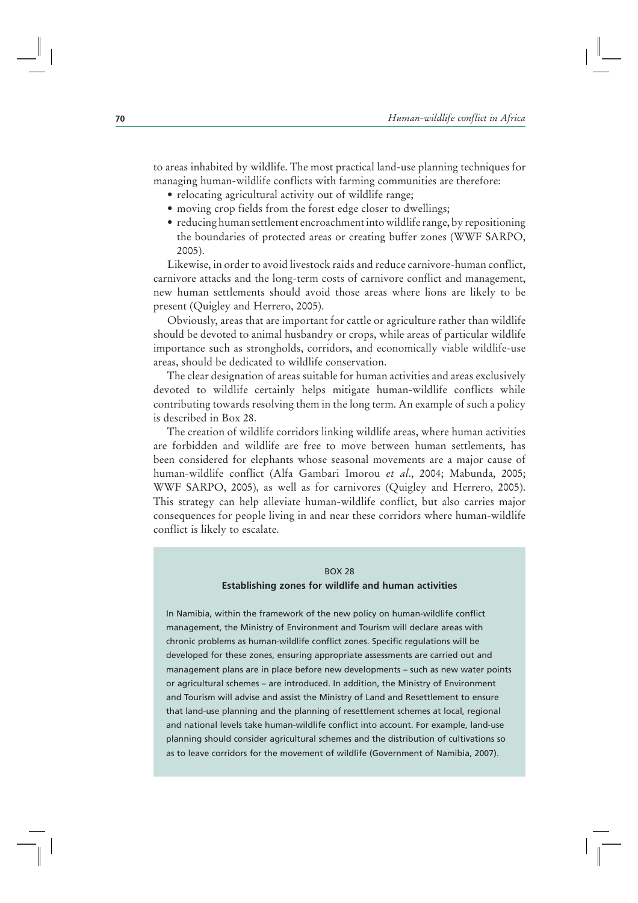to areas inhabited by wildlife. The most practical land-use planning techniques for managing human-wildlife conflicts with farming communities are therefore:

- relocating agricultural activity out of wildlife range;
- moving crop fields from the forest edge closer to dwellings;
- reducing human settlement encroachment into wildlife range, by repositioning the boundaries of protected areas or creating buffer zones (WWF SARPO, 2005).

Likewise, in order to avoid livestock raids and reduce carnivore-human conflict, carnivore attacks and the long-term costs of carnivore conflict and management, new human settlements should avoid those areas where lions are likely to be present (Quigley and Herrero, 2005).

Obviously, areas that are important for cattle or agriculture rather than wildlife should be devoted to animal husbandry or crops, while areas of particular wildlife importance such as strongholds, corridors, and economically viable wildlife-use areas, should be dedicated to wildlife conservation.

The clear designation of areas suitable for human activities and areas exclusively devoted to wildlife certainly helps mitigate human-wildlife conflicts while contributing towards resolving them in the long term. An example of such a policy is described in Box 28.

The creation of wildlife corridors linking wildlife areas, where human activities are forbidden and wildlife are free to move between human settlements, has been considered for elephants whose seasonal movements are a major cause of human-wildlife conflict (Alfa Gambari Imorou *et al*., 2004; Mabunda, 2005; WWF SARPO, 2005), as well as for carnivores (Quigley and Herrero, 2005). This strategy can help alleviate human-wildlife conflict, but also carries major consequences for people living in and near these corridors where human-wildlife conflict is likely to escalate.

#### BOX 28

#### **Establishing zones for wildlife and human activities**

In Namibia, within the framework of the new policy on human-wildlife conflict management, the Ministry of Environment and Tourism will declare areas with chronic problems as human-wildlife conflict zones. Specific regulations will be developed for these zones, ensuring appropriate assessments are carried out and management plans are in place before new developments – such as new water points or agricultural schemes – are introduced. In addition, the Ministry of Environment and Tourism will advise and assist the Ministry of Land and Resettlement to ensure that land-use planning and the planning of resettlement schemes at local, regional and national levels take human-wildlife conflict into account. For example, land-use planning should consider agricultural schemes and the distribution of cultivations so as to leave corridors for the movement of wildlife (Government of Namibia, 2007).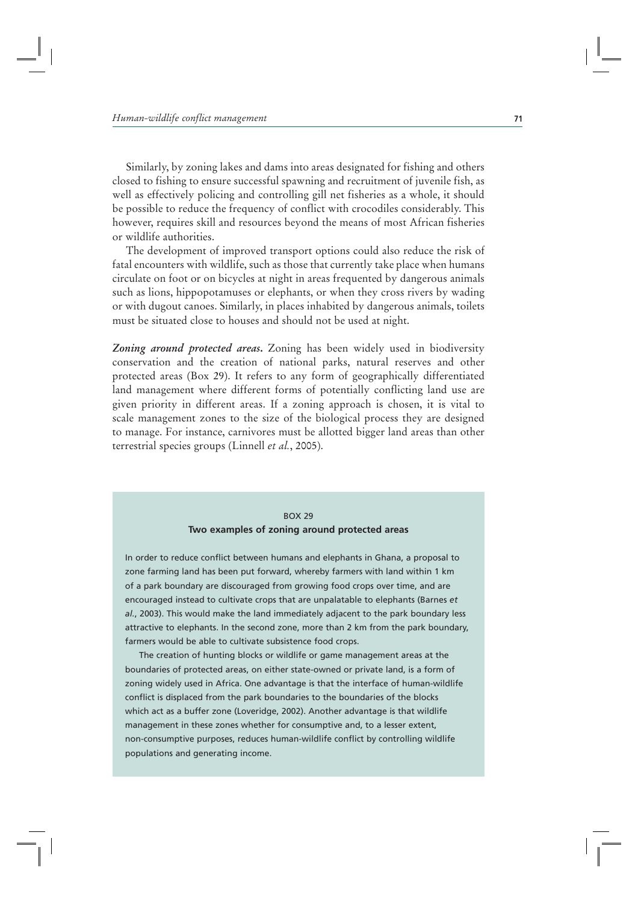Similarly, by zoning lakes and dams into areas designated for fishing and others closed to fishing to ensure successful spawning and recruitment of juvenile fish, as well as effectively policing and controlling gill net fisheries as a whole, it should be possible to reduce the frequency of conflict with crocodiles considerably. This however, requires skill and resources beyond the means of most African fisheries or wildlife authorities.

The development of improved transport options could also reduce the risk of fatal encounters with wildlife, such as those that currently take place when humans circulate on foot or on bicycles at night in areas frequented by dangerous animals such as lions, hippopotamuses or elephants, or when they cross rivers by wading or with dugout canoes. Similarly, in places inhabited by dangerous animals, toilets must be situated close to houses and should not be used at night.

*Zoning around protected areas***.** Zoning has been widely used in biodiversity conservation and the creation of national parks, natural reserves and other protected areas (Box 29). It refers to any form of geographically differentiated land management where different forms of potentially conflicting land use are given priority in different areas. If a zoning approach is chosen, it is vital to scale management zones to the size of the biological process they are designed to manage. For instance, carnivores must be allotted bigger land areas than other terrestrial species groups (Linnell *et al.*, 2005).

# BOX 29 **Two examples of zoning around protected areas**

In order to reduce conflict between humans and elephants in Ghana, a proposal to zone farming land has been put forward, whereby farmers with land within 1 km of a park boundary are discouraged from growing food crops over time, and are encouraged instead to cultivate crops that are unpalatable to elephants (Barnes *et al.*, 2003). This would make the land immediately adjacent to the park boundary less attractive to elephants. In the second zone, more than 2 km from the park boundary, farmers would be able to cultivate subsistence food crops.

The creation of hunting blocks or wildlife or game management areas at the boundaries of protected areas, on either state-owned or private land, is a form of zoning widely used in Africa. One advantage is that the interface of human-wildlife conflict is displaced from the park boundaries to the boundaries of the blocks which act as a buffer zone (Loveridge, 2002). Another advantage is that wildlife management in these zones whether for consumptive and, to a lesser extent, non-consumptive purposes, reduces human-wildlife conflict by controlling wildlife populations and generating income.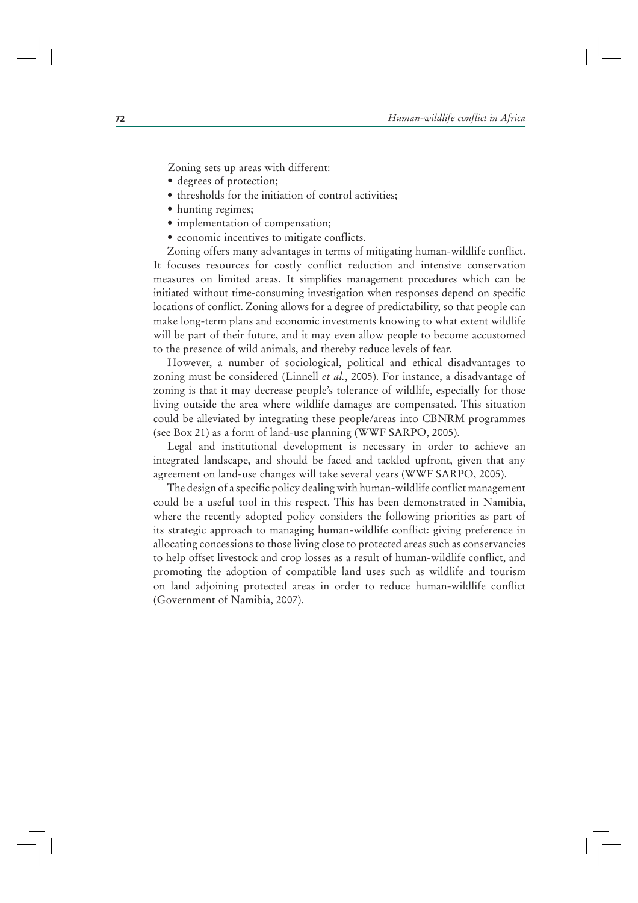Zoning sets up areas with different:

- degrees of protection;
- thresholds for the initiation of control activities;
- hunting regimes;
- implementation of compensation;
- economic incentives to mitigate conflicts.

Zoning offers many advantages in terms of mitigating human-wildlife conflict. It focuses resources for costly conflict reduction and intensive conservation measures on limited areas. It simplifies management procedures which can be initiated without time-consuming investigation when responses depend on specific locations of conflict. Zoning allows for a degree of predictability, so that people can make long-term plans and economic investments knowing to what extent wildlife will be part of their future, and it may even allow people to become accustomed to the presence of wild animals, and thereby reduce levels of fear.

However, a number of sociological, political and ethical disadvantages to zoning must be considered (Linnell *et al.*, 2005). For instance, a disadvantage of zoning is that it may decrease people's tolerance of wildlife, especially for those living outside the area where wildlife damages are compensated. This situation could be alleviated by integrating these people/areas into CBNRM programmes (see Box 21) as a form of land-use planning (WWF SARPO, 2005).

Legal and institutional development is necessary in order to achieve an integrated landscape, and should be faced and tackled upfront, given that any agreement on land-use changes will take several years (WWF SARPO, 2005).

The design of a specific policy dealing with human-wildlife conflict management could be a useful tool in this respect. This has been demonstrated in Namibia, where the recently adopted policy considers the following priorities as part of its strategic approach to managing human-wildlife conflict: giving preference in allocating concessions to those living close to protected areas such as conservancies to help offset livestock and crop losses as a result of human-wildlife conflict, and promoting the adoption of compatible land uses such as wildlife and tourism on land adjoining protected areas in order to reduce human-wildlife conflict (Government of Namibia, 2007).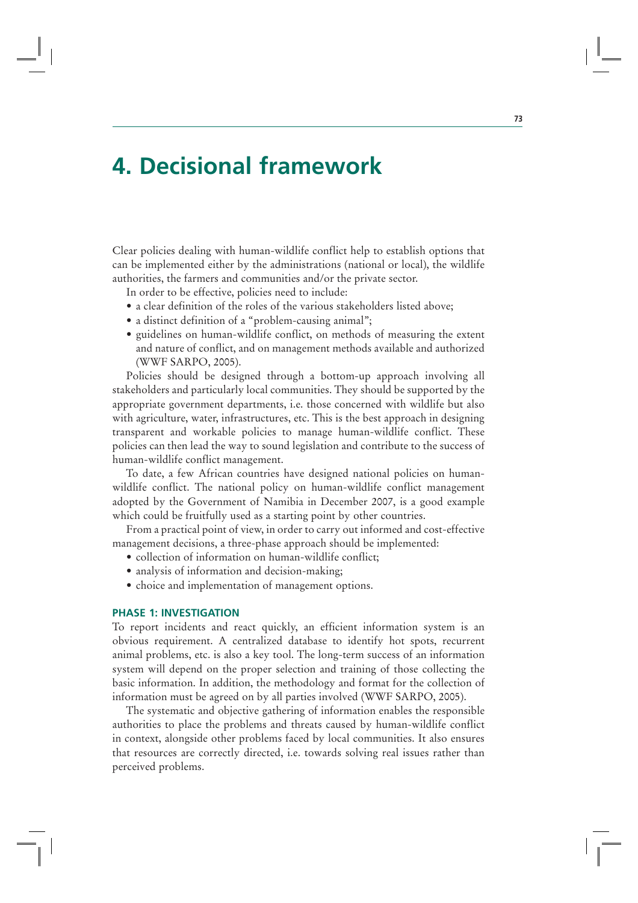# **4. Decisional framework**

Clear policies dealing with human-wildlife conflict help to establish options that can be implemented either by the administrations (national or local), the wildlife authorities, the farmers and communities and/or the private sector.

In order to be effective, policies need to include:

- a clear definition of the roles of the various stakeholders listed above;
- a distinct definition of a "problem-causing animal";
- guidelines on human-wildlife conflict, on methods of measuring the extent and nature of conflict, and on management methods available and authorized (WWF SARPO, 2005).

Policies should be designed through a bottom-up approach involving all stakeholders and particularly local communities. They should be supported by the appropriate government departments, i.e. those concerned with wildlife but also with agriculture, water, infrastructures, etc. This is the best approach in designing transparent and workable policies to manage human-wildlife conflict. These policies can then lead the way to sound legislation and contribute to the success of human-wildlife conflict management.

To date, a few African countries have designed national policies on humanwildlife conflict. The national policy on human-wildlife conflict management adopted by the Government of Namibia in December 2007, is a good example which could be fruitfully used as a starting point by other countries.

From a practical point of view, in order to carry out informed and cost-effective management decisions, a three-phase approach should be implemented:

- collection of information on human-wildlife conflict;
- analysis of information and decision-making;
- choice and implementation of management options.

## **PHASE 1: INVESTIGATION**

To report incidents and react quickly, an efficient information system is an obvious requirement. A centralized database to identify hot spots, recurrent animal problems, etc. is also a key tool. The long-term success of an information system will depend on the proper selection and training of those collecting the basic information. In addition, the methodology and format for the collection of information must be agreed on by all parties involved (WWF SARPO, 2005).

The systematic and objective gathering of information enables the responsible authorities to place the problems and threats caused by human-wildlife conflict in context, alongside other problems faced by local communities. It also ensures that resources are correctly directed, i.e. towards solving real issues rather than perceived problems.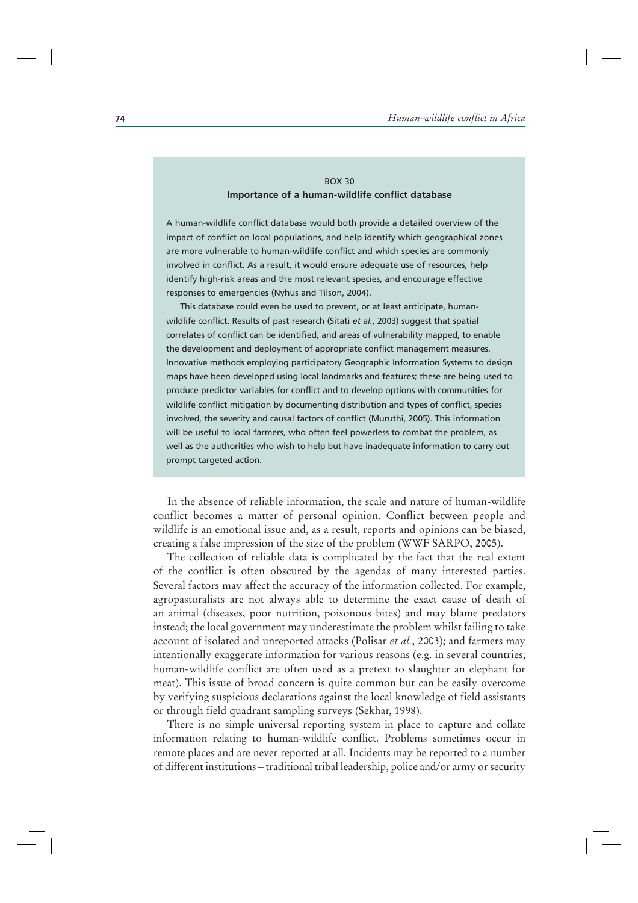## BOX 30 **Importance of a human-wildlife conflict database**

A human-wildlife conflict database would both provide a detailed overview of the impact of conflict on local populations, and help identify which geographical zones are more vulnerable to human-wildlife conflict and which species are commonly involved in conflict. As a result, it would ensure adequate use of resources, help identify high-risk areas and the most relevant species, and encourage effective responses to emergencies (Nyhus and Tilson, 2004).

This database could even be used to prevent, or at least anticipate, humanwildlife conflict. Results of past research (Sitati *et al.*, 2003) suggest that spatial correlates of conflict can be identified, and areas of vulnerability mapped, to enable the development and deployment of appropriate conflict management measures. Innovative methods employing participatory Geographic Information Systems to design maps have been developed using local landmarks and features; these are being used to produce predictor variables for conflict and to develop options with communities for wildlife conflict mitigation by documenting distribution and types of conflict, species involved, the severity and causal factors of conflict (Muruthi, 2005). This information will be useful to local farmers, who often feel powerless to combat the problem, as well as the authorities who wish to help but have inadequate information to carry out prompt targeted action.

In the absence of reliable information, the scale and nature of human-wildlife conflict becomes a matter of personal opinion. Conflict between people and wildlife is an emotional issue and, as a result, reports and opinions can be biased, creating a false impression of the size of the problem (WWF SARPO, 2005).

The collection of reliable data is complicated by the fact that the real extent of the conflict is often obscured by the agendas of many interested parties. Several factors may affect the accuracy of the information collected. For example, agropastoralists are not always able to determine the exact cause of death of an animal (diseases, poor nutrition, poisonous bites) and may blame predators instead; the local government may underestimate the problem whilst failing to take account of isolated and unreported attacks (Polisar *et al.*, 2003); and farmers may intentionally exaggerate information for various reasons (e.g. in several countries, human-wildlife conflict are often used as a pretext to slaughter an elephant for meat). This issue of broad concern is quite common but can be easily overcome by verifying suspicious declarations against the local knowledge of field assistants or through field quadrant sampling surveys (Sekhar, 1998).

There is no simple universal reporting system in place to capture and collate information relating to human-wildlife conflict. Problems sometimes occur in remote places and are never reported at all. Incidents may be reported to a number of different institutions – traditional tribal leadership, police and/or army or security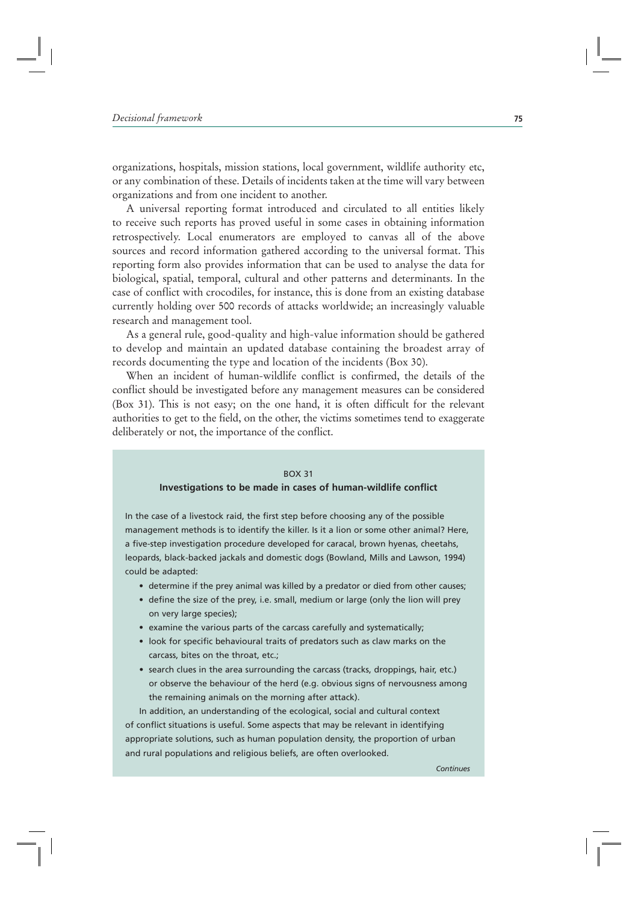organizations, hospitals, mission stations, local government, wildlife authority etc, or any combination of these. Details of incidents taken at the time will vary between organizations and from one incident to another.

A universal reporting format introduced and circulated to all entities likely to receive such reports has proved useful in some cases in obtaining information retrospectively. Local enumerators are employed to canvas all of the above sources and record information gathered according to the universal format. This reporting form also provides information that can be used to analyse the data for biological, spatial, temporal, cultural and other patterns and determinants. In the case of conflict with crocodiles, for instance, this is done from an existing database currently holding over 500 records of attacks worldwide; an increasingly valuable research and management tool.

As a general rule, good-quality and high-value information should be gathered to develop and maintain an updated database containing the broadest array of records documenting the type and location of the incidents (Box 30).

When an incident of human-wildlife conflict is confirmed, the details of the conflict should be investigated before any management measures can be considered (Box 31). This is not easy; on the one hand, it is often difficult for the relevant authorities to get to the field, on the other, the victims sometimes tend to exaggerate deliberately or not, the importance of the conflict.

### BOX 31

#### **Investigations to be made in cases of human-wildlife conflict**

In the case of a livestock raid, the first step before choosing any of the possible management methods is to identify the killer. Is it a lion or some other animal? Here, a five-step investigation procedure developed for caracal, brown hyenas, cheetahs, leopards, black-backed jackals and domestic dogs (Bowland, Mills and Lawson, 1994) could be adapted:

- determine if the prey animal was killed by a predator or died from other causes;
- define the size of the prey, i.e. small, medium or large (only the lion will prey on very large species);
- examine the various parts of the carcass carefully and systematically;
- look for specific behavioural traits of predators such as claw marks on the carcass, bites on the throat, etc.;
- search clues in the area surrounding the carcass (tracks, droppings, hair, etc.) or observe the behaviour of the herd (e.g. obvious signs of nervousness among the remaining animals on the morning after attack).

In addition, an understanding of the ecological, social and cultural context of conflict situations is useful. Some aspects that may be relevant in identifying appropriate solutions, such as human population density, the proportion of urban and rural populations and religious beliefs, are often overlooked.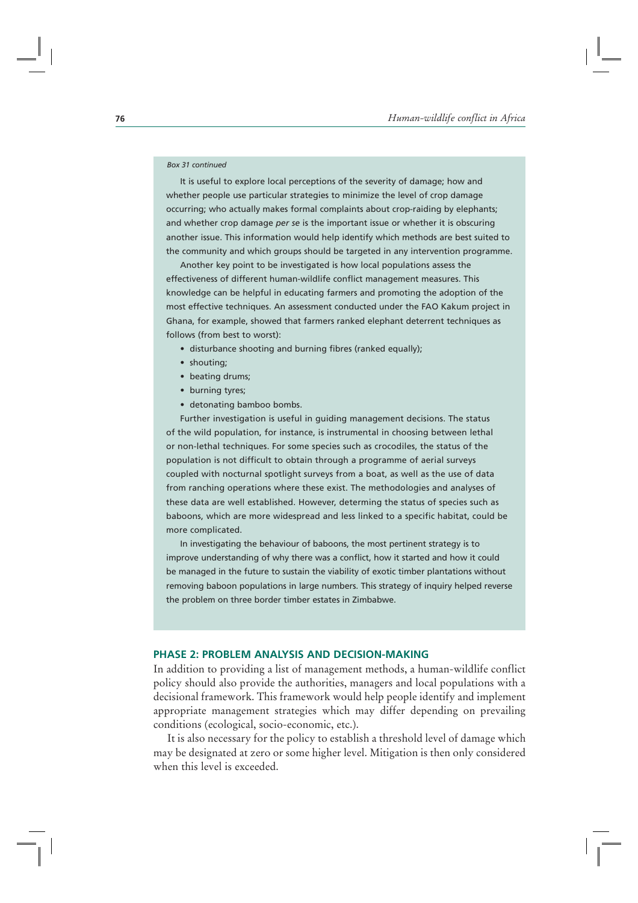#### *Box 31 continued*

It is useful to explore local perceptions of the severity of damage; how and whether people use particular strategies to minimize the level of crop damage occurring; who actually makes formal complaints about crop-raiding by elephants; and whether crop damage *per se* is the important issue or whether it is obscuring another issue. This information would help identify which methods are best suited to the community and which groups should be targeted in any intervention programme.

Another key point to be investigated is how local populations assess the effectiveness of different human-wildlife conflict management measures. This knowledge can be helpful in educating farmers and promoting the adoption of the most effective techniques. An assessment conducted under the FAO Kakum project in Ghana, for example, showed that farmers ranked elephant deterrent techniques as follows (from best to worst):

- $\bullet\,$  disturbance shooting and burning fibres (ranked equally);
- shouting;
- beating drums;
- burning tyres;
- detonating bamboo bombs.

Further investigation is useful in guiding management decisions. The status of the wild population, for instance, is instrumental in choosing between lethal or non-lethal techniques. For some species such as crocodiles, the status of the population is not difficult to obtain through a programme of aerial surveys coupled with nocturnal spotlight surveys from a boat, as well as the use of data from ranching operations where these exist. The methodologies and analyses of these data are well established. However, determing the status of species such as baboons, which are more widespread and less linked to a specific habitat, could be more complicated.

In investigating the behaviour of baboons, the most pertinent strategy is to improve understanding of why there was a conflict, how it started and how it could be managed in the future to sustain the viability of exotic timber plantations without removing baboon populations in large numbers. This strategy of inquiry helped reverse the problem on three border timber estates in Zimbabwe.

## **PHASE 2: PROBLEM ANALYSIS AND DECISION-MAKING**

In addition to providing a list of management methods, a human-wildlife conflict policy should also provide the authorities, managers and local populations with a decisional framework. This framework would help people identify and implement appropriate management strategies which may differ depending on prevailing conditions (ecological, socio-economic, etc.).

It is also necessary for the policy to establish a threshold level of damage which may be designated at zero or some higher level. Mitigation is then only considered when this level is exceeded.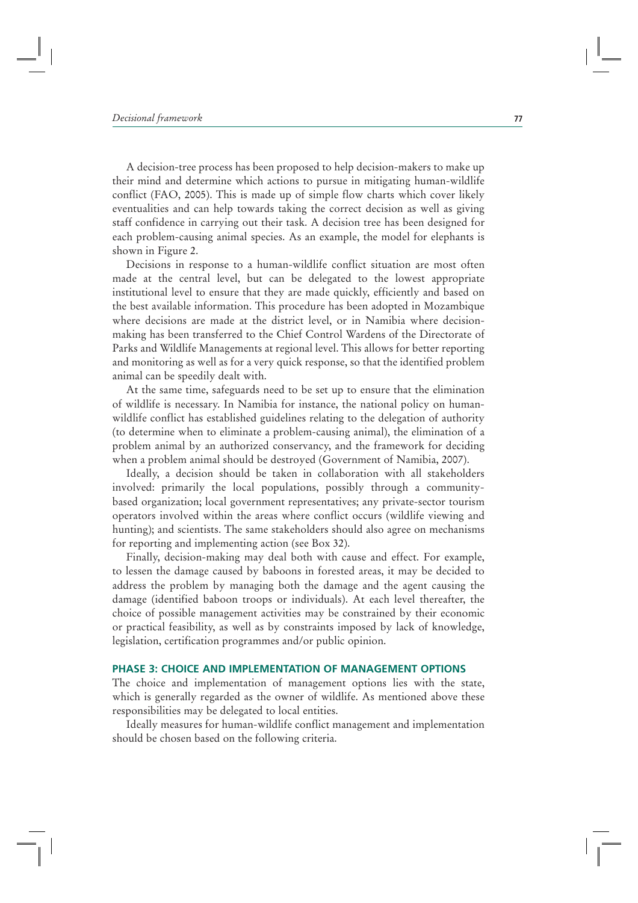A decision-tree process has been proposed to help decision-makers to make up their mind and determine which actions to pursue in mitigating human-wildlife conflict (FAO, 2005). This is made up of simple flow charts which cover likely eventualities and can help towards taking the correct decision as well as giving staff confidence in carrying out their task. A decision tree has been designed for each problem-causing animal species. As an example, the model for elephants is shown in Figure 2.

Decisions in response to a human-wildlife conflict situation are most often made at the central level, but can be delegated to the lowest appropriate institutional level to ensure that they are made quickly, efficiently and based on the best available information. This procedure has been adopted in Mozambique where decisions are made at the district level, or in Namibia where decisionmaking has been transferred to the Chief Control Wardens of the Directorate of Parks and Wildlife Managements at regional level. This allows for better reporting and monitoring as well as for a very quick response, so that the identified problem animal can be speedily dealt with.

At the same time, safeguards need to be set up to ensure that the elimination of wildlife is necessary. In Namibia for instance, the national policy on humanwildlife conflict has established guidelines relating to the delegation of authority (to determine when to eliminate a problem-causing animal), the elimination of a problem animal by an authorized conservancy, and the framework for deciding when a problem animal should be destroyed (Government of Namibia, 2007).

Ideally, a decision should be taken in collaboration with all stakeholders involved: primarily the local populations, possibly through a communitybased organization; local government representatives; any private-sector tourism operators involved within the areas where conflict occurs (wildlife viewing and hunting); and scientists. The same stakeholders should also agree on mechanisms for reporting and implementing action (see Box 32).

Finally, decision-making may deal both with cause and effect. For example, to lessen the damage caused by baboons in forested areas, it may be decided to address the problem by managing both the damage and the agent causing the damage (identified baboon troops or individuals). At each level thereafter, the choice of possible management activities may be constrained by their economic or practical feasibility, as well as by constraints imposed by lack of knowledge, legislation, certification programmes and/or public opinion.

# **PHASE 3: CHOICE AND IMPLEMENTATION OF MANAGEMENT OPTIONS**

The choice and implementation of management options lies with the state, which is generally regarded as the owner of wildlife. As mentioned above these responsibilities may be delegated to local entities.

Ideally measures for human-wildlife conflict management and implementation should be chosen based on the following criteria.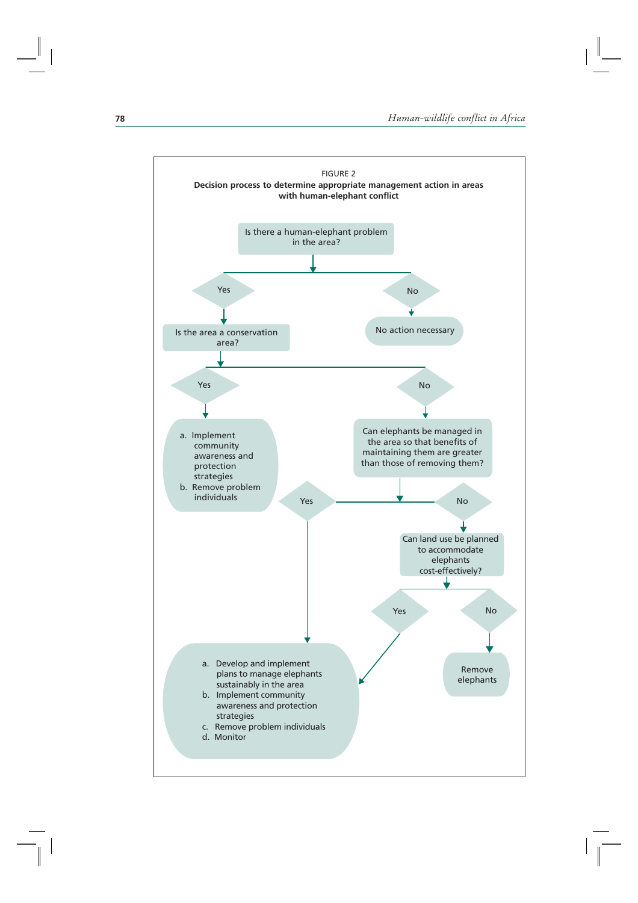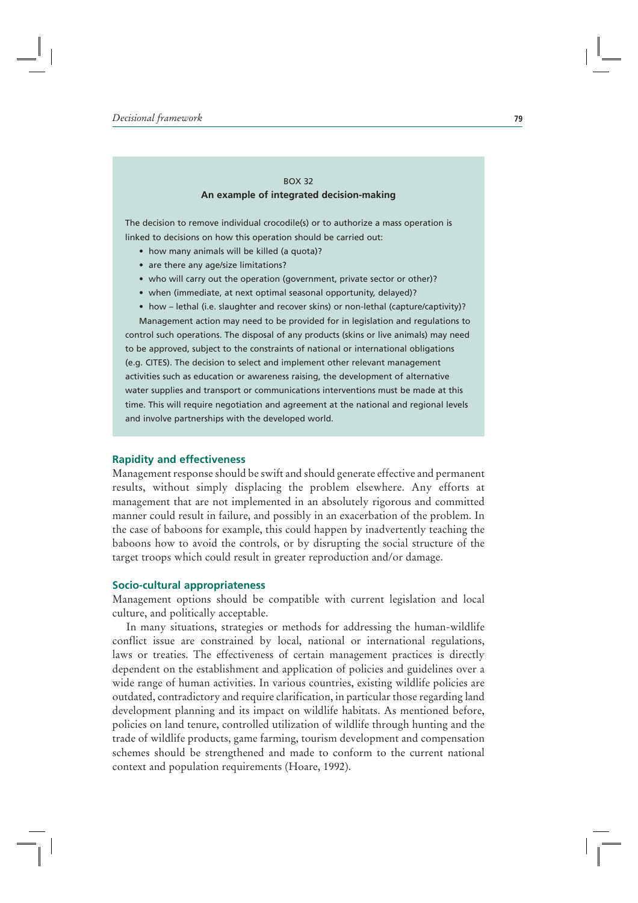## BOX 32 **An example of integrated decision-making**

The decision to remove individual crocodile(s) or to authorize a mass operation is linked to decisions on how this operation should be carried out:

- $\bullet\,$  how many animals will be killed (a quota)?
- are there any age/size limitations?
- $\bullet\,$  who will carry out the operation (government, private sector or other)?
- $\bullet\,$  when (immediate, at next optimal seasonal opportunity, delayed)?
- $\bullet\,$  how lethal (i.e. slaughter and recover skins) or non-lethal (capture/captivity)? Management action may need to be provided for in legislation and regulations to

control such operations. The disposal of any products (skins or live animals) may need to be approved, subject to the constraints of national or international obligations (e.g. CITES). The decision to select and implement other relevant management activities such as education or awareness raising, the development of alternative water supplies and transport or communications interventions must be made at this time. This will require negotiation and agreement at the national and regional levels and involve partnerships with the developed world.

### **Rapidity and effectiveness**

Management response should be swift and should generate effective and permanent results, without simply displacing the problem elsewhere. Any efforts at management that are not implemented in an absolutely rigorous and committed manner could result in failure, and possibly in an exacerbation of the problem. In the case of baboons for example, this could happen by inadvertently teaching the baboons how to avoid the controls, or by disrupting the social structure of the target troops which could result in greater reproduction and/or damage.

## **Socio-cultural appropriateness**

Management options should be compatible with current legislation and local culture, and politically acceptable.

In many situations, strategies or methods for addressing the human-wildlife conflict issue are constrained by local, national or international regulations, laws or treaties. The effectiveness of certain management practices is directly dependent on the establishment and application of policies and guidelines over a wide range of human activities. In various countries, existing wildlife policies are outdated, contradictory and require clarification, in particular those regarding land development planning and its impact on wildlife habitats. As mentioned before, policies on land tenure, controlled utilization of wildlife through hunting and the trade of wildlife products, game farming, tourism development and compensation schemes should be strengthened and made to conform to the current national context and population requirements (Hoare, 1992).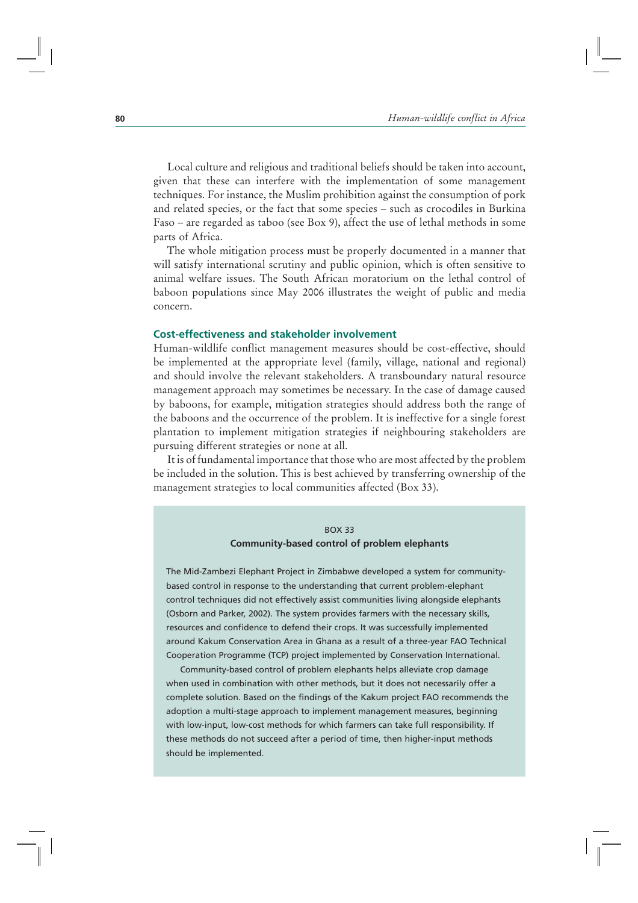Local culture and religious and traditional beliefs should be taken into account, given that these can interfere with the implementation of some management techniques. For instance, the Muslim prohibition against the consumption of pork and related species, or the fact that some species – such as crocodiles in Burkina Faso – are regarded as taboo (see Box 9), affect the use of lethal methods in some parts of Africa.

The whole mitigation process must be properly documented in a manner that will satisfy international scrutiny and public opinion, which is often sensitive to animal welfare issues. The South African moratorium on the lethal control of baboon populations since May 2006 illustrates the weight of public and media concern.

# **Cost-effectiveness and stakeholder involvement**

Human-wildlife conflict management measures should be cost-effective, should be implemented at the appropriate level (family, village, national and regional) and should involve the relevant stakeholders. A transboundary natural resource management approach may sometimes be necessary. In the case of damage caused by baboons, for example, mitigation strategies should address both the range of the baboons and the occurrence of the problem. It is ineffective for a single forest plantation to implement mitigation strategies if neighbouring stakeholders are pursuing different strategies or none at all.

It is of fundamental importance that those who are most affected by the problem be included in the solution. This is best achieved by transferring ownership of the management strategies to local communities affected (Box 33).

# BOX 33 **Community-based control of problem elephants**

The Mid-Zambezi Elephant Project in Zimbabwe developed a system for communitybased control in response to the understanding that current problem-elephant control techniques did not effectively assist communities living alongside elephants (Osborn and Parker, 2002). The system provides farmers with the necessary skills, resources and confidence to defend their crops. It was successfully implemented around Kakum Conservation Area in Ghana as a result of a three-year FAO Technical Cooperation Programme (TCP) project implemented by Conservation International.

Community-based control of problem elephants helps alleviate crop damage when used in combination with other methods, but it does not necessarily offer a complete solution. Based on the findings of the Kakum project FAO recommends the adoption a multi-stage approach to implement management measures, beginning with low-input, low-cost methods for which farmers can take full responsibility. If these methods do not succeed after a period of time, then higher-input methods should be implemented.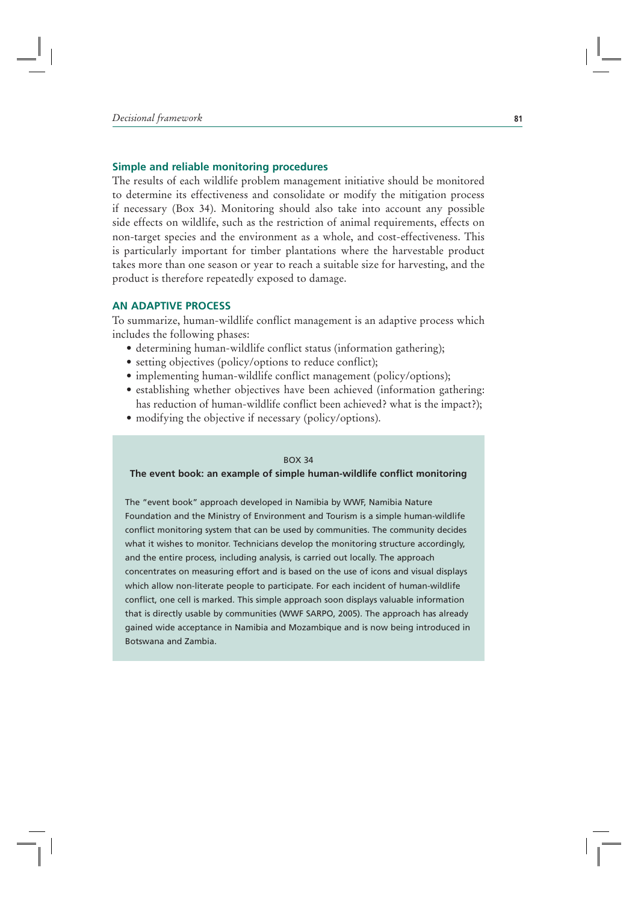## **Simple and reliable monitoring procedures**

The results of each wildlife problem management initiative should be monitored to determine its effectiveness and consolidate or modify the mitigation process if necessary (Box 34). Monitoring should also take into account any possible side effects on wildlife, such as the restriction of animal requirements, effects on non-target species and the environment as a whole, and cost-effectiveness. This is particularly important for timber plantations where the harvestable product takes more than one season or year to reach a suitable size for harvesting, and the product is therefore repeatedly exposed to damage.

## **AN ADAPTIVE PROCESS**

To summarize, human-wildlife conflict management is an adaptive process which includes the following phases:

- determining human-wildlife conflict status (information gathering);
- setting objectives (policy/options to reduce conflict);
- implementing human-wildlife conflict management (policy/options);
- establishing whether objectives have been achieved (information gathering: has reduction of human-wildlife conflict been achieved? what is the impact?);
- modifying the objective if necessary (policy/options).

#### BOX 34

## **The event book: an example of simple human-wildlife conflict monitoring**

The "event book" approach developed in Namibia by WWF, Namibia Nature Foundation and the Ministry of Environment and Tourism is a simple human-wildlife conflict monitoring system that can be used by communities. The community decides what it wishes to monitor. Technicians develop the monitoring structure accordingly, and the entire process, including analysis, is carried out locally. The approach concentrates on measuring effort and is based on the use of icons and visual displays which allow non-literate people to participate. For each incident of human-wildlife conflict, one cell is marked. This simple approach soon displays valuable information that is directly usable by communities (WWF SARPO, 2005). The approach has already gained wide acceptance in Namibia and Mozambique and is now being introduced in Botswana and Zambia.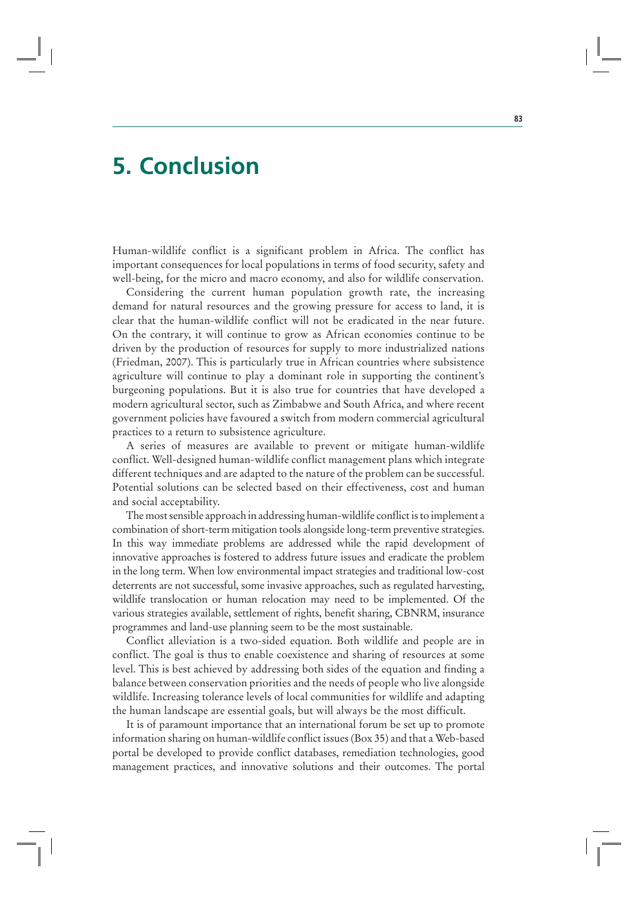# **5. Conclusion**

Human-wildlife conflict is a significant problem in Africa. The conflict has important consequences for local populations in terms of food security, safety and well-being, for the micro and macro economy, and also for wildlife conservation.

Considering the current human population growth rate, the increasing demand for natural resources and the growing pressure for access to land, it is clear that the human-wildlife conflict will not be eradicated in the near future. On the contrary, it will continue to grow as African economies continue to be driven by the production of resources for supply to more industrialized nations (Friedman, 2007). This is particularly true in African countries where subsistence agriculture will continue to play a dominant role in supporting the continent's burgeoning populations. But it is also true for countries that have developed a modern agricultural sector, such as Zimbabwe and South Africa, and where recent government policies have favoured a switch from modern commercial agricultural practices to a return to subsistence agriculture.

A series of measures are available to prevent or mitigate human-wildlife conflict. Well-designed human-wildlife conflict management plans which integrate different techniques and are adapted to the nature of the problem can be successful. Potential solutions can be selected based on their effectiveness, cost and human and social acceptability.

The most sensible approach in addressing human-wildlife conflict is to implement a combination of short-term mitigation tools alongside long-term preventive strategies. In this way immediate problems are addressed while the rapid development of innovative approaches is fostered to address future issues and eradicate the problem in the long term. When low environmental impact strategies and traditional low-cost deterrents are not successful, some invasive approaches, such as regulated harvesting, wildlife translocation or human relocation may need to be implemented. Of the various strategies available, settlement of rights, benefit sharing, CBNRM, insurance programmes and land-use planning seem to be the most sustainable.

Conflict alleviation is a two-sided equation. Both wildlife and people are in conflict. The goal is thus to enable coexistence and sharing of resources at some level. This is best achieved by addressing both sides of the equation and finding a balance between conservation priorities and the needs of people who live alongside wildlife. Increasing tolerance levels of local communities for wildlife and adapting the human landscape are essential goals, but will always be the most difficult.

It is of paramount importance that an international forum be set up to promote information sharing on human-wildlife conflict issues (Box 35) and that a Web-based portal be developed to provide conflict databases, remediation technologies, good management practices, and innovative solutions and their outcomes. The portal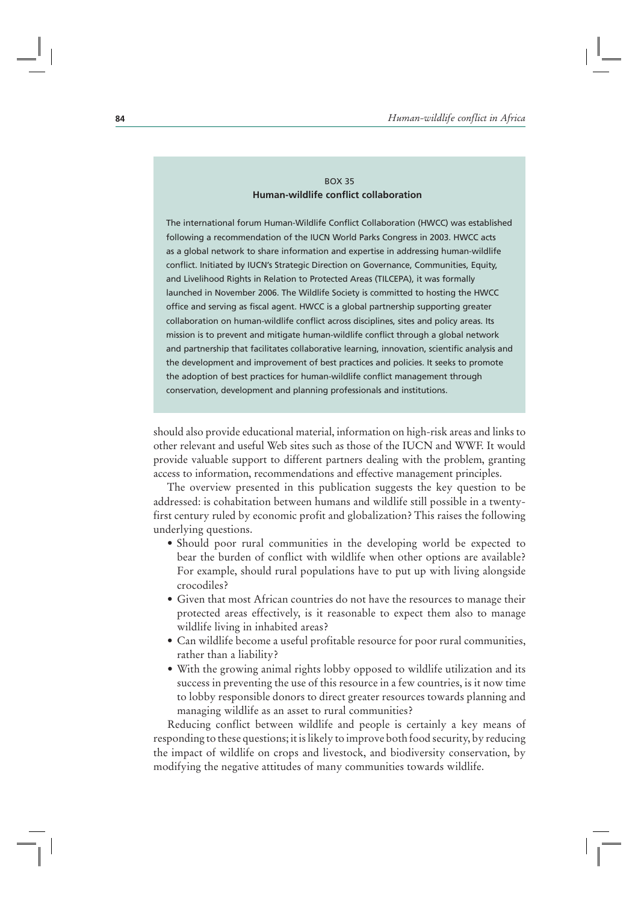# BOX 35 **Human-wildlife conflict collaboration**

The international forum Human-Wildlife Conflict Collaboration (HWCC) was established following a recommendation of the IUCN World Parks Congress in 2003. HWCC acts as a global network to share information and expertise in addressing human-wildlife conflict. Initiated by IUCN's Strategic Direction on Governance, Communities, Equity, and Livelihood Rights in Relation to Protected Areas (TILCEPA), it was formally launched in November 2006. The Wildlife Society is committed to hosting the HWCC office and serving as fiscal agent. HWCC is a global partnership supporting greater collaboration on human-wildlife conflict across disciplines, sites and policy areas. Its mission is to prevent and mitigate human-wildlife conflict through a global network and partnership that facilitates collaborative learning, innovation, scientific analysis and the development and improvement of best practices and policies. It seeks to promote the adoption of best practices for human-wildlife conflict management through conservation, development and planning professionals and institutions.

should also provide educational material, information on high-risk areas and links to other relevant and useful Web sites such as those of the IUCN and WWF. It would provide valuable support to different partners dealing with the problem, granting access to information, recommendations and effective management principles.

The overview presented in this publication suggests the key question to be addressed: is cohabitation between humans and wildlife still possible in a twentyfirst century ruled by economic profit and globalization? This raises the following underlying questions.

- Should poor rural communities in the developing world be expected to bear the burden of conflict with wildlife when other options are available? For example, should rural populations have to put up with living alongside crocodiles?
- Given that most African countries do not have the resources to manage their protected areas effectively, is it reasonable to expect them also to manage wildlife living in inhabited areas?
- Can wildlife become a useful profitable resource for poor rural communities, rather than a liability?
- With the growing animal rights lobby opposed to wildlife utilization and its success in preventing the use of this resource in a few countries, is it now time to lobby responsible donors to direct greater resources towards planning and managing wildlife as an asset to rural communities?

Reducing conflict between wildlife and people is certainly a key means of responding to these questions; it is likely to improve both food security, by reducing the impact of wildlife on crops and livestock, and biodiversity conservation, by modifying the negative attitudes of many communities towards wildlife.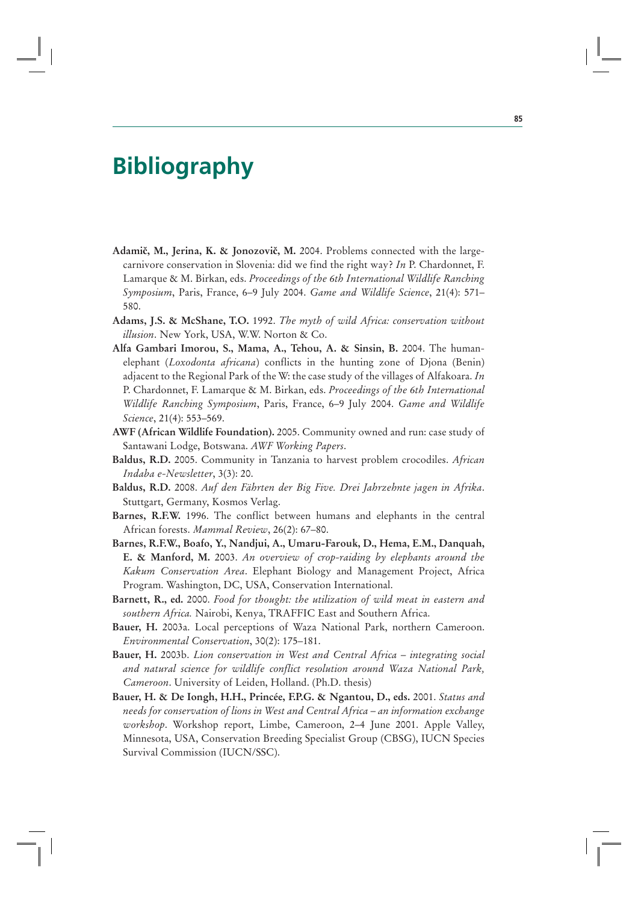# **Bibliography**

- **AdamiĀ, M., Jerina, K. & JonozoviĀ, M.** 2004. Problems connected with the largecarnivore conservation in Slovenia: did we find the right way? *In* P. Chardonnet, F. Lamarque & M. Birkan, eds. *Proceedings of the 6th International Wildlife Ranching Symposium*, Paris, France, 6–9 July 2004. *Game and Wildlife Science*, 21(4): 571– 580.
- **Adams, J.S. & McShane, T.O.** 1992. *The myth of wild Africa: conservation without illusion*. New York, USA, W.W. Norton & Co.
- **Alfa Gambari Imorou, S., Mama, A., Tehou, A. & Sinsin, B.** 2004. The humanelephant (*Loxodonta africana*) conflicts in the hunting zone of Djona (Benin) adjacent to the Regional Park of the W: the case study of the villages of Alfakoara. *In* P. Chardonnet, F. Lamarque & M. Birkan, eds. *Proceedings of the 6th International Wildlife Ranching Symposium*, Paris, France, 6–9 July 2004. *Game and Wildlife Science*, 21(4): 553–569.
- **AWF (African Wildlife Foundation).** 2005. Community owned and run: case study of Santawani Lodge, Botswana. *AWF Working Papers*.
- **Baldus, R.D.** 2005. Community in Tanzania to harvest problem crocodiles. *African Indaba e-Newsletter*, 3(3): 20.
- **Baldus, R.D.** 2008. *Auf den Fährten der Big Five. Drei Jahrzehnte jagen in Afrika*. Stuttgart, Germany, Kosmos Verlag.
- **Barnes, R.F.W.** 1996. The conflict between humans and elephants in the central African forests. *Mammal Review*, 26(2): 67–80.
- **Barnes, R.F.W., Boafo, Y., Nandjui, A., Umaru-Farouk, D., Hema, E.M., Danquah, E. & Manford, M.** 2003. *An overview of crop-raiding by elephants around the Kakum Conservation Area*. Elephant Biology and Management Project, Africa Program. Washington, DC, USA, Conservation International.
- **Barnett, R., ed.** 2000. *Food for thought: the utilization of wild meat in eastern and southern Africa.* Nairobi, Kenya, TRAFFIC East and Southern Africa.
- **Bauer, H.** 2003a. Local perceptions of Waza National Park, northern Cameroon. *Environmental Conservation*, 30(2): 175–181.
- **Bauer, H.** 2003b. *Lion conservation in West and Central Africa integrating social and natural science for wildlife conflict resolution around Waza National Park, Cameroon*. University of Leiden, Holland. (Ph.D. thesis)
- **Bauer, H. & De Iongh, H.H., Princée, F.P.G. & Ngantou, D., eds.** 2001. *Status and needs for conservation of lions in West and Central Africa – an information exchange workshop*. Workshop report, Limbe, Cameroon, 2–4 June 2001. Apple Valley, Minnesota, USA, Conservation Breeding Specialist Group (CBSG), IUCN Species Survival Commission (IUCN/SSC).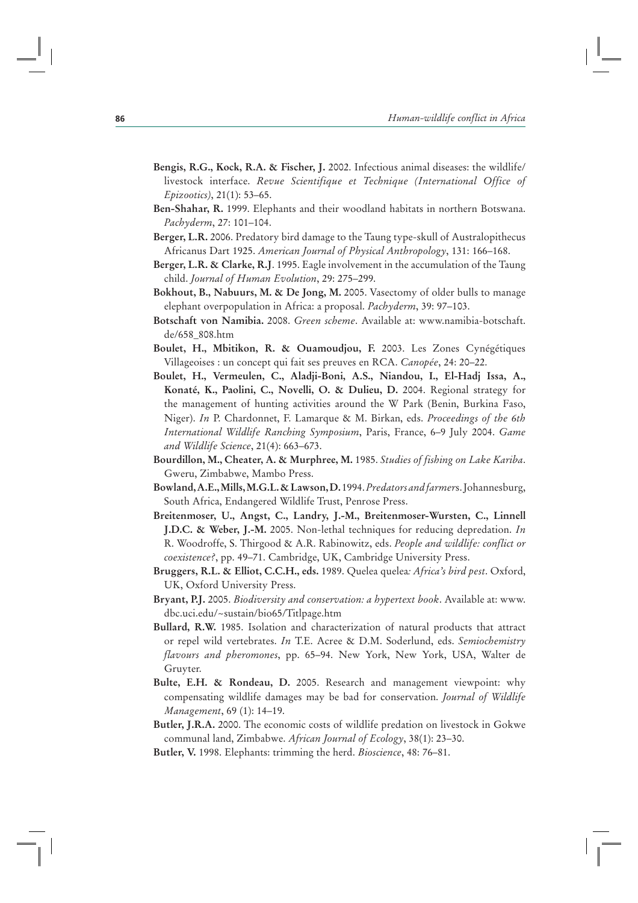- **Bengis, R.G., Kock, R.A. & Fischer, J.** 2002. Infectious animal diseases: the wildlife/ livestock interface. *Revue Scientifique et Technique (International Office of Epizootics)*, 21(1): 53–65.
- **Ben-Shahar, R.** 1999. Elephants and their woodland habitats in northern Botswana. *Pachyderm*, 27: 101–104.
- **Berger, L.R.** 2006. Predatory bird damage to the Taung type-skull of Australopithecus Africanus Dart 1925. *American Journal of Physical Anthropology*, 131: 166–168.
- **Berger, L.R. & Clarke, R.J**. 1995. Eagle involvement in the accumulation of the Taung child. *Journal of Human Evolution*, 29: 275–299.
- **Bokhout, B., Nabuurs, M. & De Jong, M.** 2005. Vasectomy of older bulls to manage elephant overpopulation in Africa: a proposal. *Pachyderm*, 39: 97–103.
- **Botschaft von Namibia.** 2008. *Green scheme*. Available at: www.namibia-botschaft. de/658\_808.htm
- **Boulet, H., Mbitikon, R. & Ouamoudjou, F.** 2003. Les Zones Cynégétiques Villageoises : un concept qui fait ses preuves en RCA. *Canopée*, 24: 20–22.
- **Boulet, H., Vermeulen, C., Aladji-Boni, A.S., Niandou, I., El-Hadj Issa, A., Konaté, K., Paolini, C., Novelli, O. & Dulieu, D.** 2004. Regional strategy for the management of hunting activities around the W Park (Benin, Burkina Faso, Niger). *In* P. Chardonnet, F. Lamarque & M. Birkan, eds. *Proceedings of the 6th International Wildlife Ranching Symposium*, Paris, France, 6–9 July 2004. *Game and Wildlife Science*, 21(4): 663–673.
- **Bourdillon, M., Cheater, A. & Murphree, M.** 1985. *Studies of fishing on Lake Kariba*. Gweru, Zimbabwe, Mambo Press.
- **Bowland, A.E., Mills, M.G.L. & Lawson, D.** 1994. *Predators and farmer*s. Johannesburg, South Africa, Endangered Wildlife Trust, Penrose Press.
- **Breitenmoser, U., Angst, C., Landry, J.-M., Breitenmoser-Wursten, C., Linnell J.D.C. & Weber, J.-M.** 2005. Non-lethal techniques for reducing depredation. *In* R. Woodroffe, S. Thirgood & A.R. Rabinowitz, eds. *People and wildlife: conflict or coexistence?*, pp. 49–71. Cambridge, UK, Cambridge University Press.
- **Bruggers, R.L. & Elliot, C.C.H., eds.** 1989. Quelea quelea*: Africa's bird pest*. Oxford, UK, Oxford University Press.
- **Bryant, P.J.** 2005. *Biodiversity and conservation: a hypertext book*. Available at: www. dbc.uci.edu/~sustain/bio65/Titlpage.htm
- **Bullard, R.W.** 1985. Isolation and characterization of natural products that attract or repel wild vertebrates. *In* T.E. Acree & D.M. Soderlund, eds. *Semiochemistry flavours and pheromones*, pp. 65–94. New York, New York, USA, Walter de Gruyter.
- **Bulte, E.H. & Rondeau, D.** 2005. Research and management viewpoint: why compensating wildlife damages may be bad for conservation. *Journal of Wildlife Management*, 69 (1): 14–19.
- **Butler, J.R.A.** 2000. The economic costs of wildlife predation on livestock in Gokwe communal land, Zimbabwe. *African Journal of Ecology*, 38(1): 23–30.
- **Butler, V.** 1998. Elephants: trimming the herd. *Bioscience*, 48: 76–81.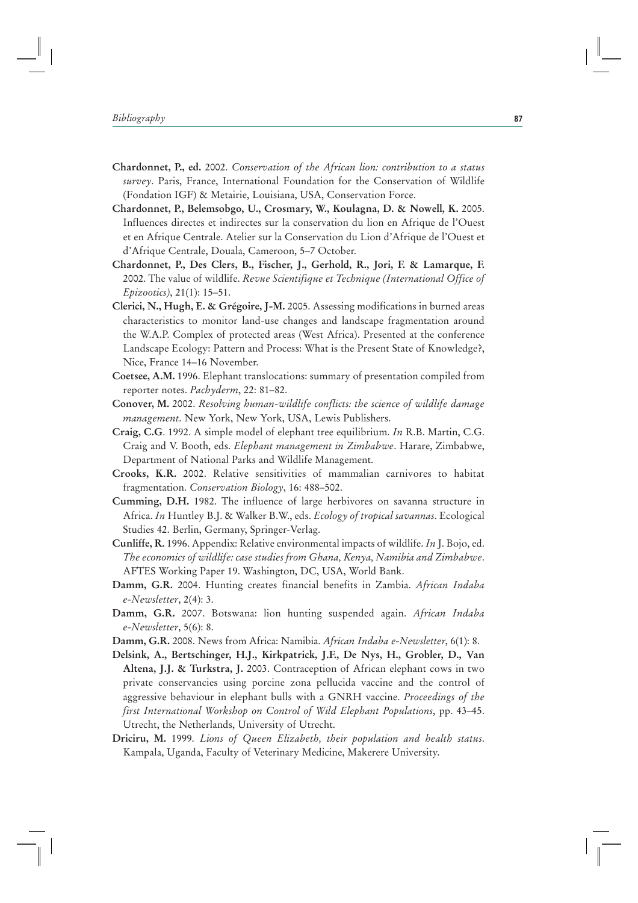- **Chardonnet, P., ed.** 2002. *Conservation of the African lion: contribution to a status survey*. Paris, France, International Foundation for the Conservation of Wildlife (Fondation IGF) & Metairie, Louisiana, USA, Conservation Force.
- **Chardonnet, P., Belemsobgo, U., Crosmary, W., Koulagna, D. & Nowell, K.** 2005. Influences directes et indirectes sur la conservation du lion en Afrique de l'Ouest et en Afrique Centrale. Atelier sur la Conservation du Lion d'Afrique de l'Ouest et d'Afrique Centrale, Douala, Cameroon, 5–7 October.
- **Chardonnet, P., Des Clers, B., Fischer, J., Gerhold, R., Jori, F. & Lamarque, F.** 2002. The value of wildlife. *Revue Scientifique et Technique (International Office of Epizootics)*, 21(1): 15–51.
- **Clerici, N., Hugh, E. & Grégoire, J-M.** 2005. Assessing modifications in burned areas characteristics to monitor land-use changes and landscape fragmentation around the W.A.P. Complex of protected areas (West Africa). Presented at the conference Landscape Ecology: Pattern and Process: What is the Present State of Knowledge?, Nice, France 14–16 November.
- **Coetsee, A.M.** 1996. Elephant translocations: summary of presentation compiled from reporter notes. *Pachyderm*, 22: 81–82.
- **Conover, M.** 2002. *Resolving human-wildlife conflicts: the science of wildlife damage management*. New York, New York, USA, Lewis Publishers.
- **Craig, C.G**. 1992. A simple model of elephant tree equilibrium. *In* R.B. Martin, C.G. Craig and V. Booth, eds. *Elephant management in Zimbabwe*. Harare, Zimbabwe, Department of National Parks and Wildlife Management.
- **Crooks, K.R.** 2002. Relative sensitivities of mammalian carnivores to habitat fragmentation. *Conservation Biology*, 16: 488–502.
- **Cumming, D.H.** 1982. The influence of large herbivores on savanna structure in Africa. *In* Huntley B.J. & Walker B.W., eds. *Ecology of tropical savannas*. Ecological Studies 42. Berlin, Germany, Springer-Verlag.
- **Cunliffe, R.** 1996. Appendix: Relative environmental impacts of wildlife. *In* J. Bojo, ed. *The economics of wildlife: case studies from Ghana, Kenya, Namibia and Zimbabwe*. AFTES Working Paper 19. Washington, DC, USA, World Bank.
- **Damm, G.R.** 2004. Hunting creates financial benefits in Zambia. *African Indaba e-Newsletter*, 2(4): 3.
- **Damm, G.R.** 2007. Botswana: lion hunting suspended again. *African Indaba e-Newsletter*, 5(6): 8.
- **Damm, G.R.** 2008. News from Africa: Namibia. *African Indaba e-Newsletter*, 6(1): 8.
- **Delsink, A., Bertschinger, H.J., Kirkpatrick, J.F., De Nys, H., Grobler, D., Van Altena, J.J. & Turkstra, J.** 2003. Contraception of African elephant cows in two private conservancies using porcine zona pellucida vaccine and the control of aggressive behaviour in elephant bulls with a GNRH vaccine. *Proceedings of the first International Workshop on Control of Wild Elephant Populations*, pp. 43–45. Utrecht, the Netherlands, University of Utrecht.
- **Driciru, M.** 1999. *Lions of Queen Elizabeth, their population and health status*. Kampala, Uganda, Faculty of Veterinary Medicine, Makerere University.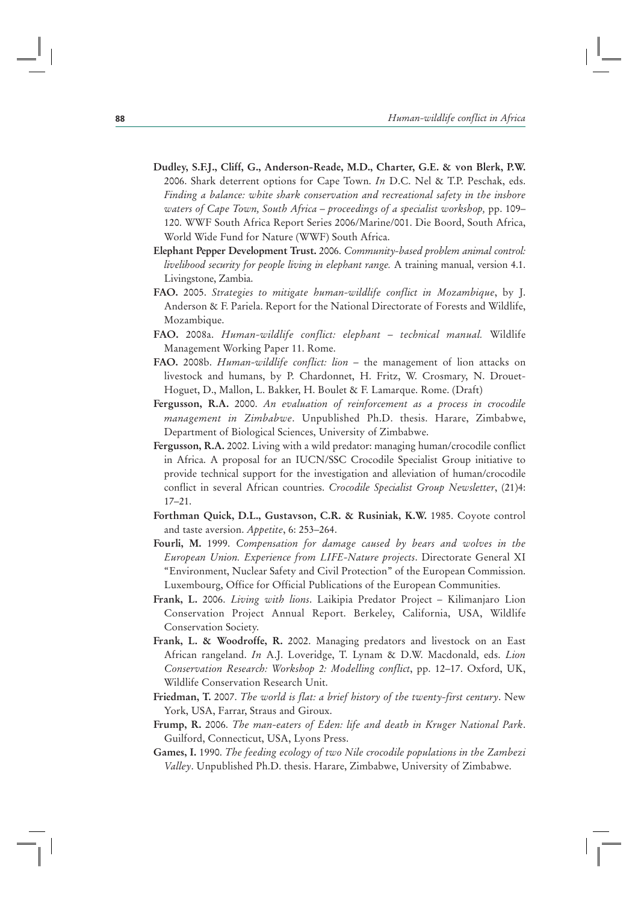- **Dudley, S.F.J., Cliff, G., Anderson-Reade, M.D., Charter, G.E. & von Blerk, P.W.** 2006. Shark deterrent options for Cape Town. *In* D.C. Nel & T.P. Peschak, eds. *Finding a balance: white shark conservation and recreational safety in the inshore waters of Cape Town, South Africa – proceedings of a specialist workshop, pp. 109–* 120. WWF South Africa Report Series 2006/Marine/001. Die Boord, South Africa, World Wide Fund for Nature (WWF) South Africa.
- **Elephant Pepper Development Trust.** 2006. *Community-based problem animal control: livelihood security for people living in elephant range.* A training manual, version 4.1. Livingstone, Zambia.
- **FAO.** 2005. *Strategies to mitigate human-wildlife conflict in Mozambique*, by J. Anderson & F. Pariela. Report for the National Directorate of Forests and Wildlife, Mozambique.
- **FAO.** 2008a. *Human-wildlife conflict: elephant technical manual.* Wildlife Management Working Paper 11. Rome.
- **FAO.** 2008b. *Human-wildlife conflict: lion –* the management of lion attacks on livestock and humans, by P. Chardonnet, H. Fritz, W. Crosmary, N. Drouet-Hoguet, D., Mallon, L. Bakker, H. Boulet & F. Lamarque. Rome. (Draft)
- **Fergusson, R.A.** 2000. *An evaluation of reinforcement as a process in crocodile management in Zimbabwe*. Unpublished Ph.D. thesis. Harare, Zimbabwe, Department of Biological Sciences, University of Zimbabwe.
- **Fergusson, R.A.** 2002. Living with a wild predator: managing human/crocodile conflict in Africa. A proposal for an IUCN/SSC Crocodile Specialist Group initiative to provide technical support for the investigation and alleviation of human/crocodile conflict in several African countries. *Crocodile Specialist Group Newsletter*, (21)4: 17–21.
- **Forthman Quick, D.L., Gustavson, C.R. & Rusiniak, K.W.** 1985. Coyote control and taste aversion. *Appetite*, 6: 253–264.
- **Fourli, M.** 1999. *Compensation for damage caused by bears and wolves in the European Union. Experience from LIFE-Nature projects*. Directorate General XI "Environment, Nuclear Safety and Civil Protection" of the European Commission. Luxembourg, Office for Official Publications of the European Communities.
- **Frank, L.** 2006. *Living with lions*. Laikipia Predator Project Kilimanjaro Lion Conservation Project Annual Report. Berkeley, California, USA, Wildlife Conservation Society.
- **Frank, L. & Woodroffe, R.** 2002. Managing predators and livestock on an East African rangeland. *In* A.J. Loveridge, T. Lynam & D.W. Macdonald, eds. *Lion Conservation Research: Workshop 2: Modelling conflict*, pp. 12–17. Oxford, UK, Wildlife Conservation Research Unit.
- **Friedman, T.** 2007. *The world is flat: a brief history of the twenty-first century*. New York, USA, Farrar, Straus and Giroux.
- **Frump, R.** 2006. *The man-eaters of Eden: life and death in Kruger National Park*. Guilford, Connecticut, USA, Lyons Press.
- **Games, I.** 1990. *The feeding ecology of two Nile crocodile populations in the Zambezi Valley*. Unpublished Ph.D. thesis. Harare, Zimbabwe, University of Zimbabwe.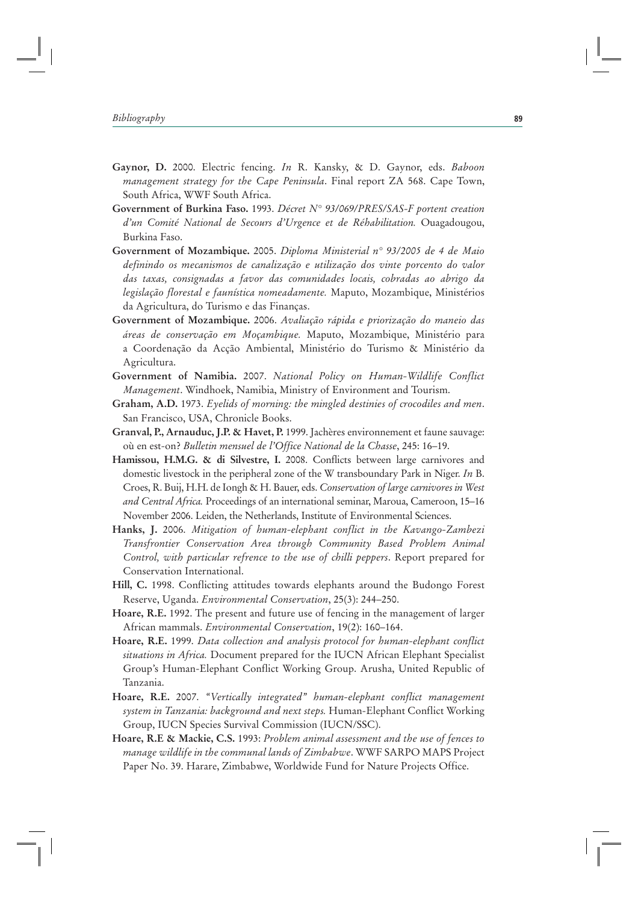- **Gaynor, D.** 2000. Electric fencing. *In* R. Kansky, & D. Gaynor, eds. *Baboon management strategy for the Cape Peninsula*. Final report ZA 568. Cape Town, South Africa, WWF South Africa.
- **Government of Burkina Faso.** 1993. *Décret N° 93/069/PRES/SAS-F portent creation d'un Comité National de Secours d'Urgence et de Réhabilitation.* Ouagadougou, Burkina Faso.
- **Government of Mozambique.** 2005. *Diploma Ministerial n° 93/2005 de 4 de Maio definindo os mecanismos de canalização e utilização dos vinte porcento do valor das taxas, consignadas a favor das comunidades locais, cobradas ao abrigo da legislação florestal e faunística nomeadamente.* Maputo, Mozambique, Ministérios da Agricultura, do Turismo e das Finanças.
- **Government of Mozambique.** 2006. *Avaliação rápida e priorização do maneio das áreas de conservação em Moçambique.* Maputo, Mozambique, Ministério para a Coordenação da Acção Ambiental, Ministério do Turismo & Ministério da Agricultura.
- **Government of Namibia.** 2007. *National Policy on Human-Wildlife Conflict Management*. Windhoek, Namibia, Ministry of Environment and Tourism.
- **Graham, A.D.** 1973. *Eyelids of morning: the mingled destinies of crocodiles and men*. San Francisco, USA, Chronicle Books.
- **Granval, P., Arnauduc, J.P. & Havet, P.** 1999. Jachères environnement et faune sauvage: où en est-on? *Bulletin mensuel de l'Office National de la Chasse*, 245: 16–19.
- **Hamissou, H.M.G. & di Silvestre, I.** 2008. Conflicts between large carnivores and domestic livestock in the peripheral zone of the W transboundary Park in Niger. *In* B. Croes, R. Buij, H.H. de Iongh & H. Bauer, eds. *Conservation of large carnivores in West and Central Africa.* Proceedings of an international seminar, Maroua, Cameroon, 15–16 November 2006. Leiden, the Netherlands, Institute of Environmental Sciences.
- **Hanks, J.** 2006. *Mitigation of human-elephant conflict in the Kavango-Zambezi Transfrontier Conservation Area through Community Based Problem Animal Control, with particular refrence to the use of chilli peppers*. Report prepared for Conservation International.
- **Hill, C.** 1998. Conflicting attitudes towards elephants around the Budongo Forest Reserve, Uganda. *Environmental Conservation*, 25(3): 244–250.
- **Hoare, R.E.** 1992. The present and future use of fencing in the management of larger African mammals. *Environmental Conservation*, 19(2): 160–164.
- **Hoare, R.E.** 1999. *Data collection and analysis protocol for human-elephant conflict situations in Africa.* Document prepared for the IUCN African Elephant Specialist Group's Human-Elephant Conflict Working Group. Arusha, United Republic of Tanzania.
- **Hoare, R.E.** 2007. *"Vertically integrated" human-elephant conflict management system in Tanzania: background and next steps.* Human-Elephant Conflict Working Group, IUCN Species Survival Commission (IUCN/SSC).
- **Hoare, R.E & Mackie, C.S.** 1993: *Problem animal assessment and the use of fences to manage wildlife in the communal lands of Zimbabwe*. WWF SARPO MAPS Project Paper No. 39. Harare, Zimbabwe, Worldwide Fund for Nature Projects Office.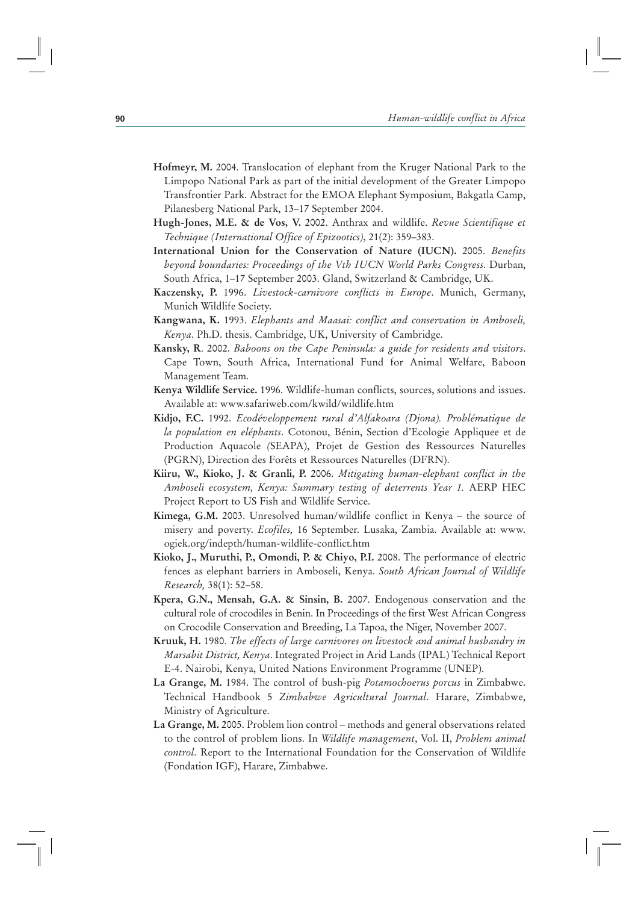- **Hofmeyr, M.** 2004. Translocation of elephant from the Kruger National Park to the Limpopo National Park as part of the initial development of the Greater Limpopo Transfrontier Park. Abstract for the EMOA Elephant Symposium, Bakgatla Camp, Pilanesberg National Park, 13–17 September 2004.
- **Hugh-Jones, M.E. & de Vos, V.** 2002. Anthrax and wildlife. *Revue Scientifique et Technique (International Office of Epizootics)*, 21(2): 359–383.
- **International Union for the Conservation of Nature (IUCN).** 2005. *Benefits beyond boundaries: Proceedings of the Vth IUCN World Parks Congress*. Durban, South Africa, 1–17 September 2003. Gland, Switzerland & Cambridge, UK.
- **Kaczensky, P.** 1996. *Livestock-carnivore conflicts in Europe*. Munich, Germany, Munich Wildlife Society.
- **Kangwana, K.** 1993. *Elephants and Maasai: conflict and conservation in Amboseli, Kenya*. Ph.D. thesis. Cambridge, UK, University of Cambridge.
- **Kansky, R**. 2002. *Baboons on the Cape Peninsula: a guide for residents and visitors*. Cape Town, South Africa, International Fund for Animal Welfare, Baboon Management Team.
- **Kenya Wildlife Service.** 1996. Wildlife-human conflicts, sources, solutions and issues. Available at: www.safariweb.com/kwild/wildlife.htm
- **Kidjo, F.C.** 1992. *Ecodéveloppement rural d'Alfakoara (Djona). Problématique de la population en eléphants*. Cotonou, Bénin, Section d'Ecologie Appliquee et de Production Aquacole *(*SEAPA), Projet de Gestion des Ressources Naturelles (PGRN), Direction des Forêts et Ressources Naturelles (DFRN).
- **Kiiru, W., Kioko, J. & Granli, P.** 2006. *Mitigating human-elephant conflict in the Amboseli ecosystem, Kenya: Summary testing of deterrents Year 1.* AERP HEC Project Report to US Fish and Wildlife Service.
- **Kimega, G.M.** 2003. Unresolved human/wildlife conflict in Kenya the source of misery and poverty. *Ecofiles,* 16 September. Lusaka, Zambia. Available at: www. ogiek.org/indepth/human-wildlife-conflict.htm
- **Kioko, J., Muruthi, P., Omondi, P. & Chiyo, P.I.** 2008. The performance of electric fences as elephant barriers in Amboseli, Kenya. *South African Journal of Wildlife Research,* 38(1): 52–58.
- **Kpera, G.N., Mensah, G.A. & Sinsin, B.** 2007. Endogenous conservation and the cultural role of crocodiles in Benin. In Proceedings of the first West African Congress on Crocodile Conservation and Breeding, La Tapoa, the Niger, November 2007.
- **Kruuk, H.** 1980. *The effects of large carnivores on livestock and animal husbandry in Marsabit District, Kenya*. Integrated Project in Arid Lands (IPAL) Technical Report E-4. Nairobi, Kenya, United Nations Environment Programme (UNEP).
- **La Grange, M.** 1984. The control of bush-pig *Potamochoerus porcus* in Zimbabwe. Technical Handbook 5 *Zimbabwe Agricultural Journal*. Harare, Zimbabwe, Ministry of Agriculture.
- **La Grange, M.** 2005. Problem lion control methods and general observations related to the control of problem lions. In *Wildlife management*, Vol. II, *Problem animal control*. Report to the International Foundation for the Conservation of Wildlife (Fondation IGF), Harare, Zimbabwe.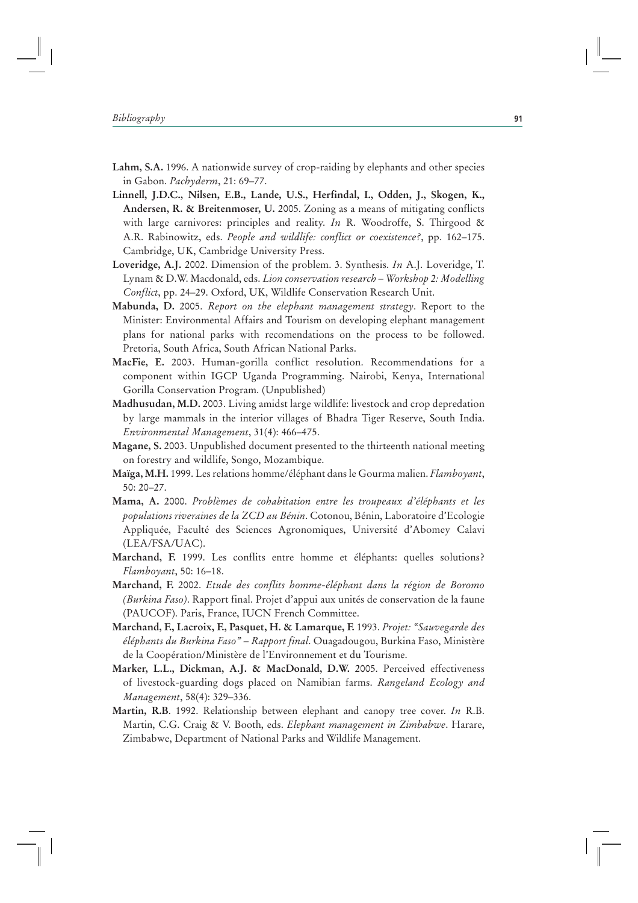- **Lahm, S.A.** 1996. A nationwide survey of crop-raiding by elephants and other species in Gabon. *Pachyderm*, 21: 69–77.
- **Linnell, J.D.C., Nilsen, E.B., Lande, U.S., Herfindal, I., Odden, J., Skogen, K., Andersen, R. & Breitenmoser, U.** 2005. Zoning as a means of mitigating conflicts with large carnivores: principles and reality. *In* R. Woodroffe, S. Thirgood & A.R. Rabinowitz, eds. *People and wildlife: conflict or coexistence?*, pp. 162–175. Cambridge, UK, Cambridge University Press.
- **Loveridge, A.J.** 2002. Dimension of the problem. 3. Synthesis. *In* A.J. Loveridge, T. Lynam & D.W. Macdonald, eds. *Lion conservation research – Workshop 2: Modelling Conflict*, pp. 24–29. Oxford, UK, Wildlife Conservation Research Unit.
- **Mabunda, D.** 2005. *Report on the elephant management strategy*. Report to the Minister: Environmental Affairs and Tourism on developing elephant management plans for national parks with recomendations on the process to be followed. Pretoria, South Africa, South African National Parks.
- **MacFie, E.** 2003. Human-gorilla conflict resolution. Recommendations for a component within IGCP Uganda Programming. Nairobi, Kenya, International Gorilla Conservation Program. (Unpublished)
- **Madhusudan, M.D.** 2003. Living amidst large wildlife: livestock and crop depredation by large mammals in the interior villages of Bhadra Tiger Reserve, South India. *Environmental Management*, 31(4): 466–475.
- **Magane, S.** 2003. Unpublished document presented to the thirteenth national meeting on forestry and wildlife, Songo, Mozambique.
- **Maïga, M.H.** 1999. Les relations homme/éléphant dans le Gourma malien. *Flamboyant*, 50: 20–27.
- **Mama, A.** 2000. *Problèmes de cohabitation entre les troupeaux d'éléphants et les populations riveraines de la ZCD au Bénin*. Cotonou, Bénin, Laboratoire d'Ecologie Appliquée, Faculté des Sciences Agronomiques, Université d'Abomey Calavi (LEA/FSA/UAC).
- **Marchand, F.** 1999. Les conflits entre homme et éléphants: quelles solutions? *Flamboyant*, 50: 16–18.
- **Marchand, F.** 2002. *Etude des conflits homme-éléphant dans la région de Boromo (Burkina Faso)*. Rapport final. Projet d'appui aux unités de conservation de la faune (PAUCOF). Paris, France, IUCN French Committee.
- **Marchand, F., Lacroix, F., Pasquet, H. & Lamarque, F.** 1993. *Projet: "Sauvegarde des éléphants du Burkina Faso" – Rapport final*. Ouagadougou, Burkina Faso, Ministère de la Coopération/Ministère de l'Environnement et du Tourisme.
- **Marker, L.L., Dickman, A.J. & MacDonald, D.W.** 2005. Perceived effectiveness of livestock-guarding dogs placed on Namibian farms. *Rangeland Ecology and Management*, 58(4): 329–336.
- **Martin, R.B**. 1992. Relationship between elephant and canopy tree cover. *In* R.B. Martin, C.G. Craig & V. Booth, eds. *Elephant management in Zimbabwe*. Harare, Zimbabwe, Department of National Parks and Wildlife Management.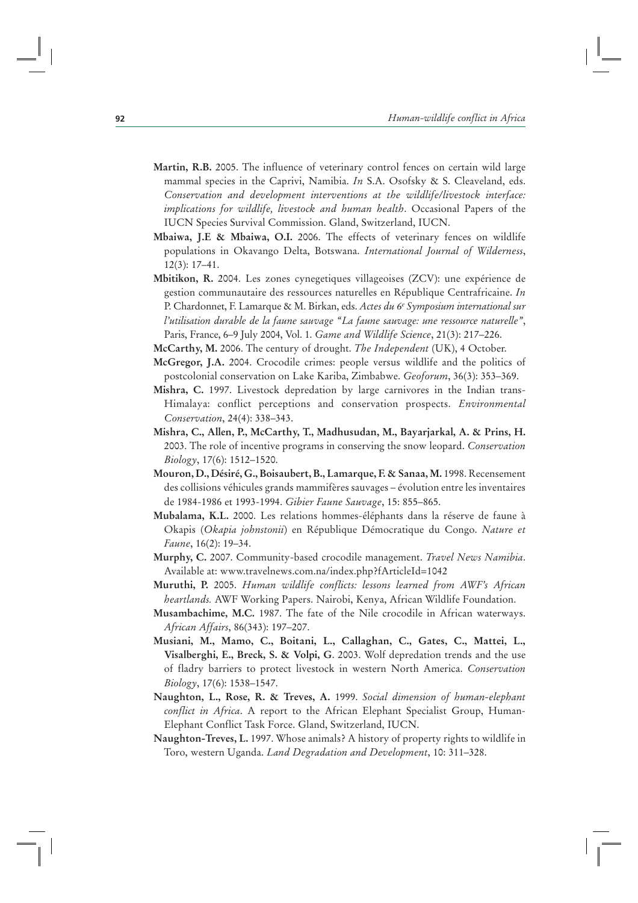- **Martin, R.B.** 2005. The influence of veterinary control fences on certain wild large mammal species in the Caprivi, Namibia. *In* S.A. Osofsky & S. Cleaveland, eds. *Conservation and development interventions at the wildlife/livestock interface: implications for wildlife, livestock and human health*. Occasional Papers of the IUCN Species Survival Commission. Gland, Switzerland, IUCN.
- **Mbaiwa, J.E & Mbaiwa, O.I.** 2006. The effects of veterinary fences on wildlife populations in Okavango Delta, Botswana. *International Journal of Wilderness*, 12(3): 17–41.
- **Mbitikon, R.** 2004. Les zones cynegetiques villageoises (ZCV): une expérience de gestion communautaire des ressources naturelles en République Centrafricaine. *In* P. Chardonnet, F. Lamarque & M. Birkan, eds. *Actes du 6e Symposium international sur l'utilisation durable de la faune sauvage "La faune sauvage: une ressource naturelle"*, Paris, France, 6–9 July 2004, Vol. 1. *Game and Wildlife Science*, 21(3): 217–226.
- **McCarthy, M.** 2006. The century of drought. *The Independent* (UK), 4 October.
- **McGregor, J.A.** 2004. Crocodile crimes: people versus wildlife and the politics of postcolonial conservation on Lake Kariba, Zimbabwe. *Geoforum*, 36(3): 353–369.
- **Mishra, C.** 1997. Livestock depredation by large carnivores in the Indian trans-Himalaya: conflict perceptions and conservation prospects. *Environmental Conservation*, 24(4): 338–343.
- **Mishra, C., Allen, P., McCarthy, T., Madhusudan, M., Bayarjarkal, A. & Prins, H.** 2003. The role of incentive programs in conserving the snow leopard. *Conservation Biology*, 17(6): 1512–1520.
- **Mouron, D., Désiré, G., Boisaubert, B., Lamarque, F. & Sanaa, M.** 1998. Recensement des collisions véhicules grands mammifères sauvages – évolution entre les inventaires de 1984-1986 et 1993-1994. *Gibier Faune Sauvage*, 15: 855–865.
- **Mubalama, K.L.** 2000. Les relations hommes-éléphants dans la réserve de faune à Okapis (*Okapia johnstonii*) en République Démocratique du Congo. *Nature et Faune*, 16(2): 19–34.
- **Murphy, C.** 2007. Community-based crocodile management. *Travel News Namibia*. Available at: www.travelnews.com.na/index.php?fArticleId=1042
- **Muruthi, P.** 2005. *Human wildlife conflicts: lessons learned from AWF's African heartlands.* AWF Working Papers. Nairobi, Kenya, African Wildlife Foundation.
- **Musambachime, M.C.** 1987. The fate of the Nile crocodile in African waterways. *African Affairs*, 86(343): 197–207.
- **Musiani, M., Mamo, C., Boitani, L., Callaghan, C., Gates, C., Mattei, L., Visalberghi, E., Breck, S. & Volpi, G**. 2003. Wolf depredation trends and the use of fladry barriers to protect livestock in western North America. *Conservation Biology*, 17(6): 1538–1547.
- **Naughton, L., Rose, R. & Treves, A.** 1999. *Social dimension of human-elephant conflict in Africa*. A report to the African Elephant Specialist Group, Human-Elephant Conflict Task Force. Gland, Switzerland, IUCN.
- **Naughton-Treves, L.** 1997. Whose animals? A history of property rights to wildlife in Toro, western Uganda. *Land Degradation and Development*, 10: 311–328.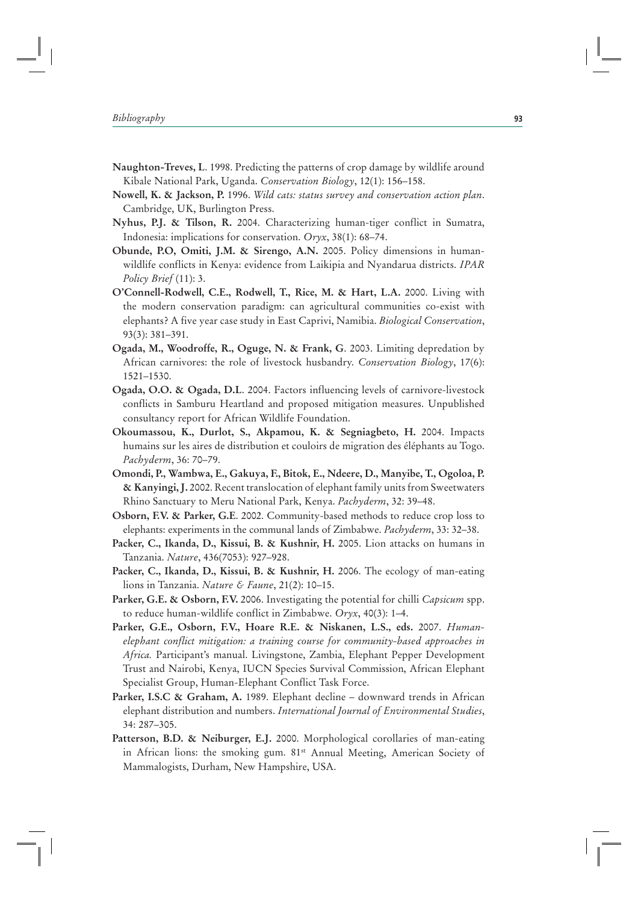- **Naughton-Treves, L**. 1998. Predicting the patterns of crop damage by wildlife around Kibale National Park, Uganda. *Conservation Biology*, 12(1): 156–158.
- **Nowell, K. & Jackson, P.** 1996. *Wild cats: status survey and conservation action plan*. Cambridge, UK, Burlington Press.
- **Nyhus, P.J. & Tilson, R.** 2004. Characterizing human-tiger conflict in Sumatra, Indonesia: implications for conservation. *Oryx*, 38(1): 68–74.
- **Obunde, P.O, Omiti, J.M. & Sirengo, A.N.** 2005. Policy dimensions in humanwildlife conflicts in Kenya: evidence from Laikipia and Nyandarua districts. *IPAR Policy Brief* (11): 3.
- **O'Connell-Rodwell, C.E., Rodwell, T., Rice, M. & Hart, L.A.** 2000. Living with the modern conservation paradigm: can agricultural communities co-exist with elephants? A five year case study in East Caprivi, Namibia. *Biological Conservation*, 93(3): 381–391.
- **Ogada, M., Woodroffe, R., Oguge, N. & Frank, G**. 2003. Limiting depredation by African carnivores: the role of livestock husbandry. *Conservation Biology*, 17(6): 1521–1530.
- **Ogada, O.O. & Ogada, D.L**. 2004. Factors influencing levels of carnivore-livestock conflicts in Samburu Heartland and proposed mitigation measures. Unpublished consultancy report for African Wildlife Foundation.
- **Okoumassou, K., Durlot, S., Akpamou, K. & Segniagbeto, H.** 2004. Impacts humains sur les aires de distribution et couloirs de migration des éléphants au Togo. *Pachyderm*, 36: 70–79.
- **Omondi, P., Wambwa, E., Gakuya, F., Bitok, E., Ndeere, D., Manyibe, T., Ogoloa, P. & Kanyingi, J.** 2002. Recent translocation of elephant family units from Sweetwaters Rhino Sanctuary to Meru National Park, Kenya. *Pachyderm*, 32: 39–48.
- **Osborn, F.V. & Parker, G.E**. 2002. Community-based methods to reduce crop loss to elephants: experiments in the communal lands of Zimbabwe. *Pachyderm*, 33: 32–38.
- **Packer, C., Ikanda, D., Kissui, B. & Kushnir, H.** 2005. Lion attacks on humans in Tanzania. *Nature*, 436(7053): 927–928.
- **Packer, C., Ikanda, D., Kissui, B. & Kushnir, H.** 2006. The ecology of man-eating lions in Tanzania. *Nature & Faune*, 21(2): 10–15.
- **Parker, G.E. & Osborn, F.V.** 2006. Investigating the potential for chilli *Capsicum* spp. to reduce human-wildlife conflict in Zimbabwe. *Oryx*, 40(3): 1–4.
- **Parker, G.E., Osborn, F.V., Hoare R.E. & Niskanen, L.S., eds.** 2007. *Humanelephant conflict mitigation: a training course for community-based approaches in Africa.* Participant's manual. Livingstone, Zambia, Elephant Pepper Development Trust and Nairobi, Kenya, IUCN Species Survival Commission, African Elephant Specialist Group, Human-Elephant Conflict Task Force.
- **Parker, I.S.C & Graham, A.** 1989. Elephant decline downward trends in African elephant distribution and numbers. *International Journal of Environmental Studies*, 34: 287–305.
- **Patterson, B.D. & Neiburger, E.J.** 2000. Morphological corollaries of man-eating in African lions: the smoking gum. 81<sup>st</sup> Annual Meeting, American Society of Mammalogists, Durham, New Hampshire, USA.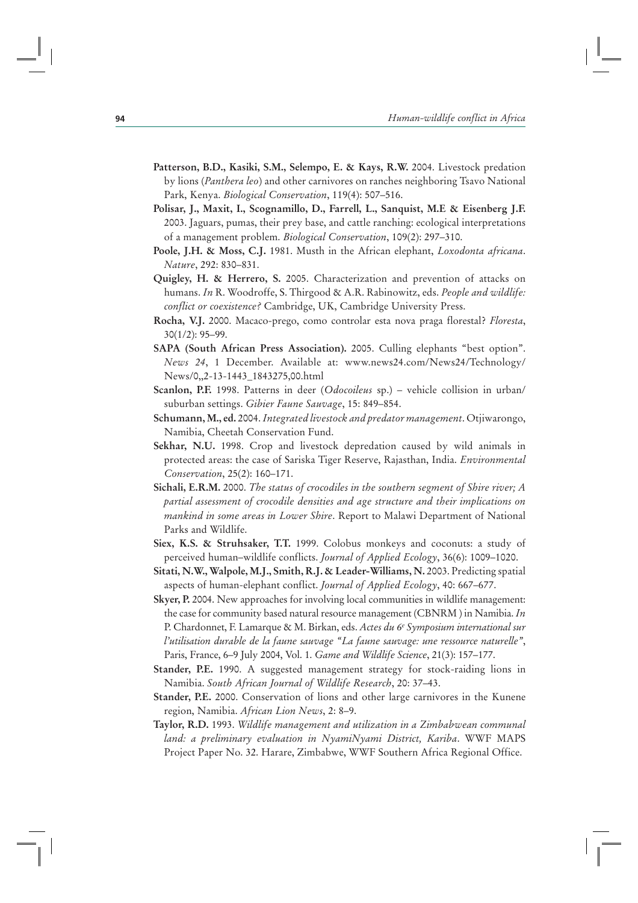- **Patterson, B.D., Kasiki, S.M., Selempo, E. & Kays, R.W.** 2004. Livestock predation by lions (*Panthera leo*) and other carnivores on ranches neighboring Tsavo National Park, Kenya. *Biological Conservation*, 119(4): 507–516.
- **Polisar, J., Maxit, I., Scognamillo, D., Farrell, L., Sanquist, M.E & Eisenberg J.F.**  2003. Jaguars, pumas, their prey base, and cattle ranching: ecological interpretations of a management problem. *Biological Conservation*, 109(2): 297–310.
- **Poole, J.H. & Moss, C.J.** 1981. Musth in the African elephant, *Loxodonta africana*. *Nature*, 292: 830–831.
- **Quigley, H. & Herrero, S.** 2005. Characterization and prevention of attacks on humans. *In* R. Woodroffe, S. Thirgood & A.R. Rabinowitz, eds. *People and wildlife: conflict or coexistence?* Cambridge, UK, Cambridge University Press.
- **Rocha, V.J.** 2000. Macaco-prego, como controlar esta nova praga florestal? *Floresta*, 30(1/2): 95–99.
- **SAPA (South African Press Association).** 2005. Culling elephants "best option". *News 24*, 1 December. Available at: www.news24.com/News24/Technology/ News/0,,2-13-1443\_1843275,00.html
- **Scanlon, P.F.** 1998. Patterns in deer (*Odocoileus* sp.) vehicle collision in urban/ suburban settings. *Gibier Faune Sauvage*, 15: 849–854.
- **Schumann, M., ed.** 2004. *Integrated livestock and predator management*. Otjiwarongo, Namibia, Cheetah Conservation Fund.
- **Sekhar, N.U.** 1998. Crop and livestock depredation caused by wild animals in protected areas: the case of Sariska Tiger Reserve, Rajasthan, India. *Environmental Conservation*, 25(2): 160–171.
- **Sichali, E.R.M.** 2000. *The status of crocodiles in the southern segment of Shire river; A partial assessment of crocodile densities and age structure and their implications on mankind in some areas in Lower Shire*. Report to Malawi Department of National Parks and Wildlife.
- **Siex, K.S. & Struhsaker, T.T.** 1999. Colobus monkeys and coconuts: a study of perceived human–wildlife conflicts. *Journal of Applied Ecology*, 36(6): 1009–1020.
- **Sitati, N.W., Walpole, M.J., Smith, R.J. & Leader-Williams, N.** 2003. Predicting spatial aspects of human-elephant conflict. *Journal of Applied Ecology*, 40: 667–677.
- **Skyer, P.** 2004. New approaches for involving local communities in wildlife management: the case for community based natural resource management (CBNRM ) in Namibia. *In* P. Chardonnet, F. Lamarque & M. Birkan, eds. *Actes du 6e Symposium international sur l'utilisation durable de la faune sauvage "La faune sauvage: une ressource naturelle"*, Paris, France, 6–9 July 2004, Vol. 1. *Game and Wildlife Science*, 21(3): 157–177.
- **Stander, P.E.** 1990. A suggested management strategy for stock-raiding lions in Namibia. *South African Journal of Wildlife Research*, 20: 37–43.
- **Stander, P.E.** 2000. Conservation of lions and other large carnivores in the Kunene region, Namibia. *African Lion News*, 2: 8–9.
- **Taylor, R.D.** 1993. *Wildlife management and utilization in a Zimbabwean communal land: a preliminary evaluation in NyamiNyami District, Kariba*. WWF MAPS Project Paper No. 32. Harare, Zimbabwe, WWF Southern Africa Regional Office.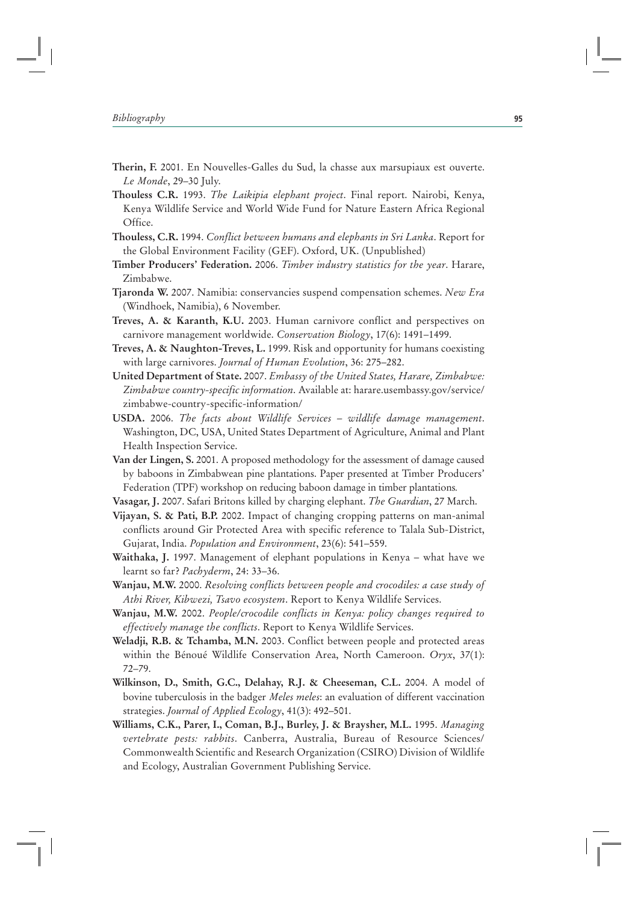- **Therin, F.** 2001. En Nouvelles-Galles du Sud, la chasse aux marsupiaux est ouverte. *Le Monde*, 29–30 July.
- **Thouless C.R.** 1993. *The Laikipia elephant project*. Final report. Nairobi, Kenya, Kenya Wildlife Service and World Wide Fund for Nature Eastern Africa Regional Office.
- **Thouless, C.R.** 1994. *Conflict between humans and elephants in Sri Lanka*. Report for the Global Environment Facility (GEF). Oxford, UK. (Unpublished)
- **Timber Producers' Federation.** 2006. *Timber industry statistics for the year*. Harare, Zimbabwe.
- **Tjaronda W.** 2007. Namibia: conservancies suspend compensation schemes. *New Era* (Windhoek, Namibia), 6 November.
- **Treves, A. & Karanth, K.U.** 2003. Human carnivore conflict and perspectives on carnivore management worldwide. *Conservation Biology*, 17(6): 1491–1499.
- **Treves, A. & Naughton-Treves, L.** 1999. Risk and opportunity for humans coexisting with large carnivores. *Journal of Human Evolution*, 36: 275–282.
- **United Department of State.** 2007. *Embassy of the United States, Harare, Zimbabwe: Zimbabwe country-specific information*. Available at: harare.usembassy.gov/service/ zimbabwe-country-specific-information/
- **USDA.** 2006. *The facts about Wildlife Services wildlife damage management*. Washington, DC, USA, United States Department of Agriculture, Animal and Plant Health Inspection Service.
- **Van der Lingen, S.** 2001. A proposed methodology for the assessment of damage caused by baboons in Zimbabwean pine plantations. Paper presented at Timber Producers' Federation (TPF) workshop on reducing baboon damage in timber plantations*.*
- **Vasagar, J.** 2007. Safari Britons killed by charging elephant. *The Guardian*, 27 March.
- **Vijayan, S. & Pati, B.P.** 2002. Impact of changing cropping patterns on man-animal conflicts around Gir Protected Area with specific reference to Talala Sub-District, Gujarat, India. *Population and Environment*, 23(6): 541–559.
- **Waithaka, J.** 1997. Management of elephant populations in Kenya what have we learnt so far? *Pachyderm*, 24: 33–36.
- **Wanjau, M.W.** 2000. *Resolving conflicts between people and crocodiles: a case study of Athi River, Kibwezi, Tsavo ecosystem*. Report to Kenya Wildlife Services.
- **Wanjau, M.W.** 2002. *People/crocodile conflicts in Kenya: policy changes required to effectively manage the conflicts*. Report to Kenya Wildlife Services.
- **Weladji, R.B. & Tchamba, M.N.** 2003. Conflict between people and protected areas within the Bénoué Wildlife Conservation Area, North Cameroon. *Oryx*, 37(1): 72–79.
- **Wilkinson, D., Smith, G.C., Delahay, R.J. & Cheeseman, C.L.** 2004. A model of bovine tuberculosis in the badger *Meles meles*: an evaluation of different vaccination strategies. *Journal of Applied Ecology*, 41(3): 492–501.
- **Williams, C.K., Parer, I., Coman, B.J., Burley, J. & Braysher, M.L.** 1995. *Managing vertebrate pests: rabbits*. Canberra, Australia, Bureau of Resource Sciences/ Commonwealth Scientific and Research Organization (CSIRO) Division of Wildlife and Ecology, Australian Government Publishing Service.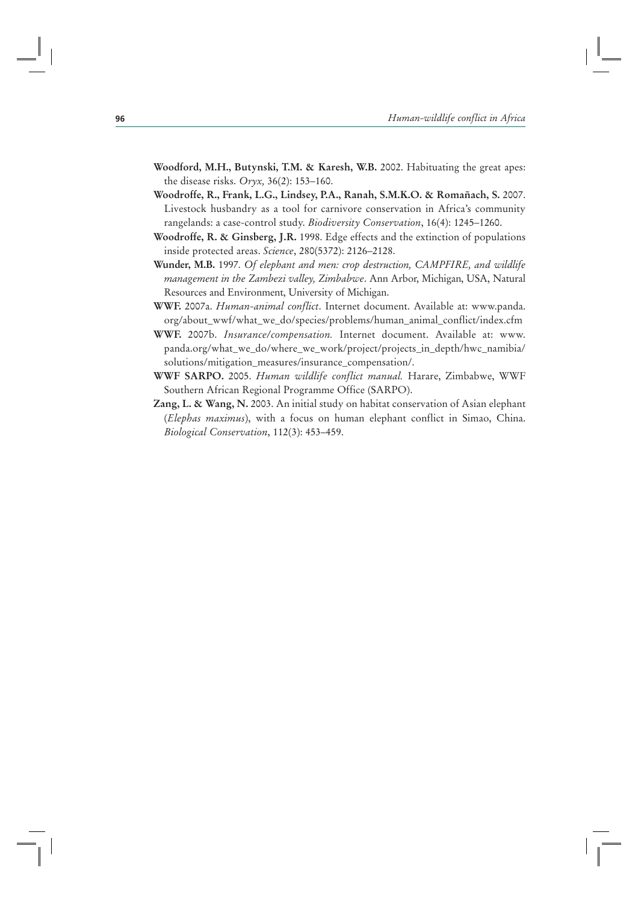- **Woodford, M.H., Butynski, T.M. & Karesh, W.B.** 2002. Habituating the great apes: the disease risks. *Oryx,* 36(2): 153–160.
- **Woodroffe, R., Frank, L.G., Lindsey, P.A., Ranah, S.M.K.O. & Romañach, S.** 2007. Livestock husbandry as a tool for carnivore conservation in Africa's community rangelands: a case-control study. *Biodiversity Conservation*, 16(4): 1245–1260.
- **Woodroffe, R. & Ginsberg, J.R.** 1998. Edge effects and the extinction of populations inside protected areas. *Science*, 280(5372): 2126–2128.
- **Wunder, M.B.** 1997. *Of elephant and men: crop destruction, CAMPFIRE, and wildlife management in the Zambezi valley, Zimbabwe*. Ann Arbor, Michigan, USA, Natural Resources and Environment, University of Michigan.
- **WWF.** 2007a. *Human-animal conflict*. Internet document. Available at: www.panda. org/about\_wwf/what\_we\_do/species/problems/human\_animal\_conflict/index.cfm
- **WWF.** 2007b. *Insurance/compensation.* Internet document. Available at: www. panda.org/what\_we\_do/where\_we\_work/project/projects\_in\_depth/hwc\_namibia/ solutions/mitigation\_measures/insurance\_compensation/.
- **WWF SARPO.** 2005. *Human wildlife conflict manual.* Harare, Zimbabwe, WWF Southern African Regional Programme Office (SARPO).
- **Zang, L. & Wang, N.** 2003. An initial study on habitat conservation of Asian elephant (*Elephas maximus*), with a focus on human elephant conflict in Simao, China. *Biological Conservation*, 112(3): 453–459.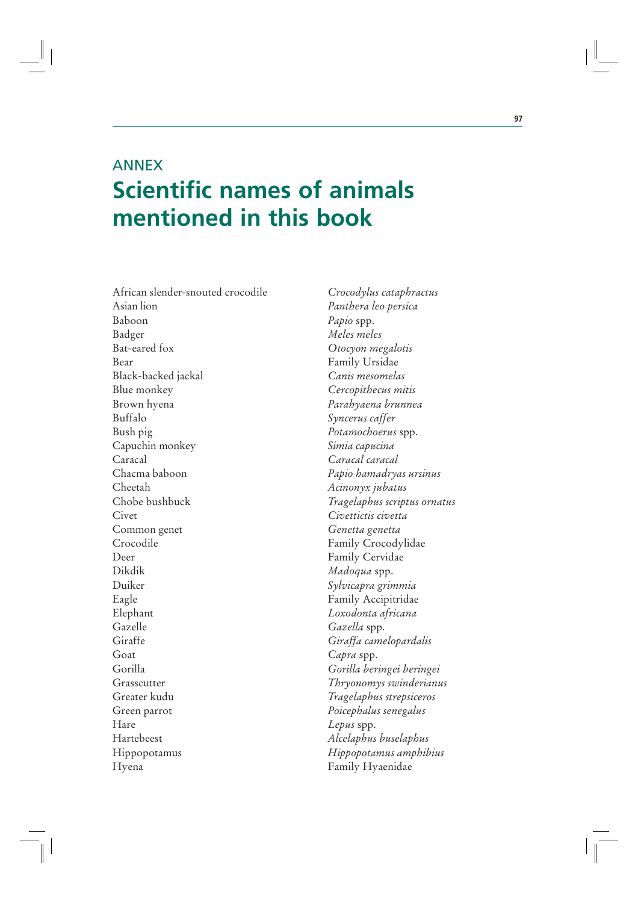# ANNEX **Scientific names of animals mentioned in this book**

African slender-snouted crocodile *Crocodylus cataphractus* Asian lion *Panthera leo persica* Baboon *Papio* spp. Badger *Meles meles* Bat-eared fox *Otocyon megalotis* Bear Family Ursidae Black-backed jackal *Canis mesomelas* Blue monkey *Cercopithecus mitis* Brown hyena *Parahyaena brunnea* Buffalo *Syncerus caffer* Bush pig *Potamochoerus* spp. Capuchin monkey *Simia capucina* Caracal *Caracal caracal* Chacma baboon *Papio hamadryas ursinus* Cheetah *Acinonyx jubatus* Chobe bushbuck *Tragelaphus scriptus ornatus* Civet *Civettictis civetta* Common genet *Genetta genetta* Crocodile Family Crocodylidae Deer Family Cervidae Dikdik *Madoqua* spp. Duiker *Sylvicapra grimmia* Eagle Family Accipitridae Elephant *Loxodonta africana* Gazelle *Gazella* spp. Giraffe *Giraffa camelopardalis* Goat *Capra* spp. Gorilla *Gorilla beringei beringei* Grasscutter *Thryonomys swinderianus* Greater kudu *Tragelaphus strepsiceros* Green parrot *Poicephalus senegalus* Hare *Lepus* spp. Hartebeest *Alcelaphus buselaphus* Hippopotamus *Hippopotamus amphibius* Hyena Family Hyaenidae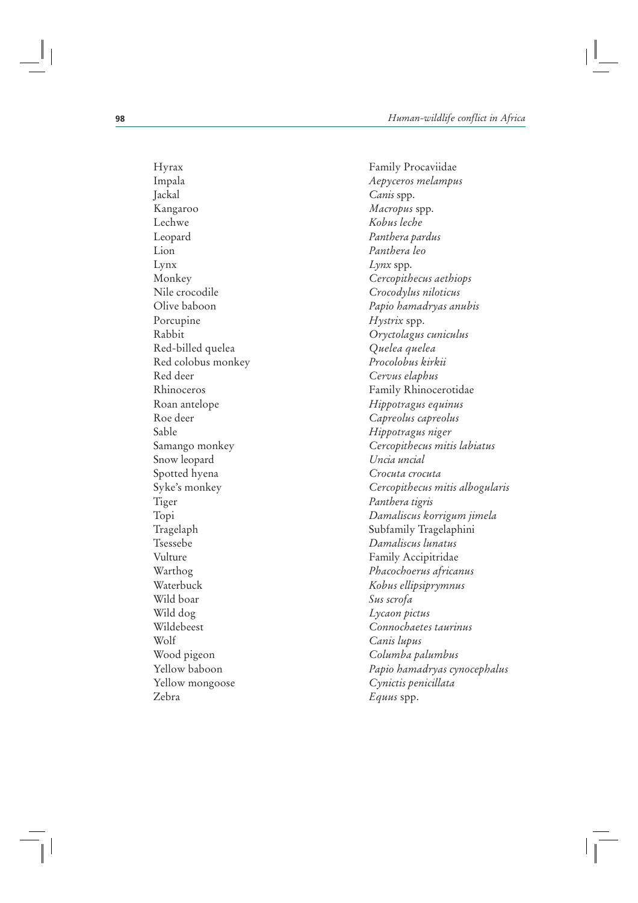Jackal *Canis* spp. Kangaroo *Macropus* spp. Lechwe *Kobus leche* Leopard *Panthera pardus* Lion *Panthera leo* Lynx *Lynx* spp. Nile crocodile *Crocodylus niloticus* Porcupine *Hystrix* spp. Red-billed quelea *Quelea quelea* Red colobus monkey *Procolobus kirkii* Red deer *Cervus elaphus* Roe deer *Capreolus capreolus* Sable *Hippotragus niger* Snow leopard *Uncia uncial* Spotted hyena *Crocuta crocuta* Tiger *Panthera tigris* Tsessebe *Damaliscus lunatus* Vulture Family Accipitridae Wild boar *Sus scrofa* Wild dog *Lycaon pictus* Wolf *Canis lupus* Wood pigeon *Columba palumbus* Yellow mongoose *Cynictis penicillata* Zebra *Equus* spp.

Hyrax Family Procaviidae Impala *Aepyceros melampus* Monkey *Cercopithecus aethiops* Olive baboon *Papio hamadryas anubis* Rabbit *Oryctolagus cuniculus* Rhinoceros Family Rhinocerotidae Roan antelope *Hippotragus equinus* Samango monkey *Cercopithecus mitis labiatus* Syke's monkey *Cercopithecus mitis albogularis* Topi *Damaliscus korrigum jimela* Tragelaph Subfamily Tragelaphini Warthog *Phacochoerus africanus* Waterbuck *Kobus ellipsiprymnus* Wildebeest *Connochaetes taurinus* Yellow baboon *Papio hamadryas cynocephalus*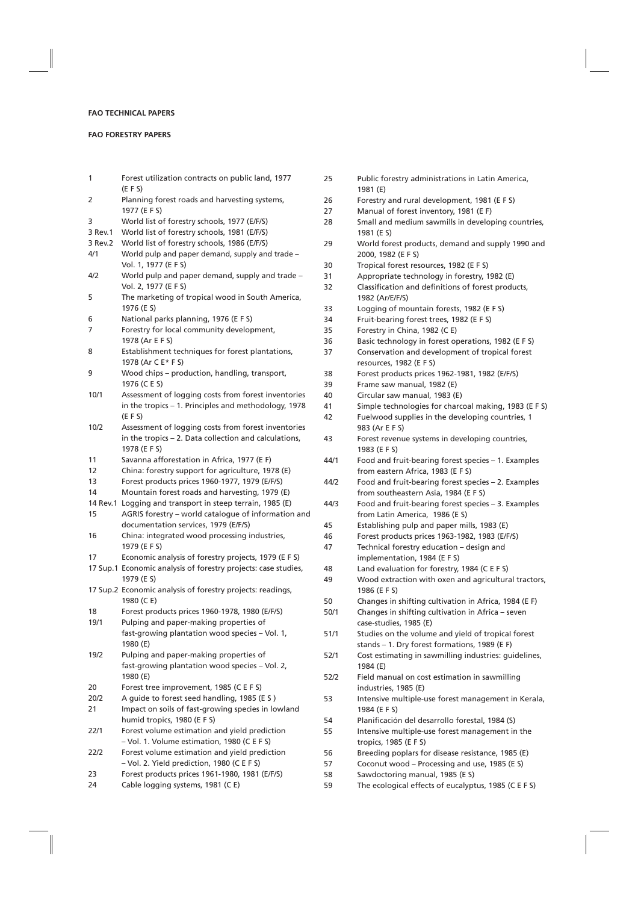## **FAO TECHNICAL PAPERS**

## **FAO FORESTRY PAPERS**

1 Forest utilization contracts on public land, 1977 (E F S) 2 Planning forest roads and harvesting systems, 1977 (E F S) 3 World list of forestry schools, 1977 (E/F/S) 3 Rev.1 World list of forestry schools, 1981 (E/F/S) 3 Rev.2 World list of forestry schools, 1986 (E/F/S) 4/1 World pulp and paper demand, supply and trade – Vol. 1, 1977 (E F S) 4/2 World pulp and paper demand, supply and trade – Vol. 2, 1977 (E F S) 5 The marketing of tropical wood in South America, 1976 (E S) 6 National parks planning, 1976 (E F S) 7 Forestry for local community development, 1978 (Ar E F S) 8 Establishment techniques for forest plantations, 1978 (Ar C E\* F S) 9 Wood chips – production, handling, transport, 1976 (C E S) 10/1 Assessment of logging costs from forest inventories in the tropics – 1. Principles and methodology, 1978 (E F S) 10/2 Assessment of logging costs from forest inventories in the tropics – 2. Data collection and calculations, 1978 (E F S) 11 Savanna afforestation in Africa, 1977 (E F) 12 China: forestry support for agriculture, 1978 (E) 13 Forest products prices 1960-1977, 1979 (E/F/S) 14 Mountain forest roads and harvesting, 1979 (E) 14 Rev.1 Logging and transport in steep terrain, 1985 (E) 15 AGRIS forestry – world catalogue of information and documentation services, 1979 (E/F/S) 16 China: integrated wood processing industries, 1979 (E F S) 17 Economic analysis of forestry projects, 1979 (E F S) 17 Sup.1 Economic analysis of forestry projects: case studies, 1979 (E S) 17 Sup.2 Economic analysis of forestry projects: readings, 1980 (C E) 18 Forest products prices 1960-1978, 1980 (E/F/S) 19/1 Pulping and paper-making properties of fast-growing plantation wood species – Vol. 1, 1980 (E) 19/2 Pulping and paper-making properties of fast-growing plantation wood species – Vol. 2, 1980 (E) 20 Forest tree improvement, 1985 (C E F S) 20/2 A guide to forest seed handling, 1985 (E S ) 21 Impact on soils of fast-growing species in lowland humid tropics, 1980 (E F S) 22/1 Forest volume estimation and yield prediction – Vol. 1. Volume estimation, 1980 (C E F S) 22/2 Forest volume estimation and yield prediction – Vol. 2. Yield prediction, 1980 (C E F S) 23 Forest products prices 1961-1980, 1981 (E/F/S) 25 Public forestry administrations in Latin America, 26 Forestry and rural development, 1981 (E F S) 27 Manual of forest inventory, 1981 (E F) 28 Small and medium sawmills in developing countries,

24 Cable logging systems, 1981 (C E)

1981 (E S) 29 World forest products, demand and supply 1990 and 2000, 1982 (E F S) 30 Tropical forest resources, 1982 (E F S) 31 Appropriate technology in forestry, 1982 (E) 32 Classification and definitions of forest products, 1982 (Ar/E/F/S) 33 Logging of mountain forests, 1982 (E F S) 34 Fruit-bearing forest trees, 1982 (E F S) 35 Forestry in China, 1982 (C E) 36 Basic technology in forest operations, 1982 (E F S) 37 Conservation and development of tropical forest resources, 1982 (E F S) 38 Forest products prices 1962-1981, 1982 (E/F/S) 39 Frame saw manual, 1982 (E) 40 Circular saw manual, 1983 (E) 41 Simple technologies for charcoal making, 1983 (E F S) 42 Fuelwood supplies in the developing countries, 1 983 (Ar E F S) 43 Forest revenue systems in developing countries, 1983 (E F S) 44/1 Food and fruit-bearing forest species – 1. Examples from eastern Africa, 1983 (E F S) 44/2 Food and fruit-bearing forest species – 2. Examples from southeastern Asia, 1984 (E F S) 44/3 Food and fruit-bearing forest species – 3. Examples from Latin America, 1986 (E S) 45 Establishing pulp and paper mills, 1983 (E) 46 Forest products prices 1963-1982, 1983 (E/F/S) 47 Technical forestry education – design and implementation, 1984 (E F S) 48 Land evaluation for forestry, 1984 (C E F S) 49 Wood extraction with oxen and agricultural tractors, 1986 (E F S) 50 Changes in shifting cultivation in Africa, 1984 (E F) 50/1 Changes in shifting cultivation in Africa – seven case-studies, 1985 (E) 51/1 Studies on the volume and yield of tropicaI forest stands – 1. Dry forest formations, 1989 (E F) 52/1 Cost estimating in sawmilling industries: guidelines, 1984 (E) 52/2 Field manual on cost estimation in sawmilling industries, 1985 (E) 53 Intensive multiple-use forest management in Kerala, 1984 (E F S) 54 Planificación del desarrollo forestal, 1984 (S) 55 Intensive multiple-use forest management in the tropics, 1985 (E F S) 56 Breeding poplars for disease resistance, 1985 (E) 57 Coconut wood – Processing and use, 1985 (E S)

1981 (E)

- 
- 58 Sawdoctoring manual, 1985 (E S)
- 59 The ecological effects of eucalyptus, 1985 (C E F S)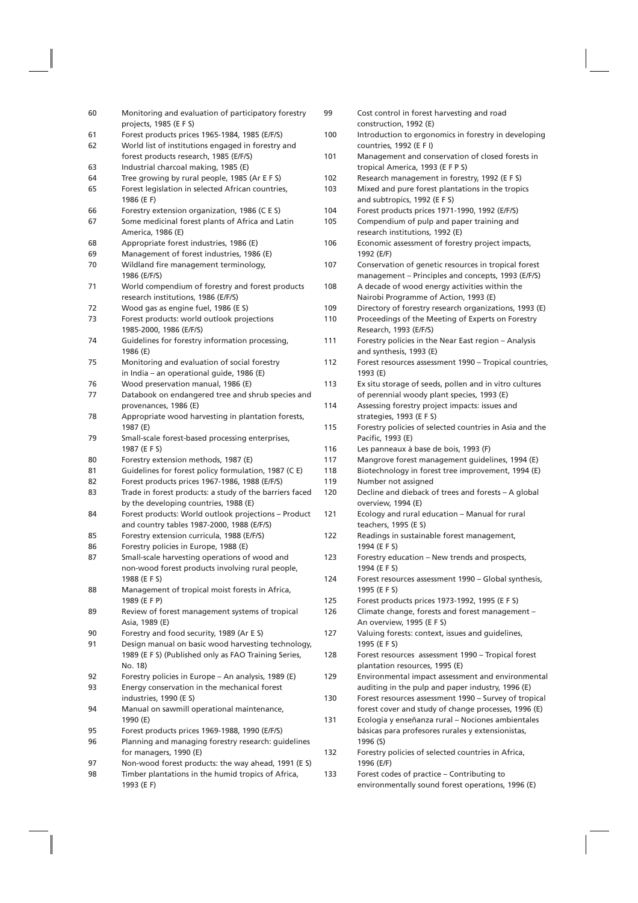| 60       | Monitoring and evaluation of participatory forestry<br>projects, 1985 (E F S)                        | 99  | Cost control in forest harvesting and road<br>construction, 1992 (E)                                       |
|----------|------------------------------------------------------------------------------------------------------|-----|------------------------------------------------------------------------------------------------------------|
| 61<br>62 | Forest products prices 1965-1984, 1985 (E/F/S)<br>World list of institutions engaged in forestry and | 100 | Introduction to ergonomics in forestry in developing<br>countries, 1992 (E F I)                            |
| 63       | forest products research, 1985 (E/F/S)<br>Industrial charcoal making, 1985 (E)                       | 101 | Management and conservation of closed forests in<br>tropical America, 1993 (E F P S)                       |
| 64       | Tree growing by rural people, 1985 (Ar E F S)                                                        | 102 | Research management in forestry, 1992 (E F S)                                                              |
| 65       | Forest legislation in selected African countries,<br>1986 (E F)                                      | 103 | Mixed and pure forest plantations in the tropics<br>and subtropics, 1992 (E F S)                           |
| 66       | Forestry extension organization, 1986 (C E S)                                                        | 104 | Forest products prices 1971-1990, 1992 (E/F/S)                                                             |
| 67       | Some medicinal forest plants of Africa and Latin<br>America, 1986 (E)                                | 105 | Compendium of pulp and paper training and<br>research institutions, 1992 (E)                               |
| 68       | Appropriate forest industries, 1986 (E)                                                              | 106 | Economic assessment of forestry project impacts,                                                           |
| 69       | Management of forest industries, 1986 (E)                                                            |     | 1992 (E/F)                                                                                                 |
| 70       | Wildland fire management terminology,<br>1986 (E/F/S)                                                | 107 | Conservation of genetic resources in tropical forest<br>management – Principles and concepts, 1993 (E/F/S) |
| 71       | World compendium of forestry and forest products<br>research institutions, 1986 (E/F/S)              | 108 | A decade of wood energy activities within the<br>Nairobi Programme of Action, 1993 (E)                     |
| 72       | Wood gas as engine fuel, 1986 (E S)                                                                  | 109 | Directory of forestry research organizations, 1993 (E)                                                     |
| 73       | Forest products: world outlook projections<br>1985-2000, 1986 (E/F/S)                                | 110 | Proceedings of the Meeting of Experts on Forestry<br>Research, 1993 (E/F/S)                                |
| 74       | Guidelines for forestry information processing,<br>1986 (E)                                          | 111 | Forestry policies in the Near East region - Analysis<br>and synthesis, 1993 (E)                            |
| 75       | Monitoring and evaluation of social forestry<br>in India - an operational guide, 1986 (E)            | 112 | Forest resources assessment 1990 – Tropical countries,<br>1993 (E)                                         |
| 76       | Wood preservation manual, 1986 (E)                                                                   | 113 | Ex situ storage of seeds, pollen and in vitro cultures                                                     |
| 77       | Databook on endangered tree and shrub species and<br>provenances, 1986 (E)                           | 114 | of perennial woody plant species, 1993 (E)<br>Assessing forestry project impacts: issues and               |
| 78       | Appropriate wood harvesting in plantation forests,                                                   |     | strategies, 1993 (E F S)                                                                                   |
| 79       | 1987 (E)<br>Small-scale forest-based processing enterprises,                                         | 115 | Forestry policies of selected countries in Asia and the<br>Pacific, 1993 (E)                               |
|          | 1987 (E F S)                                                                                         | 116 | Les panneaux à base de bois, 1993 (F)                                                                      |
| 80       | Forestry extension methods, 1987 (E)                                                                 | 117 | Mangrove forest management guidelines, 1994 (E)                                                            |
| 81       | Guidelines for forest policy formulation, 1987 (C E)                                                 | 118 | Biotechnology in forest tree improvement, 1994 (E)                                                         |
| 82       | Forest products prices 1967-1986, 1988 (E/F/S)                                                       | 119 | Number not assigned                                                                                        |
| 83       | Trade in forest products: a study of the barriers faced<br>by the developing countries, 1988 (E)     | 120 | Decline and dieback of trees and forests - A global<br>overview, 1994 (E)                                  |
| 84       | Forest products: World outlook projections - Product<br>and country tables 1987-2000, 1988 (E/F/S)   | 121 | Ecology and rural education - Manual for rural<br>teachers, 1995 (E S)                                     |
| 85       | Forestry extension curricula, 1988 (E/F/S)                                                           | 122 | Readings in sustainable forest management,                                                                 |
| 86       | Forestry policies in Europe, 1988 (E)                                                                |     | 1994 (E F S)                                                                                               |
| 87       | Small-scale harvesting operations of wood and<br>non-wood forest products involving rural people,    | 123 | Forestry education - New trends and prospects,<br>1994 (E F S)                                             |
| 88       | 1988 (E F S)<br>Management of tropical moist forests in Africa,                                      | 124 | Forest resources assessment 1990 - Global synthesis,<br>1995 (E F S)                                       |
|          | 1989 (E F P)                                                                                         | 125 | Forest products prices 1973-1992, 1995 (E F S)                                                             |
| 89       | Review of forest management systems of tropical<br>Asia, 1989 (E)                                    | 126 | Climate change, forests and forest management -<br>An overview, 1995 (E F S)                               |
| 90       | Forestry and food security, 1989 (Ar E S)                                                            | 127 | Valuing forests: context, issues and guidelines,                                                           |
| 91       | Design manual on basic wood harvesting technology,                                                   |     | 1995 (E F S)                                                                                               |
|          | 1989 (E F S) (Published only as FAO Training Series,<br>No. 18)                                      | 128 | Forest resources assessment 1990 - Tropical forest<br>plantation resources, 1995 (E)                       |
| 92       | Forestry policies in Europe – An analysis, 1989 (E)                                                  | 129 | Environmental impact assessment and environmental                                                          |
| 93       | Energy conservation in the mechanical forest<br>industries, 1990 (E S)                               | 130 | auditing in the pulp and paper industry, 1996 (E)<br>Forest resources assessment 1990 - Survey of tropical |
| 94       | Manual on sawmill operational maintenance,<br>1990 (E)                                               | 131 | forest cover and study of change processes, 1996 (E)<br>Ecología y enseñanza rural - Nociones ambientales  |
| 95       | Forest products prices 1969-1988, 1990 (E/F/S)                                                       |     | básicas para profesores rurales y extensionistas,                                                          |
| 96       | Planning and managing forestry research: guidelines<br>for managers, 1990 (E)                        | 132 | 1996 (S)<br>Forestry policies of selected countries in Africa,                                             |
| 97       | Non-wood forest products: the way ahead, 1991 (E S)                                                  |     | 1996 (E/F)                                                                                                 |
| 98       | Timber plantations in the humid tropics of Africa,                                                   | 133 | Forest codes of practice - Contributing to                                                                 |
|          | 1993 (E F)                                                                                           |     | environmentally sound forest operations, 1996 (E)                                                          |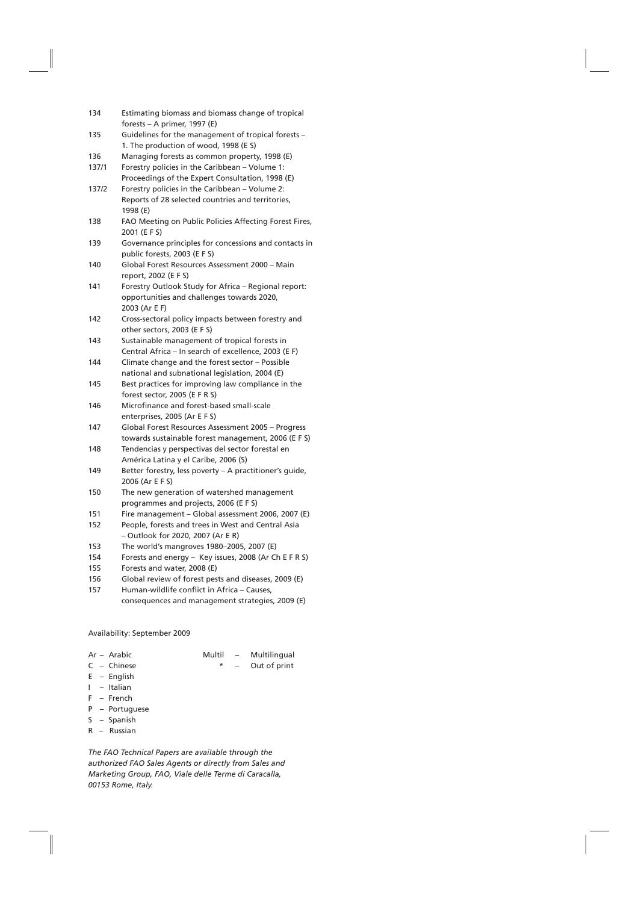| 134 | Estimating biomass and biomass change of tropical |
|-----|---------------------------------------------------|
|     | forests – A primer, 1997 (E)                      |

- 135 Guidelines for the management of tropical forests 1. The production of wood, 1998 (E S)
- 136 Managing forests as common property, 1998 (E)
- 137/1 Forestry policies in the Caribbean Volume 1:
- Proceedings of the Expert Consultation, 1998 (E) 137/2 Forestry policies in the Caribbean – Volume 2: Reports of 28 selected countries and territories, 1998 (E)
- 138 FAO Meeting on Public Policies Affecting Forest Fires, 2001 (E F S)
- 139 Governance principles for concessions and contacts in public forests, 2003 (E F S)
- 140 Global Forest Resources Assessment 2000 Main report, 2002 (E F S)
- 141 Forestry Outlook Study for Africa Regional report: opportunities and challenges towards 2020, 2003 (Ar E F)
- 142 Cross-sectoral policy impacts between forestry and other sectors, 2003 (E F S)
- 143 Sustainable management of tropical forests in Central Africa – In search of excellence, 2003 (E F)
- 144 Climate change and the forest sector Possible national and subnational legislation, 2004 (E)
- 145 Best practices for improving law compliance in the forest sector, 2005 (E F R S)
- 146 Microfinance and forest-based small-scale enterprises, 2005 (Ar E F S)
- 147 Global Forest Resources Assessment 2005 Progress towards sustainable forest management, 2006 (E F S)
- 148 Tendencias y perspectivas del sector forestal en América Latina y el Caribe, 2006 (S)
- 149 Better forestry, less poverty A practitioner's guide, 2006 (Ar E F S)
- 150 The new generation of watershed management programmes and projects, 2006 (E F S)
- 151 Fire management Global assessment 2006, 2007 (E)
- 152 People, forests and trees in West and Central Asia – Outlook for 2020, 2007 (Ar E R)
- 153 The world's mangroves 1980–2005, 2007 (E)
- 154 Forests and energy Key issues, 2008 (Ar Ch E F R S)
- 155 Forests and water, 2008 (E)
- 156 Global review of forest pests and diseases, 2009 (E)
- 157 Human-wildlife conflict in Africa Causes,
	- consequences and management strategies, 2009 (E)

## Availability: September 2009

- 
- Ar Arabic Multil Multilingual  $C -$  Chinese  $C - C$  – Chinese
- E English
- I Italian
- F French
- P Portuguese
- S Spanish
- 
- R Russian

*The FAO Technical Papers are available through the authorized FAO Sales Agents or directly from Sales and Marketing Group, FAO, Viale delle Terme di Caracalla, 00153 Rome, Italy.*